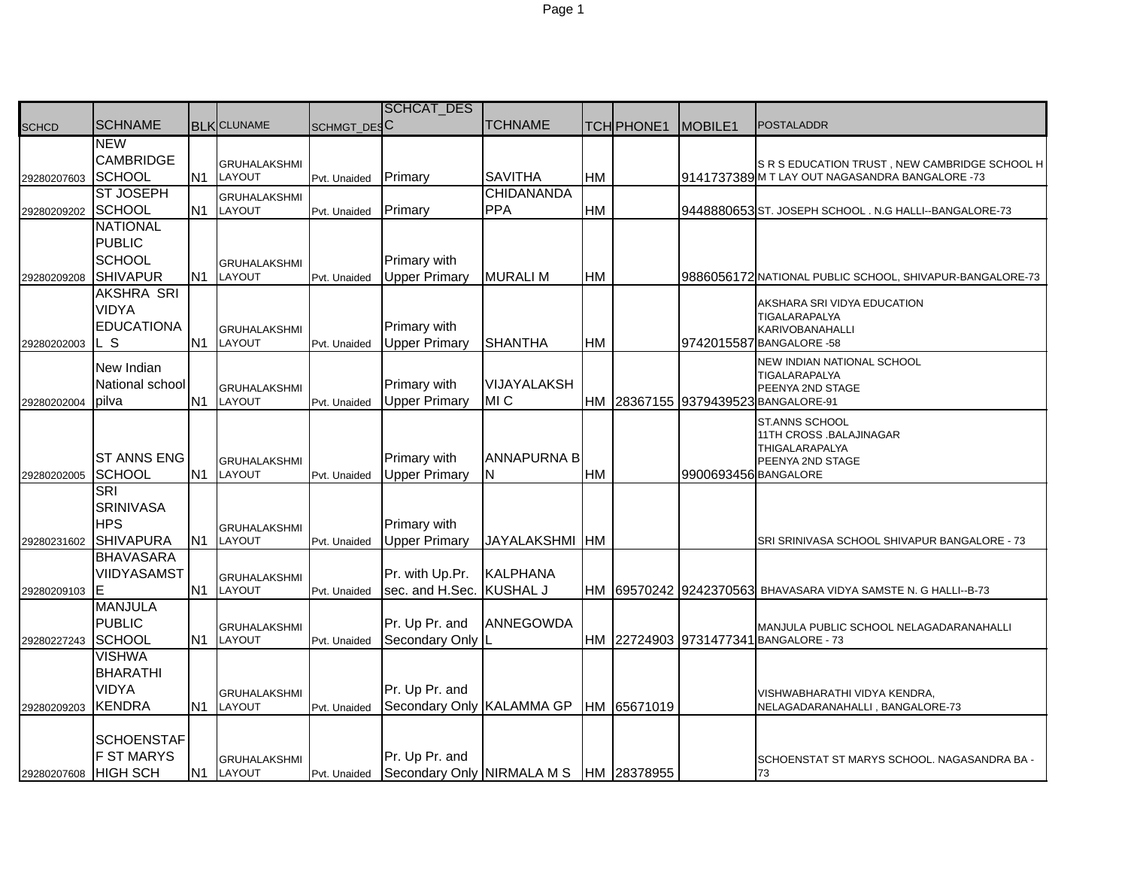|              |                    |                |                               |              | <b>SCHCAT_DES</b>                       |                    |           |                   |                      |                                                                |
|--------------|--------------------|----------------|-------------------------------|--------------|-----------------------------------------|--------------------|-----------|-------------------|----------------------|----------------------------------------------------------------|
| <b>SCHCD</b> | <b>SCHNAME</b>     |                | <b>BLK</b> CLUNAME            | SCHMGT_DESC  |                                         | <b>TCHNAME</b>     |           | <b>TCH PHONE1</b> | MOBILE <sub>1</sub>  | <b>POSTALADDR</b>                                              |
|              | <b>NEW</b>         |                |                               |              |                                         |                    |           |                   |                      |                                                                |
|              | CAMBRIDGE          |                | <b>GRUHALAKSHMI</b>           |              |                                         |                    |           |                   |                      | SR S EDUCATION TRUST, NEW CAMBRIDGE SCHOOL H                   |
| 29280207603  | <b>SCHOOL</b>      | N <sub>1</sub> | LAYOUT                        | Pvt. Unaided | Primary                                 | <b>SAVITHA</b>     | HM        |                   |                      | 9141737389 M T LAY OUT NAGASANDRA BANGALORE -73                |
|              | <b>ST JOSEPH</b>   |                | <b>GRUHALAKSHMI</b>           |              |                                         | <b>CHIDANANDA</b>  |           |                   |                      |                                                                |
| 29280209202  | <b>SCHOOL</b>      | N1             | LAYOUT                        | Pvt. Unaided | Primary                                 | <b>PPA</b>         | <b>HM</b> |                   |                      | 9448880653 ST. JOSEPH SCHOOL . N.G HALLI--BANGALORE-73         |
|              | <b>NATIONAL</b>    |                |                               |              |                                         |                    |           |                   |                      |                                                                |
|              | <b>PUBLIC</b>      |                |                               |              |                                         |                    |           |                   |                      |                                                                |
|              | <b>SCHOOL</b>      |                | <b>GRUHALAKSHMI</b>           |              | Primary with                            |                    |           |                   |                      |                                                                |
| 29280209208  | <b>SHIVAPUR</b>    | N <sub>1</sub> | LAYOUT                        | Pvt. Unaided | <b>Upper Primary</b>                    | <b>MURALIM</b>     | <b>HM</b> |                   |                      | 9886056172 NATIONAL PUBLIC SCHOOL, SHIVAPUR-BANGALORE-73       |
|              | <b>AKSHRA SRI</b>  |                |                               |              |                                         |                    |           |                   |                      |                                                                |
|              | <b>VIDYA</b>       |                |                               |              |                                         |                    |           |                   |                      | AKSHARA SRI VIDYA EDUCATION<br>TIGALARAPALYA                   |
|              | <b>EDUCATIONA</b>  |                | <b>GRUHALAKSHMI</b>           |              | Primary with                            |                    |           |                   |                      | KARIVOBANAHALLI                                                |
| 29280202003  | L S                | N <sub>1</sub> | LAYOUT                        | Pvt. Unaided | <b>Upper Primary</b>                    | <b>SHANTHA</b>     | HM        |                   |                      | 9742015587 BANGALORE -58                                       |
|              | New Indian         |                |                               |              |                                         |                    |           |                   |                      | NEW INDIAN NATIONAL SCHOOL                                     |
|              | National school    |                |                               |              | Primary with                            | VIJAYALAKSH        |           |                   |                      | TIGALARAPALYA                                                  |
|              |                    | N <sub>1</sub> | <b>GRUHALAKSHMI</b><br>LAYOUT |              | <b>Upper Primary</b>                    | MI C               |           |                   |                      | PEENYA 2ND STAGE                                               |
| 29280202004  | pilva              |                |                               | Pvt. Unaided |                                         |                    |           |                   |                      | HM 28367155 9379439523 BANGALORE-91                            |
|              |                    |                |                               |              |                                         |                    |           |                   |                      | ST.ANNS SCHOOL<br>11TH CROSS .BALAJINAGAR                      |
|              |                    |                |                               |              |                                         |                    |           |                   |                      | THIGALARAPALYA                                                 |
|              | <b>ST ANNS ENG</b> |                | <b>GRUHALAKSHMI</b>           |              | Primary with                            | <b>ANNAPURNA B</b> |           |                   |                      | PEENYA 2ND STAGE                                               |
| 29280202005  | <b>SCHOOL</b>      | N <sub>1</sub> | LAYOUT                        | Pvt. Unaided | <b>Upper Primary</b>                    | N                  | <b>HM</b> |                   | 9900693456 BANGALORE |                                                                |
|              | <b>SRI</b>         |                |                               |              |                                         |                    |           |                   |                      |                                                                |
|              | <b>SRINIVASA</b>   |                |                               |              |                                         |                    |           |                   |                      |                                                                |
|              | <b>HPS</b>         |                | <b>GRUHALAKSHMI</b>           |              | Primary with                            |                    |           |                   |                      |                                                                |
| 29280231602  | <b>SHIVAPURA</b>   | N <sub>1</sub> | LAYOUT                        | Pvt. Unaided | <b>Upper Primary</b>                    | JAYALAKSHMI HM     |           |                   |                      | SRI SRINIVASA SCHOOL SHIVAPUR BANGALORE - 73                   |
|              | <b>BHAVASARA</b>   |                |                               |              |                                         |                    |           |                   |                      |                                                                |
|              | VIIDYASAMST        |                | <b>GRUHALAKSHMI</b>           |              | Pr. with Up.Pr.                         | <b>KALPHANA</b>    |           |                   |                      |                                                                |
| 29280209103  | Е                  | N <sub>1</sub> | LAYOUT                        | Pvt. Unaided | sec. and H.Sec.                         | <b>KUSHAL J</b>    |           |                   |                      | HM 69570242 9242370563 BHAVASARA VIDYA SAMSTE N. G HALLI--B-73 |
|              | <b>MANJULA</b>     |                |                               |              |                                         |                    |           |                   |                      |                                                                |
|              | <b>PUBLIC</b>      |                | <b>GRUHALAKSHMI</b>           |              | Pr. Up Pr. and                          | <b>ANNEGOWDA</b>   |           |                   |                      | MANJULA PUBLIC SCHOOL NELAGADARANAHALLI                        |
| 29280227243  | <b>SCHOOL</b>      | N1             | LAYOUT                        | Pvt. Unaided | Secondary Only II                       |                    |           |                   |                      | HM 22724903 9731477341 BANGALORE - 73                          |
|              | <b>VISHWA</b>      |                |                               |              |                                         |                    |           |                   |                      |                                                                |
|              | <b>BHARATHI</b>    |                |                               |              |                                         |                    |           |                   |                      |                                                                |
|              | <b>VIDYA</b>       |                | <b>GRUHALAKSHMI</b>           |              | Pr. Up Pr. and                          |                    |           |                   |                      | VISHWABHARATHI VIDYA KENDRA,                                   |
| 29280209203  | <b>KENDRA</b>      | N <sub>1</sub> | LAYOUT                        | Pvt. Unaided | Secondary Only KALAMMA GP               |                    |           | HM 65671019       |                      | NELAGADARANAHALLI, BANGALORE-73                                |
|              |                    |                |                               |              |                                         |                    |           |                   |                      |                                                                |
|              | <b>SCHOENSTAF</b>  |                |                               |              |                                         |                    |           |                   |                      |                                                                |
|              | <b>F ST MARYS</b>  |                | <b>GRUHALAKSHMI</b>           |              | Pr. Up Pr. and                          |                    |           |                   |                      | SCHOENSTAT ST MARYS SCHOOL. NAGASANDRA BA -                    |
| 29280207608  | <b>HIGH SCH</b>    |                | N1 LAYOUT                     | Pvt. Unaided | Secondary Only NIRMALA M S  HM 28378955 |                    |           |                   |                      | 73                                                             |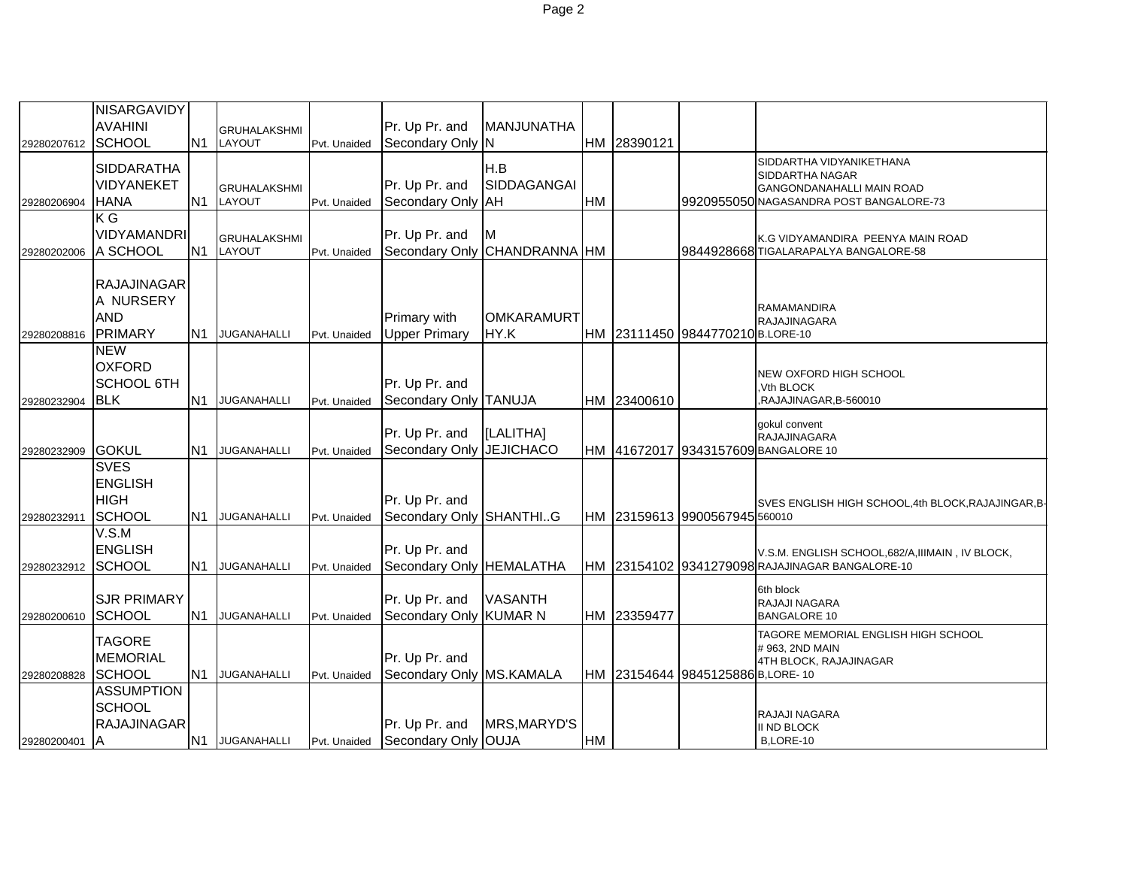| 29280207612 | NISARGAVIDY<br><b>AVAHINI</b><br><b>SCHOOL</b>                  |                 | <b>GRUHALAKSHMI</b><br>N1 LAYOUT | Pvt. Unaided | Pr. Up Pr. and<br>Secondary Only N         | MANJUNATHA                      |           | HM 28390121 |                                  |                                                                                                                     |
|-------------|-----------------------------------------------------------------|-----------------|----------------------------------|--------------|--------------------------------------------|---------------------------------|-----------|-------------|----------------------------------|---------------------------------------------------------------------------------------------------------------------|
| 29280206904 | <b>SIDDARATHA</b><br>VIDYANEKET<br><b>HANA</b>                  | N <sub>1</sub>  | <b>GRUHALAKSHMI</b><br>LAYOUT    | Pvt. Unaided | Pr. Up Pr. and<br>Secondary Only           | H.B<br>SIDDAGANGAI<br><b>AH</b> | <b>HM</b> |             |                                  | SIDDARTHA VIDYANIKETHANA<br>SIDDARTHA NAGAR<br>GANGONDANAHALLI MAIN ROAD<br>9920955050 NAGASANDRA POST BANGALORE-73 |
| 29280202006 | $K\overline{G}$<br><b>VIDYAMANDRI</b><br>A SCHOOL               | N <sub>1</sub>  | <b>GRUHALAKSHMI</b><br>LAYOUT    | Pvt. Unaided | Pr. Up Pr. and<br>Secondary Only           | M<br>CHANDRANNA HM              |           |             |                                  | K.G VIDYAMANDIRA PEENYA MAIN ROAD<br>9844928668 TIGALARAPALYA BANGALORE-58                                          |
| 29280208816 | <b>RAJAJINAGAR</b><br>A NURSERY<br><b>AND</b><br><b>PRIMARY</b> |                 | N1 JUGANAHALLI                   | Pvt. Unaided | Primary with<br><b>Upper Primary</b>       | <b>OMKARAMURT</b><br>HY.K       |           |             | HM 23111450 9844770210 B.LORE-10 | RAMAMANDIRA<br><b>RAJAJINAGARA</b>                                                                                  |
| 29280232904 | <b>NEW</b><br><b>OXFORD</b><br><b>SCHOOL 6TH</b><br><b>BLK</b>  | N1              | <b>JUGANAHALLI</b>               | Pvt. Unaided | Pr. Up Pr. and<br>Secondary Only TANUJA    |                                 |           | HM 23400610 |                                  | <b>NEW OXFORD HIGH SCHOOL</b><br>Vth BLOCK<br>,RAJAJINAGAR,B-560010                                                 |
| 29280232909 | <b>GOKUL</b>                                                    | N <sub>1</sub>  | <b>JUGANAHALLI</b>               | Pvt. Unaided | Pr. Up Pr. and<br><b>Secondary Only</b>    | [LALITHA]<br><b>JEJICHACO</b>   |           |             |                                  | gokul convent<br>RAJAJINAGARA<br>HM 41672017 9343157609 BANGALORE 10                                                |
| 29280232911 | <b>SVES</b><br><b>ENGLISH</b><br><b>HIGH</b><br><b>SCHOOL</b>   | N <sub>1</sub>  | <b>JUGANAHALLI</b>               | Pvt. Unaided | Pr. Up Pr. and<br>Secondary Only SHANTHIG  |                                 |           |             | HM 23159613 9900567945 560010    | SVES ENGLISH HIGH SCHOOL, 4th BLOCK, RAJAJINGAR, B-                                                                 |
| 29280232912 | V.S.M<br><b>ENGLISH</b><br><b>SCHOOL</b>                        |                 | N1 JUGANAHALLI                   | Pvt. Unaided | Pr. Up Pr. and<br>Secondary Only HEMALATHA |                                 |           |             |                                  | V.S.M. ENGLISH SCHOOL, 682/A, IIIMAIN, IV BLOCK,<br>HM 23154102 9341279098 RAJAJINAGAR BANGALORE-10                 |
| 29280200610 | <b>SJR PRIMARY</b><br><b>SCHOOL</b>                             | N <sub>1</sub>  | <b>JUGANAHALLI</b>               | Pvt. Unaided | Pr. Up Pr. and<br>Secondary Only KUMAR N   | <b>VASANTH</b>                  |           | HM 23359477 |                                  | 6th block<br>RAJAJI NAGARA<br><b>BANGALORE 10</b>                                                                   |
| 29280208828 | <b>TAGORE</b><br><b>MEMORIAL</b><br><b>SCHOOL</b>               |                 | N1 JUGANAHALLI                   | Pvt. Unaided | Pr. Up Pr. and<br>Secondary Only MS.KAMALA |                                 |           |             | HM 23154644 9845125886 B,LORE-10 | TAGORE MEMORIAL ENGLISH HIGH SCHOOL<br>#963, 2ND MAIN<br>4TH BLOCK, RAJAJINAGAR                                     |
| 29280200401 | <b>ASSUMPTION</b><br><b>SCHOOL</b><br><b>RAJAJINAGAR</b><br>IA  | IN <sub>1</sub> | JUGANAHALLI                      | Pvt. Unaided | Pr. Up Pr. and<br>Secondary Only OUJA      | MRS, MARYD'S                    | HM        |             |                                  | RAJAJI NAGARA<br><b>II ND BLOCK</b><br>B,LORE-10                                                                    |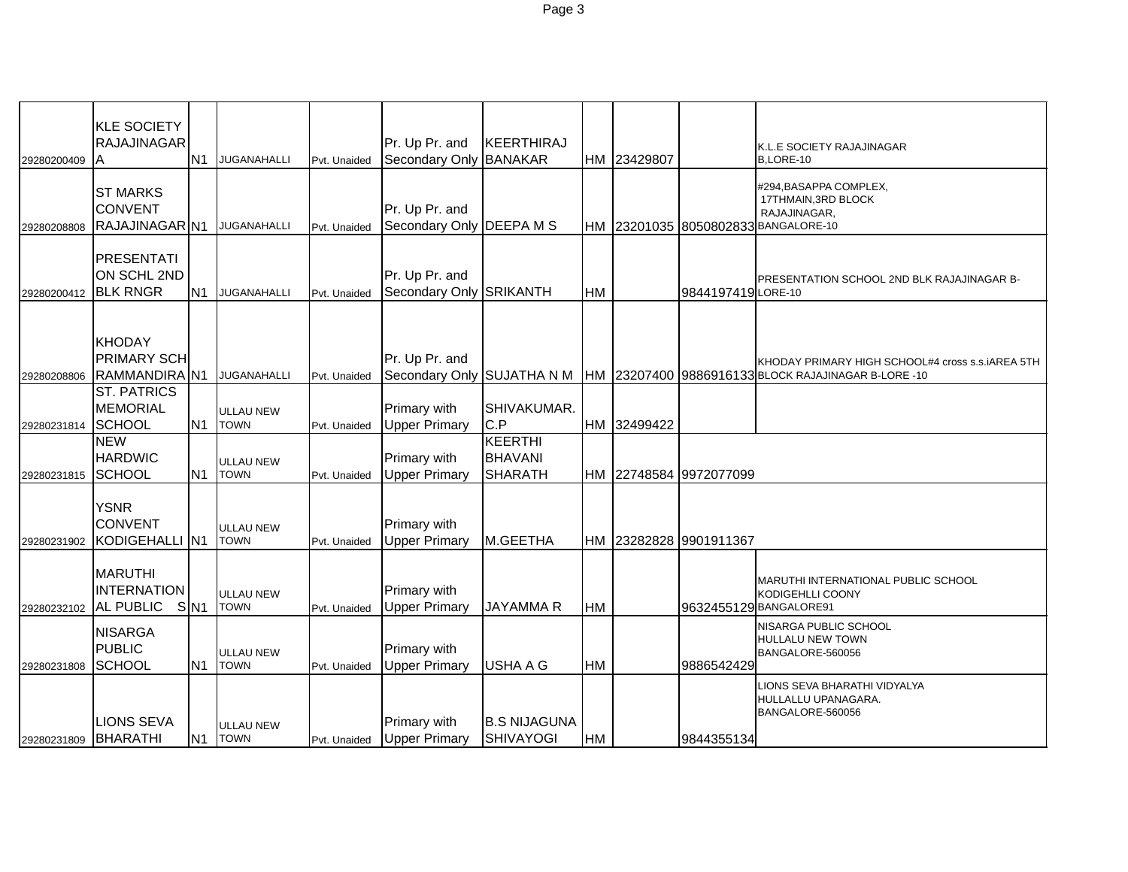| 29280200409          | <b>KLE SOCIETY</b><br><b>RAJAJINAGAR</b><br>A        | N <sub>1</sub>  | <b>JUGANAHALLI</b>              | Pvt. Unaided | Pr. Up Pr. and<br>Secondary Only BANAKAR     | KEERTHIRAJ                                         |           | HM 23429807 |                        | K.L.E SOCIETY RAJAJINAGAR<br>B,LORE-10                                                                  |
|----------------------|------------------------------------------------------|-----------------|---------------------------------|--------------|----------------------------------------------|----------------------------------------------------|-----------|-------------|------------------------|---------------------------------------------------------------------------------------------------------|
| 29280208808          | <b>ST MARKS</b><br><b>CONVENT</b><br>RAJAJINAGAR N1  |                 | <b>JUGANAHALLI</b>              | Pvt. Unaided | Pr. Up Pr. and<br>Secondary Only DEEPA M S   |                                                    |           |             |                        | #294, BASAPPA COMPLEX,<br>17THMAIN, 3RD BLOCK<br>RAJAJINAGAR,<br>HM 23201035 8050802833 BANGALORE-10    |
| 29280200412          | <b>PRESENTATI</b><br>ON SCHL 2ND<br><b>BLK RNGR</b>  | N <sub>1</sub>  | <b>JUGANAHALLI</b>              | Pvt. Unaided | Pr. Up Pr. and<br>Secondary Only SRIKANTH    |                                                    | <b>HM</b> |             | 9844197419 LORE-10     | PRESENTATION SCHOOL 2ND BLK RAJAJINAGAR B-                                                              |
| 29280208806          | <b>KHODAY</b><br><b>PRIMARY SCH</b><br>RAMMANDIRA N1 |                 | <b>JUGANAHALLI</b>              | Pvt. Unaided | Pr. Up Pr. and<br>Secondary Only SUJATHA N M |                                                    |           |             |                        | KHODAY PRIMARY HIGH SCHOOL#4 cross s.s. AREA 5TH<br>HM 23207400 9886916133 BLOCK RAJAJINAGAR B-LORE -10 |
| 29280231814          | <b>ST. PATRICS</b><br><b>MEMORIAL</b><br>SCHOOL      | N <sub>1</sub>  | ULLAU NEW<br><b>TOWN</b>        | Pvt. Unaided | Primary with<br><b>Upper Primary</b>         | SHIVAKUMAR.<br>C.P                                 |           | HM 32499422 |                        |                                                                                                         |
| 29280231815          | <b>NEW</b><br><b>HARDWIC</b><br><b>SCHOOL</b>        | N <sub>1</sub>  | ULLAU NEW<br><b>TOWN</b>        | Pvt. Unaided | Primary with<br><b>Upper Primary</b>         | <b>KEERTHI</b><br><b>BHAVANI</b><br><b>SHARATH</b> |           |             | HM 22748584 9972077099 |                                                                                                         |
| 29280231902          | <b>YSNR</b><br><b>CONVENT</b><br>KODIGEHALLI N1      |                 | ULLAU NEW<br><b>TOWN</b>        | Pvt. Unaided | <b>Primary with</b><br><b>Upper Primary</b>  | M.GEETHA                                           |           |             | HM 23282828 9901911367 |                                                                                                         |
| 29280232102          | <b>MARUTHI</b><br><b>INTERNATION</b><br>AL PUBLIC    | S <sub>N1</sub> | <b>ULLAU NEW</b><br><b>TOWN</b> | Pvt. Unaided | Primary with<br><b>Upper Primary</b>         | <b>JAYAMMAR</b>                                    | <b>HM</b> |             |                        | <b>MARUTHI INTERNATIONAL PUBLIC SCHOOL</b><br><b>KODIGEHLLI COONY</b><br>9632455129 BANGALORE91         |
| 29280231808          | <b>NISARGA</b><br><b>PUBLIC</b><br><b>SCHOOL</b>     | N <sub>1</sub>  | ULLAU NEW<br><b>TOWN</b>        | Pvt. Unaided | Primary with<br><b>Upper Primary</b>         | <b>USHA A G</b>                                    | <b>HM</b> |             | 9886542429             | NISARGA PUBLIC SCHOOL<br><b>HULLALU NEW TOWN</b><br>BANGALORE-560056                                    |
| 29280231809 BHARATHI | <b>LIONS SEVA</b>                                    | N <sub>1</sub>  | ULLAU NEW<br><b>TOWN</b>        | Pvt. Unaided | <b>Primary with</b><br><b>Upper Primary</b>  | <b>B.S NIJAGUNA</b><br><b>SHIVAYOGI</b>            | HM        |             | 9844355134             | LIONS SEVA BHARATHI VIDYALYA<br>HULLALLU UPANAGARA.<br>BANGALORE-560056                                 |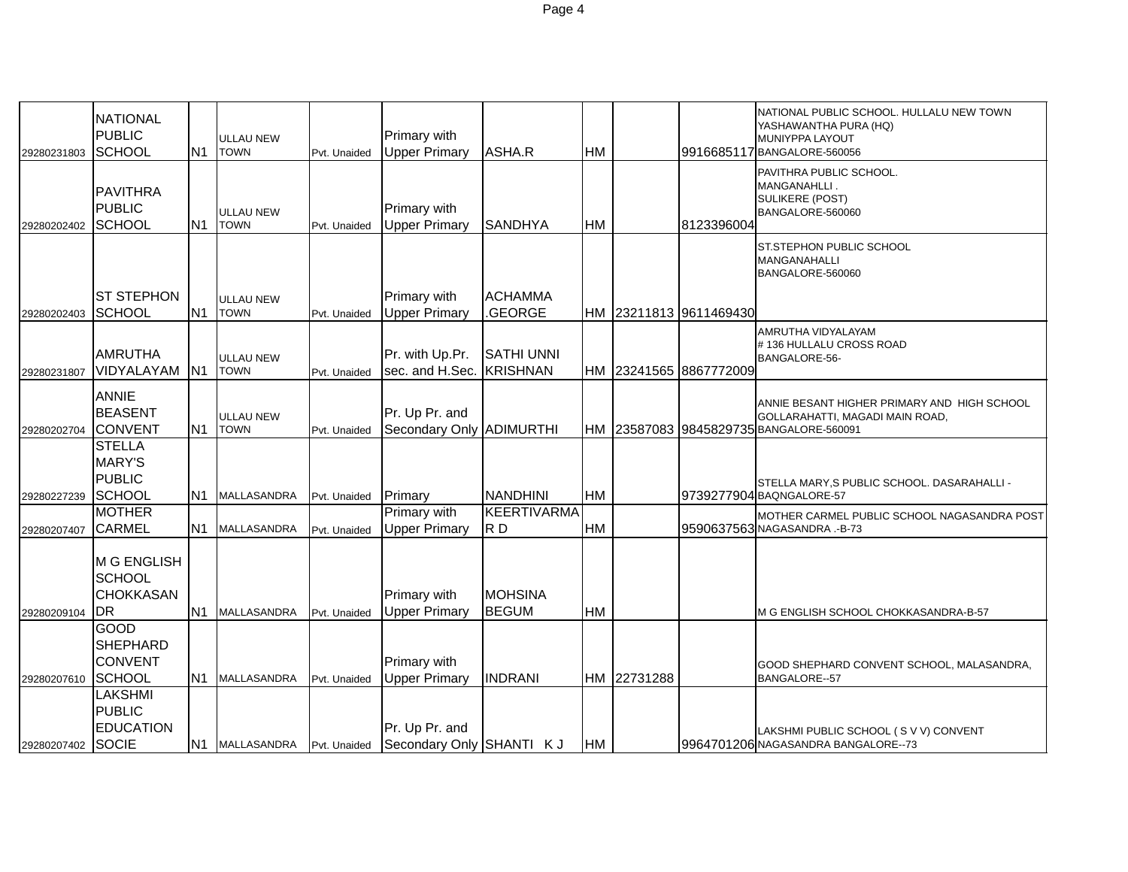|                   | <b>NATIONAL</b>   |                |                                 |              |                          |                    |           |             |                        | NATIONAL PUBLIC SCHOOL. HULLALU NEW TOWN    |
|-------------------|-------------------|----------------|---------------------------------|--------------|--------------------------|--------------------|-----------|-------------|------------------------|---------------------------------------------|
|                   | <b>PUBLIC</b>     |                | <b>ULLAU NEW</b>                |              | <b>Primary with</b>      |                    |           |             |                        | YASHAWANTHA PURA (HQ)<br>MUNIYPPA LAYOUT    |
| 29280231803       | <b>SCHOOL</b>     | N <sub>1</sub> | <b>TOWN</b>                     | Pvt. Unaided | <b>Upper Primary</b>     | ASHA.R             | <b>HM</b> |             |                        | 9916685117 BANGALORE-560056                 |
|                   |                   |                |                                 |              |                          |                    |           |             |                        | PAVITHRA PUBLIC SCHOOL.                     |
|                   |                   |                |                                 |              |                          |                    |           |             |                        | MANGANAHLLI.                                |
|                   | <b>PAVITHRA</b>   |                |                                 |              |                          |                    |           |             |                        | SULIKERE (POST)                             |
|                   | <b>PUBLIC</b>     |                | <b>ULLAU NEW</b>                |              | <b>Primary with</b>      |                    |           |             |                        | BANGALORE-560060                            |
| 29280202402       | <b>SCHOOL</b>     | N <sub>1</sub> | <b>TOWN</b>                     | Pvt. Unaided | <b>Upper Primary</b>     | <b>SANDHYA</b>     | <b>HM</b> |             | 8123396004             |                                             |
|                   |                   |                |                                 |              |                          |                    |           |             |                        | ST.STEPHON PUBLIC SCHOOL                    |
|                   |                   |                |                                 |              |                          |                    |           |             |                        | MANGANAHALLI<br>BANGALORE-560060            |
|                   |                   |                |                                 |              |                          |                    |           |             |                        |                                             |
|                   | <b>ST STEPHON</b> |                | <b>ULLAU NEW</b>                |              | <b>Primary with</b>      | <b>ACHAMMA</b>     |           |             |                        |                                             |
| 29280202403       | <b>SCHOOL</b>     | N <sub>1</sub> | <b>TOWN</b>                     | Pvt. Unaided | <b>Upper Primary</b>     | GEORGE             |           |             | HM 23211813 9611469430 |                                             |
|                   |                   |                |                                 |              |                          |                    |           |             |                        | AMRUTHA VIDYALAYAM                          |
|                   | <b>AMRUTHA</b>    |                |                                 |              | Pr. with Up.Pr.          | <b>SATHI UNNI</b>  |           |             |                        | #136 HULLALU CROSS ROAD                     |
| 29280231807       | VIDYALAYAM        | N <sub>1</sub> | <b>ULLAU NEW</b><br><b>TOWN</b> | Pvt. Unaided | sec. and H.Sec. KRISHNAN |                    |           |             | HM 23241565 8867772009 | BANGALORE-56-                               |
|                   |                   |                |                                 |              |                          |                    |           |             |                        |                                             |
|                   | <b>ANNIE</b>      |                |                                 |              |                          |                    |           |             |                        | ANNIE BESANT HIGHER PRIMARY AND HIGH SCHOOL |
|                   | <b>BEASENT</b>    |                | <b>ULLAU NEW</b>                |              | Pr. Up Pr. and           |                    |           |             |                        | GOLLARAHATTI, MAGADI MAIN ROAD,             |
| 29280202704       | <b>CONVENT</b>    | N <sub>1</sub> | <b>TOWN</b>                     | Pvt. Unaided | Secondary Only ADIMURTHI |                    |           |             |                        | HM 23587083 9845829735 BANGALORE-560091     |
|                   | <b>STELLA</b>     |                |                                 |              |                          |                    |           |             |                        |                                             |
|                   | <b>MARY'S</b>     |                |                                 |              |                          |                    |           |             |                        |                                             |
|                   | <b>PUBLIC</b>     |                |                                 |              |                          |                    |           |             |                        | STELLA MARY, S PUBLIC SCHOOL. DASARAHALLI - |
| 29280227239       | <b>SCHOOL</b>     | IN1            | MALLASANDRA                     | Pvt. Unaided | <b>Primary</b>           | <b>NANDHINI</b>    | <b>HM</b> |             |                        | 9739277904 BAQNGALORE-57                    |
|                   | <b>MOTHER</b>     |                |                                 |              | Primary with             | <b>KEERTIVARMA</b> |           |             |                        | MOTHER CARMEL PUBLIC SCHOOL NAGASANDRA POST |
| 29280207407       | <b>CARMEL</b>     |                | N1 MALLASANDRA                  | Pvt. Unaided | <b>Upper Primary</b>     | RD                 | <b>HM</b> |             |                        | 9590637563 NAGASANDRA.-B-73                 |
|                   |                   |                |                                 |              |                          |                    |           |             |                        |                                             |
|                   | M G ENGLISH       |                |                                 |              |                          |                    |           |             |                        |                                             |
|                   | <b>SCHOOL</b>     |                |                                 |              |                          |                    |           |             |                        |                                             |
|                   | <b>CHOKKASAN</b>  |                |                                 |              | <b>Primary with</b>      | <b>MOHSINA</b>     |           |             |                        |                                             |
| 29280209104       | DR                |                | N1 MALLASANDRA                  | Pvt. Unaided | <b>Upper Primary</b>     | <b>BEGUM</b>       | <b>HM</b> |             |                        | M G ENGLISH SCHOOL CHOKKASANDRA-B-57        |
|                   | <b>GOOD</b>       |                |                                 |              |                          |                    |           |             |                        |                                             |
|                   | <b>SHEPHARD</b>   |                |                                 |              |                          |                    |           |             |                        |                                             |
|                   | <b>CONVENT</b>    |                |                                 |              | <b>Primary with</b>      |                    |           |             |                        | GOOD SHEPHARD CONVENT SCHOOL, MALASANDRA,   |
| 29280207610       | <b>SCHOOL</b>     |                | N1 MALLASANDRA                  | Pvt. Unaided | <b>Upper Primary</b>     | <b>INDRANI</b>     |           | HM 22731288 |                        | <b>BANGALORE--57</b>                        |
|                   | LAKSHMI           |                |                                 |              |                          |                    |           |             |                        |                                             |
|                   | <b>PUBLIC</b>     |                |                                 |              |                          |                    |           |             |                        |                                             |
|                   | <b>EDUCATION</b>  |                |                                 |              | Pr. Up Pr. and           |                    |           |             |                        | LAKSHMI PUBLIC SCHOOL (SVV) CONVENT         |
| 29280207402 SOCIE |                   |                | N1 MALLASANDRA Pvt. Unaided     |              | Secondary Only SHANTI KJ |                    | <b>HM</b> |             |                        | 9964701206 NAGASANDRA BANGALORE--73         |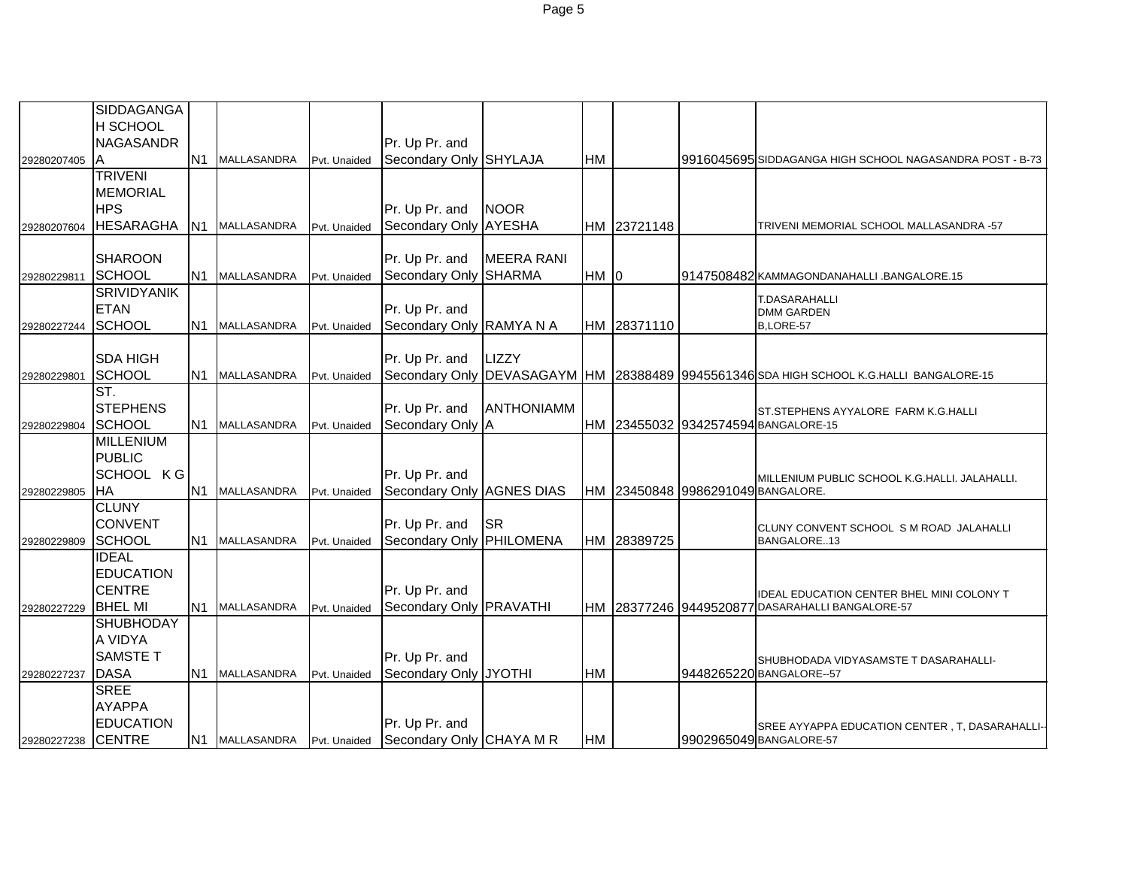|             | SIDDAGANGA          |                |                    |              |                                          |                   |           |             |                                   |                                                            |
|-------------|---------------------|----------------|--------------------|--------------|------------------------------------------|-------------------|-----------|-------------|-----------------------------------|------------------------------------------------------------|
|             | H SCHOOL            |                |                    |              |                                          |                   |           |             |                                   |                                                            |
|             | <b>NAGASANDR</b>    |                | N1 MALLASANDRA     |              | Pr. Up Pr. and<br>Secondary Only SHYLAJA |                   | HM        |             |                                   |                                                            |
| 29280207405 | A<br><b>TRIVENI</b> |                |                    | Pvt. Unaided |                                          |                   |           |             |                                   | 9916045695 SIDDAGANGA HIGH SCHOOL NAGASANDRA POST - B-73   |
|             | <b>MEMORIAL</b>     |                |                    |              |                                          |                   |           |             |                                   |                                                            |
|             | <b>HPS</b>          |                |                    |              | Pr. Up Pr. and                           | <b>NOOR</b>       |           |             |                                   |                                                            |
| 29280207604 | <b>HESARAGHA</b>    | N <sub>1</sub> | <b>MALLASANDRA</b> | Pvt. Unaided | Secondary Only AYESHA                    |                   |           | HM 23721148 |                                   | TRIVENI MEMORIAL SCHOOL MALLASANDRA -57                    |
|             |                     |                |                    |              |                                          |                   |           |             |                                   |                                                            |
|             | <b>SHAROON</b>      |                |                    |              | Pr. Up Pr. and                           | <b>MEERA RANI</b> |           |             |                                   |                                                            |
| 29280229811 | <b>SCHOOL</b>       |                | N1 MALLASANDRA     | Pvt. Unaided | Secondary Only                           | <b>SHARMA</b>     | HM 0      |             |                                   | 9147508482 KAMMAGONDANAHALLI .BANGALORE.15                 |
|             | <b>SRIVIDYANIK</b>  |                |                    |              |                                          |                   |           |             |                                   |                                                            |
|             | <b>ETAN</b>         |                |                    |              | Pr. Up Pr. and                           |                   |           |             |                                   | T.DASARAHALLI<br><b>DMM GARDEN</b>                         |
| 29280227244 | <b>SCHOOL</b>       |                | N1 MALLASANDRA     | Pvt. Unaided | Secondary Only RAMYA N A                 |                   |           | HM 28371110 |                                   | B.LORE-57                                                  |
|             |                     |                |                    |              |                                          |                   |           |             |                                   |                                                            |
|             | <b>SDA HIGH</b>     |                |                    |              | Pr. Up Pr. and                           | LIZZY             |           |             |                                   |                                                            |
| 29280229801 | <b>SCHOOL</b>       | N1             | MALLASANDRA        | Pvt. Unaided | Secondary Only                           | DEVASAGAYM HM     |           |             |                                   | 28388489 9945561346 SDA HIGH SCHOOL K.G.HALLI BANGALORE-15 |
|             | ST.                 |                |                    |              |                                          |                   |           |             |                                   |                                                            |
|             | <b>STEPHENS</b>     |                |                    |              | Pr. Up Pr. and                           | <b>ANTHONIAMM</b> |           |             |                                   | ST.STEPHENS AYYALORE FARM K.G.HALLI                        |
| 29280229804 | SCHOOL              |                | N1 MALLASANDRA     | Pvt. Unaided | Secondary Only A                         |                   |           |             |                                   | HM 23455032 9342574594 BANGALORE-15                        |
|             | <b>MILLENIUM</b>    |                |                    |              |                                          |                   |           |             |                                   |                                                            |
|             | <b>PUBLIC</b>       |                |                    |              |                                          |                   |           |             |                                   |                                                            |
|             | SCHOOL KG           |                |                    |              | Pr. Up Pr. and                           |                   |           |             |                                   | MILLENIUM PUBLIC SCHOOL K.G.HALLI. JALAHALLI.              |
| 29280229805 | IHA                 |                | N1 MALLASANDRA     | Pvt. Unaided | Secondary Only AGNES DIAS                |                   |           |             | HM 23450848 9986291049 BANGALORE. |                                                            |
|             | <b>CLUNY</b>        |                |                    |              |                                          |                   |           |             |                                   |                                                            |
|             | <b>CONVENT</b>      |                |                    |              | Pr. Up Pr. and                           | <b>SR</b>         |           |             |                                   | CLUNY CONVENT SCHOOL S M ROAD JALAHALLI                    |
| 29280229809 | <b>SCHOOL</b>       |                | N1 MALLASANDRA     | Pvt. Unaided | Secondary Only PHILOMENA                 |                   |           | HM 28389725 |                                   | BANGALORE13                                                |
|             | <b>IDEAL</b>        |                |                    |              |                                          |                   |           |             |                                   |                                                            |
|             | <b>EDUCATION</b>    |                |                    |              |                                          |                   |           |             |                                   |                                                            |
|             | <b>CENTRE</b>       |                |                    |              | Pr. Up Pr. and                           |                   |           |             |                                   | IDEAL EDUCATION CENTER BHEL MINI COLONY T                  |
| 29280227229 | <b>BHEL MI</b>      |                | N1 MALLASANDRA     | Pvt. Unaided | Secondary Only PRAVATHI                  |                   |           |             |                                   | HM 28377246 9449520877 DASARAHALLI BANGALORE-57            |
|             | <b>SHUBHODAY</b>    |                |                    |              |                                          |                   |           |             |                                   |                                                            |
|             | A VIDYA             |                |                    |              |                                          |                   |           |             |                                   |                                                            |
|             | <b>SAMSTE T</b>     |                |                    |              | Pr. Up Pr. and                           |                   |           |             |                                   | SHUBHODADA VIDYASAMSTE T DASARAHALLI-                      |
| 29280227237 | <b>DASA</b>         | IN1            | <b>MALLASANDRA</b> | Pvt. Unaided | Secondary Only JYOTHI                    |                   | <b>HM</b> |             |                                   | 9448265220 BANGALORE--57                                   |
|             | <b>SREE</b>         |                |                    |              |                                          |                   |           |             |                                   |                                                            |
|             | <b>AYAPPA</b>       |                |                    |              |                                          |                   |           |             |                                   |                                                            |
|             | <b>EDUCATION</b>    |                |                    |              | Pr. Up Pr. and                           |                   |           |             |                                   | SREE AYYAPPA EDUCATION CENTER, T, DASARAHALLI-             |
| 29280227238 | <b>CENTRE</b>       |                | N1 MALLASANDRA     | Pvt. Unaided | Secondary Only CHAYA M R                 |                   | <b>HM</b> |             |                                   | 9902965049 BANGALORE-57                                    |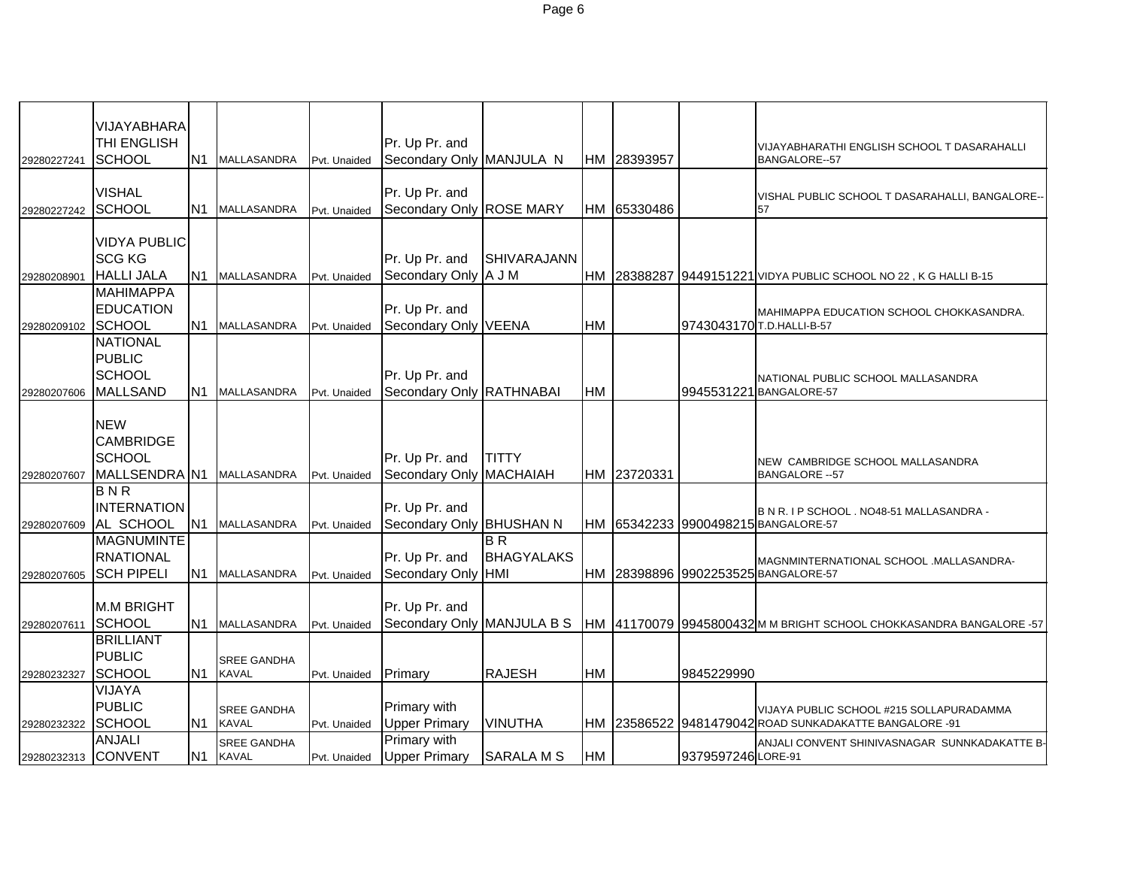|                     | VIJAYABHARA         |                |                    |              |                            |                    |    |             |                    |                                                                     |
|---------------------|---------------------|----------------|--------------------|--------------|----------------------------|--------------------|----|-------------|--------------------|---------------------------------------------------------------------|
|                     | <b>THI ENGLISH</b>  |                |                    |              | Pr. Up Pr. and             |                    |    |             |                    |                                                                     |
| 29280227241         | SCHOOL              | N <sub>1</sub> | <b>MALLASANDRA</b> | Pvt. Unaided | Secondary Only MANJULA N   |                    |    | HM 28393957 |                    | VIJAYABHARATHI ENGLISH SCHOOL T DASARAHALLI<br><b>BANGALORE--57</b> |
|                     |                     |                |                    |              |                            |                    |    |             |                    |                                                                     |
|                     | <b>VISHAL</b>       |                |                    |              | Pr. Up Pr. and             |                    |    |             |                    |                                                                     |
| 29280227242         | SCHOOL              | N1             | <b>MALLASANDRA</b> | Pvt. Unaided | Secondary Only ROSE MARY   |                    |    | HM 65330486 |                    | VISHAL PUBLIC SCHOOL T DASARAHALLI, BANGALORE-<br>57                |
|                     |                     |                |                    |              |                            |                    |    |             |                    |                                                                     |
|                     | <b>VIDYA PUBLIC</b> |                |                    |              |                            |                    |    |             |                    |                                                                     |
|                     | <b>SCG KG</b>       |                |                    |              | Pr. Up Pr. and             | <b>SHIVARAJANN</b> |    |             |                    |                                                                     |
| 29280208901         | <b>HALLI JALA</b>   | N <sub>1</sub> | MALLASANDRA        | Pvt. Unaided | Secondary Only A J M       |                    |    |             |                    | HM 28388287 9449151221 VIDYA PUBLIC SCHOOL NO 22, K G HALLI B-15    |
|                     | <b>MAHIMAPPA</b>    |                |                    |              |                            |                    |    |             |                    |                                                                     |
|                     | <b>EDUCATION</b>    |                |                    |              | Pr. Up Pr. and             |                    |    |             |                    | MAHIMAPPA EDUCATION SCHOOL CHOKKASANDRA.                            |
| 29280209102         | SCHOOL              | N <sub>1</sub> | <b>MALLASANDRA</b> | Pvt. Unaided | Secondary Only VEENA       |                    | HM |             |                    | 9743043170 T.D.HALLI-B-57                                           |
|                     | <b>NATIONAL</b>     |                |                    |              |                            |                    |    |             |                    |                                                                     |
|                     | <b>PUBLIC</b>       |                |                    |              |                            |                    |    |             |                    |                                                                     |
|                     | SCHOOL              |                |                    |              | Pr. Up Pr. and             |                    |    |             |                    | NATIONAL PUBLIC SCHOOL MALLASANDRA                                  |
| 29280207606         | <b>MALLSAND</b>     | N1             | <b>MALLASANDRA</b> | Pvt. Unaided | Secondary Only RATHNABAI   |                    | HM |             |                    | 9945531221 BANGALORE-57                                             |
|                     |                     |                |                    |              |                            |                    |    |             |                    |                                                                     |
|                     | <b>NEW</b>          |                |                    |              |                            |                    |    |             |                    |                                                                     |
|                     | <b>CAMBRIDGE</b>    |                |                    |              |                            |                    |    |             |                    |                                                                     |
|                     | SCHOOL              |                |                    |              | Pr. Up Pr. and             | <b>TITTY</b>       |    |             |                    | <b>NEW CAMBRIDGE SCHOOL MALLASANDRA</b>                             |
| 29280207607         | MALLSENDRA N1       |                | <b>MALLASANDRA</b> | Pvt. Unaided | Secondary Only MACHAIAH    |                    |    | HM 23720331 |                    | <b>BANGALORE -- 57</b>                                              |
|                     | BNR                 |                |                    |              |                            |                    |    |             |                    |                                                                     |
|                     | <b>INTERNATION</b>  |                |                    |              | Pr. Up Pr. and             |                    |    |             |                    | B N R. I P SCHOOL . NO48-51 MALLASANDRA -                           |
| 29280207609         | AL SCHOOL           | N <sub>1</sub> | <b>MALLASANDRA</b> | Pvt. Unaided | Secondary Only BHUSHAN N   |                    |    |             |                    | HM 65342233 9900498215 BANGALORE-57                                 |
|                     | <b>MAGNUMINTE</b>   |                |                    |              |                            | B <sub>R</sub>     |    |             |                    |                                                                     |
|                     | <b>RNATIONAL</b>    |                |                    |              | Pr. Up Pr. and             | <b>BHAGYALAKS</b>  |    |             |                    | MAGNMINTERNATIONAL SCHOOL .MALLASANDRA-                             |
| 29280207605         | <b>SCH PIPELI</b>   | N <sub>1</sub> | MALLASANDRA        | Pvt. Unaided | Secondary Only HMI         |                    |    |             |                    | HM 28398896 9902253525 BANGALORE-57                                 |
|                     |                     |                |                    |              |                            |                    |    |             |                    |                                                                     |
|                     | <b>M.M BRIGHT</b>   |                |                    |              | Pr. Up Pr. and             |                    |    |             |                    |                                                                     |
| 29280207611         | SCHOOL              | N1             | <b>MALLASANDRA</b> | Pvt. Unaided | Secondary Only MANJULA B S |                    |    |             |                    | HM 41170079 9945800432 M M BRIGHT SCHOOL CHOKKASANDRA BANGALORE -57 |
|                     | <b>BRILLIANT</b>    |                |                    |              |                            |                    |    |             |                    |                                                                     |
|                     | <b>PUBLIC</b>       |                | <b>SREE GANDHA</b> |              |                            |                    |    |             |                    |                                                                     |
| 29280232327         | <b>SCHOOL</b>       | N <sub>1</sub> | <b>KAVAL</b>       | Pvt. Unaided | Primary                    | <b>RAJESH</b>      | HM |             | 9845229990         |                                                                     |
|                     | VIJAYA              |                |                    |              |                            |                    |    |             |                    |                                                                     |
|                     | <b>PUBLIC</b>       |                | <b>SREE GANDHA</b> |              | Primary with               |                    |    |             |                    | VIJAYA PUBLIC SCHOOL #215 SOLLAPURADAMMA                            |
| 29280232322         | <b>SCHOOL</b>       | N1             | <b>KAVAL</b>       | Pvt. Unaided | <b>Upper Primary</b>       | <b>VINUTHA</b>     |    |             |                    | HM 23586522 9481479042 ROAD SUNKADAKATTE BANGALORE -91              |
|                     | <b>ANJALI</b>       |                | <b>SREE GANDHA</b> |              | <b>Primary with</b>        |                    |    |             |                    | ANJALI CONVENT SHINIVASNAGAR SUNNKADAKATTE B-                       |
| 29280232313 CONVENT |                     | <b>N1</b>      | <b>KAVAL</b>       | Pvt. Unaided | <b>Upper Primary</b>       | <b>SARALA M S</b>  | HM |             | 9379597246 LORE-91 |                                                                     |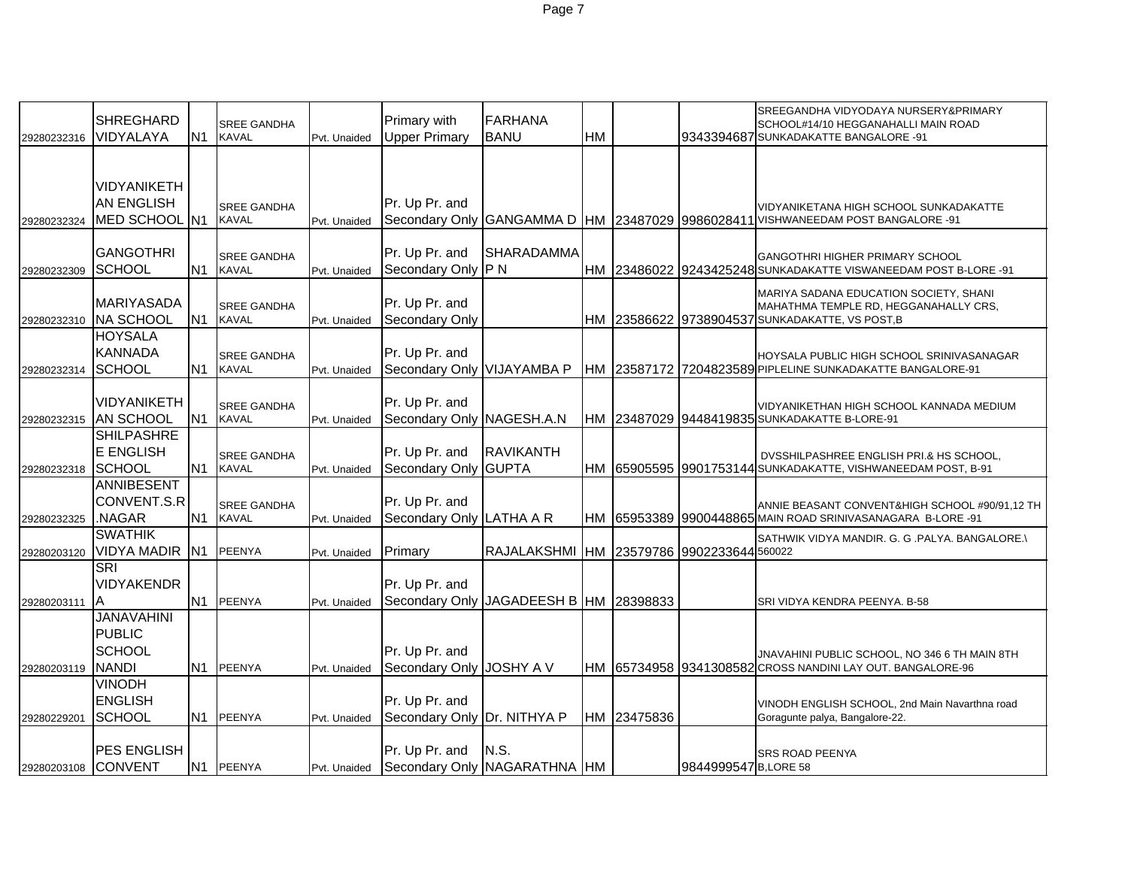| 29280232316 | <b>SHREGHARD</b><br>VIDYALAYA                                       | N <sub>1</sub>  | <b>SREE GANDHA</b><br><b>KAVAL</b> | Pvt. Unaided | Primary with<br><b>Upper Primary</b>           | <b>FARHANA</b><br><b>BANU</b>             | HM |             |                       | SREEGANDHA VIDYODAYA NURSERY&PRIMARY<br>SCHOOL#14/10 HEGGANAHALLI MAIN ROAD<br>9343394687 SUNKADAKATTE BANGALORE -91               |
|-------------|---------------------------------------------------------------------|-----------------|------------------------------------|--------------|------------------------------------------------|-------------------------------------------|----|-------------|-----------------------|------------------------------------------------------------------------------------------------------------------------------------|
|             |                                                                     |                 |                                    |              |                                                |                                           |    |             |                       |                                                                                                                                    |
| 29280232324 | <b>VIDYANIKETH</b><br><b>AN ENGLISH</b><br>MED SCHOOL N1            |                 | <b>SREE GANDHA</b><br><b>KAVAL</b> | Pvt. Unaided | Pr. Up Pr. and                                 |                                           |    |             |                       | VIDYANIKETANA HIGH SCHOOL SUNKADAKATTE<br>Secondary Only GANGAMMA D HM 23487029 9986028411 VISHWANEEDAM POST BANGALORE -91         |
| 29280232309 | <b>GANGOTHRI</b><br><b>SCHOOL</b>                                   | IN <sub>1</sub> | <b>SREE GANDHA</b><br>KAVAL        | Pvt. Unaided | Pr. Up Pr. and<br>Secondary Only P N           | <b>SHARADAMMA</b>                         |    |             |                       | <b>GANGOTHRI HIGHER PRIMARY SCHOOL</b><br>HM 23486022 9243425248 SUNKADAKATTE VISWANEEDAM POST B-LORE -91                          |
| 29280232310 | <b>MARIYASADA</b><br><b>NA SCHOOL</b>                               | IN <sub>1</sub> | <b>SREE GANDHA</b><br><b>KAVAL</b> | Pvt. Unaided | Pr. Up Pr. and<br>Secondary Only               |                                           |    |             |                       | MARIYA SADANA EDUCATION SOCIETY, SHANI<br>MAHATHMA TEMPLE RD, HEGGANAHALLY CRS,<br>HM 23586622 9738904537 SUNKADAKATTE, VS POST, B |
| 29280232314 | <b>HOYSALA</b><br><b>KANNADA</b><br>SCHOOL                          | N <sub>1</sub>  | <b>SREE GANDHA</b><br><b>KAVAL</b> | Pvt. Unaided | Pr. Up Pr. and<br>Secondary Only VIJAYAMBA P   |                                           |    |             |                       | HOYSALA PUBLIC HIGH SCHOOL SRINIVASANAGAR<br>HM 23587172 7204823589 PIPLELINE SUNKADAKATTE BANGALORE-91                            |
| 29280232315 | <b>VIDYANIKETH</b><br><b>AN SCHOOL</b>                              | N <sub>1</sub>  | <b>SREE GANDHA</b><br><b>KAVAL</b> | Pvt. Unaided | Pr. Up Pr. and<br>Secondary Only NAGESH.A.N    |                                           |    |             |                       | VIDYANIKETHAN HIGH SCHOOL KANNADA MEDIUM<br>HM 23487029 9448419835 SUNKADAKATTE B-LORE-91                                          |
| 29280232318 | <b>SHILPASHRE</b><br>E ENGLISH<br><b>SCHOOL</b>                     | N <sub>1</sub>  | <b>SREE GANDHA</b><br><b>KAVAL</b> | Pvt. Unaided | Pr. Up Pr. and<br>Secondary Only GUPTA         | <b>RAVIKANTH</b>                          |    |             |                       | DVSSHILPASHREE ENGLISH PRI.& HS SCHOOL,<br>HM 65905595 9901753144 SUNKADAKATTE, VISHWANEEDAM POST, B-91                            |
| 29280232325 | <b>ANNIBESENT</b><br>CONVENT.S.R<br>NAGAR.                          | N <sub>1</sub>  | SREE GANDHA<br><b>KAVAL</b>        | Pvt. Unaided | Pr. Up Pr. and<br>Secondary Only LATHA A R     |                                           |    |             |                       | ANNIE BEASANT CONVENT&HIGH SCHOOL #90/91,12 TH<br>HM 65953389 9900448865 MAIN ROAD SRINIVASANAGARA B-LORE -91                      |
| 29280203120 | <b>SWATHIK</b><br>VIDYA MADIR N1                                    |                 | <b>PEENYA</b>                      | Pvt. Unaided | Primary                                        | RAJALAKSHMI HM 23579786 9902233644 560022 |    |             |                       | SATHWIK VIDYA MANDIR. G. G .PALYA. BANGALORE.\                                                                                     |
| 29280203111 | <b>SRI</b><br><b>VIDYAKENDR</b>                                     | N <sub>1</sub>  | <b>PEENYA</b>                      | Pvt. Unaided | Pr. Up Pr. and                                 | Secondary Only JAGADEESH B  HM 28398833   |    |             |                       | SRI VIDYA KENDRA PEENYA. B-58                                                                                                      |
| 29280203119 | <b>JANAVAHINI</b><br><b>PUBLIC</b><br><b>SCHOOL</b><br><b>NANDI</b> | N <sub>1</sub>  | <b>PEENYA</b>                      | Pvt. Unaided | Pr. Up Pr. and<br>Secondary Only JOSHY A V     |                                           |    |             |                       | JNAVAHINI PUBLIC SCHOOL, NO 346 6 TH MAIN 8TH<br>HM 65734958 9341308582 CROSS NANDINI LAY OUT. BANGALORE-96                        |
| 29280229201 | <b>VINODH</b><br><b>ENGLISH</b><br><b>SCHOOL</b>                    | N <sub>1</sub>  | PEENYA                             | Pvt. Unaided | Pr. Up Pr. and<br>Secondary Only Dr. NITHYA P  |                                           |    | HM 23475836 |                       | VINODH ENGLISH SCHOOL, 2nd Main Navarthna road<br>Goragunte palya, Bangalore-22.                                                   |
| 29280203108 | <b>PES ENGLISH</b><br><b>CONVENT</b>                                |                 | N1 PEENYA                          | Pvt. Unaided | Pr. Up Pr. and<br>Secondary Only NAGARATHNA HM | N.S.                                      |    |             | 9844999547 B, LORE 58 | <b>SRS ROAD PEENYA</b>                                                                                                             |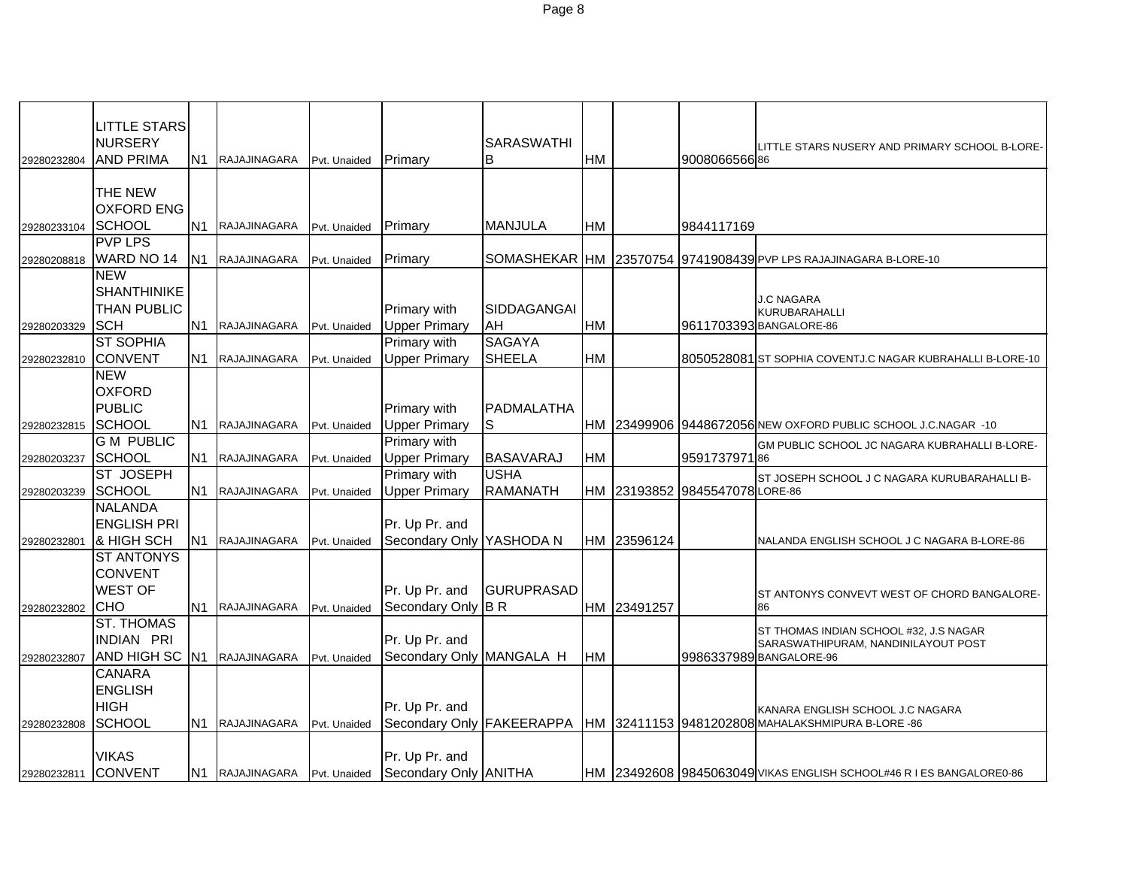|             | <b>LITTLE STARS</b>             |                 |                              |              |                          |                   |           |             |                                |                                                                              |
|-------------|---------------------------------|-----------------|------------------------------|--------------|--------------------------|-------------------|-----------|-------------|--------------------------------|------------------------------------------------------------------------------|
|             | <b>NURSERY</b>                  |                 |                              |              |                          | <b>SARASWATHI</b> |           |             |                                | LITTLE STARS NUSERY AND PRIMARY SCHOOL B-LORE-                               |
| 29280232804 | <b>AND PRIMA</b>                | N <sub>1</sub>  | RAJAJINAGARA                 | Pvt. Unaided | Primary                  | ΙB                | <b>HM</b> |             | 900806656686                   |                                                                              |
|             |                                 |                 |                              |              |                          |                   |           |             |                                |                                                                              |
|             | THE NEW                         |                 |                              |              |                          |                   |           |             |                                |                                                                              |
|             | <b>OXFORD ENG</b>               |                 |                              |              |                          |                   |           |             |                                |                                                                              |
| 29280233104 | <b>SCHOOL</b>                   | N <sub>1</sub>  | <b>RAJAJINAGARA</b>          | Pvt. Unaided | Primary                  | <b>MANJULA</b>    | <b>HM</b> |             | 9844117169                     |                                                                              |
|             | <b>PVP LPS</b>                  |                 |                              |              |                          |                   |           |             |                                |                                                                              |
| 29280208818 | WARD NO 14                      | IN <sub>1</sub> | RAJAJINAGARA                 | Pvt. Unaided | Primary                  |                   |           |             |                                | SOMASHEKAR HM 23570754 9741908439 PVP LPS RAJAJINAGARA B-LORE-10             |
|             | <b>NEW</b>                      |                 |                              |              |                          |                   |           |             |                                |                                                                              |
|             | <b>SHANTHINIKE</b>              |                 |                              |              |                          |                   |           |             |                                | J.C NAGARA                                                                   |
|             | <b>THAN PUBLIC</b>              |                 |                              |              | Primary with             | SIDDAGANGAI       |           |             |                                | <b>KURUBARAHALLI</b>                                                         |
| 29280203329 | <b>SCH</b>                      | N <sub>1</sub>  | RAJAJINAGARA                 | Pvt. Unaided | <b>Upper Primary</b>     | AH                | <b>HM</b> |             |                                | 9611703393 BANGALORE-86                                                      |
|             | <b>ST SOPHIA</b>                |                 |                              |              | <b>Primary with</b>      | <b>SAGAYA</b>     |           |             |                                |                                                                              |
| 29280232810 | <b>CONVENT</b>                  | N <sub>1</sub>  | RAJAJINAGARA                 | Pvt. Unaided | <b>Upper Primary</b>     | <b>SHEELA</b>     | <b>HM</b> |             |                                | 8050528081 ST SOPHIA COVENTJ.C NAGAR KUBRAHALLI B-LORE-10                    |
|             | <b>NEW</b>                      |                 |                              |              |                          |                   |           |             |                                |                                                                              |
|             | <b>OXFORD</b>                   |                 |                              |              |                          |                   |           |             |                                |                                                                              |
|             | <b>PUBLIC</b>                   |                 |                              |              | Primary with             | PADMALATHA        |           |             |                                |                                                                              |
| 29280232815 | <b>SCHOOL</b>                   | N1              | RAJAJINAGARA                 | Pvt. Unaided | <b>Upper Primary</b>     | S                 |           |             |                                | HM 23499906 9448672056 NEW OXFORD PUBLIC SCHOOL J.C.NAGAR -10                |
|             | <b>G M PUBLIC</b>               |                 |                              |              | <b>Primary with</b>      |                   |           |             |                                | GM PUBLIC SCHOOL JC NAGARA KUBRAHALLI B-LORE-                                |
| 29280203237 | <b>SCHOOL</b>                   | N1              | RAJAJINAGARA                 | Pvt. Unaided | <b>Upper Primary</b>     | <b>BASAVARAJ</b>  | <b>HM</b> |             | 959173797186                   |                                                                              |
|             | ST JOSEPH                       |                 |                              |              | Primary with             | <b>USHA</b>       |           |             |                                | ST JOSEPH SCHOOL J C NAGARA KURUBARAHALLI B-                                 |
| 29280203239 | <b>SCHOOL</b>                   | N <sub>1</sub>  | RAJAJINAGARA                 | Pvt. Unaided | <b>Upper Primary</b>     | <b>RAMANATH</b>   |           |             | HM 23193852 9845547078 LORE-86 |                                                                              |
|             | <b>NALANDA</b>                  |                 |                              |              |                          |                   |           |             |                                |                                                                              |
|             | <b>ENGLISH PRI</b>              |                 |                              |              | Pr. Up Pr. and           |                   |           |             |                                |                                                                              |
| 29280232801 | & HIGH SCH<br><b>ST ANTONYS</b> | N1              | RAJAJINAGARA                 | Pvt. Unaided | Secondary Only YASHODA N |                   |           | HM 23596124 |                                | NALANDA ENGLISH SCHOOL J C NAGARA B-LORE-86                                  |
|             | <b>CONVENT</b>                  |                 |                              |              |                          |                   |           |             |                                |                                                                              |
|             | <b>WEST OF</b>                  |                 |                              |              | Pr. Up Pr. and           | <b>GURUPRASAD</b> |           |             |                                |                                                                              |
| 29280232802 | ІСНО                            | N <sub>1</sub>  | RAJAJINAGARA                 | Pvt. Unaided | Secondary Only B R       |                   |           | HM 23491257 |                                | ST ANTONYS CONVEVT WEST OF CHORD BANGALORE-<br>86                            |
|             | <b>ST. THOMAS</b>               |                 |                              |              |                          |                   |           |             |                                |                                                                              |
|             | <b>INDIAN PRI</b>               |                 |                              |              | Pr. Up Pr. and           |                   |           |             |                                | ST THOMAS INDIAN SCHOOL #32, J.S NAGAR                                       |
| 29280232807 | AND HIGH SC                     | N <sub>1</sub>  | <b>RAJAJINAGARA</b>          | Pvt. Unaided | Secondary Only MANGALA H |                   | <b>HM</b> |             |                                | SARASWATHIPURAM, NANDINILAYOUT POST<br>9986337989 BANGALORE-96               |
|             | <b>CANARA</b>                   |                 |                              |              |                          |                   |           |             |                                |                                                                              |
|             | <b>ENGLISH</b>                  |                 |                              |              |                          |                   |           |             |                                |                                                                              |
|             | <b>HIGH</b>                     |                 |                              |              | Pr. Up Pr. and           |                   |           |             |                                | KANARA ENGLISH SCHOOL J.C NAGARA                                             |
| 29280232808 | <b>SCHOOL</b>                   | IN1             | <b>RAJAJINAGARA</b>          | Pvt. Unaided |                          |                   |           |             |                                | Secondary Only FAKEERAPPA  HM 32411153 9481202808 MAHALAKSHMIPURA B-LORE -86 |
|             |                                 |                 |                              |              |                          |                   |           |             |                                |                                                                              |
|             | <b>VIKAS</b>                    |                 |                              |              | Pr. Up Pr. and           |                   |           |             |                                |                                                                              |
| 29280232811 | <b>CONVENT</b>                  |                 | N1 RAJAJINAGARA Pvt. Unaided |              | Secondary Only ANITHA    |                   |           |             |                                | HM 23492608 9845063049 VIKAS ENGLISH SCHOOL#46 R I ES BANGALORE0-86          |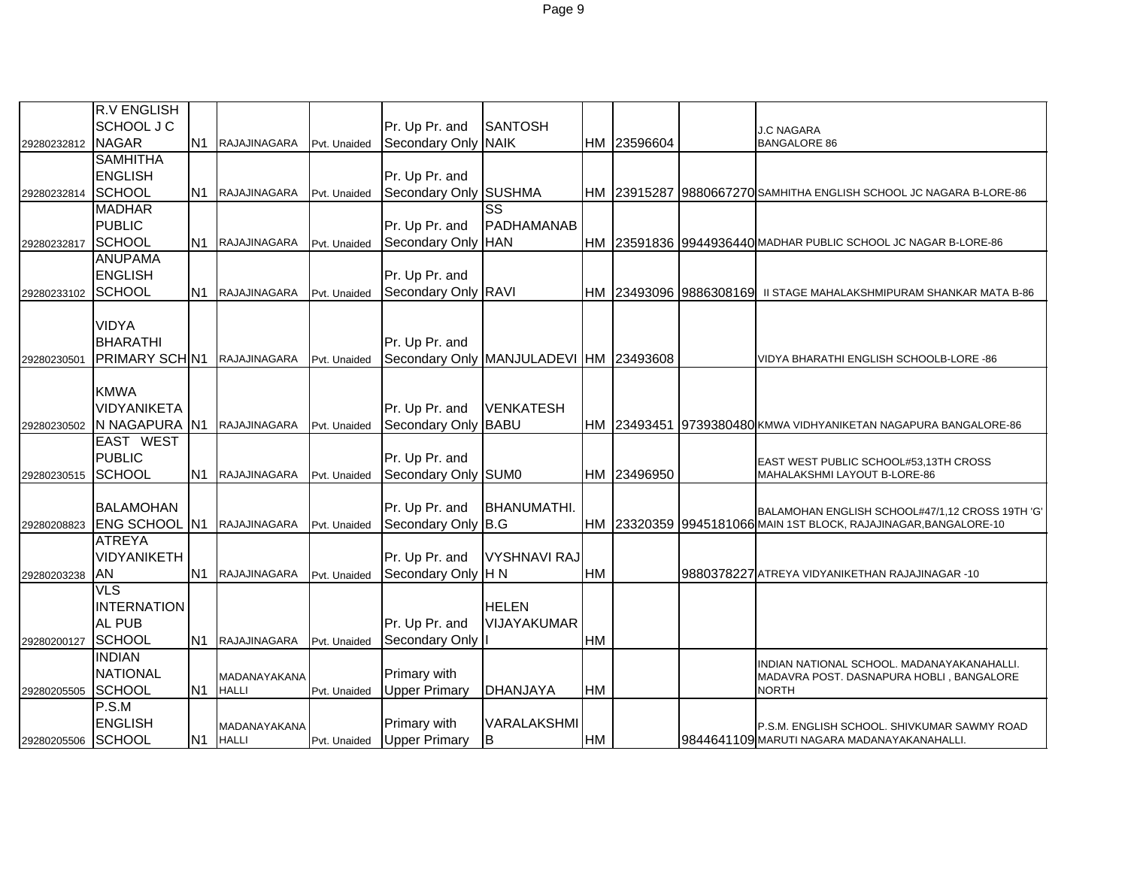|             | <b>R.V ENGLISH</b>   |                |                     |              |                      |                                        |           |             |                        |                                                                    |
|-------------|----------------------|----------------|---------------------|--------------|----------------------|----------------------------------------|-----------|-------------|------------------------|--------------------------------------------------------------------|
|             | SCHOOL J C           |                |                     |              | Pr. Up Pr. and       | <b>SANTOSH</b>                         |           |             |                        | <b>J.C NAGARA</b>                                                  |
| 29280232812 | <b>NAGAR</b>         | N <sub>1</sub> | RAJAJINAGARA        | Pvt. Unaided | Secondary Only NAIK  |                                        |           | HM 23596604 |                        | <b>BANGALORE 86</b>                                                |
|             | <b>SAMHITHA</b>      |                |                     |              |                      |                                        |           |             |                        |                                                                    |
|             | <b>ENGLISH</b>       |                |                     |              | Pr. Up Pr. and       |                                        |           |             |                        |                                                                    |
| 29280232814 | <b>SCHOOL</b>        | N <sub>1</sub> | RAJAJINAGARA        | Pvt. Unaided | Secondary Only       | <b>SUSHMA</b>                          |           |             |                        | HM 23915287 9880667270 SAMHITHA ENGLISH SCHOOL JC NAGARA B-LORE-86 |
|             | <b>MADHAR</b>        |                |                     |              |                      | $\overline{\text{ss}}$                 |           |             |                        |                                                                    |
|             | <b>PUBLIC</b>        |                |                     |              | Pr. Up Pr. and       | PADHAMANAB                             |           |             |                        |                                                                    |
| 29280232817 | <b>SCHOOL</b>        | N <sub>1</sub> | RAJAJINAGARA        | Pvt. Unaided | Secondary Only       | <b>HAN</b>                             |           |             |                        | HM 23591836 9944936440 MADHAR PUBLIC SCHOOL JC NAGAR B-LORE-86     |
|             | <b>ANUPAMA</b>       |                |                     |              |                      |                                        |           |             |                        |                                                                    |
|             | <b>ENGLISH</b>       |                |                     |              | Pr. Up Pr. and       |                                        |           |             |                        |                                                                    |
| 29280233102 | <b>SCHOOL</b>        |                | N1 RAJAJINAGARA     | Pvt. Unaided | Secondary Only RAVI  |                                        |           |             | HM 23493096 9886308169 | II STAGE MAHALAKSHMIPURAM SHANKAR MATA B-86                        |
|             |                      |                |                     |              |                      |                                        |           |             |                        |                                                                    |
|             | <b>VIDYA</b>         |                |                     |              |                      |                                        |           |             |                        |                                                                    |
|             | <b>BHARATHI</b>      |                |                     |              | Pr. Up Pr. and       |                                        |           |             |                        |                                                                    |
| 29280230501 | PRIMARY SCH N1       |                | RAJAJINAGARA        | Pvt. Unaided |                      | Secondary Only MANJULADEVI HM 23493608 |           |             |                        | VIDYA BHARATHI ENGLISH SCHOOLB-LORE -86                            |
|             |                      |                |                     |              |                      |                                        |           |             |                        |                                                                    |
|             | <b>KMWA</b>          |                |                     |              |                      |                                        |           |             |                        |                                                                    |
|             | VIDYANIKETA          |                |                     |              | Pr. Up Pr. and       | <b>VENKATESH</b>                       |           |             |                        |                                                                    |
| 29280230502 | N NAGAPURA N1        |                | RAJAJINAGARA        | Pvt. Unaided | Secondary Only       | <b>BABU</b>                            |           |             |                        | HM 23493451 9739380480 KMWA VIDHYANIKETAN NAGAPURA BANGALORE-86    |
|             | EAST WEST            |                |                     |              |                      |                                        |           |             |                        |                                                                    |
|             | <b>PUBLIC</b>        |                |                     |              | Pr. Up Pr. and       |                                        |           |             |                        | EAST WEST PUBLIC SCHOOL#53,13TH CROSS                              |
| 29280230515 | <b>SCHOOL</b>        |                | N1 RAJAJINAGARA     | Pvt. Unaided | Secondary Only SUM0  |                                        |           | HM 23496950 |                        | MAHALAKSHMI LAYOUT B-LORE-86                                       |
|             |                      |                |                     |              |                      |                                        |           |             |                        |                                                                    |
|             | <b>BALAMOHAN</b>     |                |                     |              | Pr. Up Pr. and       | <b>BHANUMATHI</b>                      |           |             |                        | BALAMOHAN ENGLISH SCHOOL#47/1,12 CROSS 19TH 'G'                    |
| 29280208823 | <b>ENG SCHOOL N1</b> |                | RAJAJINAGARA        | Pvt. Unaided | Secondary Only B.G   |                                        |           |             |                        | HM 23320359 9945181066 MAIN 1ST BLOCK, RAJAJINAGAR, BANGALORE-10   |
|             | <b>ATREYA</b>        |                |                     |              |                      |                                        |           |             |                        |                                                                    |
|             | VIDYANIKETH          |                |                     |              | Pr. Up Pr. and       | <b>VYSHNAVI RAJ</b>                    |           |             |                        |                                                                    |
| 29280203238 | AN                   | N <sub>1</sub> | RAJAJINAGARA        | Pvt. Unaided | Secondary Only H N   |                                        | <b>HM</b> |             |                        | 9880378227 ATREYA VIDYANIKETHAN RAJAJINAGAR -10                    |
|             | <b>VLS</b>           |                |                     |              |                      |                                        |           |             |                        |                                                                    |
|             | <b>INTERNATION</b>   |                |                     |              |                      | <b>HELEN</b>                           |           |             |                        |                                                                    |
|             | <b>AL PUB</b>        |                |                     |              | Pr. Up Pr. and       | VIJAYAKUMAR                            |           |             |                        |                                                                    |
| 29280200127 | <b>SCHOOL</b>        | N1             | <b>RAJAJINAGARA</b> | Pvt. Unaided | Secondary Only       |                                        | <b>HM</b> |             |                        |                                                                    |
|             | <b>INDIAN</b>        |                |                     |              |                      |                                        |           |             |                        | INDIAN NATIONAL SCHOOL. MADANAYAKANAHALLI.                         |
|             | <b>NATIONAL</b>      |                | MADANAYAKANA        |              | Primary with         |                                        |           |             |                        | MADAVRA POST. DASNAPURA HOBLI, BANGALORE                           |
| 29280205505 | <b>SCHOOL</b>        | N <sub>1</sub> | <b>HALLI</b>        | Pvt. Unaided | <b>Upper Primary</b> | DHANJAYA                               | HM        |             |                        | <b>NORTH</b>                                                       |
|             | P.S.M                |                |                     |              |                      |                                        |           |             |                        |                                                                    |
|             | <b>ENGLISH</b>       |                | MADANAYAKANA        |              | <b>Primary with</b>  | VARALAKSHMI                            |           |             |                        | P.S.M. ENGLISH SCHOOL. SHIVKUMAR SAWMY ROAD                        |
| 29280205506 | <b>SCHOOL</b>        | N <sub>1</sub> | <b>HALLI</b>        | Pvt. Unaided | <b>Upper Primary</b> | B                                      | <b>HM</b> |             |                        | 19844641109 MARUTI NAGARA MADANAYAKANAHALLI.                       |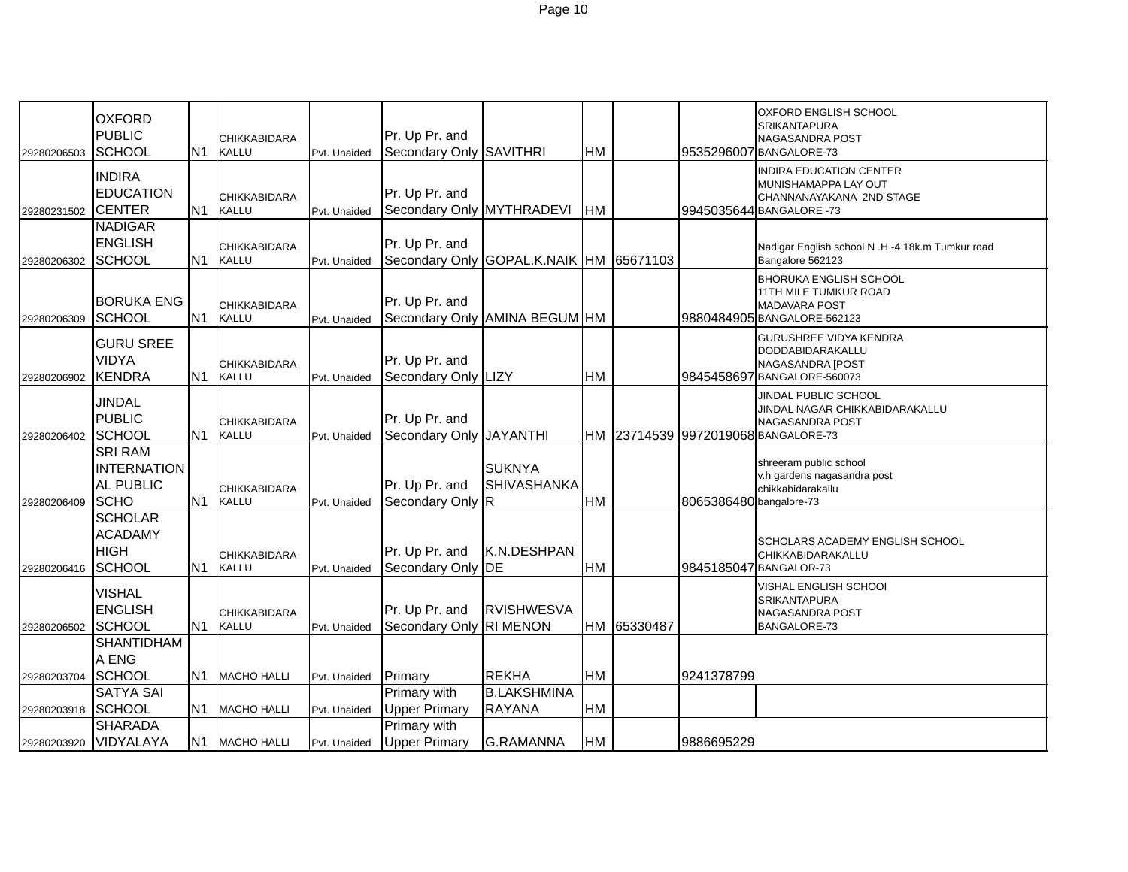| 29280206503 | <b>OXFORD</b><br><b>PUBLIC</b><br><b>SCHOOL</b>                         | N <sub>1</sub> | <b>CHIKKABIDARA</b><br>KALLU        | Pvt. Unaided | Pr. Up Pr. and<br>Secondary Only                           | <b>SAVITHRI</b>                      | <b>HM</b> |             |                         | <b>OXFORD ENGLISH SCHOOL</b><br><b>SRIKANTAPURA</b><br><b>NAGASANDRA POST</b><br>9535296007 BANGALORE-73         |
|-------------|-------------------------------------------------------------------------|----------------|-------------------------------------|--------------|------------------------------------------------------------|--------------------------------------|-----------|-------------|-------------------------|------------------------------------------------------------------------------------------------------------------|
| 29280231502 | <b>INDIRA</b><br><b>EDUCATION</b><br><b>CENTER</b>                      | N <sub>1</sub> | CHIKKABIDARA<br><b>KALLU</b>        | Pvt. Unaided | Pr. Up Pr. and<br>Secondary Only MYTHRADEVI                |                                      | <b>HM</b> |             |                         | INDIRA EDUCATION CENTER<br>MUNISHAMAPPA LAY OUT<br>CHANNANAYAKANA 2ND STAGE<br>9945035644 BANGALORE -73          |
| 29280206302 | <b>NADIGAR</b><br><b>ENGLISH</b><br><b>SCHOOL</b>                       | N <sub>1</sub> | CHIKKABIDARA<br><b>KALLU</b>        | Pvt. Unaided | Pr. Up Pr. and<br>Secondary Only GOPAL.K.NAIK  HM 65671103 |                                      |           |             |                         | Nadigar English school N .H -4 18k.m Tumkur road<br>Bangalore 562123                                             |
| 29280206309 | <b>BORUKA ENG</b><br><b>SCHOOL</b>                                      | N <sub>1</sub> | <b>CHIKKABIDARA</b><br><b>KALLU</b> | Pvt. Unaided | Pr. Up Pr. and<br>Secondary Only AMINA BEGUM HM            |                                      |           |             |                         | <b>BHORUKA ENGLISH SCHOOL</b><br>11TH MILE TUMKUR ROAD<br><b>MADAVARA POST</b><br>9880484905 BANGALORE-562123    |
| 29280206902 | <b>GURU SREE</b><br><b>VIDYA</b><br><b>KENDRA</b>                       | N <sub>1</sub> | <b>CHIKKABIDARA</b><br>KALLU        | Pvt. Unaided | Pr. Up Pr. and<br>Secondary Only LIZY                      |                                      | <b>HM</b> |             |                         | <b>GURUSHREE VIDYA KENDRA</b><br>DODDABIDARAKALLU<br><b>NAGASANDRA [POST</b><br>9845458697 BANGALORE-560073      |
| 29280206402 | <b>JINDAL</b><br><b>PUBLIC</b><br><b>SCHOOL</b>                         | N <sub>1</sub> | <b>CHIKKABIDARA</b><br><b>KALLU</b> | Pvt. Unaided | Pr. Up Pr. and<br>Secondary Only JAYANTHI                  |                                      |           |             |                         | JINDAL PUBLIC SCHOOL<br>JINDAL NAGAR CHIKKABIDARAKALLU<br>NAGASANDRA POST<br>HM 23714539 9972019068 BANGALORE-73 |
| 29280206409 | <b>SRI RAM</b><br><b>INTERNATION</b><br><b>AL PUBLIC</b><br><b>SCHO</b> | N1             | <b>CHIKKABIDARA</b><br><b>KALLU</b> | Pvt. Unaided | Pr. Up Pr. and<br>Secondary Only R                         | <b>SUKNYA</b><br><b>SHIVASHANKA</b>  | <b>HM</b> |             | 8065386480 bangalore-73 | shreeram public school<br>v.h gardens nagasandra post<br>chikkabidarakallu                                       |
| 29280206416 | <b>SCHOLAR</b><br><b>ACADAMY</b><br><b>HIGH</b><br><b>SCHOOL</b>        | N <sub>1</sub> | CHIKKABIDARA<br>KALLU               | Pvt. Unaided | Pr. Up Pr. and<br>Secondary Only                           | K.N.DESHPAN<br>DE                    | <b>HM</b> |             |                         | SCHOLARS ACADEMY ENGLISH SCHOOL<br>CHIKKABIDARAKALLU<br>9845185047 BANGALOR-73                                   |
| 29280206502 | <b>VISHAL</b><br><b>ENGLISH</b><br>SCHOOL                               | <b>N1</b>      | <b>CHIKKABIDARA</b><br>KALLU        | Pvt. Unaided | Pr. Up Pr. and<br><b>Secondary Only</b>                    | <b>RVISHWESVA</b><br><b>RI MENON</b> |           | HM 65330487 |                         | VISHAL ENGLISH SCHOOI<br><b>SRIKANTAPURA</b><br><b>NAGASANDRA POST</b><br>BANGALORE-73                           |
| 29280203704 | <b>SHANTIDHAM</b><br>A ENG<br><b>SCHOOL</b>                             | N <sub>1</sub> | <b>MACHO HALLI</b>                  | Pvt. Unaided | Primary                                                    | <b>REKHA</b>                         | <b>HM</b> |             | 9241378799              |                                                                                                                  |
| 29280203918 | <b>SATYA SAI</b><br><b>SCHOOL</b><br><b>SHARADA</b>                     | N <sub>1</sub> | <b>MACHO HALLI</b>                  | Pvt. Unaided | Primary with<br><b>Upper Primary</b><br>Primary with       | <b>B.LAKSHMINA</b><br><b>RAYANA</b>  | <b>HM</b> |             |                         |                                                                                                                  |
| 29280203920 | VIDYALAYA                                                               | N1             | <b>MACHO HALLI</b>                  | Pvt. Unaided | <b>Upper Primary</b>                                       | <b>G.RAMANNA</b>                     | <b>HM</b> |             | 9886695229              |                                                                                                                  |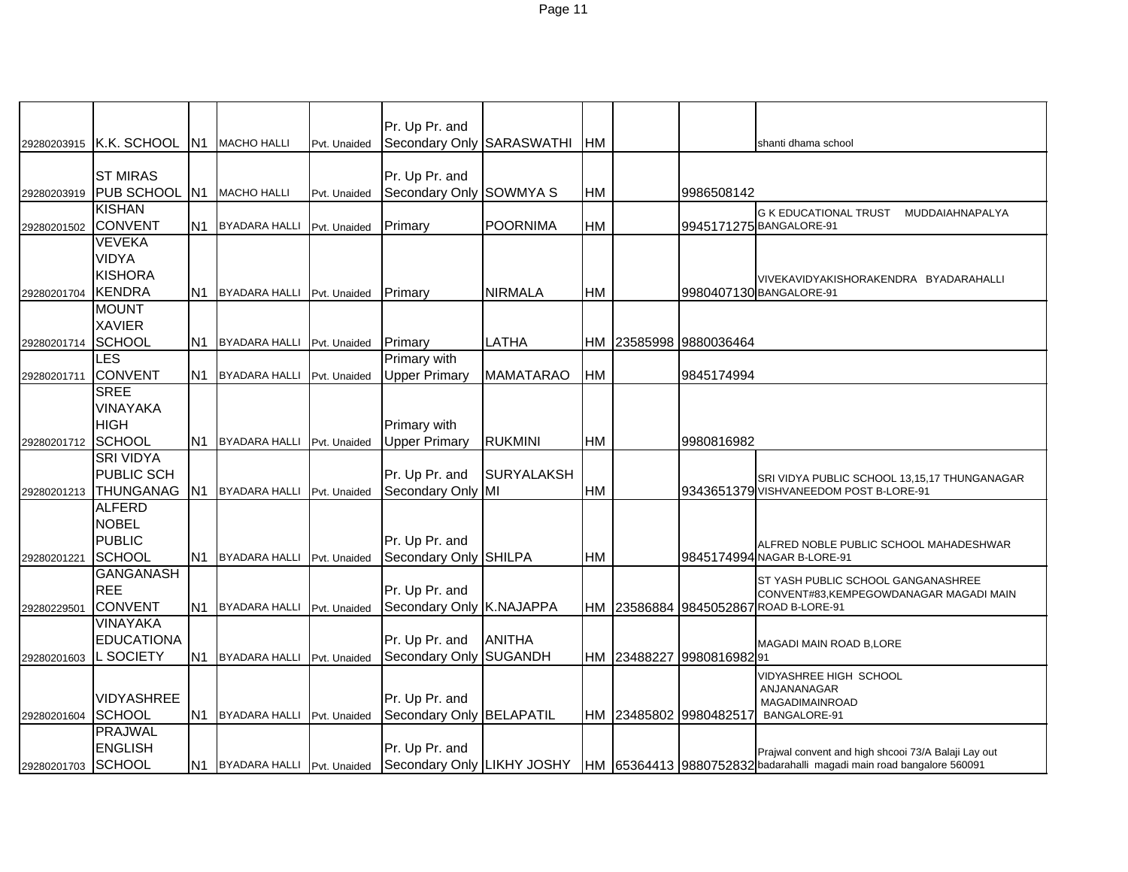| 29280203915 | K.K. SCHOOL                   |                | N1 MACHO HALLI                | Pvt. Unaided | Pr. Up Pr. and<br>Secondary Only SARASWATHI |                   | <b>HM</b> |             |                        | shanti dhama school                                                                              |
|-------------|-------------------------------|----------------|-------------------------------|--------------|---------------------------------------------|-------------------|-----------|-------------|------------------------|--------------------------------------------------------------------------------------------------|
|             |                               |                |                               |              |                                             |                   |           |             |                        |                                                                                                  |
|             | <b>ST MIRAS</b>               |                |                               |              | Pr. Up Pr. and                              |                   |           |             |                        |                                                                                                  |
| 29280203919 | <b>PUB SCHOOL</b>             |                | N1 MACHO HALLI                | Pvt. Unaided | Secondary Only SOWMYA S                     |                   | HM        |             | 9986508142             |                                                                                                  |
|             | <b>KISHAN</b>                 |                |                               |              |                                             |                   |           |             |                        | <b>G K EDUCATIONAL TRUST</b><br>MUDDAIAHNAPALYA                                                  |
| 29280201502 | <b>CONVENT</b>                | N1             | <b>BYADARA HALLI</b>          | Pvt. Unaided | Primary                                     | <b>POORNIMA</b>   | HM        |             |                        | 9945171275 BANGALORE-91                                                                          |
|             | <b>VEVEKA</b>                 |                |                               |              |                                             |                   |           |             |                        |                                                                                                  |
|             | <b>VIDYA</b>                  |                |                               |              |                                             |                   |           |             |                        |                                                                                                  |
|             | <b>KISHORA</b>                |                |                               |              |                                             |                   |           |             |                        | VIVEKAVIDYAKISHORAKENDRA BYADARAHALLI                                                            |
| 29280201704 | <b>KENDRA</b>                 |                | N1 BYADARA HALLI Pvt. Unaided |              | Primary                                     | <b>NIRMALA</b>    | <b>HM</b> |             |                        | 9980407130 BANGALORE-91                                                                          |
|             | <b>MOUNT</b><br><b>XAVIER</b> |                |                               |              |                                             |                   |           |             |                        |                                                                                                  |
| 29280201714 | <b>SCHOOL</b>                 | N1             | <b>BYADARA HALLI</b>          | Pvt. Unaided | Primary                                     | LATHA             | НM        |             | 23585998 9880036464    |                                                                                                  |
|             | LES                           |                |                               |              | Primary with                                |                   |           |             |                        |                                                                                                  |
| 29280201711 | <b>CONVENT</b>                |                | N1 BYADARA HALLI              | Pvt. Unaided | <b>Upper Primary</b>                        | <b>MAMATARAO</b>  | <b>HM</b> |             | 9845174994             |                                                                                                  |
|             | <b>SREE</b>                   |                |                               |              |                                             |                   |           |             |                        |                                                                                                  |
|             | <b>VINAYAKA</b>               |                |                               |              |                                             |                   |           |             |                        |                                                                                                  |
|             | <b>HIGH</b>                   |                |                               |              | Primary with                                |                   |           |             |                        |                                                                                                  |
| 29280201712 | SCHOOL                        | IN1            | <b>BYADARA HALLI</b>          | Pvt. Unaided | <b>Upper Primary</b>                        | <b>RUKMINI</b>    | <b>HM</b> |             | 9980816982             |                                                                                                  |
|             | <b>SRI VIDYA</b>              |                |                               |              |                                             |                   |           |             |                        |                                                                                                  |
|             | <b>PUBLIC SCH</b>             |                |                               |              | Pr. Up Pr. and                              | <b>SURYALAKSH</b> |           |             |                        | SRI VIDYA PUBLIC SCHOOL 13,15,17 THUNGANAGAR                                                     |
| 29280201213 | <b>THUNGANAG</b>              |                | N1 BYADARA HALLI Pvt. Unaided |              | Secondary Only MI                           |                   | <b>HM</b> |             |                        | 9343651379 VISHVANEEDOM POST B-LORE-91                                                           |
|             | <b>ALFERD</b>                 |                |                               |              |                                             |                   |           |             |                        |                                                                                                  |
|             | <b>NOBEL</b><br><b>PUBLIC</b> |                |                               |              | Pr. Up Pr. and                              |                   |           |             |                        |                                                                                                  |
| 29280201221 | <b>SCHOOL</b>                 | IN1            | <b>BYADARA HALLI</b>          | Pvt. Unaided | Secondary Only SHILPA                       |                   | HM        |             |                        | ALFRED NOBLE PUBLIC SCHOOL MAHADESHWAR<br>9845174994 NAGAR B-LORE-91                             |
|             | <b>GANGANASH</b>              |                |                               |              |                                             |                   |           |             |                        |                                                                                                  |
|             | <b>REE</b>                    |                |                               |              | Pr. Up Pr. and                              |                   |           |             |                        | ST YASH PUBLIC SCHOOL GANGANASHREE<br>CONVENT#83,KEMPEGOWDANAGAR MAGADI MAIN                     |
| 29280229501 | CONVENT                       | N1.            | BYADARA HALLI Pvt. Unaided    |              | Secondary Only K.NAJAPPA                    |                   |           |             |                        | HM 23586884 9845052867 ROAD B-LORE-91                                                            |
|             | VINAYAKA                      |                |                               |              |                                             |                   |           |             |                        |                                                                                                  |
|             | <b>EDUCATIONA</b>             |                |                               |              | Pr. Up Pr. and                              | <b>ANITHA</b>     |           |             |                        | MAGADI MAIN ROAD B, LORE                                                                         |
| 29280201603 | <b>L SOCIETY</b>              | N <sub>1</sub> | <b>BYADARA HALLI</b>          | Pvt. Unaided | Secondary Only SUGANDH                      |                   |           | HM 23488227 | 998081698291           |                                                                                                  |
|             |                               |                |                               |              |                                             |                   |           |             |                        | VIDYASHREE HIGH SCHOOL                                                                           |
|             | <b>VIDYASHREE</b>             |                |                               |              | Pr. Up Pr. and                              |                   |           |             |                        | ANJANANAGAR<br>MAGADIMAINROAD                                                                    |
| 29280201604 | <b>SCHOOL</b>                 | N1             | BYADARA HALLI Pvt. Unaided    |              | Secondary Only BELAPATIL                    |                   |           |             | HM 23485802 9980482517 | BANGALORE-91                                                                                     |
|             | <b>PRAJWAL</b>                |                |                               |              |                                             |                   |           |             |                        |                                                                                                  |
|             | <b>ENGLISH</b>                |                |                               |              | Pr. Up Pr. and                              |                   |           |             |                        | Prajwal convent and high shcooi 73/A Balaji Lay out                                              |
| 29280201703 | SCHOOL                        |                | N1 BYADARA HALLI Pvt. Unaided |              |                                             |                   |           |             |                        | Secondary Only LIKHY JOSHY  HM 65364413 9880752832 badarahalli magadi main road bangalore 560091 |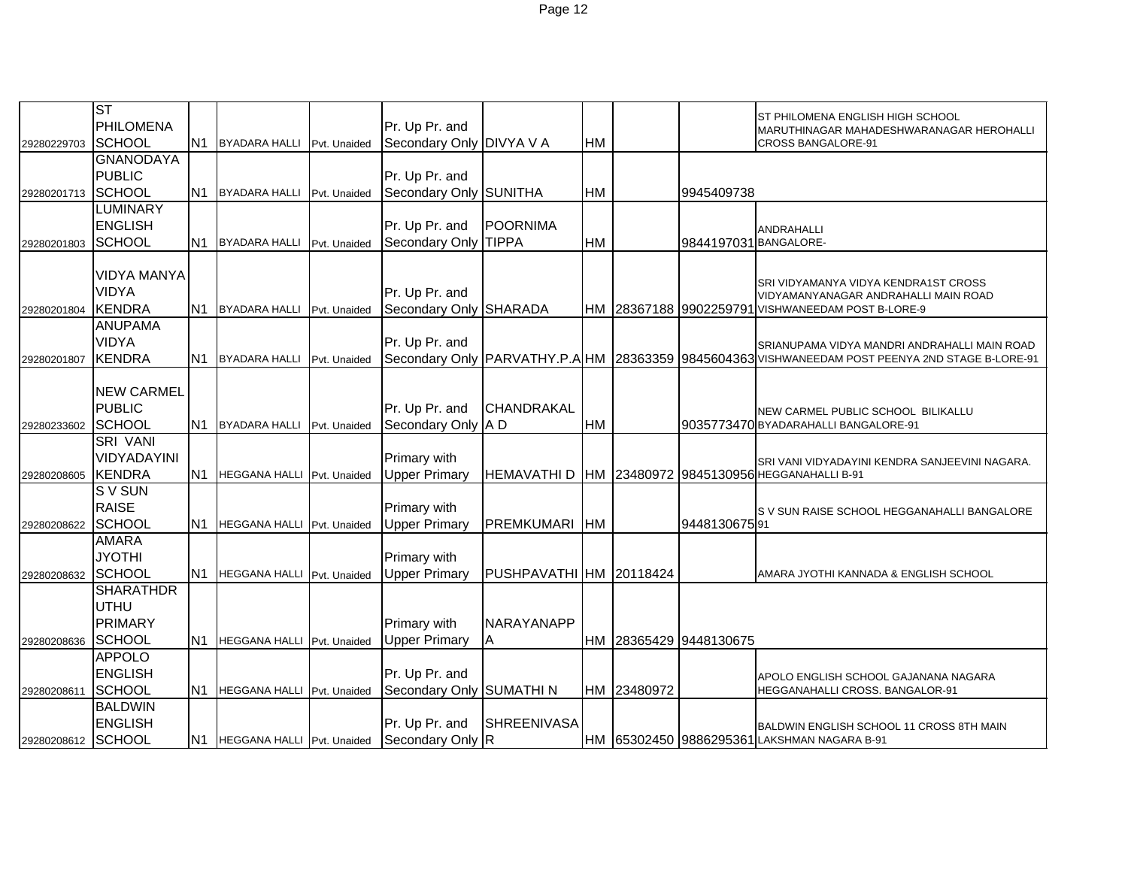|             | <b>ST</b>          |                |                                   |              |                          |                         |           |             |                        | ST PHILOMENA ENGLISH HIGH SCHOOL                                                                        |
|-------------|--------------------|----------------|-----------------------------------|--------------|--------------------------|-------------------------|-----------|-------------|------------------------|---------------------------------------------------------------------------------------------------------|
|             | PHILOMENA          |                |                                   |              | Pr. Up Pr. and           |                         |           |             |                        | MARUTHINAGAR MAHADESHWARANAGAR HEROHALLI                                                                |
| 29280229703 | SCHOOL             | N <sub>1</sub> | <b>BYADARA HALLI</b>              | Pvt. Unaided | Secondary Only DIVYA V A |                         | HM        |             |                        | <b>CROSS BANGALORE-91</b>                                                                               |
|             | <b>GNANODAYA</b>   |                |                                   |              |                          |                         |           |             |                        |                                                                                                         |
|             | <b>PUBLIC</b>      |                |                                   |              | Pr. Up Pr. and           |                         |           |             |                        |                                                                                                         |
| 29280201713 | SCHOOL             | N1             | <b>BYADARA HALLI</b>              | Pvt. Unaided | Secondary Only SUNITHA   |                         | <b>HM</b> |             | 9945409738             |                                                                                                         |
|             | <b>LUMINARY</b>    |                |                                   |              |                          |                         |           |             |                        |                                                                                                         |
|             | <b>ENGLISH</b>     |                |                                   |              | Pr. Up Pr. and           | <b>POORNIMA</b>         |           |             |                        | ANDRAHALLI                                                                                              |
| 29280201803 | SCHOOL             | N1             | <b>BYADARA HALLI</b>              | Pvt. Unaided | Secondary Only TIPPA     |                         | <b>HM</b> |             | 9844197031 BANGALORE-  |                                                                                                         |
|             |                    |                |                                   |              |                          |                         |           |             |                        |                                                                                                         |
|             | <b>VIDYA MANYA</b> |                |                                   |              |                          |                         |           |             |                        | SRI VIDYAMANYA VIDYA KENDRA1ST CROSS                                                                    |
|             | <b>VIDYA</b>       |                |                                   |              | Pr. Up Pr. and           |                         |           |             |                        | VIDYAMANYANAGAR ANDRAHALLI MAIN ROAD                                                                    |
| 29280201804 | <b>KENDRA</b>      | N <sub>1</sub> | <b>BYADARA HALLI</b>              | Pvt. Unaided | Secondary Only SHARADA   |                         |           |             |                        | HM 28367188 9902259791 VISHWANEEDAM POST B-LORE-9                                                       |
|             | <b>ANUPAMA</b>     |                |                                   |              |                          |                         |           |             |                        |                                                                                                         |
|             | <b>VIDYA</b>       |                |                                   |              | Pr. Up Pr. and           |                         |           |             |                        | SRIANUPAMA VIDYA MANDRI ANDRAHALLI MAIN ROAD                                                            |
| 29280201807 | <b>KENDRA</b>      | IN1            | <b>BYADARA HALLI</b>              | Pvt. Unaided |                          |                         |           |             |                        | Secondary Only   PARVATHY.P.A   HM   28363359   9845604363 VISHWANEEDAM POST PEENYA 2ND STAGE B-LORE-91 |
|             |                    |                |                                   |              |                          |                         |           |             |                        |                                                                                                         |
|             | <b>NEW CARMEL</b>  |                |                                   |              |                          |                         |           |             |                        |                                                                                                         |
|             | <b>PUBLIC</b>      |                |                                   |              | Pr. Up Pr. and           | <b>CHANDRAKAL</b>       |           |             |                        | NEW CARMEL PUBLIC SCHOOL BILIKALLU                                                                      |
| 29280233602 | <b>SCHOOL</b>      | <b>N1</b>      | <b>BYADARA HALLI</b>              | Pvt. Unaided | Secondary Only A D       |                         | <b>HM</b> |             |                        | 9035773470 BYADARAHALLI BANGALORE-91                                                                    |
|             | <b>SRI VANI</b>    |                |                                   |              |                          |                         |           |             |                        |                                                                                                         |
|             | VIDYADAYINI        |                |                                   |              | Primary with             |                         |           |             |                        | SRI VANI VIDYADAYINI KENDRA SANJEEVINI NAGARA.                                                          |
| 29280208605 | <b>KENDRA</b>      | N <sub>1</sub> | HEGGANA HALLI Pvt. Unaided        |              | <b>Upper Primary</b>     |                         |           |             |                        | HEMAVATHI D   HM 23480972 9845130956 HEGGANAHALLI B-91                                                  |
|             | S V SUN            |                |                                   |              |                          |                         |           |             |                        |                                                                                                         |
|             | <b>RAISE</b>       |                |                                   |              | Primary with             |                         |           |             |                        | S V SUN RAISE SCHOOL HEGGANAHALLI BANGALORE                                                             |
| 29280208622 | SCHOOL             | N1             | HEGGANA HALLI Pvt. Unaided        |              | <b>Upper Primary</b>     | PREMKUMARI HM           |           |             | 944813067591           |                                                                                                         |
|             | <b>AMARA</b>       |                |                                   |              |                          |                         |           |             |                        |                                                                                                         |
|             | <b>JYOTHI</b>      |                |                                   |              | Primary with             |                         |           |             |                        |                                                                                                         |
| 29280208632 | SCHOOL             | N <sub>1</sub> | HEGGANA HALLI Pvt. Unaided        |              | <b>Upper Primary</b>     | PUSHPAVATHI HM 20118424 |           |             |                        | AMARA JYOTHI KANNADA & ENGLISH SCHOOL                                                                   |
|             | <b>SHARATHDR</b>   |                |                                   |              |                          |                         |           |             |                        |                                                                                                         |
|             | UTHU               |                |                                   |              |                          |                         |           |             |                        |                                                                                                         |
|             | PRIMARY            |                |                                   |              | <b>Primary with</b>      | NARAYANAPP              |           |             |                        |                                                                                                         |
| 29280208636 | <b>SCHOOL</b>      | N1             | HEGGANA HALLI Pvt. Unaided        |              | <b>Upper Primary</b>     | Α                       |           |             | HM 28365429 9448130675 |                                                                                                         |
|             | <b>APPOLO</b>      |                |                                   |              |                          |                         |           |             |                        |                                                                                                         |
|             | <b>ENGLISH</b>     |                |                                   |              | Pr. Up Pr. and           |                         |           |             |                        |                                                                                                         |
| 29280208611 | <b>SCHOOL</b>      | N1             | <b>HEGGANA HALLI</b> Pvt. Unaided |              | Secondary Only SUMATHI N |                         |           | HM 23480972 |                        | APOLO ENGLISH SCHOOL GAJANANA NAGARA<br>HEGGANAHALLI CROSS. BANGALOR-91                                 |
|             | <b>BALDWIN</b>     |                |                                   |              |                          |                         |           |             |                        |                                                                                                         |
|             | <b>ENGLISH</b>     |                |                                   |              | Pr. Up Pr. and           | <b>SHREENIVASA</b>      |           |             |                        |                                                                                                         |
|             |                    |                |                                   |              |                          |                         |           |             |                        |                                                                                                         |
| 29280208612 | SCHOOL             |                | N1 HEGGANA HALLI Pvt. Unaided     |              | Secondary Only R         |                         |           |             |                        | BALDWIN ENGLISH SCHOOL 11 CROSS 8TH MAIN<br>HM 65302450 9886295361 LAKSHMAN NAGARA B-91                 |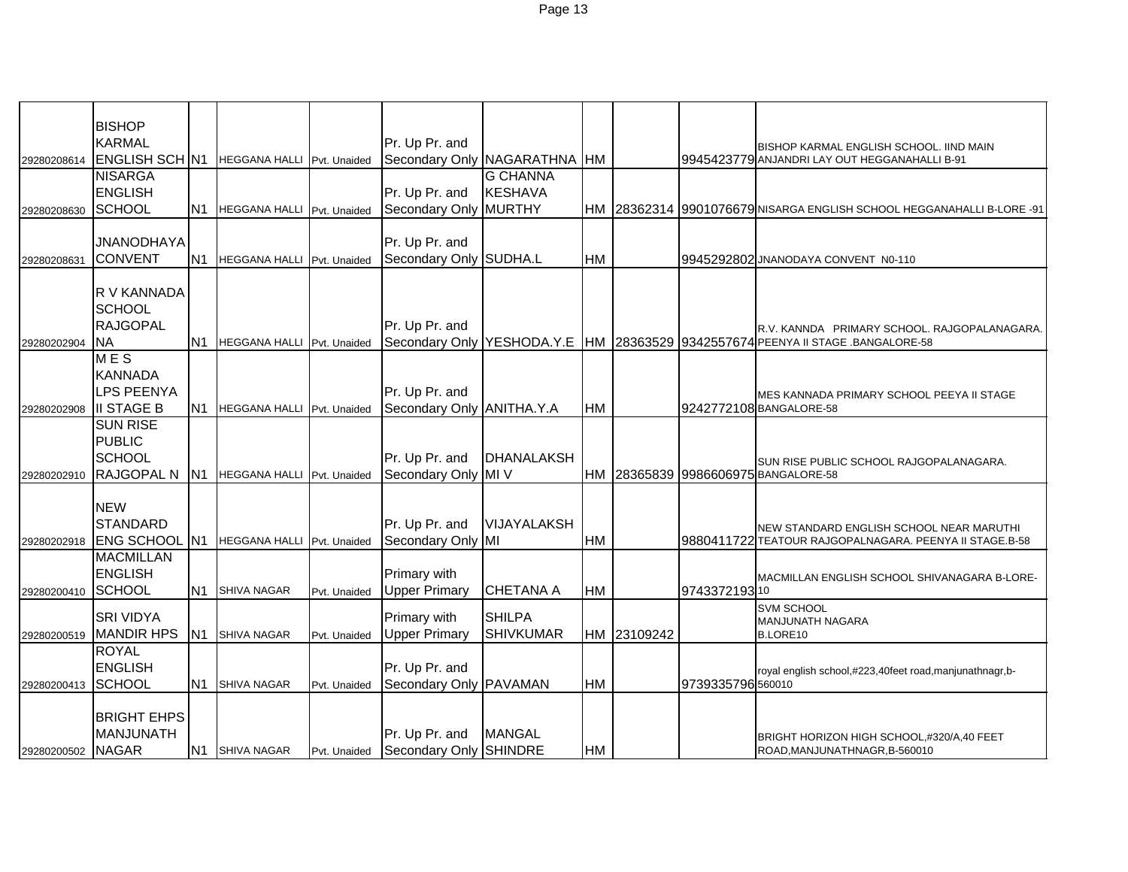|                   | <b>BISHOP</b>                |                |                            |              |                              |                   |           |             |                   |                                                                                                                                     |
|-------------------|------------------------------|----------------|----------------------------|--------------|------------------------------|-------------------|-----------|-------------|-------------------|-------------------------------------------------------------------------------------------------------------------------------------|
|                   | <b>KARMAL</b>                |                |                            |              | Pr. Up Pr. and               |                   |           |             |                   | BISHOP KARMAL ENGLISH SCHOOL. IIND MAIN                                                                                             |
| 29280208614       | <b>ENGLISH SCH N1</b>        |                | HEGGANA HALLI Pvt. Unaided |              | Secondary Only NAGARATHNA HM |                   |           |             |                   | 9945423779 ANJANDRI LAY OUT HEGGANAHALLI B-91                                                                                       |
|                   | <b>NISARGA</b>               |                |                            |              |                              | <b>G CHANNA</b>   |           |             |                   |                                                                                                                                     |
|                   | <b>ENGLISH</b>               |                |                            |              | Pr. Up Pr. and               | <b>KESHAVA</b>    |           |             |                   |                                                                                                                                     |
| 29280208630       | SCHOOL                       | N <sub>1</sub> | HEGGANA HALLI Pvt. Unaided |              | Secondary Only               | MURTHY            |           |             |                   | HM 28362314 9901076679 NISARGA ENGLISH SCHOOL HEGGANAHALLI B-LORE -91                                                               |
|                   |                              |                |                            |              |                              |                   |           |             |                   |                                                                                                                                     |
|                   | <b>JNANODHAYA</b>            |                |                            |              | Pr. Up Pr. and               |                   |           |             |                   |                                                                                                                                     |
| 29280208631       | <b>CONVENT</b>               | N <sub>1</sub> | HEGGANA HALLI Pvt. Unaided |              | Secondary Only SUDHA.L       |                   | <b>HM</b> |             |                   | 9945292802 JNANODAYA CONVENT N0-110                                                                                                 |
|                   |                              |                |                            |              |                              |                   |           |             |                   |                                                                                                                                     |
|                   | R V KANNADA<br><b>SCHOOL</b> |                |                            |              |                              |                   |           |             |                   |                                                                                                                                     |
|                   | <b>RAJGOPAL</b>              |                |                            |              | Pr. Up Pr. and               |                   |           |             |                   |                                                                                                                                     |
|                   | <b>NA</b>                    | N1             | HEGGANA HALLI Pvt. Unaided |              |                              |                   |           |             |                   | R.V. KANNDA PRIMARY SCHOOL. RAJGOPALANAGARA<br>Secondary Only YESHODA.Y.E  HM   28363529   9342557674 PEENYA II STAGE .BANGALORE-58 |
| 29280202904       | <b>MES</b>                   |                |                            |              |                              |                   |           |             |                   |                                                                                                                                     |
|                   | <b>KANNADA</b>               |                |                            |              |                              |                   |           |             |                   |                                                                                                                                     |
|                   | <b>LPS PEENYA</b>            |                |                            |              | Pr. Up Pr. and               |                   |           |             |                   |                                                                                                                                     |
|                   | <b>III STAGE B</b>           | N <sub>1</sub> | HEGGANA HALLI Pvt. Unaided |              | Secondary Only ANITHA.Y.A    |                   | <b>HM</b> |             |                   | MES KANNADA PRIMARY SCHOOL PEEYA II STAGE<br>9242772108 BANGALORE-58                                                                |
| 29280202908       | <b>SUN RISE</b>              |                |                            |              |                              |                   |           |             |                   |                                                                                                                                     |
|                   | <b>PUBLIC</b>                |                |                            |              |                              |                   |           |             |                   |                                                                                                                                     |
|                   | <b>SCHOOL</b>                |                |                            |              | Pr. Up Pr. and               | <b>DHANALAKSH</b> |           |             |                   |                                                                                                                                     |
| 29280202910       | RAJGOPAL N                   | N <sub>1</sub> | HEGGANA HALLI Pvt. Unaided |              | <b>Secondary Only</b>        | MI V              |           |             |                   | SUN RISE PUBLIC SCHOOL RAJGOPALANAGARA.<br>HM 28365839 9986606975 BANGALORE-58                                                      |
|                   |                              |                |                            |              |                              |                   |           |             |                   |                                                                                                                                     |
|                   | <b>NEW</b>                   |                |                            |              |                              |                   |           |             |                   |                                                                                                                                     |
|                   | <b>STANDARD</b>              |                |                            |              | Pr. Up Pr. and               | VIJAYALAKSH       |           |             |                   | NEW STANDARD ENGLISH SCHOOL NEAR MARUTHI                                                                                            |
| 29280202918       | <b>ENG SCHOOL N1</b>         |                | HEGGANA HALLI Pvt. Unaided |              | Secondary Only MI            |                   | <b>HM</b> |             |                   | 9880411722 TEATOUR RAJGOPALNAGARA. PEENYA II STAGE.B-58                                                                             |
|                   | <b>MACMILLAN</b>             |                |                            |              |                              |                   |           |             |                   |                                                                                                                                     |
|                   | <b>ENGLISH</b>               |                |                            |              | Primary with                 |                   |           |             |                   | MACMILLAN ENGLISH SCHOOL SHIVANAGARA B-LORE-                                                                                        |
| 29280200410       | <b>SCHOOL</b>                | N <sub>1</sub> | SHIVA NAGAR                | Pvt. Unaided | <b>Upper Primary</b>         | <b>CHETANA A</b>  | <b>HM</b> |             | 974337219310      |                                                                                                                                     |
|                   |                              |                |                            |              |                              |                   |           |             |                   | <b>SVM SCHOOL</b>                                                                                                                   |
|                   | <b>SRI VIDYA</b>             |                |                            |              | Primary with                 | <b>SHILPA</b>     |           |             |                   | MANJUNATH NAGARA                                                                                                                    |
| 29280200519       | <b>MANDIR HPS</b>            | N <sub>1</sub> | <b>SHIVA NAGAR</b>         | Pvt. Unaided | <b>Upper Primary</b>         | <b>SHIVKUMAR</b>  |           | HM 23109242 |                   | B.LORE10                                                                                                                            |
|                   | <b>ROYAL</b>                 |                |                            |              |                              |                   |           |             |                   |                                                                                                                                     |
|                   | <b>ENGLISH</b>               |                |                            |              | Pr. Up Pr. and               |                   |           |             |                   | royal english school,#223,40feet road,manjunathnagr,b-                                                                              |
| 29280200413       | SCHOOL                       | N <sub>1</sub> | <b>SHIVA NAGAR</b>         | Pvt. Unaided | Secondary Only PAVAMAN       |                   | HM        |             | 9739335796 560010 |                                                                                                                                     |
|                   |                              |                |                            |              |                              |                   |           |             |                   |                                                                                                                                     |
|                   | <b>BRIGHT EHPS</b>           |                |                            |              |                              |                   |           |             |                   |                                                                                                                                     |
|                   | <b>MANJUNATH</b>             |                |                            |              | Pr. Up Pr. and               | <b>MANGAL</b>     |           |             |                   | BRIGHT HORIZON HIGH SCHOOL,#320/A,40 FEET                                                                                           |
| 29280200502 NAGAR |                              | N <sub>1</sub> | <b>SHIVA NAGAR</b>         | Pvt. Unaided | Secondary Only SHINDRE       |                   | HM        |             |                   | ROAD, MANJUNATHNAGR, B-560010                                                                                                       |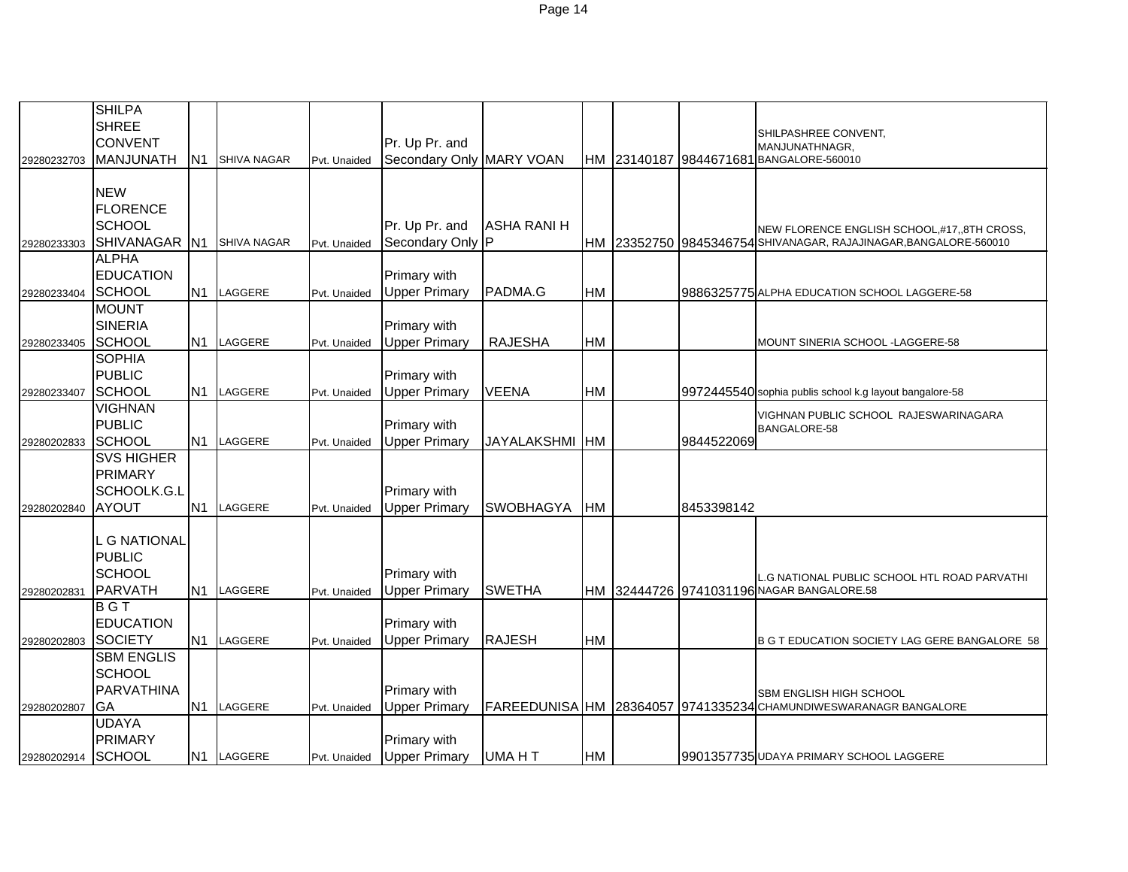|                    | <b>SHILPA</b>     |                |                    |              |                          |                    |           |            |                                                                    |
|--------------------|-------------------|----------------|--------------------|--------------|--------------------------|--------------------|-----------|------------|--------------------------------------------------------------------|
|                    | <b>SHREE</b>      |                |                    |              |                          |                    |           |            | SHILPASHREE CONVENT,                                               |
|                    | <b>CONVENT</b>    |                |                    |              | Pr. Up Pr. and           |                    |           |            | MANJUNATHNAGR,                                                     |
| 29280232703        | <b>MANJUNATH</b>  | N1             | <b>SHIVA NAGAR</b> | Pvt. Unaided | Secondary Only MARY VOAN |                    |           |            | HM 23140187 9844671681 BANGALORE-560010                            |
|                    |                   |                |                    |              |                          |                    |           |            |                                                                    |
|                    | <b>NEW</b>        |                |                    |              |                          |                    |           |            |                                                                    |
|                    | <b>FLORENCE</b>   |                |                    |              |                          |                    |           |            |                                                                    |
|                    | SCHOOL            |                |                    |              | Pr. Up Pr. and           | <b>ASHA RANI H</b> |           |            | NEW FLORENCE ENGLISH SCHOOL,#17,,8TH CROSS,                        |
| 29280233303        | <b>SHIVANAGAR</b> | N1             | <b>SHIVA NAGAR</b> | Pvt. Unaided | Secondary Only P         |                    |           |            | HM 23352750 9845346754 SHIVANAGAR, RAJAJINAGAR, BANGALORE-560010   |
|                    | <b>ALPHA</b>      |                |                    |              |                          |                    |           |            |                                                                    |
|                    | <b>EDUCATION</b>  |                |                    |              | Primary with             |                    |           |            |                                                                    |
| 29280233404        | SCHOOL            | N <sub>1</sub> | LAGGERE            | Pvt. Unaided | <b>Upper Primary</b>     | PADMA.G            | <b>HM</b> |            | 9886325775 ALPHA EDUCATION SCHOOL LAGGERE-58                       |
|                    | <b>MOUNT</b>      |                |                    |              |                          |                    |           |            |                                                                    |
|                    | <b>SINERIA</b>    |                |                    |              | Primary with             |                    |           |            |                                                                    |
| 29280233405        | SCHOOL            |                | N1 LAGGERE         | Pvt. Unaided | <b>Upper Primary</b>     | <b>RAJESHA</b>     | HM        |            | MOUNT SINERIA SCHOOL - LAGGERE-58                                  |
|                    | <b>SOPHIA</b>     |                |                    |              |                          |                    |           |            |                                                                    |
|                    | <b>PUBLIC</b>     |                |                    |              | Primary with             |                    |           |            |                                                                    |
| 29280233407        | SCHOOL            | N <sub>1</sub> | LAGGERE            | Pvt. Unaided | <b>Upper Primary</b>     | <b>VEENA</b>       | HM        |            | 9972445540 sophia publis school k.g layout bangalore-58            |
|                    | <b>VIGHNAN</b>    |                |                    |              |                          |                    |           |            | VIGHNAN PUBLIC SCHOOL RAJESWARINAGARA                              |
|                    | <b>PUBLIC</b>     |                |                    |              | Primary with             |                    |           |            | BANGALORE-58                                                       |
| 29280202833        | SCHOOL            |                | N1 LAGGERE         | Pvt. Unaided | <b>Upper Primary</b>     | JAYALAKSHMI HM     |           | 9844522069 |                                                                    |
|                    | <b>SVS HIGHER</b> |                |                    |              |                          |                    |           |            |                                                                    |
|                    | <b>PRIMARY</b>    |                |                    |              |                          |                    |           |            |                                                                    |
|                    | SCHOOLK.G.L       |                |                    |              | Primary with             |                    |           |            |                                                                    |
| 29280202840        | <b>AYOUT</b>      | N <sub>1</sub> | LAGGERE            | Pvt. Unaided | <b>Upper Primary</b>     | <b>SWOBHAGYA</b>   | <b>HM</b> | 8453398142 |                                                                    |
|                    |                   |                |                    |              |                          |                    |           |            |                                                                    |
|                    | <b>G NATIONAL</b> |                |                    |              |                          |                    |           |            |                                                                    |
|                    | <b>PUBLIC</b>     |                |                    |              |                          |                    |           |            |                                                                    |
|                    | <b>SCHOOL</b>     |                |                    |              | Primary with             |                    |           |            | L.G NATIONAL PUBLIC SCHOOL HTL ROAD PARVATHI                       |
| 29280202831        | <b>PARVATH</b>    |                | N1 LAGGERE         | Pvt. Unaided | <b>Upper Primary</b>     | <b>SWETHA</b>      |           |            | HM 32444726 9741031196 NAGAR BANGALORE.58                          |
|                    | <b>BGT</b>        |                |                    |              |                          |                    |           |            |                                                                    |
|                    | <b>EDUCATION</b>  |                |                    |              | Primary with             |                    |           |            |                                                                    |
| 29280202803        | <b>SOCIETY</b>    |                | N1 LAGGERE         | Pvt. Unaided | <b>Upper Primary</b>     | <b>RAJESH</b>      | <b>HM</b> |            | B G T EDUCATION SOCIETY LAG GERE BANGALORE 58                      |
|                    | <b>SBM ENGLIS</b> |                |                    |              |                          |                    |           |            |                                                                    |
|                    | <b>SCHOOL</b>     |                |                    |              |                          |                    |           |            |                                                                    |
|                    | <b>PARVATHINA</b> |                |                    |              | Primary with             |                    |           |            | SBM ENGLISH HIGH SCHOOL                                            |
| 29280202807        | GA                | N <sub>1</sub> | LAGGERE            | Pvt. Unaided | <b>Upper Primary</b>     |                    |           |            | FAREEDUNISA   HM 28364057 9741335234 CHAMUNDIWESWARANAGR BANGALORE |
|                    | <b>UDAYA</b>      |                |                    |              |                          |                    |           |            |                                                                    |
|                    | <b>PRIMARY</b>    |                |                    |              | Primary with             |                    |           |            |                                                                    |
| 29280202914 SCHOOL |                   |                | N1 LAGGERE         | Pvt. Unaided | <b>Upper Primary</b>     | <b>UMA HT</b>      | <b>HM</b> |            | 9901357735 UDAYA PRIMARY SCHOOL LAGGERE                            |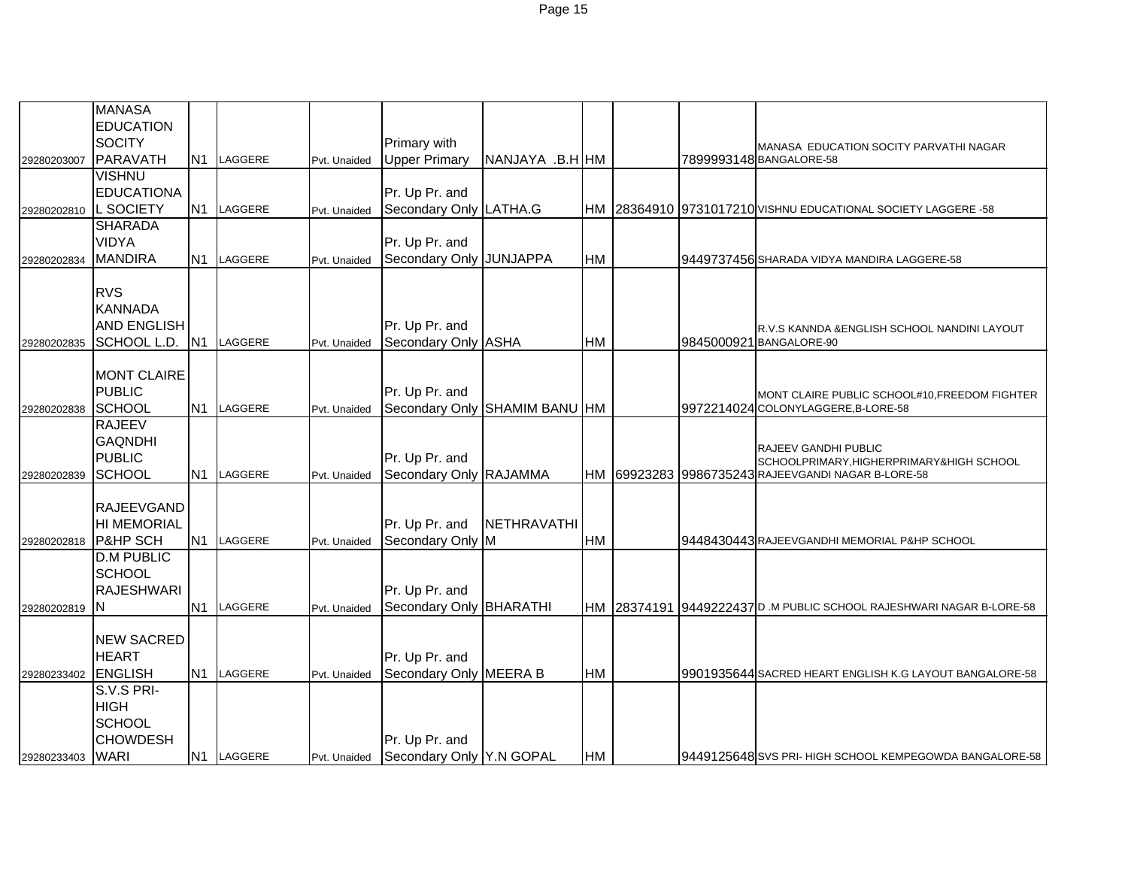|             | <b>MANASA</b>       |            |              |                               |                    |           |  |                                                                         |
|-------------|---------------------|------------|--------------|-------------------------------|--------------------|-----------|--|-------------------------------------------------------------------------|
|             | <b>EDUCATION</b>    |            |              |                               |                    |           |  |                                                                         |
|             | <b>SOCITY</b>       |            |              | Primary with                  |                    |           |  |                                                                         |
| 29280203007 | PARAVATH            | N1 LAGGERE | Pvt. Unaided | <b>Upper Primary</b>          | NANJAYA .B.H HM    |           |  | MANASA EDUCATION SOCITY PARVATHI NAGAR<br>7899993148 BANGALORE-58       |
|             | <b>VISHNU</b>       |            |              |                               |                    |           |  |                                                                         |
|             | <b>EDUCATIONA</b>   |            |              | Pr. Up Pr. and                |                    |           |  |                                                                         |
| 29280202810 | L SOCIETY           | N1 LAGGERE | Pvt. Unaided | Secondary Only LATHA.G        |                    |           |  | HM 28364910 9731017210 VISHNU EDUCATIONAL SOCIETY LAGGERE -58           |
|             | <b>SHARADA</b>      |            |              |                               |                    |           |  |                                                                         |
|             | <b>VIDYA</b>        |            |              | Pr. Up Pr. and                |                    |           |  |                                                                         |
| 29280202834 | <b>MANDIRA</b>      | N1 LAGGERE | Pvt. Unaided | Secondary Only JUNJAPPA       |                    | <b>HM</b> |  | 9449737456 SHARADA VIDYA MANDIRA LAGGERE-58                             |
|             |                     |            |              |                               |                    |           |  |                                                                         |
|             | <b>RVS</b>          |            |              |                               |                    |           |  |                                                                         |
|             | <b>KANNADA</b>      |            |              |                               |                    |           |  |                                                                         |
|             | <b>AND ENGLISH</b>  |            |              | Pr. Up Pr. and                |                    |           |  | R.V.S KANNDA & ENGLISH SCHOOL NANDINI LAYOUT                            |
| 29280202835 | SCHOOL L.D.         | N1 LAGGERE | Pvt. Unaided | Secondary Only ASHA           |                    | HM        |  | 9845000921 BANGALORE-90                                                 |
|             |                     |            |              |                               |                    |           |  |                                                                         |
|             | <b>MONT CLAIRE</b>  |            |              |                               |                    |           |  |                                                                         |
|             | <b>PUBLIC</b>       |            |              | Pr. Up Pr. and                |                    |           |  | MONT CLAIRE PUBLIC SCHOOL#10, FREEDOM FIGHTER                           |
| 29280202838 | SCHOOL              | N1 LAGGERE | Pvt. Unaided | Secondary Only SHAMIM BANU HM |                    |           |  | 9972214024 COLONYLAGGERE, B-LORE-58                                     |
|             | <b>RAJEEV</b>       |            |              |                               |                    |           |  |                                                                         |
|             | <b>GAQNDHI</b>      |            |              |                               |                    |           |  |                                                                         |
|             | <b>PUBLIC</b>       |            |              | Pr. Up Pr. and                |                    |           |  | <b>RAJEEV GANDHI PUBLIC</b><br>SCHOOLPRIMARY, HIGHERPRIMARY&HIGH SCHOOL |
| 29280202839 | <b>SCHOOL</b>       | N1 LAGGERE | Pvt. Unaided | Secondary Only RAJAMMA        |                    |           |  | HM 69923283 9986735243 RAJEEVGANDI NAGAR B-LORE-58                      |
|             |                     |            |              |                               |                    |           |  |                                                                         |
|             | <b>RAJEEVGAND</b>   |            |              |                               |                    |           |  |                                                                         |
|             | <b>HI MEMORIAL</b>  |            |              | Pr. Up Pr. and                | <b>NETHRAVATHI</b> |           |  |                                                                         |
| 29280202818 | <b>P&amp;HP SCH</b> | N1 LAGGERE | Pvt. Unaided | Secondary Only M              |                    | HM        |  | 9448430443 RAJEEVGANDHI MEMORIAL P&HP SCHOOL                            |
|             | <b>D.M PUBLIC</b>   |            |              |                               |                    |           |  |                                                                         |
|             | <b>SCHOOL</b>       |            |              |                               |                    |           |  |                                                                         |
|             | <b>RAJESHWARI</b>   |            |              | Pr. Up Pr. and                |                    |           |  |                                                                         |
| 29280202819 | ΙN                  | N1 LAGGERE | Pvt. Unaided | Secondary Only BHARATHI       |                    |           |  | HM 28374191 9449222437D .M PUBLIC SCHOOL RAJESHWARI NAGAR B-LORE-58     |
|             |                     |            |              |                               |                    |           |  |                                                                         |
|             | <b>NEW SACRED</b>   |            |              |                               |                    |           |  |                                                                         |
|             | <b>HEART</b>        |            |              | Pr. Up Pr. and                |                    |           |  |                                                                         |
| 29280233402 | <b>ENGLISH</b>      | N1 LAGGERE | Pvt. Unaided | Secondary Only MEERA B        |                    | HM        |  | 9901935644 SACRED HEART ENGLISH K.G LAYOUT BANGALORE-58                 |
|             | S.V.S PRI-          |            |              |                               |                    |           |  |                                                                         |
|             | <b>HIGH</b>         |            |              |                               |                    |           |  |                                                                         |
|             | <b>SCHOOL</b>       |            |              |                               |                    |           |  |                                                                         |
|             | <b>CHOWDESH</b>     |            |              | Pr. Up Pr. and                |                    |           |  |                                                                         |
| 29280233403 | WARI                | N1 LAGGERE | Pvt. Unaided | Secondary Only Y.N GOPAL      |                    | HM        |  | 9449125648 SVS PRI- HIGH SCHOOL KEMPEGOWDA BANGALORE-58                 |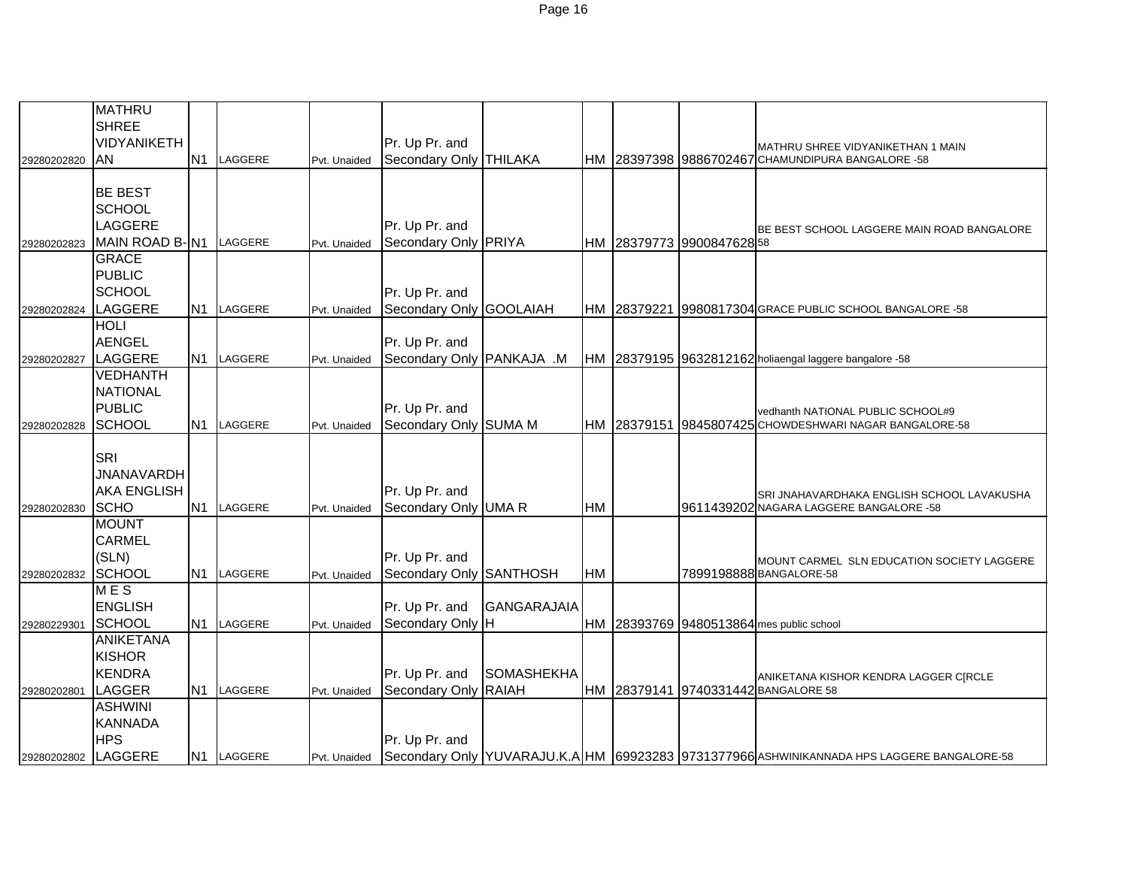|             | <b>MATHRU</b>          |            |              |                           |                    |           |                           |                                                                                            |
|-------------|------------------------|------------|--------------|---------------------------|--------------------|-----------|---------------------------|--------------------------------------------------------------------------------------------|
|             | <b>SHREE</b>           |            |              |                           |                    |           |                           |                                                                                            |
|             | VIDYANIKETH            |            |              | Pr. Up Pr. and            |                    |           |                           |                                                                                            |
|             |                        |            |              |                           |                    |           |                           | MATHRU SHREE VIDYANIKETHAN 1 MAIN                                                          |
| 29280202820 | AN                     | N1 LAGGERE | Pvt. Unaided | Secondary Only THILAKA    |                    |           |                           | HM 28397398 9886702467 CHAMUNDIPURA BANGALORE -58                                          |
|             |                        |            |              |                           |                    |           |                           |                                                                                            |
|             | <b>BE BEST</b>         |            |              |                           |                    |           |                           |                                                                                            |
|             | <b>SCHOOL</b>          |            |              |                           |                    |           |                           |                                                                                            |
|             | LAGGERE                |            |              | Pr. Up Pr. and            |                    |           |                           | BE BEST SCHOOL LAGGERE MAIN ROAD BANGALORE                                                 |
| 29280202823 | MAIN ROAD B-N1 LAGGERE |            | Pvt. Unaided | Secondary Only PRIYA      |                    |           | HM 28379773 9900847628 58 |                                                                                            |
|             | <b>GRACE</b>           |            |              |                           |                    |           |                           |                                                                                            |
|             | <b>PUBLIC</b>          |            |              |                           |                    |           |                           |                                                                                            |
|             | <b>SCHOOL</b>          |            |              | Pr. Up Pr. and            |                    |           |                           |                                                                                            |
| 29280202824 | LAGGERE                | N1 LAGGERE | Pvt. Unaided | Secondary Only GOOLAIAH   |                    |           |                           | HM 28379221 9980817304 GRACE PUBLIC SCHOOL BANGALORE -58                                   |
|             | <b>HOLI</b>            |            |              |                           |                    |           |                           |                                                                                            |
|             | <b>AENGEL</b>          |            |              | Pr. Up Pr. and            |                    |           |                           |                                                                                            |
| 29280202827 | LAGGERE                | N1 LAGGERE | Pvt. Unaided | Secondary Only PANKAJA .M |                    |           |                           | HM 28379195 9632812162 holiaengal laggere bangalore -58                                    |
|             | <b>VEDHANTH</b>        |            |              |                           |                    |           |                           |                                                                                            |
|             | <b>NATIONAL</b>        |            |              |                           |                    |           |                           |                                                                                            |
|             | <b>PUBLIC</b>          |            |              | Pr. Up Pr. and            |                    |           |                           | vedhanth NATIONAL PUBLIC SCHOOL#9                                                          |
| 29280202828 | <b>SCHOOL</b>          | N1 LAGGERE | Pvt. Unaided | Secondary Only SUMA M     |                    |           |                           | HM 28379151 9845807425 CHOWDESHWARI NAGAR BANGALORE-58                                     |
|             |                        |            |              |                           |                    |           |                           |                                                                                            |
|             | SRI                    |            |              |                           |                    |           |                           |                                                                                            |
|             | <b>JNANAVARDH</b>      |            |              |                           |                    |           |                           |                                                                                            |
|             | <b>AKA ENGLISH</b>     |            |              | Pr. Up Pr. and            |                    |           |                           | SRI JNAHAVARDHAKA ENGLISH SCHOOL LAVAKUSHA                                                 |
| 29280202830 | <b>SCHO</b>            | N1 LAGGERE | Pvt. Unaided | Secondary Only UMA R      |                    | <b>HM</b> |                           | 9611439202 NAGARA LAGGERE BANGALORE -58                                                    |
|             | <b>MOUNT</b>           |            |              |                           |                    |           |                           |                                                                                            |
|             | <b>CARMEL</b>          |            |              |                           |                    |           |                           |                                                                                            |
|             | (SLN)                  |            |              | Pr. Up Pr. and            |                    |           |                           |                                                                                            |
| 29280202832 | <b>SCHOOL</b>          | N1 LAGGERE | Pvt. Unaided | Secondary Only SANTHOSH   |                    | <b>HM</b> |                           | MOUNT CARMEL SLN EDUCATION SOCIETY LAGGERE<br>7899198888 BANGALORE-58                      |
|             | MES                    |            |              |                           |                    |           |                           |                                                                                            |
|             | <b>ENGLISH</b>         |            |              | Pr. Up Pr. and            | <b>GANGARAJAIA</b> |           |                           |                                                                                            |
|             | <b>SCHOOL</b>          | N1 LAGGERE |              | Secondary Only H          |                    | <b>HM</b> |                           | 28393769 9480513864 mes public school                                                      |
| 29280229301 | <b>ANIKETANA</b>       |            | Pvt. Unaided |                           |                    |           |                           |                                                                                            |
|             | <b>KISHOR</b>          |            |              |                           |                    |           |                           |                                                                                            |
|             |                        |            |              |                           |                    |           |                           |                                                                                            |
|             | <b>KENDRA</b>          |            |              | Pr. Up Pr. and            | <b>SOMASHEKHA</b>  |           |                           | ANIKETANA KISHOR KENDRA LAGGER C[RCLE                                                      |
| 29280202801 | LAGGER                 | N1 LAGGERE | Pvt. Unaided | Secondary Only RAIAH      |                    |           |                           | HM 28379141 9740331442 BANGALORE 58                                                        |
|             | <b>ASHWINI</b>         |            |              |                           |                    |           |                           |                                                                                            |
|             | <b>KANNADA</b>         |            |              |                           |                    |           |                           |                                                                                            |
|             | <b>HPS</b>             |            |              | Pr. Up Pr. and            |                    |           |                           |                                                                                            |
| 29280202802 | LAGGERE                | N1 LAGGERE | Pvt. Unaided |                           |                    |           |                           | Secondary Only YUVARAJU.K.A HM 69923283 9731377966 ASHWINIKANNADA HPS LAGGERE BANGALORE-58 |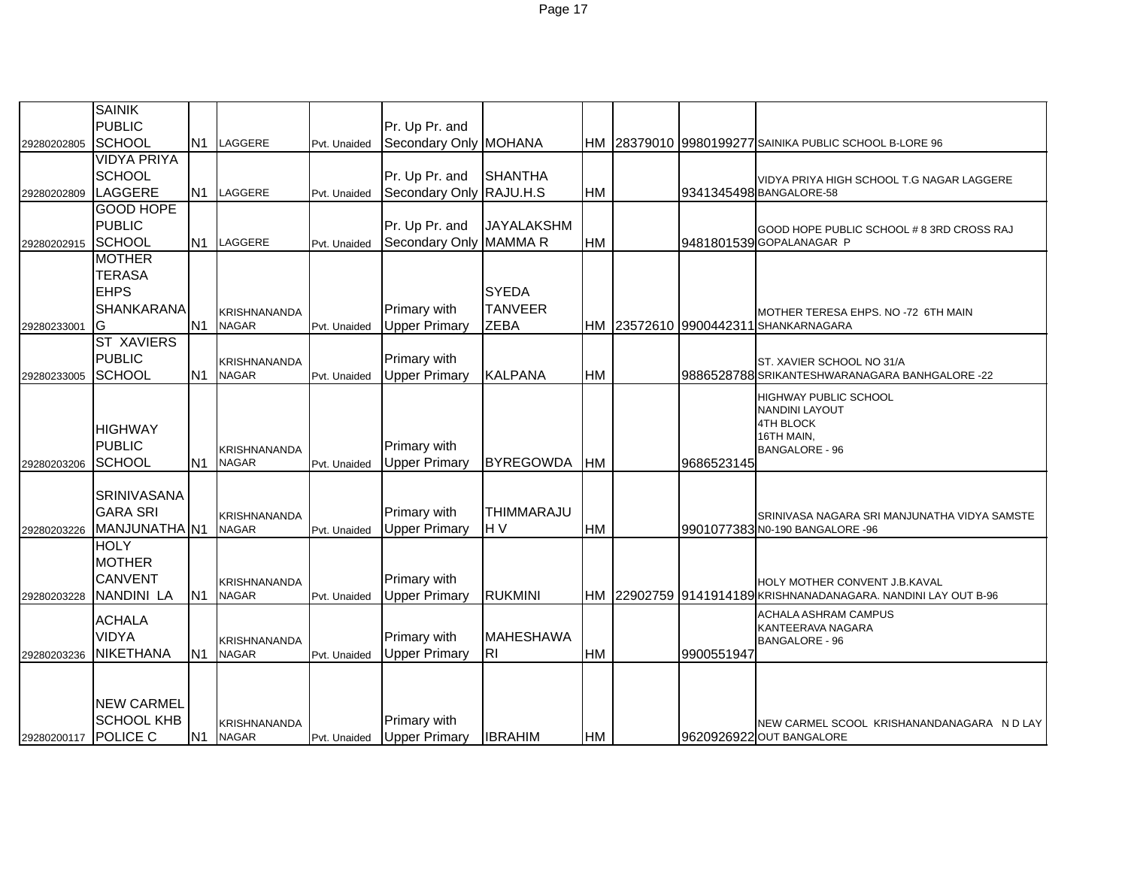|                   | <b>SAINIK</b>      |                |                              |              |                         |                   |           |            |                                                                |
|-------------------|--------------------|----------------|------------------------------|--------------|-------------------------|-------------------|-----------|------------|----------------------------------------------------------------|
|                   | <b>PUBLIC</b>      |                |                              |              | Pr. Up Pr. and          |                   |           |            |                                                                |
| 29280202805       | <b>SCHOOL</b>      | N1             | LAGGERE                      | Pvt. Unaided | Secondary Only MOHANA   |                   |           |            | HM 28379010 9980199277 SAINIKA PUBLIC SCHOOL B-LORE 96         |
|                   | <b>VIDYA PRIYA</b> |                |                              |              |                         |                   |           |            |                                                                |
|                   | <b>SCHOOL</b>      |                |                              |              | Pr. Up Pr. and          | <b>SHANTHA</b>    |           |            | VIDYA PRIYA HIGH SCHOOL T.G NAGAR LAGGERE                      |
| 29280202809       | LAGGERE            | <b>N1</b>      | LAGGERE                      | Pvt. Unaided | Secondary Only RAJU.H.S |                   | <b>HM</b> |            | 9341345498 BANGALORE-58                                        |
|                   | <b>GOOD HOPE</b>   |                |                              |              |                         |                   |           |            |                                                                |
|                   | <b>PUBLIC</b>      |                |                              |              | Pr. Up Pr. and          | <b>JAYALAKSHM</b> |           |            | GOOD HOPE PUBLIC SCHOOL # 8 3RD CROSS RAJ                      |
| 29280202915       | SCHOOL             | N <sub>1</sub> | LAGGERE                      | Pvt. Unaided | Secondary Only MAMMA R  |                   | <b>HM</b> |            | 9481801539 GOPALANAGAR P                                       |
|                   | <b>MOTHER</b>      |                |                              |              |                         |                   |           |            |                                                                |
|                   | <b>TERASA</b>      |                |                              |              |                         |                   |           |            |                                                                |
|                   | <b>EHPS</b>        |                |                              |              |                         | <b>SYEDA</b>      |           |            |                                                                |
|                   | <b>SHANKARANA</b>  |                | <b>KRISHNANANDA</b>          |              | Primary with            | <b>TANVEER</b>    |           |            | MOTHER TERESA EHPS. NO -72 6TH MAIN                            |
| IG<br>29280233001 |                    | N <sub>1</sub> | <b>NAGAR</b>                 | Pvt. Unaided | <b>Upper Primary</b>    | <b>ZEBA</b>       |           |            | HM 23572610 9900442311 SHANKARNAGARA                           |
|                   | <b>ST XAVIERS</b>  |                |                              |              |                         |                   |           |            |                                                                |
|                   | <b>PUBLIC</b>      |                | KRISHNANANDA                 |              | Primary with            |                   |           |            | ST. XAVIER SCHOOL NO 31/A                                      |
| 29280233005       | <b>SCHOOL</b>      | <b>N1</b>      | <b>NAGAR</b>                 | Pvt. Unaided | <b>Upper Primary</b>    | <b>KALPANA</b>    | <b>HM</b> |            | 9886528788 SRIKANTESHWARANAGARA BANHGALORE -22                 |
|                   |                    |                |                              |              |                         |                   |           |            | <b>HIGHWAY PUBLIC SCHOOL</b>                                   |
|                   |                    |                |                              |              |                         |                   |           |            | <b>NANDINI LAYOUT</b>                                          |
|                   | <b>HIGHWAY</b>     |                |                              |              |                         |                   |           |            | <b>4TH BLOCK</b><br>16TH MAIN,                                 |
|                   | <b>PUBLIC</b>      |                | KRISHNANANDA                 |              | Primary with            |                   |           |            | <b>BANGALORE - 96</b>                                          |
| 29280203206       | <b>SCHOOL</b>      | N <sub>1</sub> | <b>NAGAR</b>                 | Pvt. Unaided | <b>Upper Primary</b>    | <b>BYREGOWDA</b>  | <b>HM</b> | 9686523145 |                                                                |
|                   |                    |                |                              |              |                         |                   |           |            |                                                                |
|                   | <b>SRINIVASANA</b> |                |                              |              |                         |                   |           |            |                                                                |
|                   | <b>GARA SRI</b>    |                | KRISHNANANDA                 |              | Primary with            | THIMMARAJU        |           |            | SRINIVASA NAGARA SRI MANJUNATHA VIDYA SAMSTE                   |
| 29280203226       | MANJUNATHA N1      |                | <b>NAGAR</b>                 | Pvt. Unaided | <b>Upper Primary</b>    | H <sub>V</sub>    | <b>HM</b> |            | 9901077383 NO-190 BANGALORE -96                                |
|                   | <b>HOLY</b>        |                |                              |              |                         |                   |           |            |                                                                |
|                   | <b>MOTHER</b>      |                |                              |              |                         |                   |           |            |                                                                |
|                   | <b>CANVENT</b>     |                | KRISHNANANDA                 |              | <b>Primary with</b>     |                   |           |            | HOLY MOTHER CONVENT J.B.KAVAL                                  |
| 29280203228       | <b>NANDINI LA</b>  | N <sub>1</sub> | <b>NAGAR</b>                 | Pvt. Unaided | <b>Upper Primary</b>    | <b>RUKMINI</b>    |           |            | HM 22902759 9141914189 KRISHNANADANAGARA. NANDINI LAY OUT B-96 |
|                   | <b>ACHALA</b>      |                |                              |              |                         |                   |           |            | <b>ACHALA ASHRAM CAMPUS</b>                                    |
|                   | <b>VIDYA</b>       |                |                              |              | Primary with            | <b>MAHESHAWA</b>  |           |            | KANTEERAVA NAGARA                                              |
| 29280203236       | <b>NIKETHANA</b>   | N <sub>1</sub> | KRISHNANANDA<br><b>NAGAR</b> | Pvt. Unaided | <b>Upper Primary</b>    | RI.               | HM        | 9900551947 | <b>BANGALORE - 96</b>                                          |
|                   |                    |                |                              |              |                         |                   |           |            |                                                                |
|                   |                    |                |                              |              |                         |                   |           |            |                                                                |
|                   | <b>NEW CARMEL</b>  |                |                              |              |                         |                   |           |            |                                                                |
|                   | <b>SCHOOL KHB</b>  |                | KRISHNANANDA                 |              | <b>Primary with</b>     |                   |           |            |                                                                |
|                   |                    |                |                              |              |                         |                   |           |            | NEW CARMEL SCOOL KRISHANANDANAGARA N D LAY                     |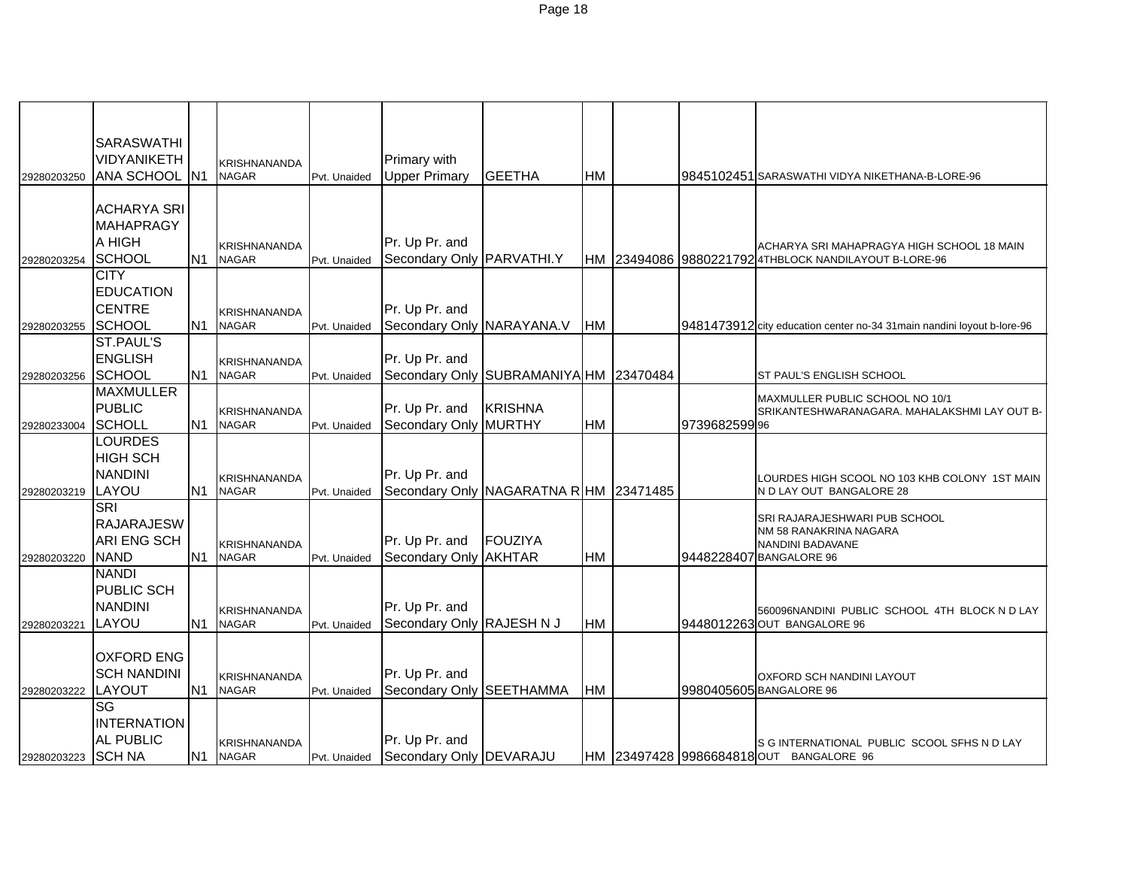| <b>SARASWATHI</b>                                                                                                                                                                            |  |
|----------------------------------------------------------------------------------------------------------------------------------------------------------------------------------------------|--|
| VIDYANIKETH<br>Primary with<br>KRISHNANANDA                                                                                                                                                  |  |
| ANA SCHOOL N1<br><b>Upper Primary</b><br><b>GEETHA</b><br><b>NAGAR</b><br><b>HM</b><br>Pvt. Unaided<br>9845102451 SARASWATHI VIDYA NIKETHANA-B-LORE-96<br>29280203250                        |  |
|                                                                                                                                                                                              |  |
| <b>ACHARYA SRI</b>                                                                                                                                                                           |  |
| <b>MAHAPRAGY</b>                                                                                                                                                                             |  |
| A HIGH<br>Pr. Up Pr. and                                                                                                                                                                     |  |
| <b>KRISHNANANDA</b><br>ACHARYA SRI MAHAPRAGYA HIGH SCHOOL 18 MAIN<br>N <sub>1</sub>                                                                                                          |  |
| SCHOOL<br>Secondary Only PARVATHI.Y<br>HM 23494086 98802217924THBLOCK NANDILAYOUT B-LORE-96<br><b>NAGAR</b><br>29280203254<br>Pvt. Unaided                                                   |  |
| <b>CITY</b>                                                                                                                                                                                  |  |
| <b>EDUCATION</b>                                                                                                                                                                             |  |
| <b>CENTRE</b><br>Pr. Up Pr. and<br><b>KRISHNANANDA</b>                                                                                                                                       |  |
| Secondary Only NARAYANA.V<br>SCHOOL<br>N <sub>1</sub><br><b>NAGAR</b><br><b>HM</b><br>9481473912 city education center no-34 31 main nandini loyout b-lore-96<br>Pvt. Unaided<br>29280203255 |  |
| ST.PAUL'S                                                                                                                                                                                    |  |
| <b>ENGLISH</b><br>Pr. Up Pr. and<br><b>KRISHNANANDA</b>                                                                                                                                      |  |
| SCHOOL<br>N <sub>1</sub><br>Secondary Only SUBRAMANIYA HM 23470484<br><b>NAGAR</b><br>Pvt. Unaided<br>ST PAUL'S ENGLISH SCHOOL<br>29280203256                                                |  |
| <b>MAXMULLER</b><br>MAXMULLER PUBLIC SCHOOL NO 10/1                                                                                                                                          |  |
| <b>PUBLIC</b><br>Pr. Up Pr. and<br><b>KRISHNA</b><br><b>KRISHNANANDA</b><br>SRIKANTESHWARANAGARA. MAHALAKSHMI LAY OUT B-                                                                     |  |
| Secondary Only MURTHY<br><b>SCHOLL</b><br>N <sub>1</sub><br>HM<br><b>NAGAR</b><br>9739682599 96<br>Pvt. Unaided<br>29280233004                                                               |  |
| <b>LOURDES</b>                                                                                                                                                                               |  |
| <b>HIGH SCH</b>                                                                                                                                                                              |  |
| Pr. Up Pr. and<br><b>NANDINI</b><br><b>KRISHNANANDA</b><br>OURDES HIGH SCOOL NO 103 KHB COLONY 1ST MAIN                                                                                      |  |
| N <sub>1</sub><br>LAYOU<br><b>NAGAR</b><br>Secondary Only NAGARATNA R HM 23471485<br>N D LAY OUT BANGALORE 28<br>29280203219<br>Pvt. Unaided                                                 |  |
| <b>SRI</b>                                                                                                                                                                                   |  |
| SRI RAJARAJESHWARI PUB SCHOOL<br><b>RAJARAJESW</b>                                                                                                                                           |  |
| NM 58 RANAKRINA NAGARA<br><b>ARI ENG SCH</b><br>Pr. Up Pr. and<br>FOUZIYA                                                                                                                    |  |
| <b>KRISHNANANDA</b><br>NANDINI BADAVANE<br>N <sub>1</sub><br><b>NAGAR</b><br>Secondary Only AKHTAR<br><b>HM</b><br>9448228407 BANGALORE 96                                                   |  |
| <b>NAND</b><br>Pvt. Unaided<br>29280203220                                                                                                                                                   |  |
| <b>NANDI</b>                                                                                                                                                                                 |  |
| PUBLIC SCH                                                                                                                                                                                   |  |
| <b>NANDINI</b><br>Pr. Up Pr. and<br>KRISHNANANDA<br>560096NANDINI PUBLIC SCHOOL 4TH BLOCK N D LAY                                                                                            |  |
| Secondary Only RAJESH N J<br>LAYOU<br>N <sub>1</sub><br>HM<br><b>NAGAR</b><br>9448012263 OUT BANGALORE 96<br>Pvt. Unaided<br>29280203221                                                     |  |
|                                                                                                                                                                                              |  |
| <b>OXFORD ENG</b>                                                                                                                                                                            |  |
| <b>SCH NANDINI</b><br>Pr. Up Pr. and<br><b>KRISHNANANDA</b><br>OXFORD SCH NANDINI LAYOUT                                                                                                     |  |
| N <sub>1</sub><br>HM<br>LAYOUT<br>Secondary Only SEETHAMMA<br>9980405605 BANGALORE 96<br><b>NAGAR</b><br>29280203222<br>Pvt. Unaided                                                         |  |
| SG                                                                                                                                                                                           |  |
| <b>INTERNATION</b>                                                                                                                                                                           |  |
| <b>AL PUBLIC</b><br>Pr. Up Pr. and<br><b>KRISHNANANDA</b><br>S G INTERNATIONAL PUBLIC SCOOL SFHS N D LAY                                                                                     |  |
| <b>SCH NA</b><br>N1<br>Secondary Only   DEVARAJU<br><b>NAGAR</b><br>HM 23497428 9986684818 OUT BANGALORE 96<br>29280203223<br>Pvt. Unaided                                                   |  |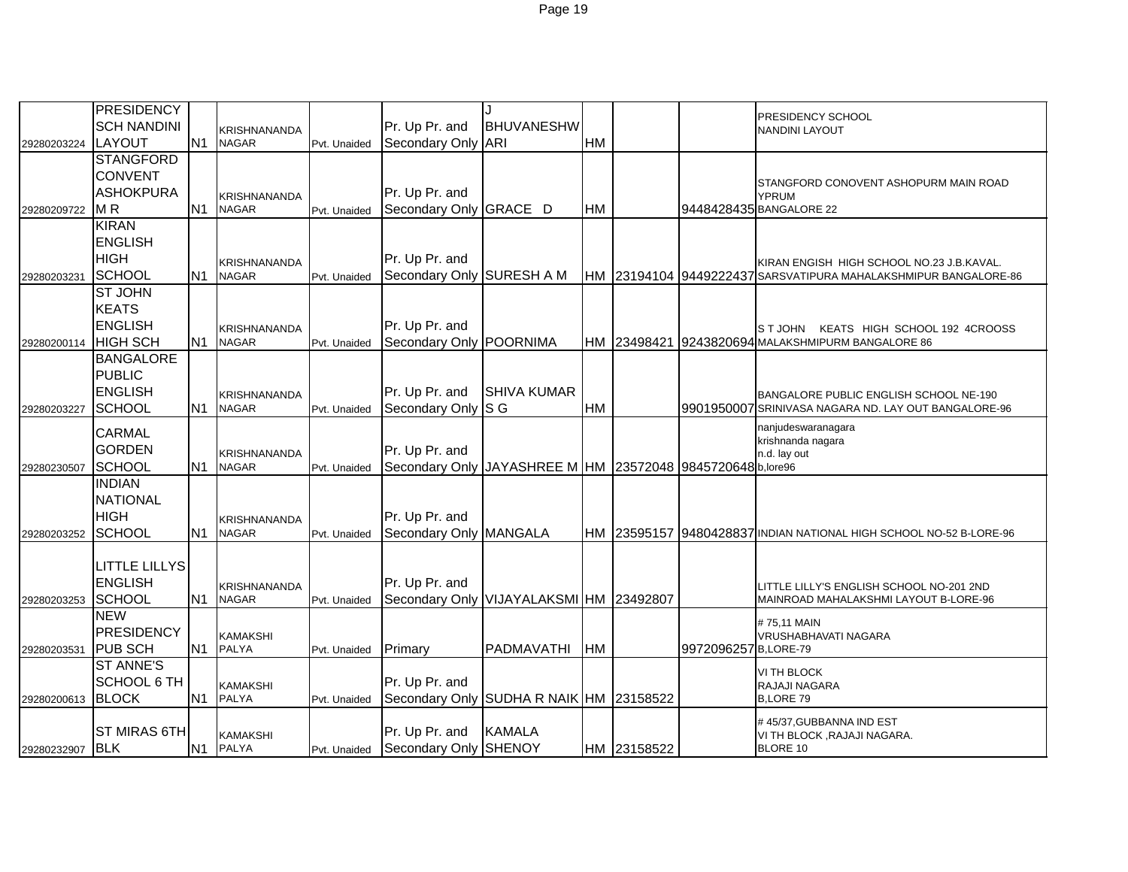|             | PRESIDENCY           |                |                     |              |                                    |                                                             |           |             |                      | PRESIDENCY SCHOOL                                                     |
|-------------|----------------------|----------------|---------------------|--------------|------------------------------------|-------------------------------------------------------------|-----------|-------------|----------------------|-----------------------------------------------------------------------|
|             | <b>SCH NANDINI</b>   |                | <b>KRISHNANANDA</b> |              | Pr. Up Pr. and                     | <b>BHUVANESHW</b>                                           |           |             |                      | <b>NANDINI LAYOUT</b>                                                 |
| 29280203224 | LAYOUT               | N <sub>1</sub> | <b>NAGAR</b>        | Pvt. Unaided | Secondary Only ARI                 |                                                             | HM        |             |                      |                                                                       |
|             | <b>STANGFORD</b>     |                |                     |              |                                    |                                                             |           |             |                      |                                                                       |
|             | <b>CONVENT</b>       |                |                     |              |                                    |                                                             |           |             |                      | STANGFORD CONOVENT ASHOPURM MAIN ROAD                                 |
|             | <b>ASHOKPURA</b>     |                | <b>KRISHNANANDA</b> |              | Pr. Up Pr. and                     |                                                             |           |             |                      | <b>YPRUM</b>                                                          |
| 29280209722 | M <sub>R</sub>       | N <sub>1</sub> | <b>NAGAR</b>        | Pvt. Unaided | Secondary Only GRACE D             |                                                             | HM        |             |                      | 9448428435 BANGALORE 22                                               |
|             | <b>KIRAN</b>         |                |                     |              |                                    |                                                             |           |             |                      |                                                                       |
|             | <b>ENGLISH</b>       |                |                     |              |                                    |                                                             |           |             |                      |                                                                       |
|             | <b>HIGH</b>          |                | <b>KRISHNANANDA</b> |              | Pr. Up Pr. and                     |                                                             |           |             |                      | KIRAN ENGISH HIGH SCHOOL NO.23 J.B.KAVAL.                             |
| 29280203231 | <b>SCHOOL</b>        | N <sub>1</sub> | <b>NAGAR</b>        | Pvt. Unaided | Secondary Only SURESH A M          |                                                             |           |             |                      | HM 23194104 9449222437 SARSVATIPURA MAHALAKSHMIPUR BANGALORE-86       |
|             | <b>ST JOHN</b>       |                |                     |              |                                    |                                                             |           |             |                      |                                                                       |
|             | <b>KEATS</b>         |                |                     |              |                                    |                                                             |           |             |                      |                                                                       |
|             | <b>ENGLISH</b>       |                | <b>KRISHNANANDA</b> |              | Pr. Up Pr. and                     |                                                             |           |             |                      | ST JOHN KEATS HIGH SCHOOL 192 4CROOSS                                 |
| 29280200114 | <b>HIGH SCH</b>      | N <sub>1</sub> | <b>NAGAR</b>        | Pvt. Unaided | Secondary Only POORNIMA            |                                                             |           |             |                      | HM 23498421 9243820694 MALAKSHMIPURM BANGALORE 86                     |
|             | <b>BANGALORE</b>     |                |                     |              |                                    |                                                             |           |             |                      |                                                                       |
|             | <b>PUBLIC</b>        |                |                     |              |                                    |                                                             |           |             |                      |                                                                       |
|             | <b>ENGLISH</b>       |                | <b>KRISHNANANDA</b> |              | Pr. Up Pr. and                     | <b>SHIVA KUMAR</b>                                          |           |             |                      | BANGALORE PUBLIC ENGLISH SCHOOL NE-190                                |
| 29280203227 | SCHOOL               | N <sub>1</sub> | <b>NAGAR</b>        | Pvt. Unaided | Secondary Only S G                 |                                                             | HM        |             |                      | 9901950007 SRINIVASA NAGARA ND. LAY OUT BANGALORE-96                  |
|             | <b>CARMAL</b>        |                |                     |              |                                    |                                                             |           |             |                      | nanjudeswaranagara                                                    |
|             | <b>GORDEN</b>        |                | <b>KRISHNANANDA</b> |              | Pr. Up Pr. and                     |                                                             |           |             |                      | krishnanda nagara<br>n.d. lay out                                     |
| 29280230507 | SCHOOL               | IN1            | <b>NAGAR</b>        | Pvt. Unaided |                                    | Secondary Only JAYASHREE M HM 23572048 9845720648 b, lore96 |           |             |                      |                                                                       |
|             | <b>INDIAN</b>        |                |                     |              |                                    |                                                             |           |             |                      |                                                                       |
|             | <b>NATIONAL</b>      |                |                     |              |                                    |                                                             |           |             |                      |                                                                       |
|             | <b>HIGH</b>          |                | <b>KRISHNANANDA</b> |              | Pr. Up Pr. and                     |                                                             |           |             |                      |                                                                       |
| 29280203252 | <b>SCHOOL</b>        | IN1            | <b>NAGAR</b>        | Pvt. Unaided | Secondary Only MANGALA             |                                                             |           |             |                      | HM 123595157 194804288371 INDIAN NATIONAL HIGH SCHOOL NO-52 B-LORE-96 |
|             |                      |                |                     |              |                                    |                                                             |           |             |                      |                                                                       |
|             | <b>LITTLE LILLYS</b> |                |                     |              |                                    |                                                             |           |             |                      |                                                                       |
|             | <b>ENGLISH</b>       |                | <b>KRISHNANANDA</b> |              | Pr. Up Pr. and                     |                                                             |           |             |                      | LITTLE LILLY'S ENGLISH SCHOOL NO-201 2ND                              |
| 29280203253 | <b>SCHOOL</b>        | N <sub>1</sub> | <b>NAGAR</b>        | Pvt. Unaided |                                    | Secondary Only VIJAYALAKSMI HM 23492807                     |           |             |                      | MAINROAD MAHALAKSHMI LAYOUT B-LORE-96                                 |
|             | <b>NEW</b>           |                |                     |              |                                    |                                                             |           |             |                      | #75.11 MAIN                                                           |
|             | PRESIDENCY           |                | <b>KAMAKSHI</b>     |              |                                    |                                                             |           |             |                      | VRUSHABHAVATI NAGARA                                                  |
| 29280203531 | <b>PUB SCH</b>       | N1             | <b>PALYA</b>        | Pvt. Unaided | Primary                            | <b>PADMAVATHI</b>                                           | <b>HM</b> |             | 9972096257 B,LORE-79 |                                                                       |
|             | <b>ST ANNE'S</b>     |                |                     |              |                                    |                                                             |           |             |                      | VI TH BLOCK                                                           |
|             | <b>SCHOOL 6 TH</b>   |                | <b>KAMAKSHI</b>     |              | Pr. Up Pr. and                     |                                                             |           |             |                      | RAJAJI NAGARA                                                         |
| 29280200613 | <b>BLOCK</b>         | N <sub>1</sub> | <b>PALYA</b>        | Pvt. Unaided |                                    | Secondary Only SUDHA R NAIK HM 23158522                     |           |             |                      | <b>B.LORE 79</b>                                                      |
|             |                      |                |                     |              |                                    |                                                             |           |             |                      | #45/37, GUBBANNA IND EST                                              |
|             | <b>ST MIRAS 6TH</b>  |                | <b>KAMAKSHI</b>     |              | Pr. Up Pr. and                     | <b>KAMALA</b>                                               |           |             |                      | VI TH BLOCK, RAJAJI NAGARA.                                           |
| 29280232907 | <b>BLK</b>           | IN1            | <b>PALYA</b>        |              | Pvt. Unaided Secondary Only SHENOY |                                                             |           | HM 23158522 |                      | <b>BLORE 10</b>                                                       |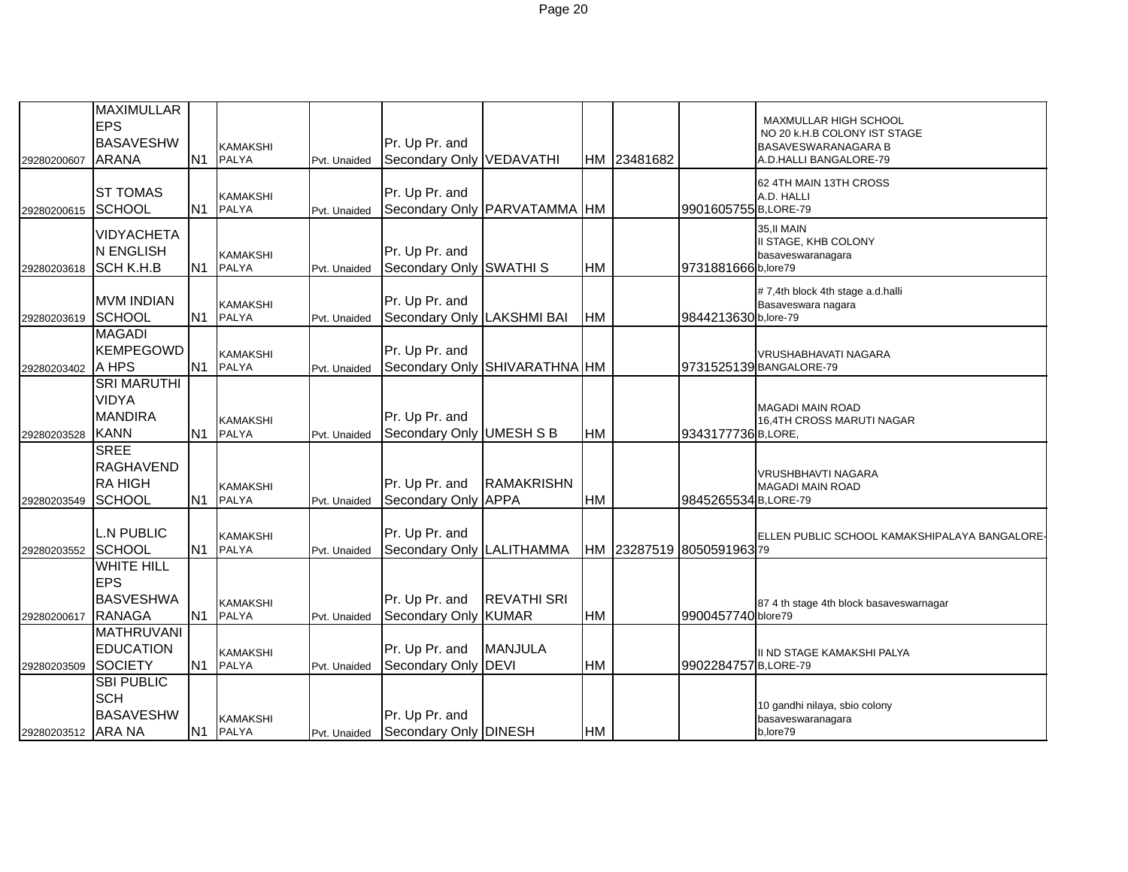| 29280200607        | <b>MAXIMULLAR</b><br><b>EPS</b><br><b>BASAVESHW</b><br><b>ARANA</b>  | N <sub>1</sub> | <b>KAMAKSHI</b><br><b>PALYA</b> | Pvt. Unaided | Pr. Up Pr. and<br>Secondary Only VEDAVATHI   |                               |           | HM 23481682 |                           | MAXMULLAR HIGH SCHOOL<br>NO 20 K.H.B COLONY IST STAGE<br>BASAVESWARANAGARA B<br>A.D.HALLI BANGALORE-79 |
|--------------------|----------------------------------------------------------------------|----------------|---------------------------------|--------------|----------------------------------------------|-------------------------------|-----------|-------------|---------------------------|--------------------------------------------------------------------------------------------------------|
| 29280200615        | <b>ST TOMAS</b><br><b>SCHOOL</b>                                     | N <sub>1</sub> | <b>KAMAKSHI</b><br><b>PALYA</b> | Pvt. Unaided | Pr. Up Pr. and                               | Secondary Only PARVATAMMA HM  |           |             | 9901605755 B,LORE-79      | 62 4TH MAIN 13TH CROSS<br>A.D. HALLI                                                                   |
| 29280203618        | <b>VIDYACHETA</b><br>N ENGLISH<br><b>SCH K.H.B</b>                   | N1             | <b>KAMAKSHI</b><br><b>PALYA</b> | Pvt. Unaided | Pr. Up Pr. and<br>Secondary Only SWATHI S    |                               | HM        |             | 9731881666 b,lore79       | 35, II MAIN<br>II STAGE, KHB COLONY<br>basaveswaranagara                                               |
| 29280203619        | <b>MVM INDIAN</b><br><b>SCHOOL</b>                                   | N1             | <b>KAMAKSHI</b><br><b>PALYA</b> | Pvt. Unaided | Pr. Up Pr. and<br>Secondary Only LAKSHMI BAI |                               | <b>HM</b> |             | 9844213630 b,lore-79      | #7,4th block 4th stage a.d.halli<br>Basaveswara nagara                                                 |
| 29280203402        | <b>MAGADI</b><br><b>KEMPEGOWD</b><br>A HPS                           | <b>N1</b>      | <b>KAMAKSHI</b><br><b>PALYA</b> | Pvt. Unaided | Pr. Up Pr. and                               | Secondary Only SHIVARATHNA HM |           |             |                           | VRUSHABHAVATI NAGARA<br>9731525139 BANGALORE-79                                                        |
| 29280203528        | <b>SRI MARUTHI</b><br>VIDYA<br><b>MANDIRA</b><br><b>KANN</b>         | N1             | <b>KAMAKSHI</b><br><b>PALYA</b> | Pvt. Unaided | Pr. Up Pr. and<br>Secondary Only UMESH S B   |                               | HM        |             | 9343177736 B,LORE,        | <b>MAGADI MAIN ROAD</b><br><b>16,4TH CROSS MARUTI NAGAR</b>                                            |
| 29280203549        | <b>SREE</b><br><b>RAGHAVEND</b><br><b>RAHIGH</b><br>SCHOOL           | N <sub>1</sub> | <b>KAMAKSHI</b><br><b>PALYA</b> | Pvt. Unaided | Pr. Up Pr. and<br>Secondary Only APPA        | <b>RAMAKRISHN</b>             | HM        |             | 9845265534 B,LORE-79      | VRUSHBHAVTI NAGARA<br><b>MAGADI MAIN ROAD</b>                                                          |
| 29280203552 SCHOOL | <b>L.N PUBLIC</b>                                                    | N1             | <b>KAMAKSHI</b><br><b>PALYA</b> | Pvt. Unaided | Pr. Up Pr. and<br>Secondary Only LALITHAMMA  |                               |           |             | HM 23287519 8050591963 79 | ELLEN PUBLIC SCHOOL KAMAKSHIPALAYA BANGALORE-                                                          |
| 29280200617        | <b>WHITE HILL</b><br><b>EPS</b><br><b>BASVESHWA</b><br><b>RANAGA</b> | N <sub>1</sub> | <b>KAMAKSHI</b><br><b>PALYA</b> | Pvt. Unaided | Pr. Up Pr. and<br>Secondary Only KUMAR       | <b>REVATHI SRI</b>            | HM        |             | 9900457740 blore79        | 87 4 th stage 4th block basaveswarnagar                                                                |
| 29280203509        | <b>MATHRUVANI</b><br><b>EDUCATION</b><br>SOCIETY                     |                | <b>KAMAKSHI</b><br>N1 PALYA     | Pvt. Unaided | Pr. Up Pr. and<br>Secondary Only DEVI        | <b>MANJULA</b>                | HM        |             | 9902284757 B,LORE-79      | II ND STAGE KAMAKSHI PALYA                                                                             |
| 29280203512 ARA NA | <b>SBI PUBLIC</b><br><b>SCH</b><br><b>BASAVESHW</b>                  |                | <b>KAMAKSHI</b><br>N1 PALYA     | Pvt. Unaided | Pr. Up Pr. and<br>Secondary Only DINESH      |                               | <b>HM</b> |             |                           | 10 gandhi nilaya, sbio colony<br>basaveswaranagara<br>b,lore79                                         |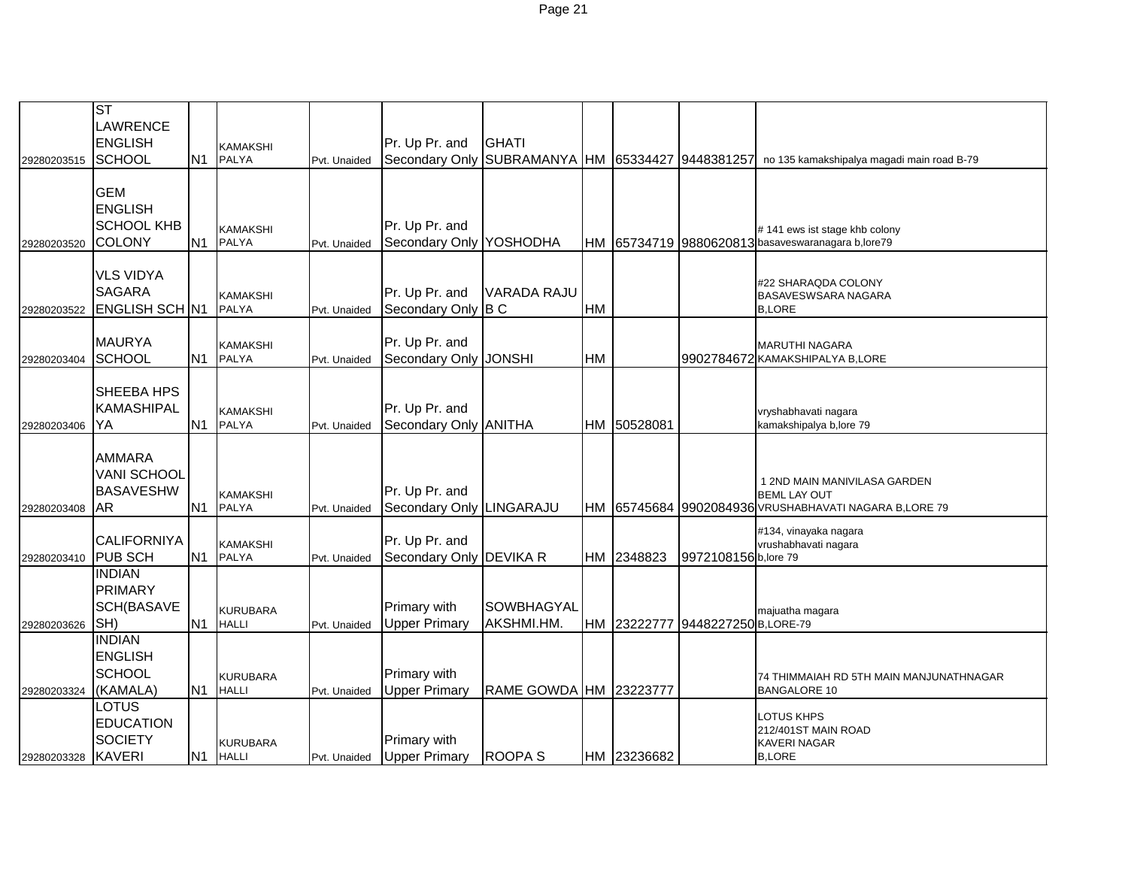|             | ST                    |                |                                 |              |                          |                                   |           |             |                                  |                                                                                    |
|-------------|-----------------------|----------------|---------------------------------|--------------|--------------------------|-----------------------------------|-----------|-------------|----------------------------------|------------------------------------------------------------------------------------|
|             | <b>LAWRENCE</b>       |                |                                 |              |                          |                                   |           |             |                                  |                                                                                    |
|             | <b>ENGLISH</b>        |                |                                 |              | Pr. Up Pr. and           | <b>GHATI</b>                      |           |             |                                  |                                                                                    |
|             | SCHOOL                | N <sub>1</sub> | <b>KAMAKSHI</b><br>PALYA        |              | Secondary Only           | SUBRAMANYA HM 65334427 9448381257 |           |             |                                  | no 135 kamakshipalya magadi main road B-79                                         |
| 29280203515 |                       |                |                                 | Pvt. Unaided |                          |                                   |           |             |                                  |                                                                                    |
|             | <b>GEM</b>            |                |                                 |              |                          |                                   |           |             |                                  |                                                                                    |
|             | <b>ENGLISH</b>        |                |                                 |              |                          |                                   |           |             |                                  |                                                                                    |
|             | <b>SCHOOL KHB</b>     |                |                                 |              | Pr. Up Pr. and           |                                   |           |             |                                  |                                                                                    |
| 29280203520 | COLONY                | N <sub>1</sub> | <b>KAMAKSHI</b><br>PALYA        | Pvt. Unaided | Secondary Only           | YOSHODHA                          |           |             |                                  | #141 ews ist stage khb colony<br>HM 65734719 9880620813 basaveswaranagara b,lore79 |
|             |                       |                |                                 |              |                          |                                   |           |             |                                  |                                                                                    |
|             | <b>VLS VIDYA</b>      |                |                                 |              |                          |                                   |           |             |                                  |                                                                                    |
|             | <b>SAGARA</b>         |                |                                 |              | Pr. Up Pr. and           | <b>VARADA RAJU</b>                |           |             |                                  | #22 SHARAQDA COLONY                                                                |
| 29280203522 | <b>ENGLISH SCH N1</b> |                | <b>KAMAKSHI</b><br><b>PALYA</b> | Pvt. Unaided | Secondary Only           | B <sub>C</sub>                    | <b>HM</b> |             |                                  | BASAVESWSARA NAGARA<br><b>B,LORE</b>                                               |
|             |                       |                |                                 |              |                          |                                   |           |             |                                  |                                                                                    |
|             | <b>MAURYA</b>         |                | <b>KAMAKSHI</b>                 |              | Pr. Up Pr. and           |                                   |           |             |                                  | <b>MARUTHI NAGARA</b>                                                              |
| 29280203404 | <b>SCHOOL</b>         | N <sub>1</sub> | PALYA                           | Pvt. Unaided | Secondary Only           | <b>JONSHI</b>                     | <b>HM</b> |             |                                  | 9902784672 KAMAKSHIPALYA B,LORE                                                    |
|             |                       |                |                                 |              |                          |                                   |           |             |                                  |                                                                                    |
|             | SHEEBA HPS            |                |                                 |              |                          |                                   |           |             |                                  |                                                                                    |
|             | <b>KAMASHIPAL</b>     |                | <b>KAMAKSHI</b>                 |              | Pr. Up Pr. and           |                                   |           |             |                                  | vryshabhavati nagara                                                               |
| 29280203406 | YA                    | N <sub>1</sub> | PALYA                           | Pvt. Unaided | Secondary Only ANITHA    |                                   |           | HM 50528081 |                                  | kamakshipalya b, lore 79                                                           |
|             |                       |                |                                 |              |                          |                                   |           |             |                                  |                                                                                    |
|             | <b>AMMARA</b>         |                |                                 |              |                          |                                   |           |             |                                  |                                                                                    |
|             | <b>VANI SCHOOL</b>    |                |                                 |              |                          |                                   |           |             |                                  |                                                                                    |
|             | <b>BASAVESHW</b>      |                | <b>KAMAKSHI</b>                 |              | Pr. Up Pr. and           |                                   |           |             |                                  | 1 2ND MAIN MANIVILASA GARDEN<br><b>BEML LAY OUT</b>                                |
| 29280203408 | AR                    | N <sub>1</sub> | PALYA                           | Pvt. Unaided | Secondary Only LINGARAJU |                                   |           |             |                                  | HM 65745684 9902084936 VRUSHABHAVATI NAGARA B,LORE 79                              |
|             |                       |                |                                 |              |                          |                                   |           |             |                                  | #134, vinayaka nagara                                                              |
|             | <b>CALIFORNIYA</b>    |                | <b>KAMAKSHI</b>                 |              | Pr. Up Pr. and           |                                   |           |             |                                  | vrushabhavati nagara                                                               |
| 29280203410 | <b>PUB SCH</b>        | N <sub>1</sub> | <b>PALYA</b>                    | Pvt. Unaided | Secondary Only DEVIKA R  |                                   |           | HM 2348823  | 9972108156 b, lore 79            |                                                                                    |
|             | <b>INDIAN</b>         |                |                                 |              |                          |                                   |           |             |                                  |                                                                                    |
|             | <b>PRIMARY</b>        |                |                                 |              |                          |                                   |           |             |                                  |                                                                                    |
|             | <b>SCH(BASAVE</b>     |                | <b>KURUBARA</b>                 |              | Primary with             | SOWBHAGYAL                        |           |             |                                  | majuatha magara                                                                    |
| 29280203626 | SH)                   | N <sub>1</sub> | <b>HALLI</b>                    | Pvt. Unaided | <b>Upper Primary</b>     | AKSHMI.HM.                        |           |             | HM 23222777 9448227250 B,LORE-79 |                                                                                    |
|             | <b>INDIAN</b>         |                |                                 |              |                          |                                   |           |             |                                  |                                                                                    |
|             | <b>ENGLISH</b>        |                |                                 |              |                          |                                   |           |             |                                  |                                                                                    |
|             | <b>SCHOOL</b>         |                | <b>KURUBARA</b>                 |              | Primary with             |                                   |           |             |                                  | 74 THIMMAIAH RD 5TH MAIN MANJUNATHNAGAR                                            |
| 29280203324 | (KAMALA)              | N <sub>1</sub> | <b>HALLI</b>                    | Pvt. Unaided | <b>Upper Primary</b>     | RAME GOWDA HM 23223777            |           |             |                                  | <b>BANGALORE 10</b>                                                                |
|             | LOTUS                 |                |                                 |              |                          |                                   |           |             |                                  | LOTUS KHPS                                                                         |
|             | <b>EDUCATION</b>      |                |                                 |              |                          |                                   |           |             |                                  | 212/401ST MAIN ROAD                                                                |
|             | <b>SOCIETY</b>        |                | <b>KURUBARA</b>                 |              | Primary with             |                                   |           |             |                                  | <b>KAVERI NAGAR</b>                                                                |
| 29280203328 | <b>KAVERI</b>         | N <sub>1</sub> | <b>HALLI</b>                    | Pvt. Unaided | <b>Upper Primary</b>     | <b>ROOPAS</b>                     |           | HM 23236682 |                                  | <b>B,LORE</b>                                                                      |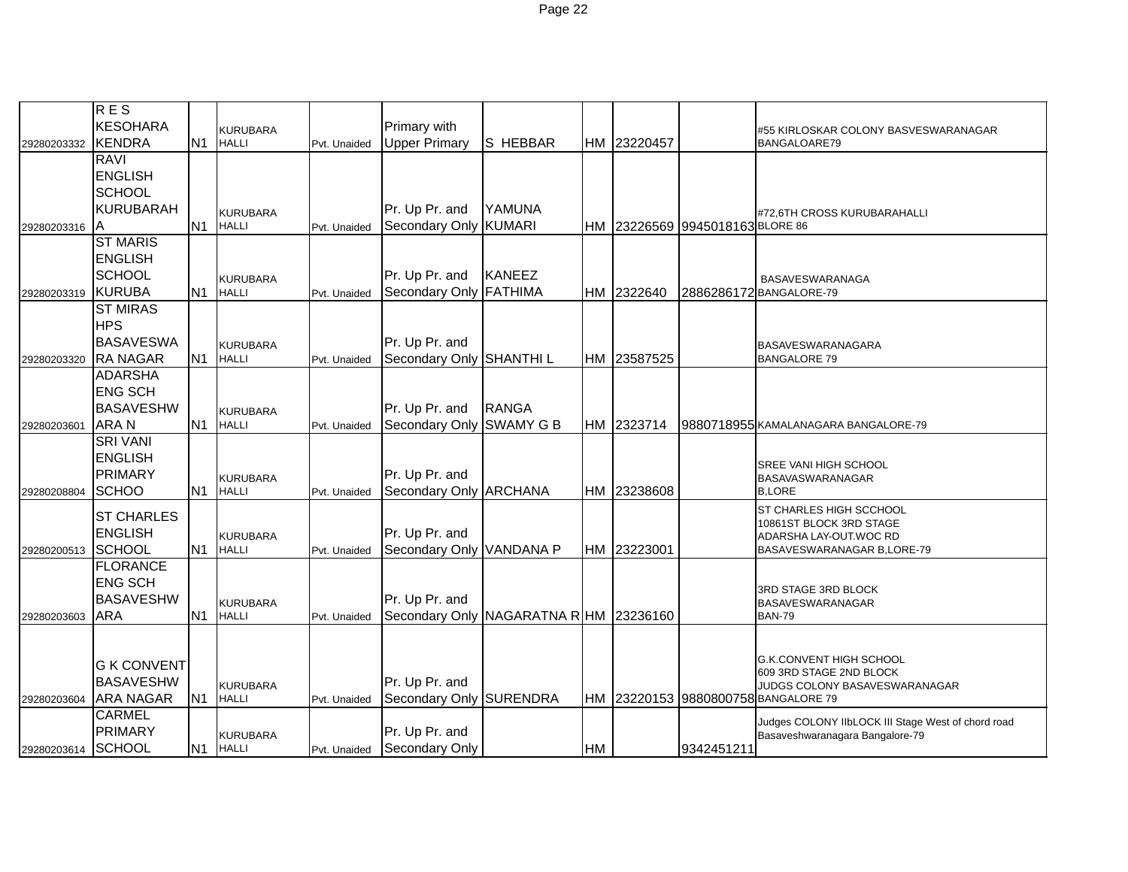|             | <b>RES</b>         |                |                                 |              |                                        |               |           |             |                                 |                                                                   |
|-------------|--------------------|----------------|---------------------------------|--------------|----------------------------------------|---------------|-----------|-------------|---------------------------------|-------------------------------------------------------------------|
|             | <b>KESOHARA</b>    |                | <b>KURUBARA</b>                 |              | Primary with                           |               |           |             |                                 | #55 KIRLOSKAR COLONY BASVESWARANAGAR                              |
| 29280203332 | <b>KENDRA</b>      | N <sub>1</sub> | <b>HALLI</b>                    | Pvt. Unaided | <b>Upper Primary</b>                   | S HEBBAR      |           | HM 23220457 |                                 | BANGALOARE79                                                      |
|             | <b>RAVI</b>        |                |                                 |              |                                        |               |           |             |                                 |                                                                   |
|             | <b>ENGLISH</b>     |                |                                 |              |                                        |               |           |             |                                 |                                                                   |
|             | <b>SCHOOL</b>      |                |                                 |              |                                        |               |           |             |                                 |                                                                   |
|             | <b>KURUBARAH</b>   |                | KURUBARA                        |              | Pr. Up Pr. and                         | YAMUNA        |           |             |                                 | #72,6TH CROSS KURUBARAHALLI                                       |
| 29280203316 | ΙA                 | N <sub>1</sub> | <b>HALLI</b>                    | Pvt. Unaided | Secondary Only KUMARI                  |               |           |             | HM 23226569 9945018163 BLORE 86 |                                                                   |
|             | <b>ST MARIS</b>    |                |                                 |              |                                        |               |           |             |                                 |                                                                   |
|             | <b>ENGLISH</b>     |                |                                 |              |                                        |               |           |             |                                 |                                                                   |
|             | <b>SCHOOL</b>      |                | <b>KURUBARA</b>                 |              | Pr. Up Pr. and                         | <b>KANEEZ</b> |           |             |                                 | <b>BASAVESWARANAGA</b>                                            |
| 29280203319 | <b>KURUBA</b>      | N <sub>1</sub> | <b>HALLI</b>                    | Pvt. Unaided | Secondary Only FATHIMA                 |               | <b>HM</b> | 2322640     |                                 | 2886286172 BANGALORE-79                                           |
|             | <b>ST MIRAS</b>    |                |                                 |              |                                        |               |           |             |                                 |                                                                   |
|             | <b>HPS</b>         |                |                                 |              |                                        |               |           |             |                                 |                                                                   |
|             | <b>BASAVESWA</b>   |                | <b>KURUBARA</b>                 |              | Pr. Up Pr. and                         |               |           |             |                                 | <b>BASAVESWARANAGARA</b>                                          |
| 29280203320 | <b>RA NAGAR</b>    | N <sub>1</sub> | <b>HALLI</b>                    | Pvt. Unaided | Secondary Only SHANTHI L               |               |           | HM 23587525 |                                 | <b>BANGALORE 79</b>                                               |
|             | <b>ADARSHA</b>     |                |                                 |              |                                        |               |           |             |                                 |                                                                   |
|             | <b>ENG SCH</b>     |                |                                 |              |                                        |               |           |             |                                 |                                                                   |
|             | <b>BASAVESHW</b>   |                | <b>KURUBARA</b>                 |              | Pr. Up Pr. and                         | <b>RANGA</b>  |           |             |                                 |                                                                   |
| 29280203601 | <b>ARAN</b>        | N <sub>1</sub> | <b>HALLI</b>                    | Pvt. Unaided | Secondary Only SWAMY G B               |               |           | HM 2323714  |                                 | 9880718955 KAMALANAGARA BANGALORE-79                              |
|             | <b>SRI VANI</b>    |                |                                 |              |                                        |               |           |             |                                 |                                                                   |
|             | <b>ENGLISH</b>     |                |                                 |              |                                        |               |           |             |                                 | <b>SREE VANI HIGH SCHOOL</b>                                      |
|             | <b>PRIMARY</b>     |                | <b>KURUBARA</b>                 |              | Pr. Up Pr. and                         |               |           |             |                                 | <b>BASAVASWARANAGAR</b>                                           |
| 29280208804 | <b>SCHOO</b>       | N <sub>1</sub> | <b>HALLI</b>                    | Pvt. Unaided | Secondary Only ARCHANA                 |               |           | HM 23238608 |                                 | <b>B.LORE</b>                                                     |
|             | <b>ST CHARLES</b>  |                |                                 |              |                                        |               |           |             |                                 | ST CHARLES HIGH SCCHOOL                                           |
|             | <b>ENGLISH</b>     |                |                                 |              | Pr. Up Pr. and                         |               |           |             |                                 | 10861ST BLOCK 3RD STAGE                                           |
|             | <b>SCHOOL</b>      | N <sub>1</sub> | <b>KURUBARA</b><br><b>HALLI</b> | Pvt. Unaided | Secondary Only VANDANA P               |               | <b>HM</b> | 23223001    |                                 | ADARSHA LAY-OUT.WOC RD<br>BASAVESWARANAGAR B, LORE-79             |
| 29280200513 | <b>FLORANCE</b>    |                |                                 |              |                                        |               |           |             |                                 |                                                                   |
|             | <b>ENG SCH</b>     |                |                                 |              |                                        |               |           |             |                                 |                                                                   |
|             | <b>BASAVESHW</b>   |                |                                 |              | Pr. Up Pr. and                         |               |           |             |                                 | 3RD STAGE 3RD BLOCK                                               |
|             | <b>ARA</b>         | N <sub>1</sub> | <b>KURUBARA</b><br><b>HALLI</b> |              | Secondary Only NAGARATNA R HM 23236160 |               |           |             |                                 | <b>BASAVESWARANAGAR</b><br><b>BAN-79</b>                          |
| 29280203603 |                    |                |                                 | Pvt. Unaided |                                        |               |           |             |                                 |                                                                   |
|             |                    |                |                                 |              |                                        |               |           |             |                                 |                                                                   |
|             | <b>G K CONVENT</b> |                |                                 |              |                                        |               |           |             |                                 | <b>G.K.CONVENT HIGH SCHOOL</b>                                    |
|             | <b>BASAVESHW</b>   |                |                                 |              | Pr. Up Pr. and                         |               |           |             |                                 | 609 3RD STAGE 2ND BLOCK                                           |
| 29280203604 | <b>ARA NAGAR</b>   | N <sub>1</sub> | <b>KURUBARA</b><br><b>HALLI</b> | Pvt. Unaided | Secondary Only SURENDRA                |               | <b>HM</b> |             |                                 | JUDGS COLONY BASAVESWARANAGAR<br>23220153 9880800758 BANGALORE 79 |
|             | <b>CARMEL</b>      |                |                                 |              |                                        |               |           |             |                                 |                                                                   |
|             | <b>PRIMARY</b>     |                |                                 |              | Pr. Up Pr. and                         |               |           |             |                                 | Judges COLONY IIbLOCK III Stage West of chord road                |
| 29280203614 | SCHOOL             | N <sub>1</sub> | <b>KURUBARA</b><br><b>HALLI</b> | Pvt. Unaided | Secondary Only                         |               | <b>HM</b> |             | 9342451211                      | Basaveshwaranagara Bangalore-79                                   |
|             |                    |                |                                 |              |                                        |               |           |             |                                 |                                                                   |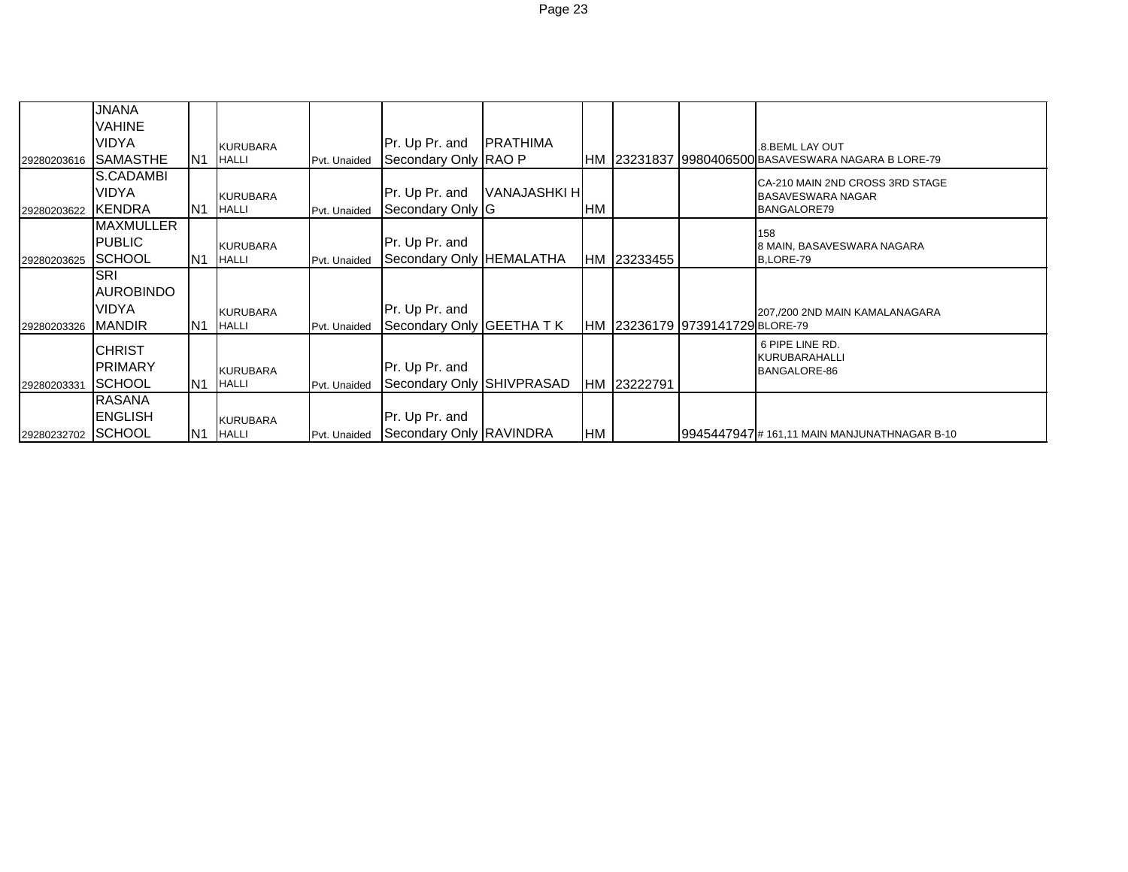|                    | <b>JNANA</b>     |                 |                 |              |                           |                     |    |             |                                 |                                                     |
|--------------------|------------------|-----------------|-----------------|--------------|---------------------------|---------------------|----|-------------|---------------------------------|-----------------------------------------------------|
|                    | VAHINE<br>VIDYA  |                 | <b>KURUBARA</b> |              | Pr. Up Pr. and            | <b>PRATHIMA</b>     |    |             |                                 | .8. BEML LAY OUT                                    |
| 29280203616        | <b>SAMASTHE</b>  | IN <sub>1</sub> | <b>HALLI</b>    | Pvt. Unaided | Secondary Only RAO P      |                     |    |             |                                 | HM 23231837 9980406500 BASAVESWARA NAGARA B LORE-79 |
|                    | S.CADAMBI        |                 |                 |              |                           |                     |    |             |                                 | CA-210 MAIN 2ND CROSS 3RD STAGE                     |
|                    | VIDYA            |                 | <b>KURUBARA</b> |              | Pr. Up Pr. and            | <b>VANAJASHKI H</b> |    |             |                                 | <b>BASAVESWARA NAGAR</b>                            |
| 29280203622        | <b>IKENDRA</b>   | IN1             | <b>HALLI</b>    | Pvt. Unaided | Secondary Only G          |                     | HM |             |                                 | BANGALORE79                                         |
|                    | <b>MAXMULLER</b> |                 |                 |              |                           |                     |    |             |                                 | 158                                                 |
|                    | <b>PUBLIC</b>    |                 | <b>KURUBARA</b> |              | Pr. Up Pr. and            |                     |    |             |                                 | 8 MAIN, BASAVESWARA NAGARA                          |
| 29280203625        | <b>ISCHOOL</b>   | IN1             | <b>HALLI</b>    | Pvt. Unaided | Secondary Only HEMALATHA  |                     |    | HM 23233455 |                                 | B.LORE-79                                           |
|                    | <b>SRI</b>       |                 |                 |              |                           |                     |    |             |                                 |                                                     |
|                    | <b>AUROBINDO</b> |                 |                 |              |                           |                     |    |             |                                 |                                                     |
|                    | <b>VIDYA</b>     |                 | <b>KURUBARA</b> |              | Pr. Up Pr. and            |                     |    |             |                                 | 207,/200 2ND MAIN KAMALANAGARA                      |
| 29280203326        | <b>MANDIR</b>    | IN <sub>1</sub> | <b>HALLI</b>    | Pvt. Unaided | Secondary Only GEETHA TK  |                     |    |             | HM 23236179 9739141729 BLORE-79 |                                                     |
|                    | <b>CHRIST</b>    |                 |                 |              |                           |                     |    |             |                                 | 6 PIPE LINE RD.                                     |
|                    | <b>PRIMARY</b>   |                 | <b>KURUBARA</b> |              | Pr. Up Pr. and            |                     |    |             |                                 | <b>KURUBARAHALLI</b><br>BANGALORE-86                |
| 29280203331        | <b>SCHOOL</b>    | IN <sub>1</sub> | <b>HALLI</b>    | Pvt. Unaided | Secondary Only SHIVPRASAD |                     |    | HM 23222791 |                                 |                                                     |
|                    | <b>RASANA</b>    |                 |                 |              |                           |                     |    |             |                                 |                                                     |
|                    | <b>ENGLISH</b>   |                 | <b>KURUBARA</b> |              | Pr. Up Pr. and            |                     |    |             |                                 |                                                     |
| 29280232702 SCHOOL |                  | N <sub>1</sub>  | <b>HALLI</b>    | Pvt. Unaided | Secondary Only RAVINDRA   |                     | HM |             |                                 | 19945447947 # 161,11 MAIN MANJUNATHNAGAR B-10       |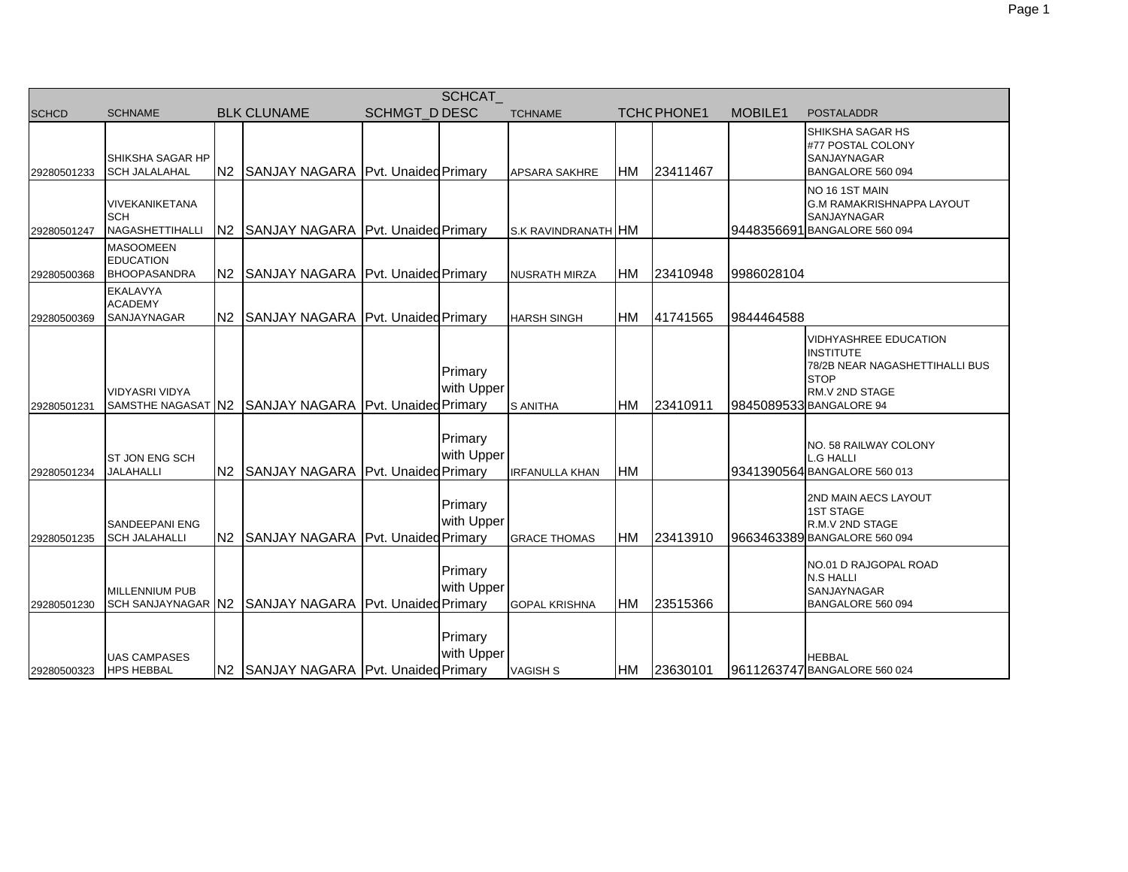| SCHCAT       |                                                             |                |                                                       |                      |                       |                       |           |             |            |                                                                                                                                                |  |
|--------------|-------------------------------------------------------------|----------------|-------------------------------------------------------|----------------------|-----------------------|-----------------------|-----------|-------------|------------|------------------------------------------------------------------------------------------------------------------------------------------------|--|
| <b>SCHCD</b> | <b>SCHNAME</b>                                              |                | <b>BLK CLUNAME</b>                                    | <b>SCHMGT D DESC</b> |                       | <b>TCHNAME</b>        |           | TCHC PHONE1 | MOBILE1    | <b>POSTALADDR</b>                                                                                                                              |  |
| 29280501233  | SHIKSHA SAGAR HP<br><b>SCH JALALAHAL</b>                    | N <sub>2</sub> | SANJAY NAGARA Pvt. Unaided Primary                    |                      |                       | <b>APSARA SAKHRE</b>  | HM        | 23411467    |            | SHIKSHA SAGAR HS<br>#77 POSTAL COLONY<br>SANJAYNAGAR<br>BANGALORE 560 094                                                                      |  |
| 29280501247  | VIVEKANIKETANA<br><b>SCH</b><br><b>NAGASHETTIHALLI</b>      | N <sub>2</sub> | SANJAY NAGARA Pvt. Unaided Primary                    |                      |                       | S.K RAVINDRANATH HM   |           |             |            | NO 16 1ST MAIN<br><b>G.M RAMAKRISHNAPPA LAYOUT</b><br>SANJAYNAGAR<br>9448356691 BANGALORE 560 094                                              |  |
| 29280500368  | <b>MASOOMEEN</b><br><b>EDUCATION</b><br><b>BHOOPASANDRA</b> | N <sub>2</sub> | SANJAY NAGARA Pvt. Unaided Primary                    |                      |                       | <b>NUSRATH MIRZA</b>  | <b>HM</b> | 23410948    | 9986028104 |                                                                                                                                                |  |
| 29280500369  | EKALAVYA<br><b>ACADEMY</b><br>SANJAYNAGAR                   |                | N2 SANJAY NAGARA Pvt. Unaided Primary                 |                      |                       | <b>HARSH SINGH</b>    | HM        | 41741565    | 9844464588 |                                                                                                                                                |  |
| 29280501231  | <b>VIDYASRI VIDYA</b>                                       |                | SAMSTHE NAGASAT N2 SANJAY NAGARA Pvt. Unaided Primary |                      | Primary<br>with Upper | <b>S ANITHA</b>       | HM        | 23410911    |            | <b>VIDHYASHREE EDUCATION</b><br><b>INSTITUTE</b><br>78/2B NEAR NAGASHETTIHALLI BUS<br><b>STOP</b><br>RM.V 2ND STAGE<br>9845089533 BANGALORE 94 |  |
| 29280501234  | ST JON ENG SCH<br><b>JALAHALLI</b>                          | N <sub>2</sub> | SANJAY NAGARA Pvt. Unaided Primary                    |                      | Primary<br>with Upper | <b>IRFANULLA KHAN</b> | <b>HM</b> |             |            | NO. 58 RAILWAY COLONY<br>L.G HALLI<br>9341390564 BANGALORE 560 013                                                                             |  |
| 29280501235  | <b>SANDEEPANI ENG</b><br><b>SCH JALAHALLI</b>               | N <sub>2</sub> | SANJAY NAGARA Pvt. Unaided Primary                    |                      | Primary<br>with Upper | <b>GRACE THOMAS</b>   | HM        | 23413910    |            | 2ND MAIN AECS LAYOUT<br><b>1ST STAGE</b><br>R.M.V 2ND STAGE<br>9663463389 BANGALORE 560 094                                                    |  |
| 29280501230  | MILLENNIUM PUB                                              |                | SCH SANJAYNAGAR N2 SANJAY NAGARA Pvt. Unaided Primary |                      | Primary<br>with Upper | <b>GOPAL KRISHNA</b>  | HM        | 23515366    |            | NO.01 D RAJGOPAL ROAD<br><b>N.S HALLI</b><br><b>SANJAYNAGAR</b><br>BANGALORE 560 094                                                           |  |
| 29280500323  | <b>UAS CAMPASES</b><br><b>HPS HEBBAL</b>                    |                | N2 SANJAY NAGARA Pvt. Unaided Primary                 |                      | Primary<br>with Upper | <b>VAGISH S</b>       |           | HM 23630101 |            | <b>HEBBAL</b><br>9611263747 BANGALORE 560 024                                                                                                  |  |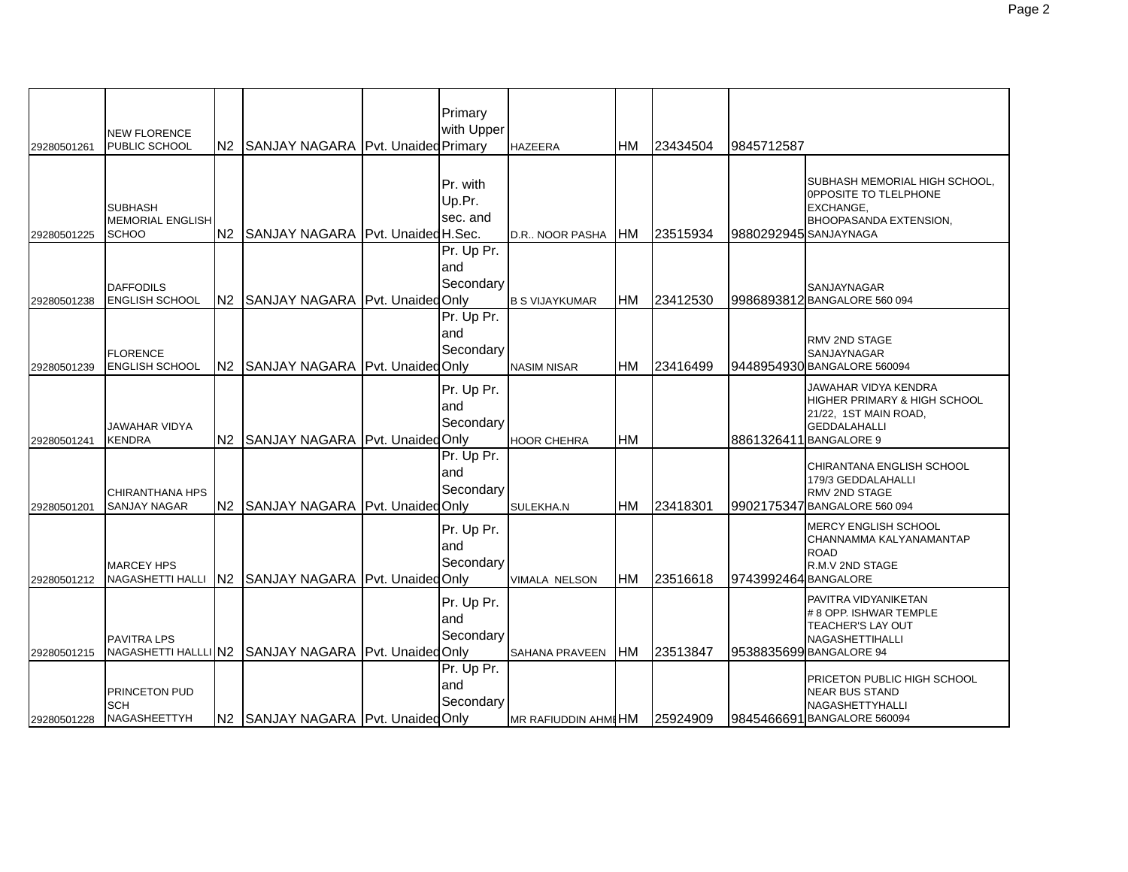| 29280501261 | <b>NEW FLORENCE</b><br>PUBLIC SCHOOL                      |                | N2 SANJAY NAGARA Pvt. Unaided Primary                | Primary<br>with Upper           | <b>HAZEERA</b>        | <b>HM</b> | 23434504 | 9845712587            |                                                                                                                                           |
|-------------|-----------------------------------------------------------|----------------|------------------------------------------------------|---------------------------------|-----------------------|-----------|----------|-----------------------|-------------------------------------------------------------------------------------------------------------------------------------------|
| 29280501225 | <b>SUBHASH</b><br><b>MEMORIAL ENGLISH</b><br><b>SCHOO</b> |                | N2 SANJAY NAGARA Pvt. Unaided H.Sec.                 | Pr. with<br>Up.Pr.<br>sec. and  | D.R NOOR PASHA        | <b>HM</b> | 23515934 | 9880292945 SANJAYNAGA | SUBHASH MEMORIAL HIGH SCHOOL,<br>OPPOSITE TO TLELPHONE<br><b>EXCHANGE,</b><br>BHOOPASANDA EXTENSION,                                      |
| 29280501238 | <b>DAFFODILS</b><br><b>ENGLISH SCHOOL</b>                 | N <sub>2</sub> | SANJAY NAGARA   Pvt. Unaided Only                    | Pr. Up Pr.<br>land<br>Secondary | <b>B S VIJAYKUMAR</b> | <b>HM</b> | 23412530 |                       | <b>SANJAYNAGAR</b><br>9986893812 BANGALORE 560 094                                                                                        |
| 29280501239 | <b>FLORENCE</b><br><b>ENGLISH SCHOOL</b>                  | N2             | SANJAY NAGARA Pvt. Unaided Only                      | Pr. Up Pr.<br>and<br>Secondary  | <b>NASIM NISAR</b>    | HM        | 23416499 |                       | <b>RMV 2ND STAGE</b><br>SANJAYNAGAR<br>9448954930 BANGALORE 560094                                                                        |
| 29280501241 | JAWAHAR VIDYA<br><b>KENDRA</b>                            |                | N2 SANJAY NAGARA Pvt. Unaided Only                   | Pr. Up Pr.<br>and<br>Secondary  | <b>HOOR CHEHRA</b>    | <b>HM</b> |          |                       | JAWAHAR VIDYA KENDRA<br><b>HIGHER PRIMARY &amp; HIGH SCHOOL</b><br>21/22, 1ST MAIN ROAD,<br><b>GEDDALAHALLI</b><br>8861326411 BANGALORE 9 |
| 29280501201 | <b>CHIRANTHANA HPS</b><br><b>SANJAY NAGAR</b>             | N2             | SANJAY NAGARA   Pvt. Unaided Only                    | Pr. Up Pr.<br>and<br>Secondary  | SULEKHA.N             | <b>HM</b> | 23418301 |                       | CHIRANTANA ENGLISH SCHOOL<br>179/3 GEDDALAHALLI<br><b>RMV 2ND STAGE</b><br>9902175347 BANGALORE 560 094                                   |
| 29280501212 | <b>MARCEY HPS</b><br>NAGASHETTI HALLI                     |                | N2 SANJAY NAGARA Pvt. Unaided Only                   | Pr. Up Pr.<br>and<br>Secondary  | VIMALA NELSON         | HM        | 23516618 | 9743992464 BANGALORE  | <b>MERCY ENGLISH SCHOOL</b><br>CHANNAMMA KALYANAMANTAP<br><b>ROAD</b><br>R.M.V 2ND STAGE                                                  |
| 29280501215 | <b>PAVITRA LPS</b>                                        |                | NAGASHETTI HALLLI N2 SANJAY NAGARA Pvt. Unaided Only | Pr. Up Pr.<br>and<br>Secondary  | <b>SAHANA PRAVEEN</b> | <b>HM</b> | 23513847 |                       | PAVITRA VIDYANIKETAN<br># 8 OPP. ISHWAR TEMPLE<br>TEACHER'S LAY OUT<br>NAGASHETTIHALLI<br>9538835699 BANGALORE 94                         |
| 29280501228 | PRINCETON PUD<br>SCH<br><b>NAGASHEETTYH</b>               |                | N2 SANJAY NAGARA Pvt. Unaided Only                   | Pr. Up Pr.<br>and<br>Secondary  | MR RAFIUDDIN AHMI HM  |           | 25924909 |                       | <b>PRICETON PUBLIC HIGH SCHOOL</b><br><b>NEAR BUS STAND</b><br>NAGASHETTYHALLI<br>9845466691 BANGALORE 560094                             |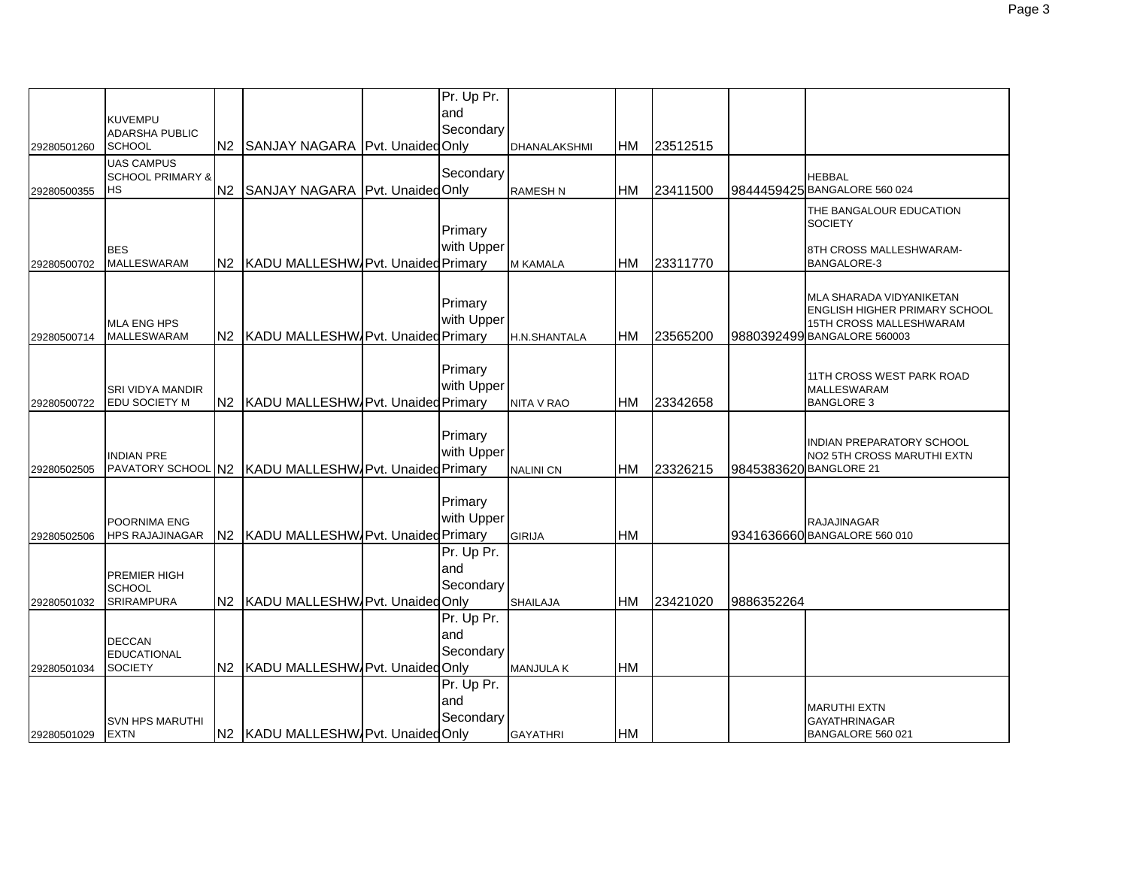|             |                                         |    |                                                       | Pr. Up Pr. |                     |           |          |                        |                                                                 |
|-------------|-----------------------------------------|----|-------------------------------------------------------|------------|---------------------|-----------|----------|------------------------|-----------------------------------------------------------------|
|             |                                         |    |                                                       | and        |                     |           |          |                        |                                                                 |
|             | <b>KUVEMPU</b><br><b>ADARSHA PUBLIC</b> |    |                                                       | Secondary  |                     |           |          |                        |                                                                 |
| 29280501260 | <b>SCHOOL</b>                           | N2 | SANJAY NAGARA Pvt. Unaided Only                       |            | DHANALAKSHMI        | HM        | 23512515 |                        |                                                                 |
|             | <b>UAS CAMPUS</b>                       |    |                                                       |            |                     |           |          |                        |                                                                 |
|             | <b>SCHOOL PRIMARY &amp;</b>             |    |                                                       | Secondary  |                     |           |          |                        | HEBBAL                                                          |
| 29280500355 | <b>HS</b>                               | N2 | SANJAY NAGARA Pvt. Unaided Only                       |            | <b>RAMESH N</b>     | HM        | 23411500 |                        | 9844459425 BANGALORE 560 024                                    |
|             |                                         |    |                                                       |            |                     |           |          |                        | THE BANGALOUR EDUCATION                                         |
|             |                                         |    |                                                       |            |                     |           |          |                        | <b>SOCIETY</b>                                                  |
|             |                                         |    |                                                       | Primary    |                     |           |          |                        |                                                                 |
|             | <b>BES</b>                              |    |                                                       | with Upper |                     |           |          |                        | 8TH CROSS MALLESHWARAM-                                         |
| 29280500702 | <b>MALLESWARAM</b>                      |    | N2   KADU MALLESHW Pvt. Unaided Primary               |            | <b>M KAMALA</b>     | <b>HM</b> | 23311770 |                        | <b>BANGALORE-3</b>                                              |
|             |                                         |    |                                                       |            |                     |           |          |                        |                                                                 |
|             |                                         |    |                                                       | Primary    |                     |           |          |                        | MLA SHARADA VIDYANIKETAN                                        |
|             | <b>MLA ENG HPS</b>                      |    |                                                       | with Upper |                     |           |          |                        | ENGLISH HIGHER PRIMARY SCHOOL<br><b>15TH CROSS MALLESHWARAM</b> |
| 29280500714 | <b>MALLESWARAM</b>                      |    | N2 KADU MALLESHW Pvt. Unaided Primary                 |            | <b>H.N.SHANTALA</b> | <b>HM</b> | 23565200 |                        | 9880392499 BANGALORE 560003                                     |
|             |                                         |    |                                                       |            |                     |           |          |                        |                                                                 |
|             |                                         |    |                                                       | Primary    |                     |           |          |                        |                                                                 |
|             |                                         |    |                                                       | with Upper |                     |           |          |                        | 11TH CROSS WEST PARK ROAD                                       |
|             | <b>SRI VIDYA MANDIR</b>                 |    |                                                       |            |                     |           |          |                        | <b>MALLESWARAM</b>                                              |
| 29280500722 | <b>EDU SOCIETY M</b>                    |    | N2 KADU MALLESHW/Pvt. Unaided Primary                 |            | <b>NITA V RAO</b>   | <b>HM</b> | 23342658 |                        | <b>BANGLORE 3</b>                                               |
|             |                                         |    |                                                       |            |                     |           |          |                        |                                                                 |
|             |                                         |    |                                                       | Primary    |                     |           |          |                        | INDIAN PREPARATORY SCHOOL                                       |
|             | <b>INDIAN PRE</b>                       |    |                                                       | with Upper |                     |           |          |                        | NO2 5TH CROSS MARUTHI EXTN                                      |
| 29280502505 |                                         |    | PAVATORY SCHOOL N2 KADU MALLESHW/Pvt. Unaided Primary |            | <b>NALINI CN</b>    | <b>HM</b> | 23326215 | 9845383620 BANGLORE 21 |                                                                 |
|             |                                         |    |                                                       |            |                     |           |          |                        |                                                                 |
|             |                                         |    |                                                       | Primary    |                     |           |          |                        |                                                                 |
|             | POORNIMA ENG                            |    |                                                       | with Upper |                     |           |          |                        | RAJAJINAGAR                                                     |
| 29280502506 | <b>HPS RAJAJINAGAR</b>                  |    | N2 KADU MALLESHW Pvt. Unaided Primary                 |            | <b>GIRIJA</b>       | <b>HM</b> |          |                        | 9341636660 BANGALORE 560 010                                    |
|             |                                         |    |                                                       | Pr. Up Pr. |                     |           |          |                        |                                                                 |
|             |                                         |    |                                                       | and        |                     |           |          |                        |                                                                 |
|             | <b>PREMIER HIGH</b><br><b>SCHOOL</b>    |    |                                                       | Secondary  |                     |           |          |                        |                                                                 |
| 29280501032 | <b>SRIRAMPURA</b>                       |    | N2 KADU MALLESHW Pvt. Unaided Only                    |            | <b>SHAILAJA</b>     | <b>HM</b> | 23421020 | 9886352264             |                                                                 |
|             |                                         |    |                                                       | Pr. Up Pr. |                     |           |          |                        |                                                                 |
|             |                                         |    |                                                       | and        |                     |           |          |                        |                                                                 |
|             | <b>DECCAN</b>                           |    |                                                       |            |                     |           |          |                        |                                                                 |
|             | <b>EDUCATIONAL</b>                      |    |                                                       | Secondary  |                     |           |          |                        |                                                                 |
| 29280501034 | <b>SOCIETY</b>                          |    | N2 KADU MALLESHW/Pvt. UnaidedOnly                     |            | <b>MANJULA K</b>    | <b>HM</b> |          |                        |                                                                 |
|             |                                         |    |                                                       | Pr. Up Pr. |                     |           |          |                        |                                                                 |
|             |                                         |    |                                                       | and        |                     |           |          |                        | <b>MARUTHI EXTN</b>                                             |
|             | <b>SVN HPS MARUTHI</b>                  |    |                                                       | Secondary  |                     |           |          |                        | <b>GAYATHRINAGAR</b>                                            |
| 29280501029 | <b>EXTN</b>                             |    | N2 KADU MALLESHW Pvt. Unaided Only                    |            | <b>GAYATHRI</b>     | HM        |          |                        | BANGALORE 560 021                                               |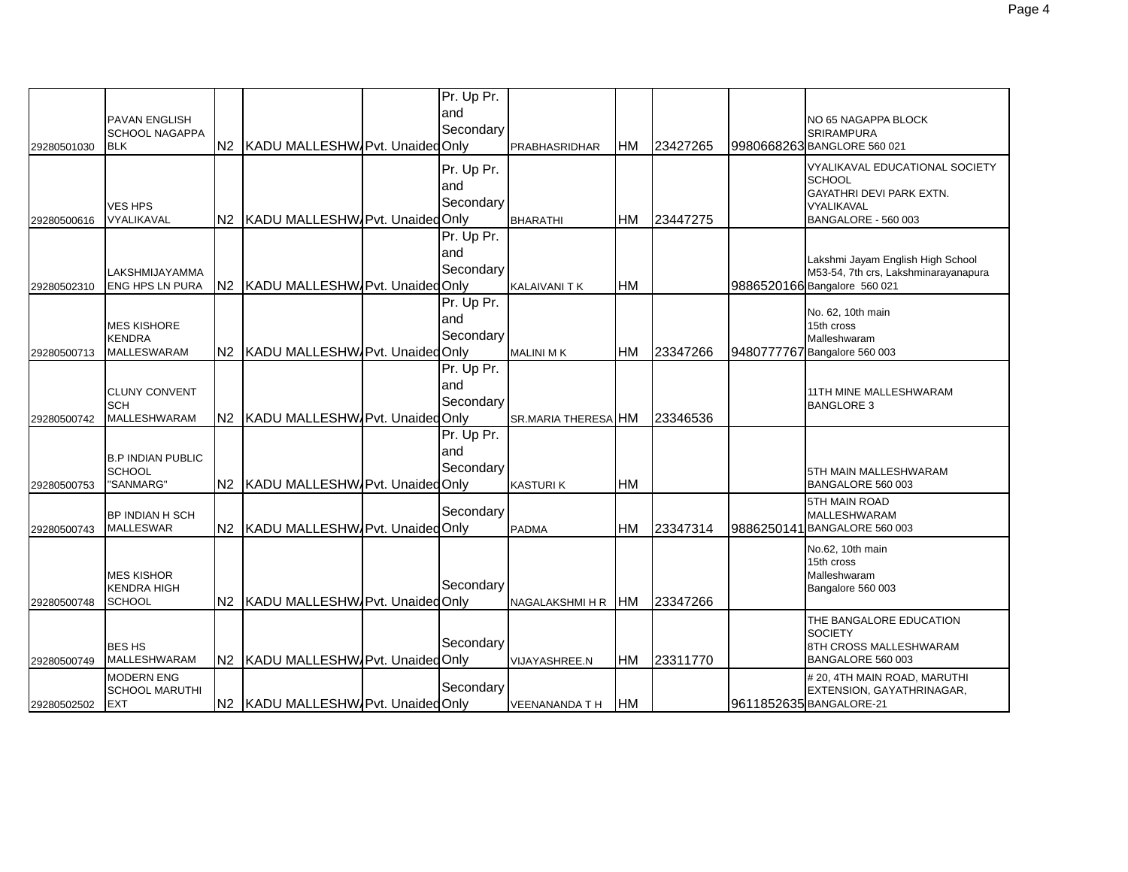| 29280501030 | <b>PAVAN ENGLISH</b><br><b>SCHOOL NAGAPPA</b><br><b>BLK</b> | N2 KADU MALLESHW/Pvt. Unaided Only   | Pr. Up Pr.<br>land<br>Secondary | <b>PRABHASRIDHAR</b>       | <b>HM</b>  | 23427265 | NO 65 NAGAPPA BLOCK<br><b>SRIRAMPURA</b><br>9980668263 BANGLORE 560 021                                          |
|-------------|-------------------------------------------------------------|--------------------------------------|---------------------------------|----------------------------|------------|----------|------------------------------------------------------------------------------------------------------------------|
| 29280500616 | <b>VES HPS</b><br><b>VYALIKAVAL</b>                         | N2 KADU MALLESHW/Pvt. Unaided Only   | Pr. Up Pr.<br>and<br>Secondary  | <b>BHARATHI</b>            | IHM        | 23447275 | VYALIKAVAL EDUCATIONAL SOCIETY<br><b>SCHOOL</b><br>GAYATHRI DEVI PARK EXTN.<br>VYALIKAVAL<br>BANGALORE - 560 003 |
| 29280502310 | LAKSHMIJAYAMMA<br><b>ENG HPS LN PURA</b>                    | N2 KADU MALLESHW Pvt. Unaided Only   | Pr. Up Pr.<br>and<br>Secondary  | <b>KALAIVANI T K</b>       | <b>HM</b>  |          | Lakshmi Jayam English High School<br>M53-54, 7th crs, Lakshminarayanapura<br>9886520166 Bangalore 560 021        |
| 29280500713 | <b>MES KISHORE</b><br><b>KENDRA</b><br>MALLESWARAM          | N2 KADU MALLESHW/Pvt. Unaided Only   | Pr. Up Pr.<br>and<br>Secondary  | <b>MALINI MK</b>           | <b>HM</b>  | 23347266 | No. 62, 10th main<br>15th cross<br>Malleshwaram<br>9480777767 Bangalore 560 003                                  |
| 29280500742 | <b>CLUNY CONVENT</b><br><b>SCH</b><br><b>MALLESHWARAM</b>   | N2 KADU MALLESHW Pvt. Unaided Only   | Pr. Up Pr.<br>land<br>Secondary | <b>SR.MARIA THERESA HM</b> |            | 23346536 | 11TH MINE MALLESHWARAM<br><b>BANGLORE 3</b>                                                                      |
| 29280500753 | <b>B.P INDIAN PUBLIC</b><br><b>SCHOOL</b><br>"SANMARG"      | N2 KADU MALLESHW Pvt. Unaided Only   | Pr. Up Pr.<br>land<br>Secondary | <b>KASTURIK</b>            | <b>IHM</b> |          | 5TH MAIN MALLESHWARAM<br>BANGALORE 560 003                                                                       |
| 29280500743 | <b>BP INDIAN H SCH</b><br><b>MALLESWAR</b>                  | N2 KADU MALLESHW/Pvt. Unaided Only   | Secondary                       | <b>PADMA</b>               | <b>HM</b>  | 23347314 | <b>5TH MAIN ROAD</b><br><b>MALLESHWARAM</b><br>9886250141 BANGALORE 560 003                                      |
| 29280500748 | <b>MES KISHOR</b><br><b>KENDRA HIGH</b><br><b>SCHOOL</b>    | N2 KADU MALLESHW/Pvt. Unaided Only   | Secondarv                       | NAGALAKSHMI H R HM         |            | 23347266 | No.62, 10th main<br>15th cross<br>Malleshwaram<br>Bangalore 560 003                                              |
| 29280500749 | <b>BES HS</b><br><b>MALLESHWARAM</b>                        | N2 KADU MALLESHW Pvt. Unaided Only   | Secondary                       | <b>VIJAYASHREE.N</b>       | HM         | 23311770 | THE BANGALORE EDUCATION<br><b>SOCIETY</b><br>8TH CROSS MALLESHWARAM<br>BANGALORE 560 003                         |
| 29280502502 | <b>MODERN ENG</b><br><b>SCHOOL MARUTHI</b><br><b>EXT</b>    | N2   KADU MALLESHW Pvt. Unaided Only | Secondary                       | <b>VEENANANDA TH</b>       | <b>HM</b>  |          | # 20, 4TH MAIN ROAD, MARUTHI<br>EXTENSION, GAYATHRINAGAR,<br>9611852635 BANGALORE-21                             |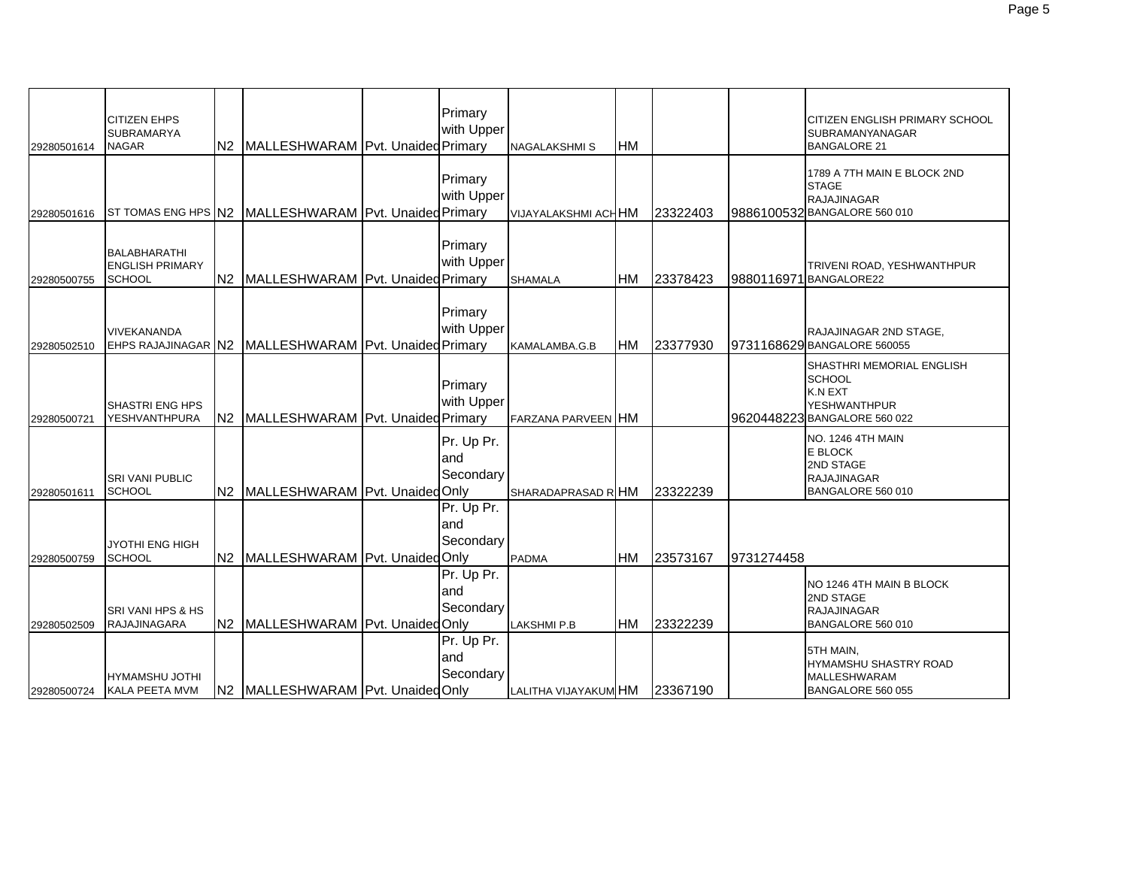| 29280501614 | <b>CITIZEN EHPS</b><br><b>SUBRAMARYA</b><br><b>NAGAR</b>       | N2   MALLESHWARAM   Pvt. Unaided Primary              | Primary<br>with Upper          | <b>NAGALAKSHMIS</b>        | <b>HM</b> |          |            | CITIZEN ENGLISH PRIMARY SCHOOL<br><b>SUBRAMANYANAGAR</b><br><b>BANGALORE 21</b>                                            |
|-------------|----------------------------------------------------------------|-------------------------------------------------------|--------------------------------|----------------------------|-----------|----------|------------|----------------------------------------------------------------------------------------------------------------------------|
| 29280501616 |                                                                | ST TOMAS ENG HPS N2 MALLESHWARAM Pvt. Unaided Primary | Primary<br>with Upper          | <b>VIJAYALAKSHMI ACHHM</b> |           | 23322403 |            | 1789 A 7TH MAIN E BLOCK 2ND<br><b>STAGE</b><br><b>RAJAJINAGAR</b><br>9886100532 BANGALORE 560 010                          |
| 29280500755 | <b>BALABHARATHI</b><br><b>ENGLISH PRIMARY</b><br><b>SCHOOL</b> | N2 MALLESHWARAM Pvt. Unaided Primary                  | Primary<br>with Upper          | <b>SHAMALA</b>             | HМ        | 23378423 |            | TRIVENI ROAD, YESHWANTHPUR<br>9880116971 BANGALORE22                                                                       |
| 29280502510 | <b>VIVEKANANDA</b>                                             | EHPS RAJAJINAGAR N2 MALLESHWARAM Pvt. Unaided Primary | Primary<br>with Upper          | KAMALAMBA.G.B              | HM        | 23377930 |            | RAJAJINAGAR 2ND STAGE,<br>9731168629 BANGALORE 560055                                                                      |
| 29280500721 | <b>SHASTRI ENG HPS</b><br><b>YESHVANTHPURA</b>                 | N2 MALLESHWARAM Pvt. Unaided Primary                  | Primary<br>with Upper          | <b>FARZANA PARVEEN HM</b>  |           |          |            | <b>SHASTHRI MEMORIAL ENGLISH</b><br><b>SCHOOL</b><br><b>K.N EXT</b><br><b>YESHWANTHPUR</b><br>9620448223 BANGALORE 560 022 |
| 29280501611 | <b>SRI VANI PUBLIC</b><br><b>SCHOOL</b>                        | N2 MALLESHWARAM Pvt. UnaidedOnly                      | Pr. Up Pr.<br>and<br>Secondary | SHARADAPRASAD RIHM         |           | 23322239 |            | <b>NO. 1246 4TH MAIN</b><br><b>E BLOCK</b><br>2ND STAGE<br><b>RAJAJINAGAR</b><br>BANGALORE 560 010                         |
| 29280500759 | <b>JYOTHI ENG HIGH</b><br><b>SCHOOL</b>                        | N2 MALLESHWARAM Pvt. UnaidedOnly                      | Pr. Up Pr.<br>and<br>Secondary | <b>PADMA</b>               | HM        | 23573167 | 9731274458 |                                                                                                                            |
| 29280502509 | SRI VANI HPS & HS<br>RAJAJINAGARA                              | N2 MALLESHWARAM Pvt. UnaidedOnly                      | Pr. Up Pr.<br>and<br>Secondary | <b>LAKSHMI P.B</b>         | HM        | 23322239 |            | NO 1246 4TH MAIN B BLOCK<br>2ND STAGE<br><b>RAJAJINAGAR</b><br>BANGALORE 560 010                                           |
| 29280500724 | HYMAMSHU JOTHI<br>KALA PEETA MVM                               | N2 MALLESHWARAM Pvt. Unaided Only                     | Pr. Up Pr.<br>and<br>Secondary | LALITHA VIJAYAKUM HM       |           | 23367190 |            | 5TH MAIN,<br><b>HYMAMSHU SHASTRY ROAD</b><br><b>MALLESHWARAM</b><br>BANGALORE 560 055                                      |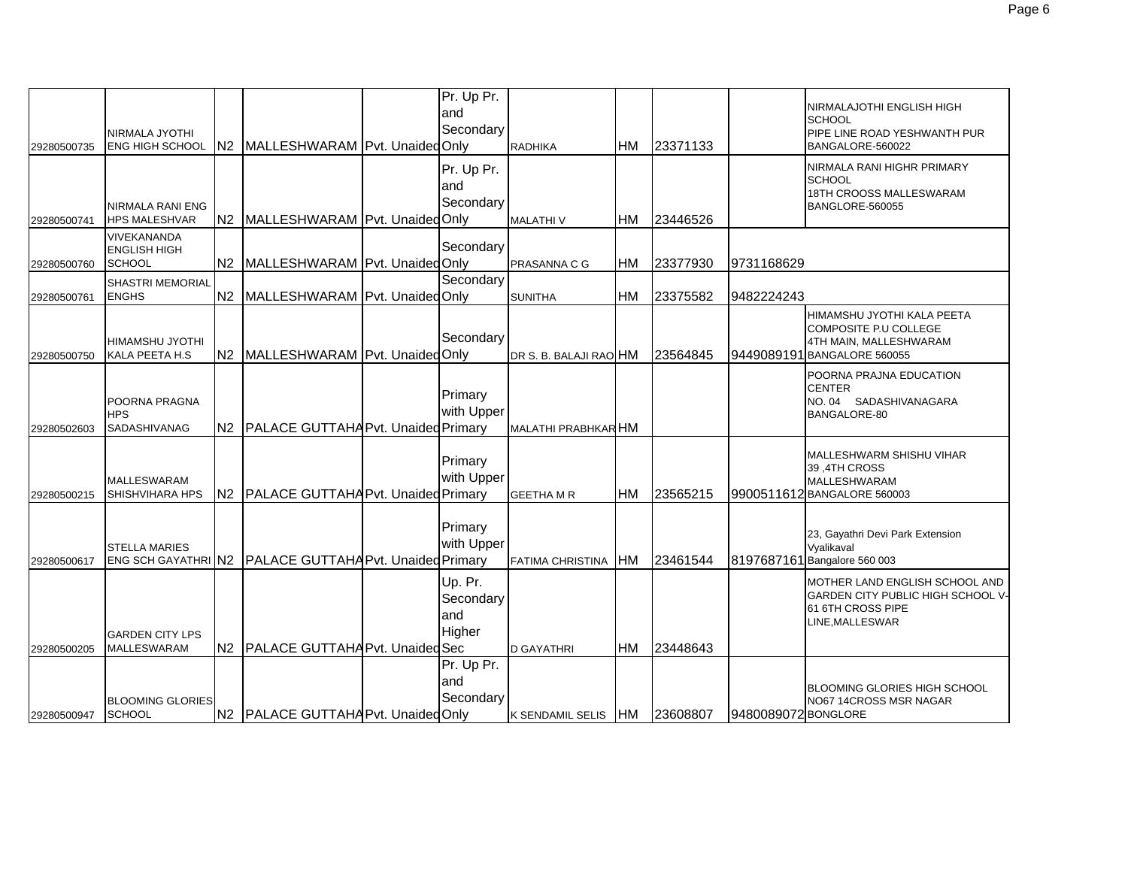|             | NIRMALA JYOTHI                                             |                |                                                          | Pr. Up Pr.<br>and<br>Secondary        |                         |            |          |                     | NIRMALAJOTHI ENGLISH HIGH<br><b>SCHOOL</b><br>PIPE LINE ROAD YESHWANTH PUR                                   |
|-------------|------------------------------------------------------------|----------------|----------------------------------------------------------|---------------------------------------|-------------------------|------------|----------|---------------------|--------------------------------------------------------------------------------------------------------------|
| 29280500735 | <b>ENG HIGH SCHOOL</b>                                     | N <sub>2</sub> | MALLESHWARAM Pvt. Unaided Only                           |                                       | <b>RADHIKA</b>          | IHM        | 23371133 |                     | BANGALORE-560022                                                                                             |
|             | <b>NIRMALA RANI ENG</b>                                    |                |                                                          | Pr. Up Pr.<br>and<br>Secondary        |                         |            |          |                     | NIRMALA RANI HIGHR PRIMARY<br><b>SCHOOL</b><br>18TH CROOSS MALLESWARAM<br>BANGLORE-560055                    |
| 29280500741 | <b>HPS MALESHVAR</b>                                       |                | N2 MALLESHWARAM Pvt. Unaided Only                        |                                       | <b>MALATHIV</b>         | <b>HM</b>  | 23446526 |                     |                                                                                                              |
| 29280500760 | <b>VIVEKANANDA</b><br><b>ENGLISH HIGH</b><br><b>SCHOOL</b> | N <sub>2</sub> | MALLESHWARAM Pvt. Unaided Only                           | Secondary                             | PRASANNA C G            | <b>HM</b>  | 23377930 | 9731168629          |                                                                                                              |
|             | SHASTRI MEMORIAL                                           |                |                                                          | Secondary                             |                         |            |          |                     |                                                                                                              |
| 29280500761 | <b>ENGHS</b>                                               | N <sub>2</sub> | MALLESHWARAM Pvt. Unaided Only                           |                                       | <b>SUNITHA</b>          | <b>HM</b>  | 23375582 | 9482224243          |                                                                                                              |
| 29280500750 | <b>HIMAMSHU JYOTHI</b><br>KALA PEETA H.S                   |                | N2 MALLESHWARAM Pvt. Unaided Only                        | Secondary                             | DR S. B. BALAJI RAO HM  |            | 23564845 |                     | HIMAMSHU JYOTHI KALA PEETA<br>COMPOSITE P.U COLLEGE<br>4TH MAIN, MALLESHWARAM<br>9449089191 BANGALORE 560055 |
| 29280502603 | POORNA PRAGNA<br><b>HPS</b><br>SADASHIVANAG                | N <sub>2</sub> | <b>PALACE GUTTAHA Pvt. Unaided Primary</b>               | Primary<br>with Upper                 | MALATHI PRABHKAR HM     |            |          |                     | POORNA PRAJNA EDUCATION<br><b>CENTER</b><br>NO.04 SADASHIVANAGARA<br>BANGALORE-80                            |
| 29280500215 | <b>MALLESWARAM</b><br>SHISHVIHARA HPS                      |                | N2   PALACE GUTTAHA Pvt. Unaided Primary                 | Primary<br>with Upper                 | <b>GEETHA M R</b>       | <b>IHM</b> | 23565215 |                     | MALLESHWARM SHISHU VIHAR<br>39,4TH CROSS<br><b>MALLESHWARAM</b><br>9900511612 BANGALORE 560003               |
| 29280500617 | <b>STELLA MARIES</b>                                       |                | ENG SCH GAYATHRIN2   PALACE GUTTAHA Pvt. Unaided Primary | Primary<br>with Upper                 | <b>FATIMA CHRISTINA</b> | <b>IHM</b> | 23461544 |                     | 23, Gayathri Devi Park Extension<br>Vyalikaval<br>8197687161 Bangalore 560 003                               |
| 29280500205 | <b>GARDEN CITY LPS</b><br><b>MALLESWARAM</b>               | N <sub>2</sub> | <b>PALACE GUTTAHA Pvt. Unaided Sec</b>                   | Up. Pr.<br>Secondary<br>and<br>Higher | <b>D GAYATHRI</b>       | <b>HM</b>  | 23448643 |                     | MOTHER LAND ENGLISH SCHOOL AND<br>GARDEN CITY PUBLIC HIGH SCHOOL V-<br>61 6TH CROSS PIPE<br>LINE,MALLESWAR   |
| 29280500947 | <b>BLOOMING GLORIES</b><br><b>SCHOOL</b>                   |                | N2 PALACE GUTTAHA Pvt. Unaided Only                      | Pr. Up Pr.<br>and<br>Secondary        | K SENDAMIL SELIS HM     |            | 23608807 | 9480089072 BONGLORE | <b>BLOOMING GLORIES HIGH SCHOOL</b><br>NO67 14CROSS MSR NAGAR                                                |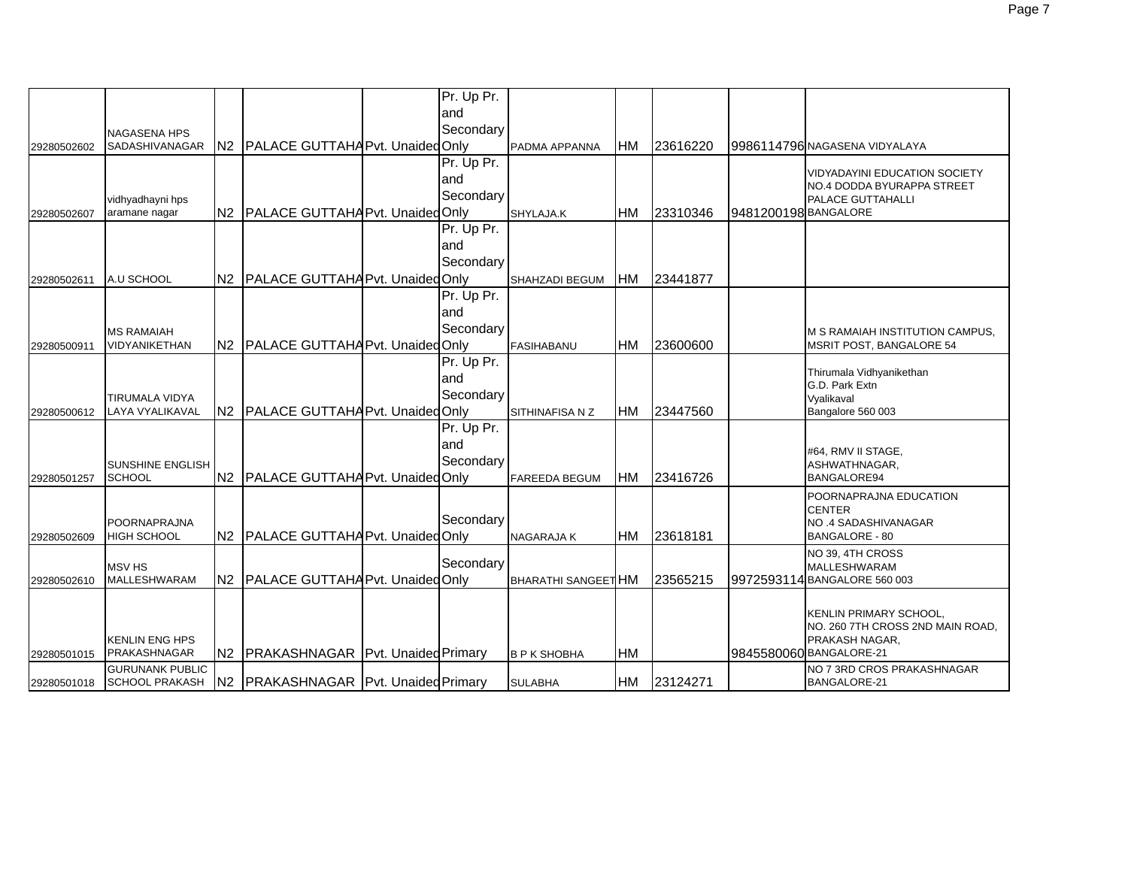|             |                         |                                      | Pr. Up Pr. |                            |            |          |                      |                                                    |
|-------------|-------------------------|--------------------------------------|------------|----------------------------|------------|----------|----------------------|----------------------------------------------------|
|             |                         |                                      | and        |                            |            |          |                      |                                                    |
|             | <b>NAGASENA HPS</b>     |                                      | Secondary  |                            |            |          |                      |                                                    |
| 29280502602 | SADASHIVANAGAR          | N2 PALACE GUTTAHA Pvt. Unaided Only  |            | PADMA APPANNA              | HM         | 23616220 |                      | 9986114796 NAGASENA VIDYALAYA                      |
|             |                         |                                      | Pr. Up Pr. |                            |            |          |                      |                                                    |
|             |                         |                                      | land       |                            |            |          |                      | <b>VIDYADAYINI EDUCATION SOCIETY</b>               |
|             |                         |                                      | Secondary  |                            |            |          |                      | NO.4 DODDA BYURAPPA STREET                         |
|             | vidhyadhayni hps        |                                      |            |                            |            |          |                      | PALACE GUTTAHALLI                                  |
| 29280502607 | aramane nagar           | N2 PALACE GUTTAHA Pvt. Unaided Only  |            | SHYLAJA.K                  | <b>HM</b>  | 23310346 | 9481200198 BANGALORE |                                                    |
|             |                         |                                      | Pr. Up Pr. |                            |            |          |                      |                                                    |
|             |                         |                                      | land       |                            |            |          |                      |                                                    |
|             |                         |                                      | Secondary  |                            |            |          |                      |                                                    |
| 29280502611 | A.U SCHOOL              | N2 PALACE GUTTAHA Pvt. Unaided Only  |            | SHAHZADI BEGUM             | <b>IHM</b> | 23441877 |                      |                                                    |
|             |                         |                                      | Pr. Up Pr. |                            |            |          |                      |                                                    |
|             |                         |                                      | land       |                            |            |          |                      |                                                    |
|             | <b>MS RAMAIAH</b>       |                                      | Secondary  |                            |            |          |                      | M S RAMAIAH INSTITUTION CAMPUS,                    |
| 29280500911 | VIDYANIKETHAN           | N2 PALACE GUTTAHA Pvt. Unaided Only  |            | <b>FASIHABANU</b>          | <b>HM</b>  | 23600600 |                      | <b>MSRIT POST, BANGALORE 54</b>                    |
|             |                         |                                      | Pr. Up Pr. |                            |            |          |                      |                                                    |
|             |                         |                                      | and        |                            |            |          |                      | Thirumala Vidhyanikethan<br>G.D. Park Extn         |
|             | TIRUMALA VIDYA          |                                      | Secondary  |                            |            |          |                      | Vyalikaval                                         |
| 29280500612 | LAYA VYALIKAVAL         | N2 PALACE GUTTAHA Pvt. Unaided Only  |            | SITHINAFISA N Z            | HM         | 23447560 |                      | Bangalore 560 003                                  |
|             |                         |                                      | Pr. Up Pr. |                            |            |          |                      |                                                    |
|             |                         |                                      | and        |                            |            |          |                      |                                                    |
|             | <b>SUNSHINE ENGLISH</b> |                                      | Secondary  |                            |            |          |                      | #64, RMV II STAGE,<br>ASHWATHNAGAR,                |
| 29280501257 | <b>SCHOOL</b>           | N2 PALACE GUTTAHA Pvt. Unaided Only  |            | <b>FAREEDA BEGUM</b>       | HM         | 23416726 |                      | <b>BANGALORE94</b>                                 |
|             |                         |                                      |            |                            |            |          |                      | POORNAPRAJNA EDUCATION                             |
|             |                         |                                      |            |                            |            |          |                      | <b>CENTER</b>                                      |
|             | POORNAPRAJNA            |                                      | Secondary  |                            |            |          |                      | NO.4 SADASHIVANAGAR                                |
| 29280502609 | <b>HIGH SCHOOL</b>      | N2 PALACE GUTTAHA Pvt. Unaided Only  |            | <b>NAGARAJAK</b>           | <b>HM</b>  | 23618181 |                      | <b>BANGALORE - 80</b>                              |
|             |                         |                                      |            |                            |            |          |                      | NO 39, 4TH CROSS                                   |
|             | <b>MSV HS</b>           |                                      | Secondary  |                            |            |          |                      | <b>MALLESHWARAM</b>                                |
| 29280502610 | <b>MALLESHWARAM</b>     | N2 PALACE GUTTAHA Pvt. Unaided Only  |            | <b>BHARATHI SANGEET HM</b> |            | 23565215 |                      | 9972593114 BANGALORE 560 003                       |
|             |                         |                                      |            |                            |            |          |                      |                                                    |
|             |                         |                                      |            |                            |            |          |                      | KENLIN PRIMARY SCHOOL,                             |
|             | <b>KENLIN ENG HPS</b>   |                                      |            |                            |            |          |                      | NO. 260 7TH CROSS 2ND MAIN ROAD,<br>PRAKASH NAGAR, |
| 29280501015 | PRAKASHNAGAR            | N2 PRAKASHNAGAR Pvt. Unaided Primary |            | <b>B P K SHOBHA</b>        | <b>HM</b>  |          |                      | 9845580060 BANGALORE-21                            |
|             | <b>GURUNANK PUBLIC</b>  |                                      |            |                            |            |          |                      | NO 7 3RD CROS PRAKASHNAGAR                         |
| 29280501018 | SCHOOL PRAKASH          | N2 PRAKASHNAGAR Pvt. Unaided Primary |            | <b>SULABHA</b>             | HM         | 23124271 |                      | <b>BANGALORE-21</b>                                |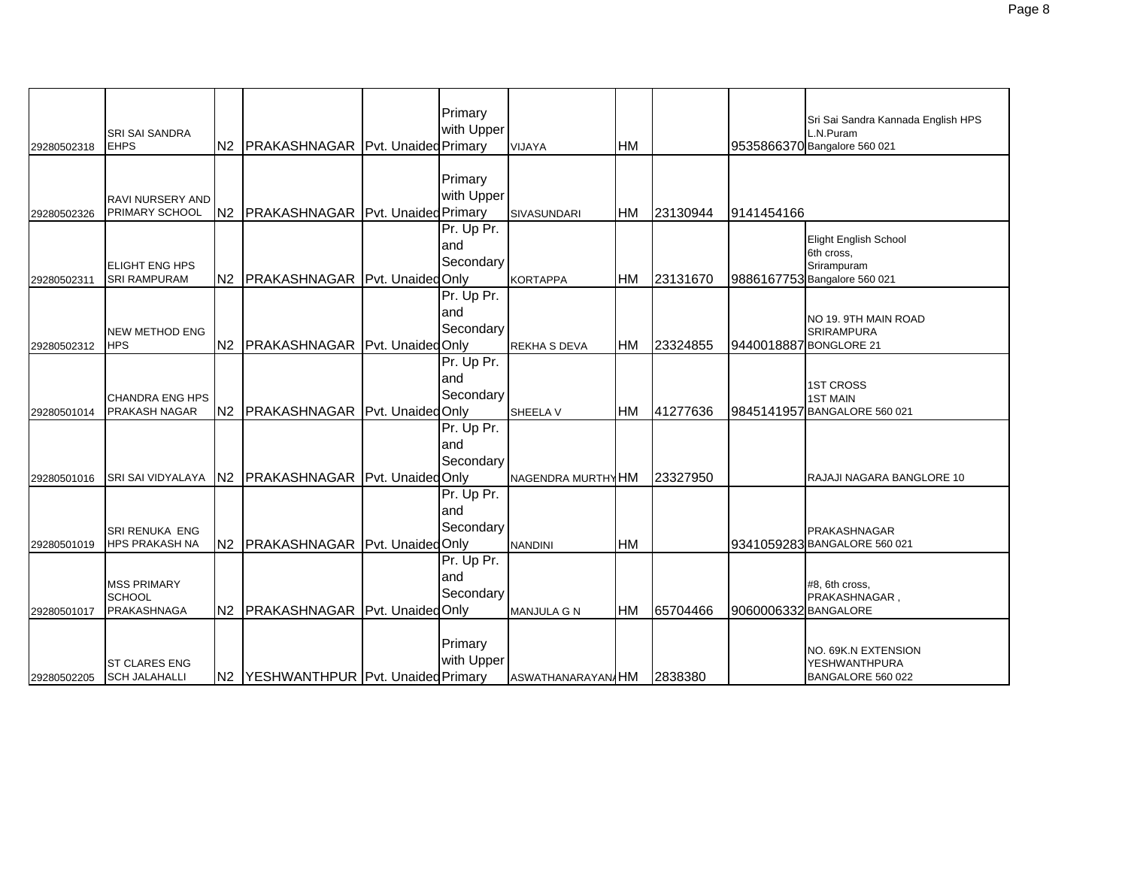|             |                                                    |                                      | Primary                         |                     |           |          |                      | Sri Sai Sandra Kannada English HPS                                                        |
|-------------|----------------------------------------------------|--------------------------------------|---------------------------------|---------------------|-----------|----------|----------------------|-------------------------------------------------------------------------------------------|
| 29280502318 | <b>SRI SAI SANDRA</b><br><b>EHPS</b>               | N2 PRAKASHNAGAR Pvt. Unaided Primary | with Upper                      | VIJAYA              | <b>HM</b> |          |                      | L.N.Puram<br>9535866370 Bangalore 560 021                                                 |
| 29280502326 | <b>RAVI NURSERY AND</b><br>PRIMARY SCHOOL          | N2 PRAKASHNAGAR Pvt. Unaided Primary | Primary<br>with Upper           | <b>SIVASUNDARI</b>  | <b>HM</b> | 23130944 | 9141454166           |                                                                                           |
| 29280502311 | <b>ELIGHT ENG HPS</b><br><b>SRI RAMPURAM</b>       | N2 PRAKASHNAGAR Pvt. UnaidedOnly     | Pr. Up Pr.<br>and<br>Secondary  | <b>KORTAPPA</b>     | <b>HM</b> | 23131670 |                      | <b>Elight English School</b><br>6th cross,<br>Srirampuram<br>9886167753 Bangalore 560 021 |
| 29280502312 | <b>NEW METHOD ENG</b><br>HPS                       | N2 PRAKASHNAGAR Pvt. UnaidedOnly     | Pr. Up Pr.<br>and<br>Secondary  | <b>REKHA S DEVA</b> | <b>HM</b> | 23324855 |                      | NO 19. 9TH MAIN ROAD<br><b>SRIRAMPURA</b><br>9440018887 BONGLORE 21                       |
| 29280501014 | <b>CHANDRA ENG HPS</b><br><b>PRAKASH NAGAR</b>     | N2 PRAKASHNAGAR Pvt. Unaided Only    | Pr. Up Pr.<br>land<br>Secondary | SHEELA V            | <b>HM</b> | 41277636 |                      | <b>1ST CROSS</b><br><b>1ST MAIN</b><br>9845141957 BANGALORE 560 021                       |
| 29280501016 | SRI SAI VIDYALAYA                                  | IN2 PRAKASHNAGAR Pvt. Unaided Only   | Pr. Up Pr.<br>and<br>Secondary  | NAGENDRA MURTHY HM  |           | 23327950 |                      | RAJAJI NAGARA BANGLORE 10                                                                 |
| 29280501019 | <b>SRI RENUKA ENG</b><br><b>HPS PRAKASH NA</b>     | N2 PRAKASHNAGAR Pvt. Unaided Only    | Pr. Up Pr.<br>and<br>Secondary  | <b>NANDINI</b>      | <b>HM</b> |          |                      | <b>PRAKASHNAGAR</b><br>9341059283 BANGALORE 560 021                                       |
| 29280501017 | <b>MSS PRIMARY</b><br><b>SCHOOL</b><br>PRAKASHNAGA | N2 PRAKASHNAGAR Pvt. Unaided Only    | Pr. Up Pr.<br>and<br>Secondary  | MANJULA G N         | <b>HM</b> | 65704466 | 9060006332 BANGALORE | #8, 6th cross,<br>PRAKASHNAGAR,                                                           |
| 29280502205 | <b>ST CLARES ENG</b><br><b>SCH JALAHALLI</b>       | N2 YESHWANTHPUR Pvt. Unaided Primary | Primary<br>with Upper           | ASWATHANARAYAN/HM   |           | 2838380  |                      | NO. 69K.N EXTENSION<br>YESHWANTHPURA<br>BANGALORE 560 022                                 |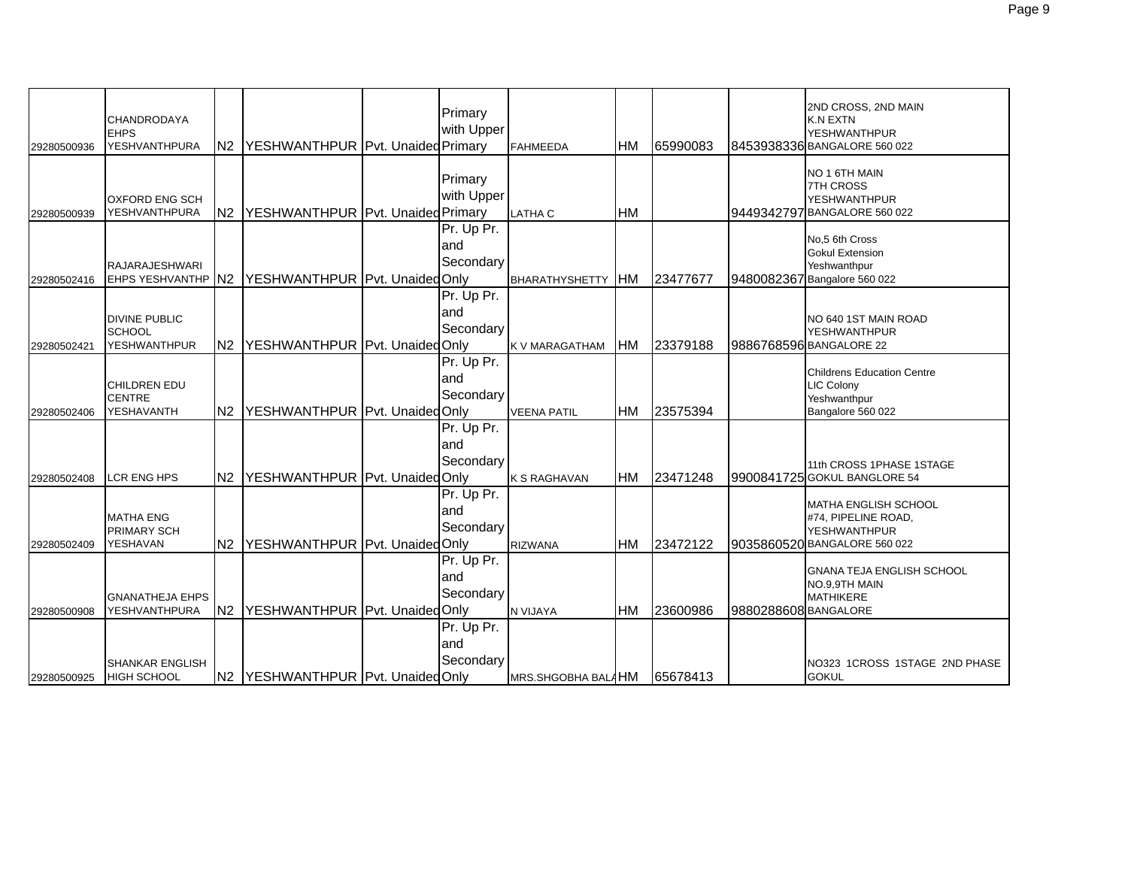| 29280500936 | <b>CHANDRODAYA</b><br><b>EHPS</b><br><b>YESHVANTHPURA</b>    |                | N2 YESHWANTHPUR Pvt. Unaided Primary | Primary<br>with Upper           | <b>FAHMEEDA</b>       | <b>HM</b>  | 65990083 |                      | 2ND CROSS, 2ND MAIN<br><b>K.N EXTN</b><br><b>YESHWANTHPUR</b><br>8453938336 BANGALORE 560 022             |
|-------------|--------------------------------------------------------------|----------------|--------------------------------------|---------------------------------|-----------------------|------------|----------|----------------------|-----------------------------------------------------------------------------------------------------------|
| 29280500939 | <b>OXFORD ENG SCH</b><br><b>YESHVANTHPURA</b>                |                | N2 YESHWANTHPUR Pvt. Unaided Primary | Primary<br>with Upper           | <b>LATHA C</b>        | <b>HM</b>  |          |                      | NO 1 6TH MAIN<br><b>7TH CROSS</b><br><b>YESHWANTHPUR</b><br>9449342797 BANGALORE 560 022                  |
| 29280502416 | <b>RAJARAJESHWARI</b><br><b>EHPS YESHVANTHP N2</b>           |                | YESHWANTHPUR   Pvt. Unaided Only     | Pr. Up Pr.<br>and<br>Secondary  | <b>BHARATHYSHETTY</b> | <b>IHM</b> | 23477677 |                      | No,5 6th Cross<br><b>Gokul Extension</b><br>Yeshwanthpur<br>9480082367 Bangalore 560 022                  |
| 29280502421 | <b>DIVINE PUBLIC</b><br><b>SCHOOL</b><br><b>YESHWANTHPUR</b> | N2             | YESHWANTHPUR   Pvt. Unaided Only     | Pr. Up Pr.<br>and<br>Secondary  | <b>K V MARAGATHAM</b> | <b>HM</b>  | 23379188 |                      | NO 640 1ST MAIN ROAD<br><b>YESHWANTHPUR</b><br>9886768596 BANGALORE 22                                    |
| 29280502406 | <b>CHILDREN EDU</b><br><b>CENTRE</b><br>YESHAVANTH           | N <sub>2</sub> | YESHWANTHPUR   Pvt. Unaided Only     | Pr. Up Pr.<br>land<br>Secondary | <b>VEENA PATIL</b>    | <b>HM</b>  | 23575394 |                      | <b>Childrens Education Centre</b><br>LIC Colony<br>Yeshwanthpur<br>Bangalore 560 022                      |
| 29280502408 | LCR ENG HPS                                                  |                | N2 YESHWANTHPUR Pvt. Unaided Only    | Pr. Up Pr.<br>and<br>Secondary  | <b>K S RAGHAVAN</b>   | <b>HM</b>  | 23471248 |                      | 11th CROSS 1PHASE 1STAGE<br>9900841725 GOKUL BANGLORE 54                                                  |
| 29280502409 | <b>MATHA ENG</b><br><b>PRIMARY SCH</b><br>YESHAVAN           |                | N2 YESHWANTHPUR Pvt. Unaided Only    | Pr. Up Pr.<br>and<br>Secondary  | <b>RIZWANA</b>        | <b>HM</b>  | 23472122 |                      | <b>MATHA ENGLISH SCHOOL</b><br>#74, PIPELINE ROAD,<br><b>YESHWANTHPUR</b><br>9035860520 BANGALORE 560 022 |
| 29280500908 | <b>GNANATHEJA EHPS</b><br><b>YESHVANTHPURA</b>               | N <sub>2</sub> | YESHWANTHPUR Pvt. Unaided Only       | Pr. Up Pr.<br>land<br>Secondary | N VIJAYA              | <b>HM</b>  | 23600986 | 9880288608 BANGALORE | <b>GNANA TEJA ENGLISH SCHOOL</b><br>NO.9,9TH MAIN<br><b>MATHIKERE</b>                                     |
| 29280500925 | <b>SHANKAR ENGLISH</b><br><b>HIGH SCHOOL</b>                 |                | N2 YESHWANTHPUR Pvt. Unaided Only    | Pr. Up Pr.<br>land<br>Secondary | MRS.SHGOBHA BALAHM    |            | 65678413 |                      | NO323 1CROSS 1STAGE 2ND PHASE<br><b>GOKUL</b>                                                             |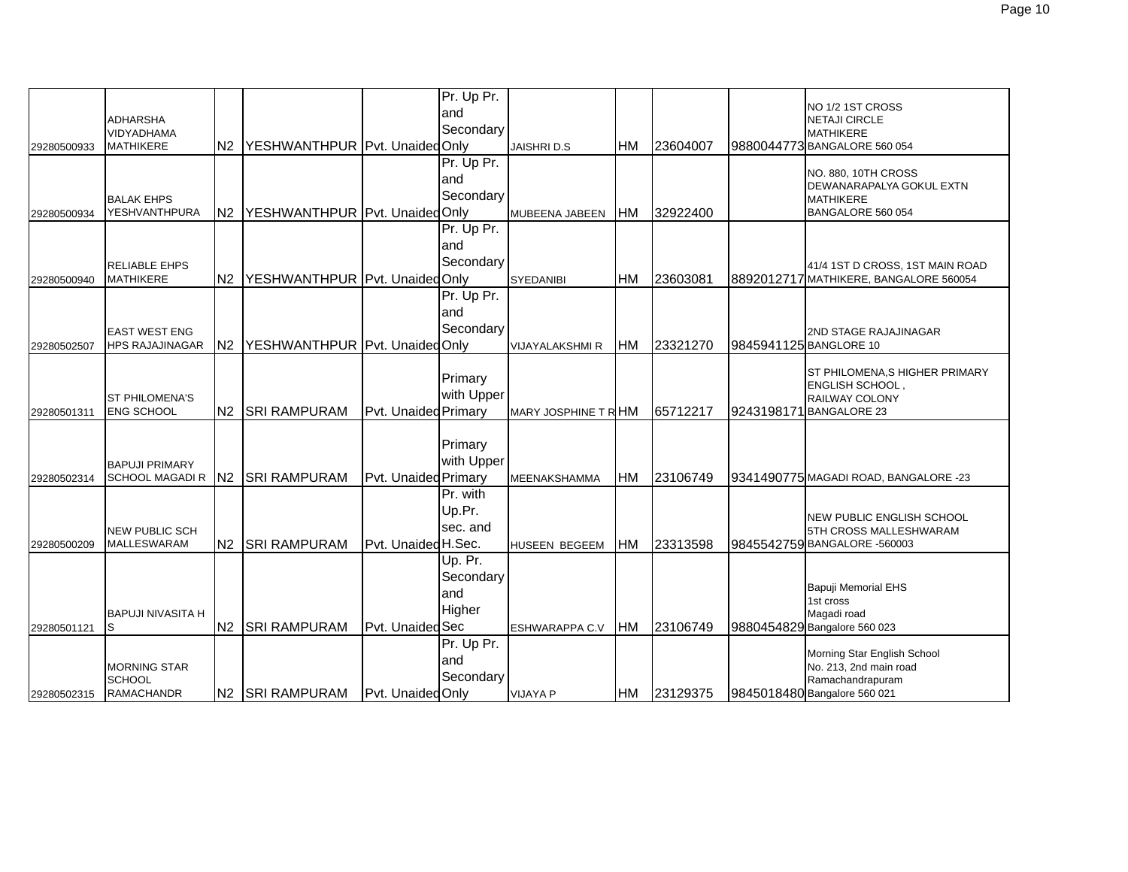|             |                          |    |                                   |                          | Pr. Up Pr. |                        |           |          |                        |                                                         |
|-------------|--------------------------|----|-----------------------------------|--------------------------|------------|------------------------|-----------|----------|------------------------|---------------------------------------------------------|
|             | <b>ADHARSHA</b>          |    |                                   |                          | and        |                        |           |          |                        | NO 1/2 1ST CROSS<br><b>NETAJI CIRCLE</b>                |
|             | <b>VIDYADHAMA</b>        |    |                                   |                          | Secondary  |                        |           |          |                        | <b>MATHIKERE</b>                                        |
| 29280500933 | <b>MATHIKERE</b>         | N2 | YESHWANTHPUR Pvt. Unaided Only    |                          |            | <b>JAISHRID.S</b>      | <b>HM</b> | 23604007 |                        | 9880044773 BANGALORE 560 054                            |
|             |                          |    |                                   |                          | Pr. Up Pr. |                        |           |          |                        |                                                         |
|             |                          |    |                                   |                          | land       |                        |           |          |                        | NO. 880, 10TH CROSS<br>DEWANARAPALYA GOKUL EXTN         |
|             | <b>BALAK EHPS</b>        |    |                                   |                          | Secondary  |                        |           |          |                        | <b>MATHIKERE</b>                                        |
| 29280500934 | YESHVANTHPURA            |    | N2 YESHWANTHPUR Pvt. Unaided Only |                          |            | MUBEENA JABEEN         | <b>HM</b> | 32922400 |                        | BANGALORE 560 054                                       |
|             |                          |    |                                   |                          | Pr. Up Pr. |                        |           |          |                        |                                                         |
|             |                          |    |                                   |                          | land       |                        |           |          |                        |                                                         |
|             | RELIABLE EHPS            |    |                                   |                          | Secondary  |                        |           |          |                        | 41/4 1ST D CROSS, 1ST MAIN ROAD                         |
| 29280500940 | <b>MATHIKERE</b>         | N2 | YESHWANTHPUR Pvt. Unaided Only    |                          |            | <b>SYEDANIBI</b>       | <b>HM</b> | 23603081 |                        | 8892012717 MATHIKERE, BANGALORE 560054                  |
|             |                          |    |                                   |                          | Pr. Up Pr. |                        |           |          |                        |                                                         |
|             |                          |    |                                   |                          | land       |                        |           |          |                        |                                                         |
|             | <b>EAST WEST ENG</b>     |    |                                   |                          | Secondary  |                        |           |          |                        | 2ND STAGE RAJAJINAGAR                                   |
| 29280502507 | <b>HPS RAJAJINAGAR</b>   |    | N2 YESHWANTHPUR Pvt. Unaided Only |                          |            | <b>VIJAYALAKSHMI R</b> | <b>HM</b> | 23321270 | 9845941125 BANGLORE 10 |                                                         |
|             |                          |    |                                   |                          |            |                        |           |          |                        |                                                         |
|             |                          |    |                                   |                          | Primary    |                        |           |          |                        | ST PHILOMENA, S HIGHER PRIMARY<br><b>ENGLISH SCHOOL</b> |
|             | <b>ST PHILOMENA'S</b>    |    |                                   |                          | with Upper |                        |           |          |                        | RAILWAY COLONY                                          |
| 29280501311 | <b>ENG SCHOOL</b>        |    | N2 SRI RAMPURAM                   | Pvt. Unaided Primary     |            | MARY JOSPHINE T R HM   |           | 65712217 |                        | 9243198171 BANGALORE 23                                 |
|             |                          |    |                                   |                          |            |                        |           |          |                        |                                                         |
|             |                          |    |                                   |                          | Primary    |                        |           |          |                        |                                                         |
|             | <b>BAPUJI PRIMARY</b>    |    |                                   |                          | with Upper |                        |           |          |                        |                                                         |
| 29280502314 | <b>SCHOOL MAGADI R</b>   |    | N2 SRI RAMPURAM                   | Pvt. Unaided Primary     |            | MEENAKSHAMMA           | <b>HM</b> | 23106749 |                        | 9341490775 MAGADI ROAD, BANGALORE -23                   |
|             |                          |    |                                   |                          | Pr. with   |                        |           |          |                        |                                                         |
|             |                          |    |                                   |                          | Up.Pr.     |                        |           |          |                        | <b>NEW PUBLIC ENGLISH SCHOOL</b>                        |
|             | <b>NEW PUBLIC SCH</b>    |    |                                   |                          | sec. and   |                        |           |          |                        | 5TH CROSS MALLESHWARAM                                  |
| 29280500209 | <b>MALLESWARAM</b>       |    | N2 SRI RAMPURAM                   | Pvt. Unaided H.Sec.      |            | HUSEEN BEGEEM          | <b>HM</b> | 23313598 |                        | 9845542759 BANGALORE -560003                            |
|             |                          |    |                                   |                          | Up. Pr.    |                        |           |          |                        |                                                         |
|             |                          |    |                                   |                          | Secondary  |                        |           |          |                        |                                                         |
|             |                          |    |                                   |                          | and        |                        |           |          |                        | <b>Bapuji Memorial EHS</b><br>1st cross                 |
|             | <b>BAPUJI NIVASITA H</b> |    |                                   |                          | Higher     |                        |           |          |                        | Magadi road                                             |
| 29280501121 | ls                       |    | N2 SRI RAMPURAM                   | Pvt. Unaided Sec         |            | ESHWARAPPA C.V         | <b>HM</b> | 23106749 |                        | 9880454829 Bangalore 560 023                            |
|             |                          |    |                                   |                          | Pr. Up Pr. |                        |           |          |                        |                                                         |
|             | <b>MORNING STAR</b>      |    |                                   |                          | land       |                        |           |          |                        | Morning Star English School<br>No. 213, 2nd main road   |
|             | <b>SCHOOL</b>            |    |                                   |                          | Secondary  |                        |           |          |                        | Ramachandrapuram                                        |
| 29280502315 | <b>RAMACHANDR</b>        |    | N2 SRI RAMPURAM                   | <b>Pvt. Unaided Only</b> |            | <b>VIJAYA P</b>        | <b>HM</b> | 23129375 |                        | 9845018480 Bangalore 560 021                            |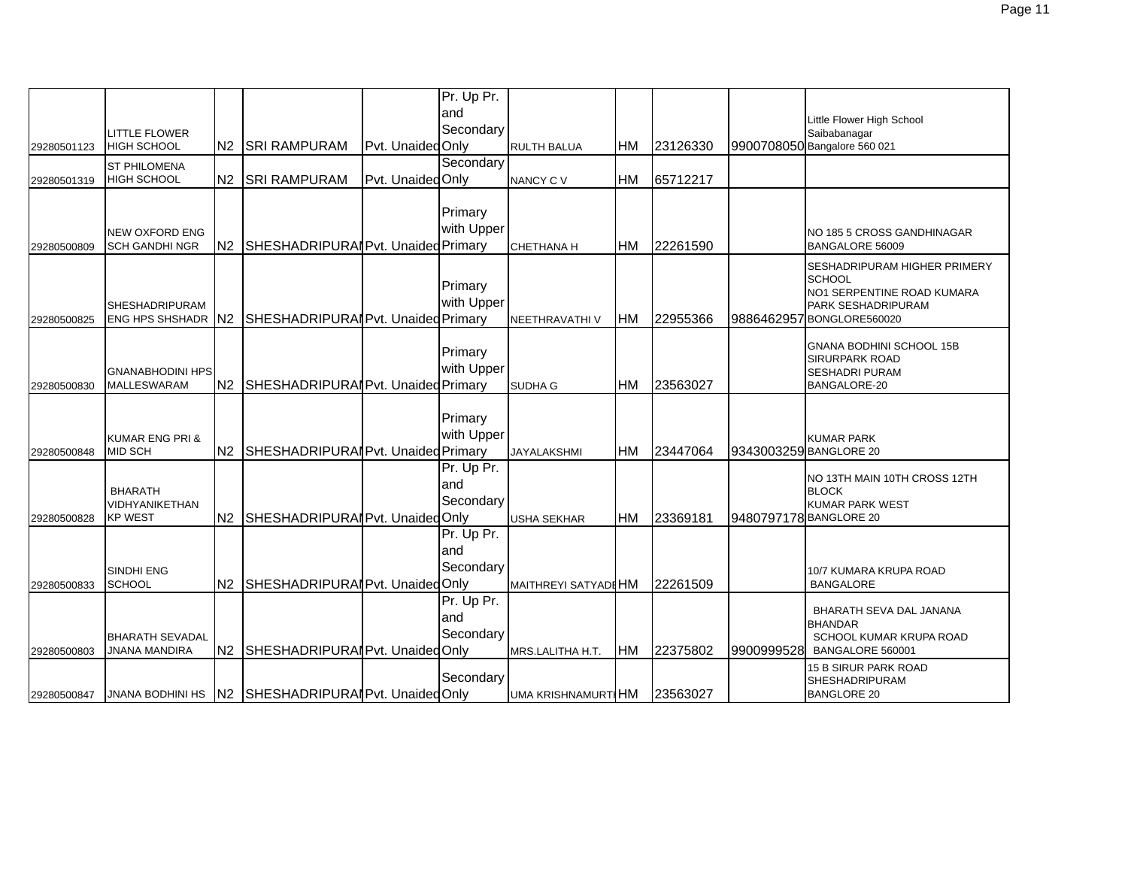|             |                            |                |                                                      |                   | Pr. Up Pr. |                      |           |          |                        |                                                          |
|-------------|----------------------------|----------------|------------------------------------------------------|-------------------|------------|----------------------|-----------|----------|------------------------|----------------------------------------------------------|
|             |                            |                |                                                      |                   | land       |                      |           |          |                        | Little Flower High School                                |
|             | <b>LITTLE FLOWER</b>       |                |                                                      |                   | Secondary  |                      |           |          |                        | Saibabanagar                                             |
| 29280501123 | <b>HIGH SCHOOL</b>         | N2             | <b>SRI RAMPURAM</b>                                  | Pvt. Unaided Only |            | <b>RULTH BALUA</b>   | HМ        | 23126330 |                        | 9900708050 Bangalore 560 021                             |
|             | <b>ST PHILOMENA</b>        |                |                                                      |                   | Secondary  |                      |           |          |                        |                                                          |
| 29280501319 | <b>HIGH SCHOOL</b>         | N2             | <b>SRI RAMPURAM</b>                                  | Pvt. Unaided Only |            | NANCY C V            | HM        | 65712217 |                        |                                                          |
|             |                            |                |                                                      |                   |            |                      |           |          |                        |                                                          |
|             |                            |                |                                                      |                   | Primary    |                      |           |          |                        |                                                          |
|             | <b>NEW OXFORD ENG</b>      |                |                                                      |                   | with Upper |                      |           |          |                        | NO 185 5 CROSS GANDHINAGAR                               |
| 29280500809 | <b>SCH GANDHI NGR</b>      | N2             | SHESHADRIPURAI Pvt. Unaided Primary                  |                   |            | CHETHANA H           | HM        | 22261590 |                        | BANGALORE 56009                                          |
|             |                            |                |                                                      |                   |            |                      |           |          |                        | <b>SESHADRIPURAM HIGHER PRIMERY</b>                      |
|             |                            |                |                                                      |                   | Primary    |                      |           |          |                        | <b>SCHOOL</b><br>NO1 SERPENTINE ROAD KUMARA              |
|             | <b>SHESHADRIPURAM</b>      |                |                                                      |                   | with Upper |                      |           |          |                        | PARK SESHADRIPURAM                                       |
| 29280500825 | ENG HPS SHSHADR N2         |                | SHESHADRIPURAI Pvt. Unaided Primary                  |                   |            | NEETHRAVATHI V       | HM        | 22955366 |                        | 9886462957 BONGLORE560020                                |
|             |                            |                |                                                      |                   |            |                      |           |          |                        |                                                          |
|             |                            |                |                                                      |                   | Primary    |                      |           |          |                        | <b>GNANA BODHINI SCHOOL 15B</b><br><b>SIRURPARK ROAD</b> |
|             | <b>GNANABHODINI HPS</b>    |                |                                                      |                   | with Upper |                      |           |          |                        | <b>SESHADRI PURAM</b>                                    |
| 29280500830 | <b>MALLESWARAM</b>         | N <sub>2</sub> | SHESHADRIPURAI Pvt. Unaided Primary                  |                   |            | <b>SUDHA G</b>       | HМ        | 23563027 |                        | <b>BANGALORE-20</b>                                      |
|             |                            |                |                                                      |                   |            |                      |           |          |                        |                                                          |
|             |                            |                |                                                      |                   | Primary    |                      |           |          |                        |                                                          |
|             | <b>KUMAR ENG PRI &amp;</b> |                |                                                      |                   | with Upper |                      |           |          |                        | <b>KUMAR PARK</b>                                        |
| 29280500848 | <b>MID SCH</b>             | N2             | SHESHADRIPURAI Pvt. Unaided Primary                  |                   |            | <b>JAYALAKSHMI</b>   | HМ        | 23447064 | 9343003259 BANGLORE 20 |                                                          |
|             |                            |                |                                                      |                   | Pr. Up Pr. |                      |           |          |                        | NO 13TH MAIN 10TH CROSS 12TH                             |
|             | <b>BHARATH</b>             |                |                                                      |                   | land       |                      |           |          |                        | <b>BLOCK</b>                                             |
|             | VIDHYANIKETHAN             |                |                                                      |                   | Secondary  |                      |           |          |                        | <b>KUMAR PARK WEST</b>                                   |
| 29280500828 | <b>KP WEST</b>             |                | N2 SHESHADRIPURAI Pvt. Unaided Only                  |                   |            | <b>USHA SEKHAR</b>   | <b>HM</b> | 23369181 | 9480797178BANGLORE 20  |                                                          |
|             |                            |                |                                                      |                   | Pr. Up Pr. |                      |           |          |                        |                                                          |
|             |                            |                |                                                      |                   | and        |                      |           |          |                        |                                                          |
|             | SINDHI ENG                 |                |                                                      |                   | Secondary  |                      |           |          |                        | 10/7 KUMARA KRUPA ROAD                                   |
| 29280500833 | <b>SCHOOL</b>              | N2             | SHESHADRIPURAI Pvt. Unaided Only                     |                   |            | MAITHREYI SATYADI HM |           | 22261509 |                        | <b>BANGALORE</b>                                         |
|             |                            |                |                                                      |                   | Pr. Up Pr. |                      |           |          |                        | BHARATH SEVA DAL JANANA                                  |
|             |                            |                |                                                      |                   | land       |                      |           |          |                        | <b>BHANDAR</b>                                           |
|             | <b>BHARATH SEVADAL</b>     |                |                                                      |                   | Secondary  |                      |           |          |                        | SCHOOL KUMAR KRUPA ROAD                                  |
| 29280500803 | <b>JNANA MANDIRA</b>       | N <sub>2</sub> | SHESHADRIPURAI Pvt. Unaided Only                     |                   |            | MRS.LALITHA H.T.     | <b>HM</b> | 22375802 | 9900999528             | BANGALORE 560001                                         |
|             |                            |                |                                                      |                   | Secondary  |                      |           |          |                        | 15 B SIRUR PARK ROAD                                     |
| 29280500847 |                            |                | JNANA BODHINI HS N2 SHESHADRIPURAIP vt. Unaided Only |                   |            | UMA KRISHNAMURTIHM   |           | 23563027 |                        | SHESHADRIPURAM<br><b>BANGLORE 20</b>                     |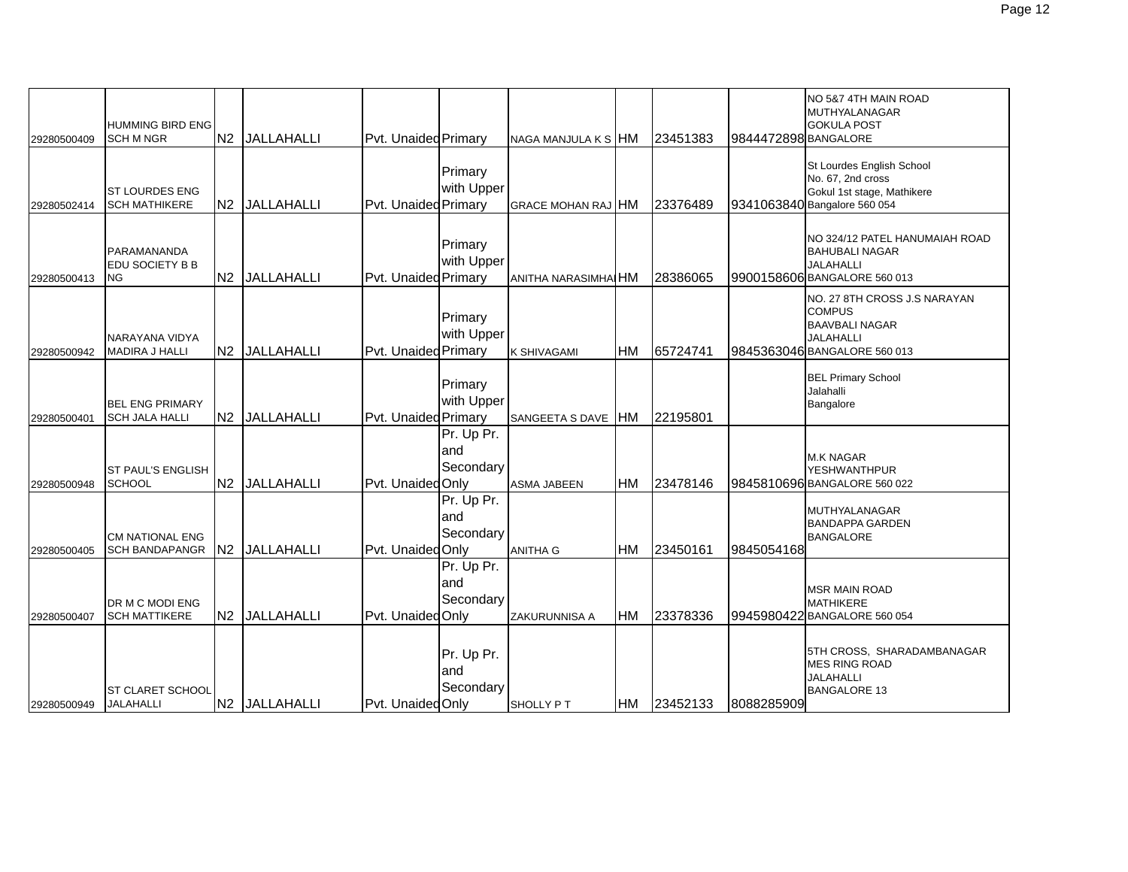| 29280500409 | <b>HUMMING BIRD ENG</b><br><b>SCH M NGR</b>        | N2 JALLAHALLI | Pvt. Unaided Primary |                                 | NAGA MANJULA K S HM       |           | 23451383 | 9844472898 BANGALORE | NO 5&7 4TH MAIN ROAD<br>MUTHYALANAGAR<br><b>GOKULA POST</b>                                                                |
|-------------|----------------------------------------------------|---------------|----------------------|---------------------------------|---------------------------|-----------|----------|----------------------|----------------------------------------------------------------------------------------------------------------------------|
| 29280502414 | <b>ST LOURDES ENG</b><br><b>SCH MATHIKERE</b>      | N2 JALLAHALLI | Pvt. Unaided Primary | Primary<br>with Upper           | <b>GRACE MOHAN RAJ HM</b> |           | 23376489 |                      | St Lourdes English School<br>No. 67, 2nd cross<br>Gokul 1st stage, Mathikere<br>9341063840 Bangalore 560 054               |
| 29280500413 | PARAMANANDA<br><b>EDU SOCIETY B B</b><br><b>NG</b> | N2 JALLAHALLI | Pvt. Unaided Primary | Primary<br>with Upper           | ANITHA NARASIMHAI HM      |           | 28386065 |                      | NO 324/12 PATEL HANUMAIAH ROAD<br><b>BAHUBALI NAGAR</b><br><b>JALAHALLI</b><br>9900158606 BANGALORE 560 013                |
| 29280500942 | NARAYANA VIDYA<br><b>MADIRA J HALLI</b>            | N2 JALLAHALLI | Pvt. Unaided Primary | Primary<br>with Upper           | <b>K SHIVAGAMI</b>        | <b>HM</b> | 65724741 |                      | NO. 27 8TH CROSS J.S NARAYAN<br><b>COMPUS</b><br><b>BAAVBALI NAGAR</b><br><b>JALAHALLI</b><br>9845363046 BANGALORE 560 013 |
| 29280500401 | <b>BEL ENG PRIMARY</b><br><b>SCH JALA HALLI</b>    | N2 JALLAHALLI | Pvt. Unaided Primary | Primary<br>with Upper           | SANGEETA S DAVE           | <b>HM</b> | 22195801 |                      | <b>BEL Primary School</b><br>Jalahalli<br>Bangalore                                                                        |
| 29280500948 | <b>ST PAUL'S ENGLISH</b><br><b>SCHOOL</b>          | N2 JALLAHALLI | Pvt. Unaided Only    | Pr. Up Pr.<br>and<br>Secondary  | <b>ASMA JABEEN</b>        | <b>HM</b> | 23478146 |                      | <b>M.K NAGAR</b><br><b>YESHWANTHPUR</b><br>9845810696 BANGALORE 560 022                                                    |
| 29280500405 | <b>CM NATIONAL ENG</b><br><b>SCH BANDAPANGR</b>    | N2 JALLAHALLI | Pvt. Unaided Only    | Pr. Up Pr.<br>and<br>Secondary  | <b>ANITHA G</b>           | <b>HM</b> | 23450161 | 9845054168           | <b>MUTHYALANAGAR</b><br><b>BANDAPPA GARDEN</b><br><b>BANGALORE</b>                                                         |
| 29280500407 | DR M C MODI ENG<br><b>SCH MATTIKERE</b>            | N2 JALLAHALLI | Pvt. Unaided Only    | Pr. Up Pr.<br>land<br>Secondary | ZAKURUNNISA A             | <b>HM</b> | 23378336 |                      | <b>MSR MAIN ROAD</b><br><b>MATHIKERE</b><br>9945980422 BANGALORE 560 054                                                   |
| 29280500949 | <b>ST CLARET SCHOOL</b><br>JALAHALLI               | N2 JALLAHALLI | Pvt. Unaided Only    | Pr. Up Pr.<br>and<br>Secondary  | SHOLLY PT                 | <b>HM</b> | 23452133 | 8088285909           | 5TH CROSS, SHARADAMBANAGAR<br><b>MES RING ROAD</b><br><b>JALAHALLI</b><br><b>BANGALORE 13</b>                              |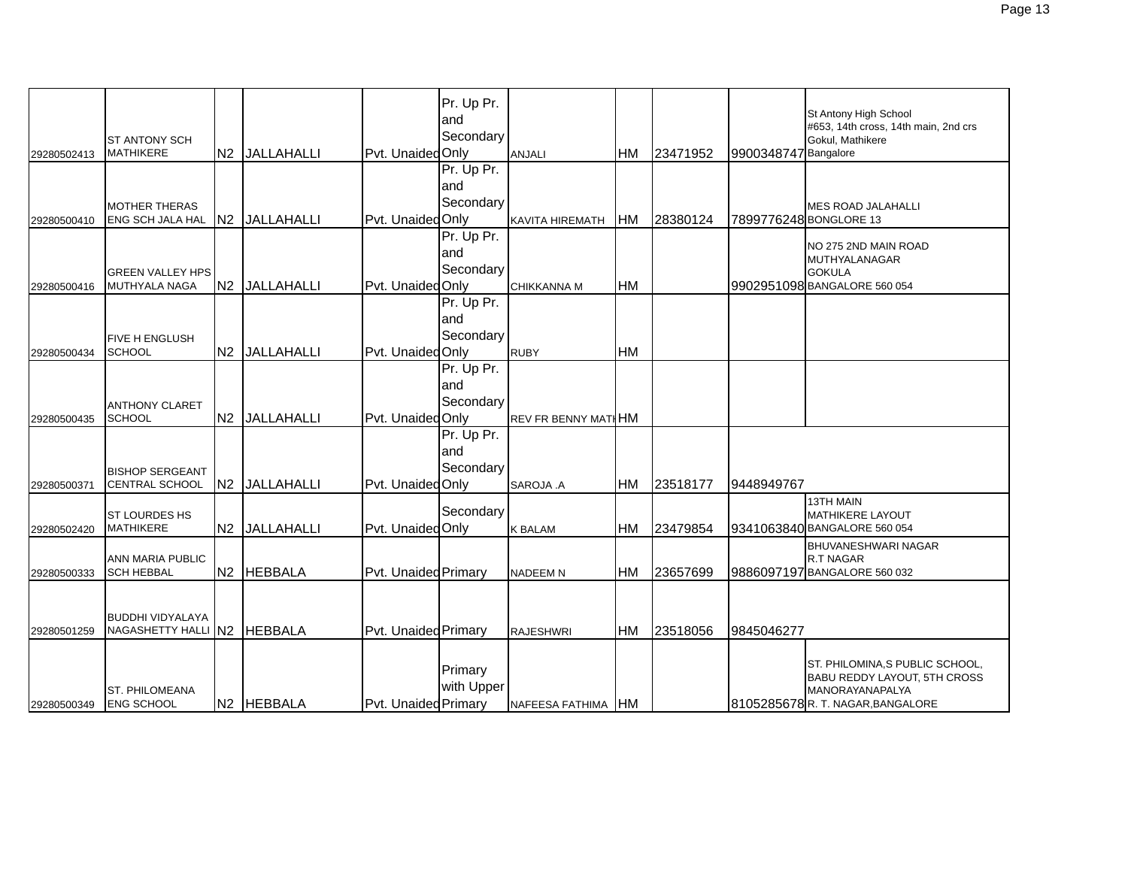|             |                                                        |                |               |                      | Pr. Up Pr.<br>and<br>Secondary |                            |           |          |                      | St Antony High School<br>#653, 14th cross, 14th main, 2nd crs                                                                 |
|-------------|--------------------------------------------------------|----------------|---------------|----------------------|--------------------------------|----------------------------|-----------|----------|----------------------|-------------------------------------------------------------------------------------------------------------------------------|
| 29280502413 | <b>ST ANTONY SCH</b><br><b>MATHIKERE</b>               |                | N2 JALLAHALLI | Pyt. UnaidedOnly     |                                | <b>ANJALI</b>              | <b>HM</b> | 23471952 | 9900348747 Bangalore | Gokul. Mathikere                                                                                                              |
| 29280500410 | <b>MOTHER THERAS</b><br><b>ENG SCH JALA HAL</b>        |                | N2 JALLAHALLI | Pvt. UnaidedOnly     | Pr. Up Pr.<br>and<br>Secondary | <b>KAVITA HIREMATH</b>     | <b>HM</b> | 28380124 |                      | <b>MES ROAD JALAHALLI</b><br>7899776248 BONGLORE 13                                                                           |
| 29280500416 | <b>GREEN VALLEY HPS</b><br><b>MUTHYALA NAGA</b>        |                | N2 JALLAHALLI | Pvt. Unaided Only    | Pr. Up Pr.<br>and<br>Secondary | <b>CHIKKANNA M</b>         | <b>HM</b> |          |                      | NO 275 2ND MAIN ROAD<br><b>MUTHYALANAGAR</b><br><b>GOKULA</b><br>9902951098 BANGALORE 560 054                                 |
| 29280500434 | <b>FIVE H ENGLUSH</b><br><b>SCHOOL</b>                 |                | N2 JALLAHALLI | Pvt. UnaidedOnly     | Pr. Up Pr.<br>and<br>Secondary | <b>RUBY</b>                | HM        |          |                      |                                                                                                                               |
| 29280500435 | <b>ANTHONY CLARET</b><br><b>SCHOOL</b>                 |                | N2 JALLAHALLI | Pvt. UnaidedOnly     | Pr. Up Pr.<br>and<br>Secondary | <b>REV FR BENNY MATHHM</b> |           |          |                      |                                                                                                                               |
| 29280500371 | <b>BISHOP SERGEANT</b><br><b>CENTRAL SCHOOL</b>        |                | N2 JALLAHALLI | Pvt. Unaided Only    | Pr. Up Pr.<br>and<br>Secondary | SAROJA .A                  | <b>HM</b> | 23518177 | 9448949767           |                                                                                                                               |
| 29280502420 | <b>ST LOURDES HS</b><br><b>MATHIKERE</b>               | N <sub>2</sub> | JALLAHALLI    | Pvt. Unaided Only    | Secondary                      | <b>K BALAM</b>             | <b>HM</b> | 23479854 |                      | <b>13TH MAIN</b><br><b>MATHIKERE LAYOUT</b><br>9341063840 BANGALORE 560 054                                                   |
| 29280500333 | <b>ANN MARIA PUBLIC</b><br><b>SCH HEBBAL</b>           |                | N2 HEBBALA    | Pvt. Unaided Primary |                                | <b>NADEEM N</b>            | <b>HM</b> | 23657699 |                      | <b>BHUVANESHWARI NAGAR</b><br><b>R.T NAGAR</b><br>9886097197 BANGALORE 560 032                                                |
| 29280501259 | <b>BUDDHI VIDYALAYA</b><br>NAGASHETTY HALLI N2 HEBBALA |                |               | Pvt. Unaided Primary |                                | <b>RAJESHWRI</b>           | HM        | 23518056 | 9845046277           |                                                                                                                               |
| 29280500349 | <b>ST. PHILOMEANA</b><br><b>ENG SCHOOL</b>             |                | N2 HEBBALA    | Pvt. Unaided Primary | Primary<br>with Upper          | NAFEESA FATHIMA            | <b>HM</b> |          |                      | ST. PHILOMINA, S PUBLIC SCHOOL,<br><b>BABU REDDY LAYOUT, 5TH CROSS</b><br>MANORAYANAPALYA<br>8105285678R. T. NAGAR, BANGALORE |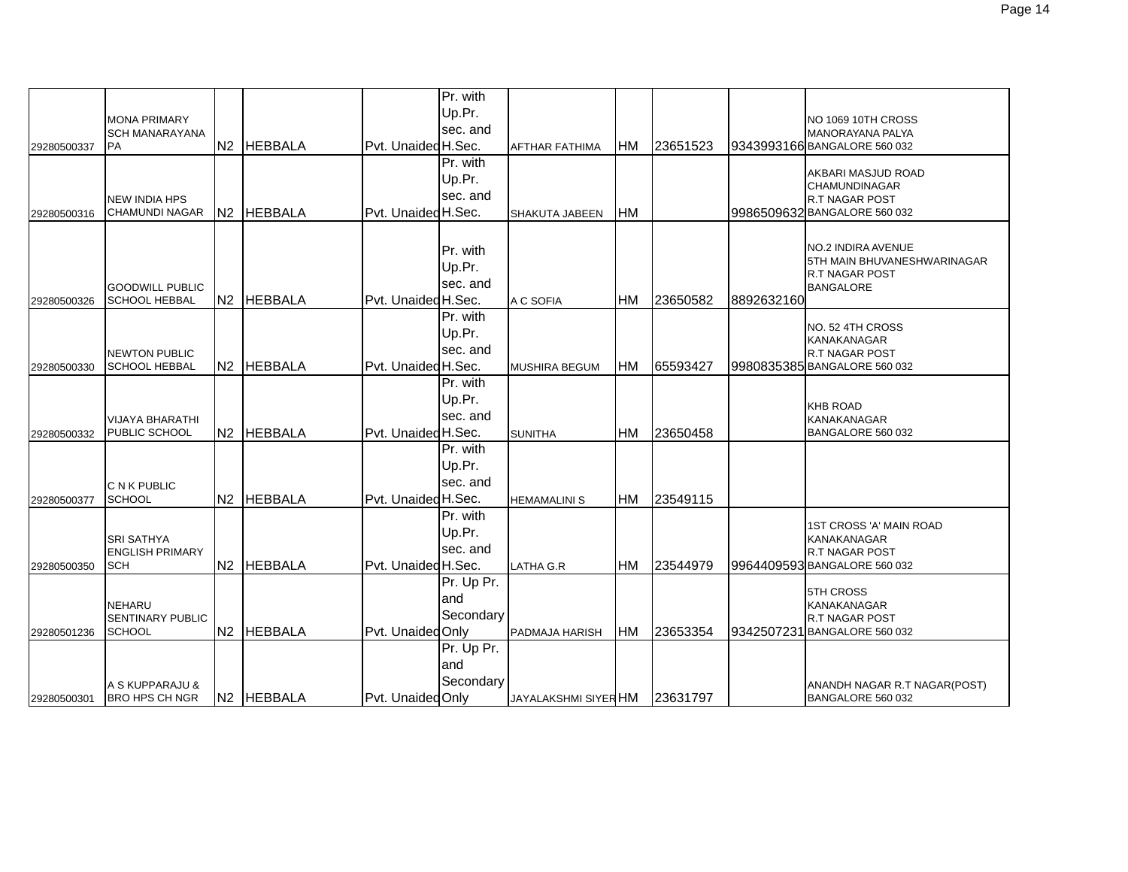|             |                                          |    |                        |                     | Pr. with   |                             |           |          |            |                                                         |
|-------------|------------------------------------------|----|------------------------|---------------------|------------|-----------------------------|-----------|----------|------------|---------------------------------------------------------|
|             | <b>MONA PRIMARY</b>                      |    |                        |                     | Up.Pr.     |                             |           |          |            | NO 1069 10TH CROSS                                      |
| 29280500337 | <b>SCH MANARAYANA</b><br><b>PA</b>       | N2 | <b>HEBBALA</b>         | Pvt. Unaided H.Sec. | sec. and   | AFTHAR FATHIMA              | <b>HM</b> | 23651523 |            | <b>MANORAYANA PALYA</b><br>9343993166 BANGALORE 560 032 |
|             |                                          |    |                        |                     | Pr. with   |                             |           |          |            |                                                         |
|             |                                          |    |                        |                     | Up.Pr.     |                             |           |          |            | AKBARI MASJUD ROAD                                      |
|             | <b>NEW INDIA HPS</b>                     |    |                        |                     | sec. and   |                             |           |          |            | <b>CHAMUNDINAGAR</b><br><b>R.T NAGAR POST</b>           |
| 29280500316 | <b>CHAMUNDI NAGAR</b>                    |    | N2 HEBBALA             | Pvt. Unaided H.Sec. |            | SHAKUTA JABEEN              | <b>HM</b> |          |            | 9986509632 BANGALORE 560 032                            |
|             |                                          |    |                        |                     |            |                             |           |          |            |                                                         |
|             |                                          |    |                        |                     | Pr. with   |                             |           |          |            | NO.2 INDIRA AVENUE                                      |
|             |                                          |    |                        |                     | Up.Pr.     |                             |           |          |            | 5TH MAIN BHUVANESHWARINAGAR<br><b>R.T NAGAR POST</b>    |
|             | <b>GOODWILL PUBLIC</b>                   |    |                        |                     | sec. and   |                             |           |          |            | <b>BANGALORE</b>                                        |
| 29280500326 | <b>SCHOOL HEBBAL</b>                     | N2 | <b>HEBBALA</b>         | Pvt. Unaided H.Sec. |            | A C SOFIA                   | <b>HM</b> | 23650582 | 8892632160 |                                                         |
|             |                                          |    |                        |                     | Pr. with   |                             |           |          |            | NO. 52 4TH CROSS                                        |
|             |                                          |    |                        |                     | Up.Pr.     |                             |           |          |            | <b>KANAKANAGAR</b>                                      |
|             | <b>NEWTON PUBLIC</b>                     |    |                        |                     | sec. and   |                             |           |          |            | <b>R.T NAGAR POST</b>                                   |
| 29280500330 | <b>SCHOOL HEBBAL</b>                     |    | N2 HEBBALA             | Pvt. Unaided H.Sec. | Pr. with   | <b>MUSHIRA BEGUM</b>        | <b>HM</b> | 65593427 |            | 9980835385 BANGALORE 560 032                            |
|             |                                          |    |                        |                     | Up.Pr.     |                             |           |          |            |                                                         |
|             | <b>VIJAYA BHARATHI</b>                   |    |                        |                     | sec. and   |                             |           |          |            | <b>KHB ROAD</b><br><b>KANAKANAGAR</b>                   |
| 29280500332 | PUBLIC SCHOOL                            |    | N2 HEBBALA             | Pvt. Unaided H.Sec. |            | <b>SUNITHA</b>              | <b>HM</b> | 23650458 |            | BANGALORE 560 032                                       |
|             |                                          |    |                        |                     | Pr. with   |                             |           |          |            |                                                         |
|             |                                          |    |                        |                     | Up.Pr.     |                             |           |          |            |                                                         |
|             | <b>C N K PUBLIC</b>                      |    |                        |                     | sec. and   |                             |           |          |            |                                                         |
| 29280500377 | <b>SCHOOL</b>                            |    | N2 HEBBALA             | Pvt. Unaided H.Sec. |            | <b>HEMAMALINI S</b>         | <b>HM</b> | 23549115 |            |                                                         |
|             |                                          |    |                        |                     | Pr. with   |                             |           |          |            | 1ST CROSS 'A' MAIN ROAD                                 |
|             | <b>SRI SATHYA</b>                        |    |                        |                     | Up.Pr.     |                             |           |          |            | <b>KANAKANAGAR</b>                                      |
|             | <b>ENGLISH PRIMARY</b>                   |    |                        |                     | sec. and   |                             |           |          |            | <b>R.T NAGAR POST</b><br>9964409593 BANGALORE 560 032   |
| 29280500350 | <b>SCH</b>                               |    | N <sub>2</sub> HEBBALA | Pvt. Unaided H.Sec. | Pr. Up Pr. | <b>LATHA G.R</b>            | <b>HM</b> | 23544979 |            |                                                         |
|             |                                          |    |                        |                     | land       |                             |           |          |            | <b>5TH CROSS</b>                                        |
|             | <b>NEHARU</b><br><b>SENTINARY PUBLIC</b> |    |                        |                     | Secondary  |                             |           |          |            | <b>KANAKANAGAR</b><br><b>R.T NAGAR POST</b>             |
| 29280501236 | <b>SCHOOL</b>                            |    | N2 HEBBALA             | Pvt. Unaided Only   |            | PADMAJA HARISH              | <b>HM</b> | 23653354 |            | 9342507231 BANGALORE 560 032                            |
|             |                                          |    |                        |                     | Pr. Up Pr. |                             |           |          |            |                                                         |
|             |                                          |    |                        |                     | and        |                             |           |          |            |                                                         |
|             | A S KUPPARAJU &                          |    |                        |                     | Secondary  |                             |           |          |            | ANANDH NAGAR R.T NAGAR(POST)                            |
| 29280500301 | <b>BRO HPS CH NGR</b>                    |    | N2 HEBBALA             | Pvt. Unaided Only   |            | <b>JAYALAKSHMI SIYER HM</b> |           | 23631797 |            | BANGALORE 560 032                                       |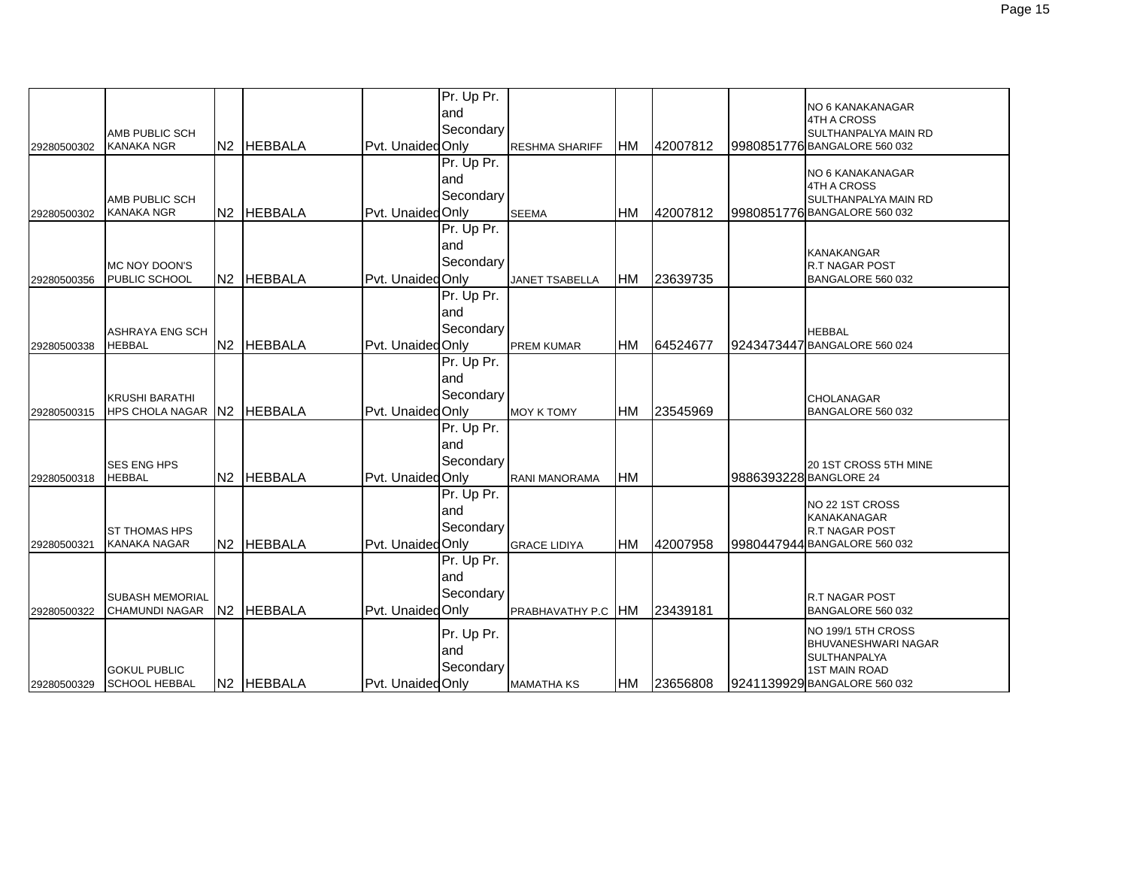|             |                                                     |            |                   | Pr. Up Pr.<br>and<br>Secondary  |                       |            |          | NO 6 KANAKANAGAR<br>4TH A CROSS                                                                                          |
|-------------|-----------------------------------------------------|------------|-------------------|---------------------------------|-----------------------|------------|----------|--------------------------------------------------------------------------------------------------------------------------|
| 29280500302 | AMB PUBLIC SCH<br><b>KANAKA NGR</b>                 | N2 HEBBALA | Pvt. Unaided Only |                                 | <b>RESHMA SHARIFF</b> | <b>HM</b>  | 42007812 | SULTHANPALYA MAIN RD<br>9980851776 BANGALORE 560 032                                                                     |
| 29280500302 | AMB PUBLIC SCH<br><b>KANAKA NGR</b>                 | N2 HEBBALA | Pvt. Unaided Only | Pr. Up Pr.<br>land<br>Secondary | <b>SEEMA</b>          | <b>HM</b>  | 42007812 | NO 6 KANAKANAGAR<br>4TH A CROSS<br>SULTHANPALYA MAIN RD<br>9980851776 BANGALORE 560 032                                  |
| 29280500356 | MC NOY DOON'S<br>PUBLIC SCHOOL                      | N2 HEBBALA | Pvt. UnaidedOnly  | Pr. Up Pr.<br>and<br>Secondary  | <b>JANET TSABELLA</b> | <b>HM</b>  | 23639735 | <b>KANAKANGAR</b><br>R.T NAGAR POST<br>BANGALORE 560 032                                                                 |
| 29280500338 | <b>ASHRAYA ENG SCH</b><br><b>HEBBAL</b>             | N2 HEBBALA | Pvt. Unaided Only | Pr. Up Pr.<br>and<br>Secondary  | <b>PREM KUMAR</b>     | <b>HM</b>  | 64524677 | <b>HEBBAL</b><br>9243473447 BANGALORE 560 024                                                                            |
| 29280500315 | <b>KRUSHI BARATHI</b><br>HPS CHOLA NAGAR N2 HEBBALA |            | Pvt. Unaided Only | Pr. Up Pr.<br>and<br>Secondary  | <b>MOY K TOMY</b>     | HM         | 23545969 | <b>CHOLANAGAR</b><br>BANGALORE 560 032                                                                                   |
| 29280500318 | <b>SES ENG HPS</b><br><b>HEBBAL</b>                 | N2 HEBBALA | Pvt. Unaided Only | Pr. Up Pr.<br>and<br>Secondary  | RANI MANORAMA         | <b>HM</b>  |          | 20 1ST CROSS 5TH MINE<br>9886393228 BANGLORE 24                                                                          |
| 29280500321 | <b>ST THOMAS HPS</b><br><b>KANAKA NAGAR</b>         | N2 HEBBALA | Pvt. Unaided Only | Pr. Up Pr.<br>land<br>Secondary | <b>GRACE LIDIYA</b>   | <b>HM</b>  | 42007958 | NO 22 1ST CROSS<br>KANAKANAGAR<br><b>R.T NAGAR POST</b><br>9980447944 BANGALORE 560 032                                  |
| 29280500322 | <b>SUBASH MEMORIAL</b><br><b>CHAMUNDI NAGAR</b>     | N2 HEBBALA | Pvt. Unaided Only | Pr. Up Pr.<br>land<br>Secondary | PRABHAVATHY P.C HM    |            | 23439181 | R.T NAGAR POST<br>BANGALORE 560 032                                                                                      |
| 29280500329 | <b>GOKUL PUBLIC</b><br><b>SCHOOL HEBBAL</b>         | N2 HEBBALA | Pvt. Unaided Only | Pr. Up Pr.<br>and<br>Secondary  | <b>MAMATHA KS</b>     | <b>IHM</b> | 23656808 | NO 199/1 5TH CROSS<br>BHUVANESHWARI NAGAR<br><b>SULTHANPALYA</b><br><b>1ST MAIN ROAD</b><br>9241139929 BANGALORE 560 032 |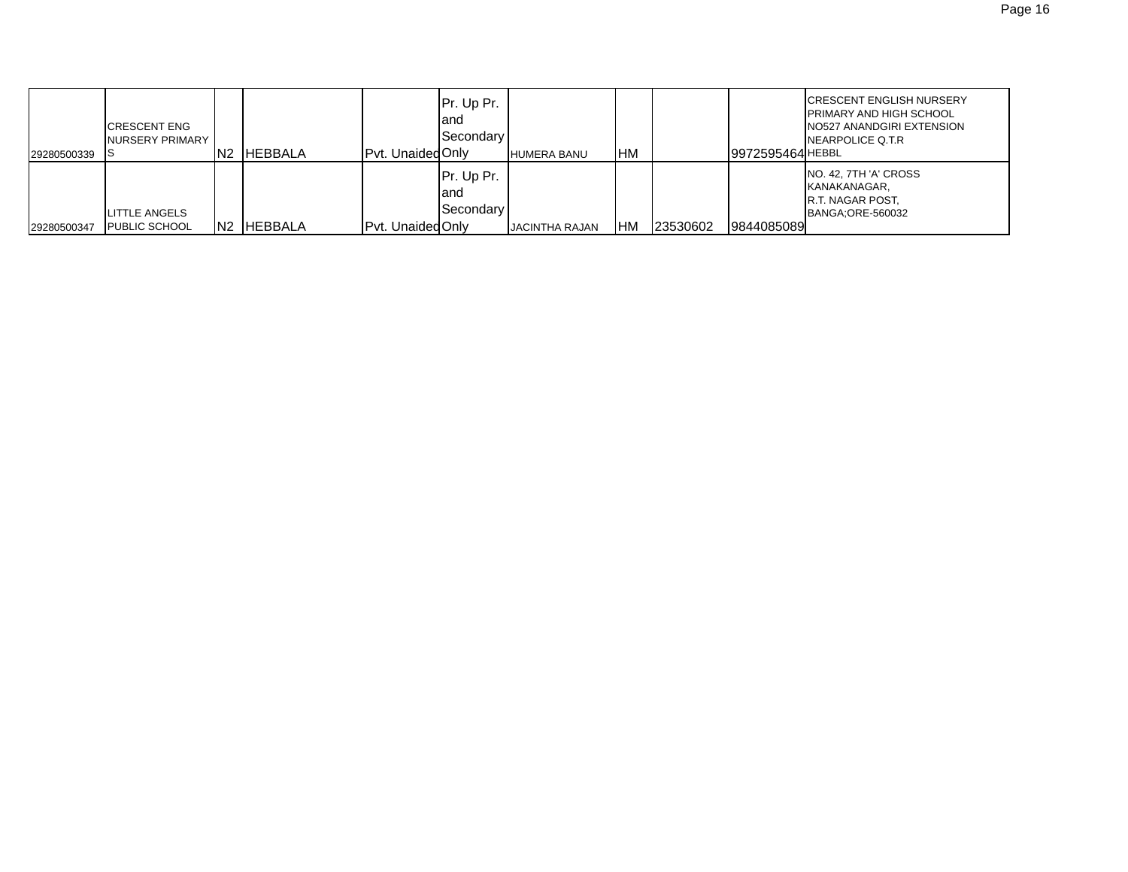| 29280500339 | <b>CRESCENT ENG</b><br>NURSERY PRIMARY       | IN2             | <b>HEBBALA</b> | Pyt. Unaided Only | Pr. Up Pr.<br>land<br><b>Secondary</b>   | <b>HUMERA BANU</b>    | <b>HM</b>  |          | 19972595464 HEBBL | <b>ICRESCENT ENGLISH NURSERY</b><br><b>IPRIMARY AND HIGH SCHOOL</b><br>NO527 ANANDGIRI EXTENSION<br>NEARPOLICE Q.T.R |
|-------------|----------------------------------------------|-----------------|----------------|-------------------|------------------------------------------|-----------------------|------------|----------|-------------------|----------------------------------------------------------------------------------------------------------------------|
| 29280500347 | <b>LITTLE ANGELS</b><br><b>PUBLIC SCHOOL</b> | IN <sub>2</sub> | <b>HEBBALA</b> | Pvt. Unaided Only | Pr. Up Pr.<br>land<br><b>I</b> Secondary | <b>JACINTHA RAJAN</b> | <b>IHM</b> | 23530602 | 9844085089        | NO. 42, 7TH 'A' CROSS<br>KANAKANAGAR.<br><b>IR.T. NAGAR POST.</b><br>BANGA:ORE-560032                                |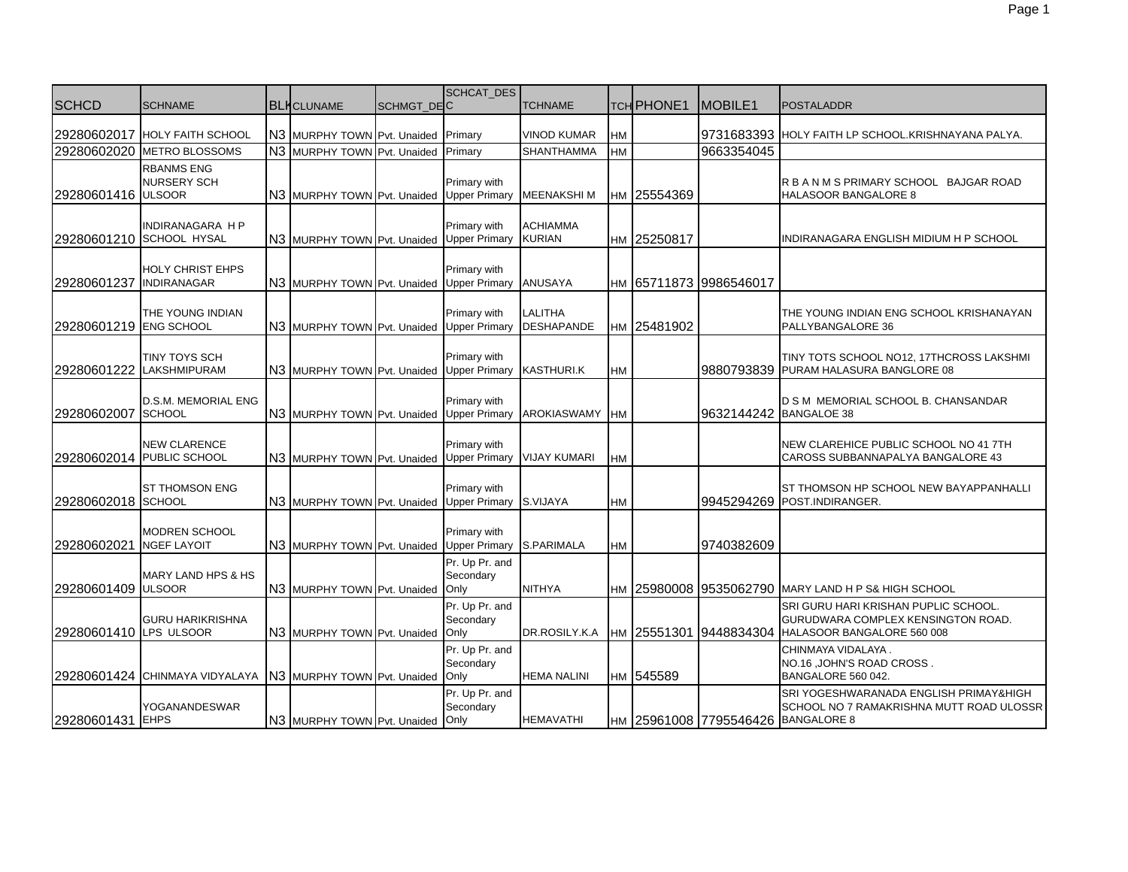| <b>SCHCD</b>            | <b>SCHNAME</b>                                   | <b>BLK</b> CLUNAME                        | SCHMGT_DEC | SCHCAT_DES                           | <b>TCHNAME</b>                      |           | <b>TCH PHONE1</b> | MOBILE <sub>1</sub>                | <b>POSTALADDR</b>                                                                                        |
|-------------------------|--------------------------------------------------|-------------------------------------------|------------|--------------------------------------|-------------------------------------|-----------|-------------------|------------------------------------|----------------------------------------------------------------------------------------------------------|
|                         | 29280602017 HOLY FAITH SCHOOL                    | N3 MURPHY TOWN Pvt. Unaided Primary       |            |                                      | <b>VINOD KUMAR</b>                  | <b>HM</b> |                   |                                    | 9731683393 HOLY FAITH LP SCHOOL.KRISHNAYANA PALYA.                                                       |
|                         | 29280602020 METRO BLOSSOMS                       | N3 MURPHY TOWN Pvt. Unaided               |            | Primary                              | <b>SHANTHAMMA</b>                   | HM        |                   | 9663354045                         |                                                                                                          |
| 29280601416 ULSOOR      | <b>RBANMS ENG</b><br><b>NURSERY SCH</b>          | N3 MURPHY TOWN Pvt. Unaided Upper Primary |            | Primary with                         | <b>MEENAKSHIM</b>                   |           | HM 25554369       |                                    | R B A N M S PRIMARY SCHOOL BAJGAR ROAD<br><b>HALASOOR BANGALORE 8</b>                                    |
|                         | INDIRANAGARA H P<br>29280601210 SCHOOL HYSAL     | N3 MURPHY TOWN Pvt. Unaided               |            | Primary with<br><b>Upper Primary</b> | <b>ACHIAMMA</b><br><b>KURIAN</b>    |           | HM 25250817       |                                    | INDIRANAGARA ENGLISH MIDIUM H P SCHOOL                                                                   |
| 29280601237 INDIRANAGAR | HOLY CHRIST EHPS                                 | N3 MURPHY TOWN Pvt. Unaided Upper Primary |            | Primary with                         | <b>ANUSAYA</b>                      |           |                   | HM 65711873 9986546017             |                                                                                                          |
| 29280601219 ENG SCHOOL  | THE YOUNG INDIAN                                 | N3 MURPHY TOWN Pvt. Unaided Upper Primary |            | Primary with                         | <b>LALITHA</b><br><b>DESHAPANDE</b> |           | HM 25481902       |                                    | THE YOUNG INDIAN ENG SCHOOL KRISHANAYAN<br>PALLYBANGALORE 36                                             |
|                         | TINY TOYS SCH<br>29280601222 LAKSHMIPURAM        | N3 MURPHY TOWN Pvt. Unaided Upper Primary |            | Primary with                         | <b>KASTHURI.K</b>                   | НM        |                   |                                    | TINY TOTS SCHOOL NO12, 17THCROSS LAKSHMI<br>9880793839 PURAM HALASURA BANGLORE 08                        |
| 29280602007             | D.S.M. MEMORIAL ENG<br><b>SCHOOL</b>             | N3 MURPHY TOWN Pvt. Unaided Upper Primary |            | Primary with                         | <b>AROKIASWAMY</b>                  | <b>HM</b> |                   | 9632144242                         | D S M MEMORIAL SCHOOL B. CHANSANDAR<br><b>BANGALOE 38</b>                                                |
|                         | <b>NEW CLARENCE</b><br>29280602014 PUBLIC SCHOOL | N3 MURPHY TOWN Pvt. Unaided               |            | Primary with                         | Upper Primary VIJAY KUMARI          | HM        |                   |                                    | NEW CLAREHICE PUBLIC SCHOOL NO 41 7TH<br>CAROSS SUBBANNAPALYA BANGALORE 43                               |
| 29280602018 SCHOOL      | ST THOMSON ENG                                   | N3 MURPHY TOWN Pvt. Unaided Upper Primary |            | Primary with                         | S.VIJAYA                            | HM        |                   | 9945294269                         | ST THOMSON HP SCHOOL NEW BAYAPPANHALLI<br>POST.INDIRANGER.                                               |
| 29280602021             | <b>MODREN SCHOOL</b><br><b>NGEF LAYOIT</b>       | N3 MURPHY TOWN Pvt. Unaided Upper Primary |            | Primary with                         | S.PARIMALA                          | HM        |                   | 9740382609                         |                                                                                                          |
| 29280601409 ULSOOR      | MARY LAND HPS & HS                               | N3 MURPHY TOWN Pvt. Unaided Only          |            | Pr. Up Pr. and<br>Secondary          | <b>NITHYA</b>                       | HM        |                   |                                    | 25980008 9535062790 MARY LAND H P S& HIGH SCHOOL                                                         |
| 29280601410 LPS ULSOOR  | <b>GURU HARIKRISHNA</b>                          | N3 MURPHY TOWN Pvt. Unaided               |            | Pr. Up Pr. and<br>Secondary<br>Only  | DR.ROSILY.K.A                       |           | HM 25551301       | 9448834304                         | SRI GURU HARI KRISHAN PUPLIC SCHOOL.<br>GURUDWARA COMPLEX KENSINGTON ROAD.<br>HALASOOR BANGALORE 560 008 |
|                         | 29280601424 CHINMAYA VIDYALAYA                   | N3 MURPHY TOWN Pvt. Unaided               |            | Pr. Up Pr. and<br>Secondary<br>Only  | <b>HEMA NALINI</b>                  |           | HM 545589         |                                    | CHINMAYA VIDALAYA.<br>NO.16, JOHN'S ROAD CROSS.<br>BANGALORE 560 042.                                    |
| 29280601431 EHPS        | <b>YOGANANDESWAR</b>                             | N3 MURPHY TOWN Pvt. Unaided Only          |            | Pr. Up Pr. and<br>Secondary          | <b>HEMAVATHI</b>                    |           |                   | HM 25961008 7795546426 BANGALORE 8 | SRI YOGESHWARANADA ENGLISH PRIMAY&HIGH<br>SCHOOL NO 7 RAMAKRISHNA MUTT ROAD ULOSSR                       |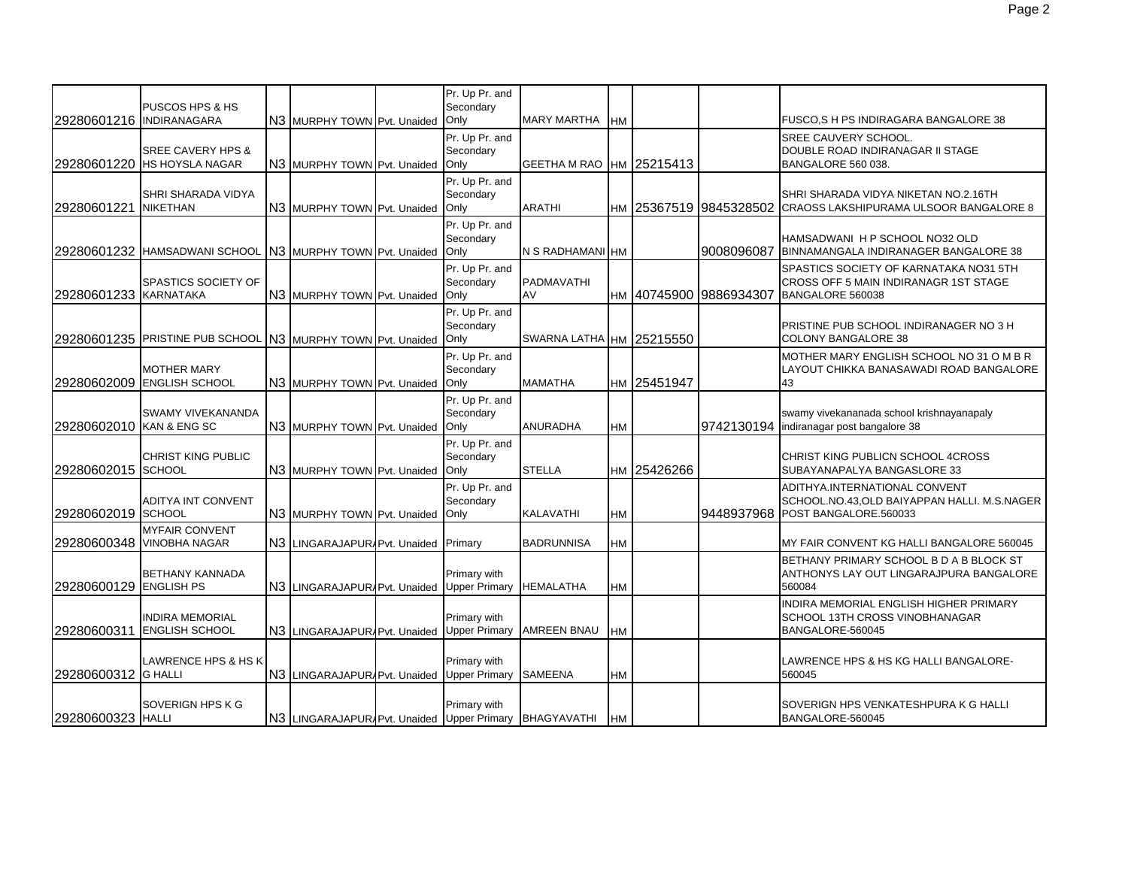| 29280601216 INDIRANAGARA | PUSCOS HPS & HS                                             | N3 MURPHY TOWN Pvt. Unaided                            | Pr. Up Pr. and<br>Secondary<br>Only  | <b>MARY MARTHA</b>       | HМ        |             |                        | <b>FUSCO, S H PS INDIRAGARA BANGALORE 38</b>                                                                      |
|--------------------------|-------------------------------------------------------------|--------------------------------------------------------|--------------------------------------|--------------------------|-----------|-------------|------------------------|-------------------------------------------------------------------------------------------------------------------|
|                          | <b>SREE CAVERY HPS &amp;</b><br>29280601220 HS HOYSLA NAGAR | N3 MURPHY TOWN Pvt. Unaided                            | Pr. Up Pr. and<br>Secondary<br>Only  | GEETHA M RAO HM 25215413 |           |             |                        | <b>SREE CAUVERY SCHOOL.</b><br>DOUBLE ROAD INDIRANAGAR II STAGE<br><b>BANGALORE 560 038.</b>                      |
| 29280601221              | SHRI SHARADA VIDYA<br><b>NIKETHAN</b>                       | N3 MURPHY TOWN Pvt. Unaided                            | Pr. Up Pr. and<br>Secondary<br>Only  | <b>ARATHI</b>            |           |             | HM 25367519 9845328502 | SHRI SHARADA VIDYA NIKETAN NO.2.16TH<br>CRAOSS LAKSHIPURAMA ULSOOR BANGALORE 8                                    |
|                          | 29280601232 HAMSADWANI SCHOOL N3 MURPHY TOWN Pvt. Unaided   |                                                        | Pr. Up Pr. and<br>Secondary<br>Only  | N S RADHAMANI HM         |           |             | 9008096087             | HAMSADWANI H P SCHOOL NO32 OLD<br>BINNAMANGALA INDIRANAGER BANGALORE 38                                           |
| 29280601233 KARNATAKA    | SPASTICS SOCIETY OF                                         | N3 MURPHY TOWN Pvt. Unaided                            | Pr. Up Pr. and<br>Secondary<br>Only  | PADMAVATHI<br>AV         |           |             | HM 40745900 9886934307 | SPASTICS SOCIETY OF KARNATAKA NO31 5TH<br>CROSS OFF 5 MAIN INDIRANAGR 1ST STAGE<br>BANGALORE 560038               |
|                          | 29280601235 PRISTINE PUB SCHOOL N3 MURPHY TOWN Pvt. Unaided |                                                        | Pr. Up Pr. and<br>Secondary<br>Only  | SWARNA LATHA HM 25215550 |           |             |                        | PRISTINE PUB SCHOOL INDIRANAGER NO 3 H<br><b>COLONY BANGALORE 38</b>                                              |
|                          | <b>MOTHER MARY</b><br>29280602009 ENGLISH SCHOOL            | N3 MURPHY TOWN Pvt. Unaided                            | Pr. Up Pr. and<br>Secondary<br>Only  | <b>MAMATHA</b>           |           | HM 25451947 |                        | MOTHER MARY ENGLISH SCHOOL NO 31 O M B R<br>LAYOUT CHIKKA BANASAWADI ROAD BANGALORE<br>43                         |
| 29280602010 KAN & ENG SC | <b>SWAMY VIVEKANANDA</b>                                    | N3 MURPHY TOWN Pvt. Unaided                            | Pr. Up Pr. and<br>Secondary<br>Only  | <b>ANURADHA</b>          | HМ        |             |                        | swamy vivekananada school krishnayanapaly<br>9742130194 Indiranagar post bangalore 38                             |
| 29280602015 SCHOOL       | <b>CHRIST KING PUBLIC</b>                                   | N3 MURPHY TOWN Pvt. Unaided                            | Pr. Up Pr. and<br>Secondary<br>Only  | <b>STELLA</b>            |           | HM 25426266 |                        | CHRIST KING PUBLICN SCHOOL 4CROSS<br>SUBAYANAPALYA BANGASLORE 33                                                  |
| 29280602019 SCHOOL       | ADITYA INT CONVENT                                          | N3 MURPHY TOWN Pvt. Unaided                            | Pr. Up Pr. and<br>Secondary<br>Only  | KALAVATHI                | HM        |             |                        | ADITHYA.INTERNATIONAL CONVENT<br>SCHOOL.NO.43, OLD BAIYAPPAN HALLI. M.S.NAGER<br>9448937968 POST BANGALORE.560033 |
|                          | <b>MYFAIR CONVENT</b><br>29280600348 VINOBHA NAGAR          | N3 LINGARAJAPUR/Pvt. Unaided                           | Primary                              | <b>BADRUNNISA</b>        | HM        |             |                        | MY FAIR CONVENT KG HALLI BANGALORE 560045                                                                         |
| 29280600129 ENGLISH PS   | <b>BETHANY KANNADA</b>                                      | N3 LINGARAJAPURAPvt. Unaided                           | Primary with<br><b>Upper Primary</b> | <b>HEMALATHA</b>         | HM        |             |                        | BETHANY PRIMARY SCHOOL B D A B BLOCK ST<br>ANTHONYS LAY OUT LINGARAJPURA BANGALORE<br>560084                      |
| 29280600311              | <b>INDIRA MEMORIAL</b><br><b>ENGLISH SCHOOL</b>             | N3 LINGARAJAPUR/Pvt. Unaided                           | Primary with<br><b>Upper Primary</b> | <b>AMREEN BNAU</b>       | HМ        |             |                        | INDIRA MEMORIAL ENGLISH HIGHER PRIMARY<br>SCHOOL 13TH CROSS VINOBHANAGAR<br>BANGALORE-560045                      |
| 29280600312 G HALLI      | LAWRENCE HPS & HS K                                         | N3 LINGARAJAPURAPvt. Unaided                           | Primary with<br><b>Upper Primary</b> | <b>SAMEENA</b>           | <b>HM</b> |             |                        | LAWRENCE HPS & HS KG HALLI BANGALORE-<br>560045                                                                   |
| 29280600323 HALLI        | SOVERIGN HPS K G                                            | N3 LINGARAJAPUR/Pvt. Unaided Upper Primary BHAGYAVATHI | Primary with                         |                          | <b>HM</b> |             |                        | SOVERIGN HPS VENKATESHPURA K G HALLI<br>BANGALORE-560045                                                          |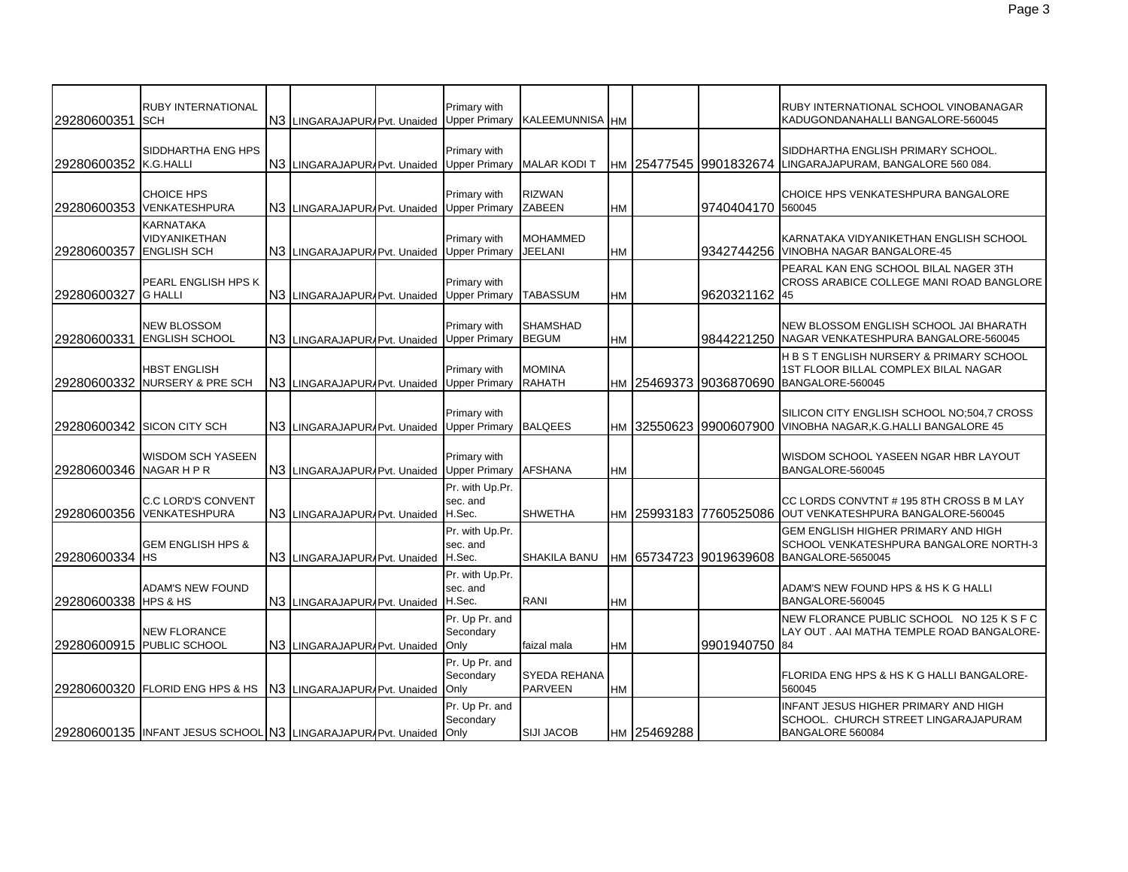| 29280600351             | <b>RUBY INTERNATIONAL</b><br><b>ISCH</b>                          | N3 LINGARAJAPURAPvt. Unaided Upper Primary | Primary with                          | KALEEMUNNISA HM                       |           |             |                        | RUBY INTERNATIONAL SCHOOL VINOBANAGAR<br>KADUGONDANAHALLI BANGALORE-560045                                |
|-------------------------|-------------------------------------------------------------------|--------------------------------------------|---------------------------------------|---------------------------------------|-----------|-------------|------------------------|-----------------------------------------------------------------------------------------------------------|
| 29280600352 K.G.HALLI   | <b>SIDDHARTHA ENG HPS</b>                                         | N3 LINGARAJAPURAPvt. Unaided Upper Primary | Primary with                          | <b>MALAR KODIT</b>                    |           |             | HM 25477545 9901832674 | SIDDHARTHA ENGLISH PRIMARY SCHOOL.<br>LINGARAJAPURAM, BANGALORE 560 084.                                  |
|                         | <b>CHOICE HPS</b><br>29280600353 VENKATESHPURA                    | N3 LINGARAJAPUR Pvt. Unaided               | Primary with<br><b>Upper Primary</b>  | <b>RIZWAN</b><br><b>ZABEEN</b>        | <b>HM</b> |             | 9740404170 560045      | CHOICE HPS VENKATESHPURA BANGALORE                                                                        |
| 29280600357             | <b>KARNATAKA</b><br>VIDYANIKETHAN<br><b>ENGLISH SCH</b>           | N3 LINGARAJAPURAPvt. Unaided Upper Primary | Primary with                          | <b>MOHAMMED</b><br>JEELANI            | <b>HM</b> |             |                        | KARNATAKA VIDYANIKETHAN ENGLISH SCHOOL<br>9342744256 VINOBHA NAGAR BANGALORE-45                           |
| 29280600327             | PEARL ENGLISH HPS K<br><b>G HALLI</b>                             | N3 LINGARAJAPUR/Pvt. Unaided               | Primary with<br><b>Upper Primary</b>  | TABASSUM                              | <b>HM</b> |             | 9620321162 45          | PEARAL KAN ENG SCHOOL BILAL NAGER 3TH<br>CROSS ARABICE COLLEGE MANI ROAD BANGLORE                         |
| 29280600331             | <b>NEW BLOSSOM</b><br><b>ENGLISH SCHOOL</b>                       | N3 LINGARAJAPURAPvt. Unaided Upper Primary | Primary with                          | <b>SHAMSHAD</b><br><b>BEGUM</b>       | <b>HM</b> |             |                        | NEW BLOSSOM ENGLISH SCHOOL JAI BHARATH<br>9844221250 NAGAR VENKATESHPURA BANGALORE-560045                 |
|                         | <b>HBST ENGLISH</b><br>29280600332 NURSERY & PRE SCH              | N3 LINGARAJAPUR/Pvt. Unaided               | Primary with<br><b>Upper Primary</b>  | <b>MOMINA</b><br><b>RAHATH</b>        | <b>HM</b> |             | 25469373 9036870690    | H B S T ENGLISH NURSERY & PRIMARY SCHOOL<br>1ST FLOOR BILLAL COMPLEX BILAL NAGAR<br>BANGALORE-560045      |
|                         | 29280600342 SICON CITY SCH                                        | N3 LINGARAJAPUR/Pvt. Unaided Upper Primary | Primary with                          | <b>BALQEES</b>                        | <b>HM</b> |             | 32550623 9900607900    | SILICON CITY ENGLISH SCHOOL NO:504,7 CROSS<br>VINOBHA NAGAR, K.G. HALLI BANGALORE 45                      |
| 29280600346 NAGAR H P R | <b>WISDOM SCH YASEEN</b>                                          | N3 LINGARAJAPURAPvt. Unaided Upper Primary | Primary with                          | <b>AFSHANA</b>                        | <b>HM</b> |             |                        | WISDOM SCHOOL YASEEN NGAR HBR LAYOUT<br>BANGALORE-560045                                                  |
|                         | <b>C.C LORD'S CONVENT</b><br>29280600356 VENKATESHPURA            | N3 LINGARAJAPURAPvt. Unaided H.Sec.        | Pr. with Up.Pr.<br>sec. and           | <b>SHWETHA</b>                        | <b>HM</b> |             |                        | CC LORDS CONVTNT # 195 8TH CROSS B M LAY<br>25993183 7760525086 OUT VENKATESHPURA BANGALORE-560045        |
| 29280600334 HS          | <b>GEM ENGLISH HPS &amp;</b>                                      | N3 LINGARAJAPURAPvt. Unaided               | Pr. with Up.Pr.<br>sec. and<br>H.Sec. | <b>SHAKILA BANU</b>                   |           |             | HM 65734723 9019639608 | <b>GEM ENGLISH HIGHER PRIMARY AND HIGH</b><br>SCHOOL VENKATESHPURA BANGALORE NORTH-3<br>BANGALORE-5650045 |
| 29280600338 HPS & HS    | <b>ADAM'S NEW FOUND</b>                                           | N3 LINGARAJAPURAPvt. Unaided H.Sec.        | Pr. with Up.Pr.<br>sec. and           | <b>RANI</b>                           | <b>HM</b> |             |                        | ADAM'S NEW FOUND HPS & HS K G HALLI<br>BANGALORE-560045                                                   |
|                         | <b>NEW FLORANCE</b><br>29280600915 PUBLIC SCHOOL                  | N3 LINGARAJAPURAPvt. Unaided               | Pr. Up Pr. and<br>Secondary<br>Only   | faizal mala                           | <b>HM</b> |             | 9901940750 84          | NEW FLORANCE PUBLIC SCHOOL NO 125 K S F C<br>LAY OUT . AAI MATHA TEMPLE ROAD BANGALORE-                   |
|                         | 29280600320 FLORID ENG HPS & HS                                   | N3 LINGARAJAPURAPvt. Unaided               | Pr. Up Pr. and<br>Secondary<br>Only   | <b>SYEDA REHANA</b><br><b>PARVEEN</b> | <b>HM</b> |             |                        | FLORIDA ENG HPS & HS K G HALLI BANGALORE-<br>560045                                                       |
|                         | 29280600135 INFANT JESUS SCHOOL N3 LINGARAJAPUR Pvt. Unaided Only |                                            | Pr. Up Pr. and<br>Secondary           | <b>SIJI JACOB</b>                     |           | HM 25469288 |                        | <b>INFANT JESUS HIGHER PRIMARY AND HIGH</b><br>SCHOOL. CHURCH STREET LINGARAJAPURAM<br>BANGALORE 560084   |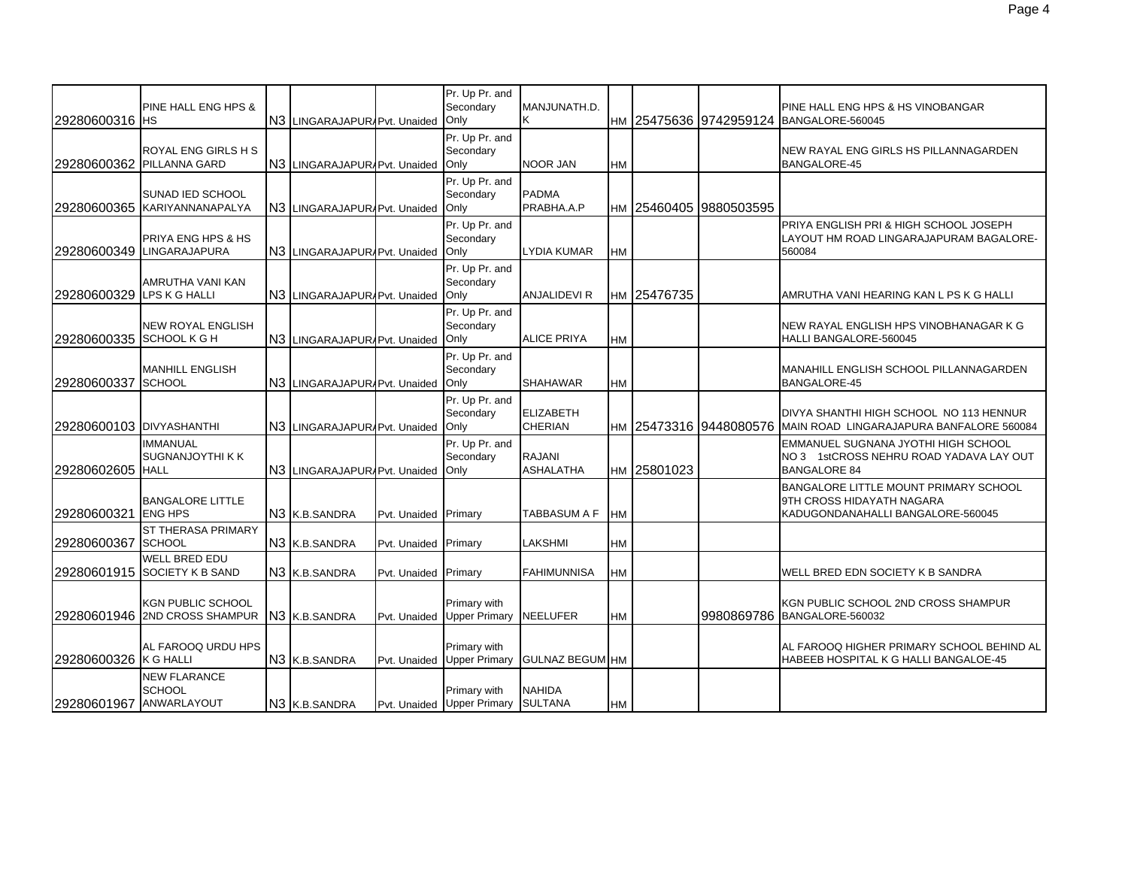| 29280600316 HS            | PINE HALL ENG HPS &                                              | N3 LINGARAJAPUR/Pvt. Unaided |              | Pr. Up Pr. and<br>Secondary<br>Only        | MANJUNATH.D.<br>Κ                  |           |             | HM 25475636 9742959124 | PINE HALL ENG HPS & HS VINOBANGAR<br>BANGALORE-560045                                                      |
|---------------------------|------------------------------------------------------------------|------------------------------|--------------|--------------------------------------------|------------------------------------|-----------|-------------|------------------------|------------------------------------------------------------------------------------------------------------|
|                           | ROYAL ENG GIRLS H S<br>29280600362 PILLANNA GARD                 | N3 LINGARAJAPUR/Pvt. Unaided |              | Pr. Up Pr. and<br>Secondary<br>Only        | <b>NOOR JAN</b>                    | HM        |             |                        | NEW RAYAL ENG GIRLS HS PILLANNAGARDEN<br><b>BANGALORE-45</b>                                               |
|                           | SUNAD IED SCHOOL<br>29280600365 KARIYANNANAPALYA                 | N3 LINGARAJAPUR Pvt. Unaided |              | Pr. Up Pr. and<br>Secondary<br>Only        | <b>PADMA</b><br>PRABHA.A.P         |           |             | HM 25460405 9880503595 |                                                                                                            |
|                           | PRIYA ENG HPS & HS<br>29280600349 LINGARAJAPURA                  | N3 LINGARAJAPURAPvt. Unaided |              | Pr. Up Pr. and<br>Secondary<br>Only        | LYDIA KUMAR                        | <b>HM</b> |             |                        | PRIYA ENGLISH PRI & HIGH SCHOOL JOSEPH<br>LAYOUT HM ROAD LINGARAJAPURAM BAGALORE-<br>560084                |
| 29280600329 LPS K G HALLI | AMRUTHA VANI KAN                                                 | N3 LINGARAJAPURAPvt. Unaided |              | Pr. Up Pr. and<br>Secondary<br>Only        | <b>ANJALIDEVI R</b>                |           | HM 25476735 |                        | AMRUTHA VANI HEARING KAN L PS K G HALLI                                                                    |
| 29280600335 SCHOOL K G H  | <b>NEW ROYAL ENGLISH</b>                                         | N3 LINGARAJAPUR Pvt. Unaided |              | Pr. Up Pr. and<br>Secondary<br>Only        | <b>ALICE PRIYA</b>                 | HM        |             |                        | NEW RAYAL ENGLISH HPS VINOBHANAGAR K G<br>HALLI BANGALORE-560045                                           |
| 29280600337 SCHOOL        | <b>MANHILL ENGLISH</b>                                           | N3 LINGARAJAPURAPvt. Unaided |              | Pr. Up Pr. and<br>Secondary<br>Only        | <b>SHAHAWAR</b>                    | HM        |             |                        | MANAHILL ENGLISH SCHOOL PILLANNAGARDEN<br><b>BANGALORE-45</b>                                              |
| 29280600103 DIVYASHANTHI  |                                                                  | N3 LINGARAJAPUR Pvt. Unaided |              | Pr. Up Pr. and<br>Secondary<br>Only        | <b>ELIZABETH</b><br><b>CHERIAN</b> |           |             |                        | DIVYA SHANTHI HIGH SCHOOL NO 113 HENNUR<br>HM 25473316 9448080576 MAIN ROAD LINGARAJAPURA BANFALORE 560084 |
| 29280602605 HALL          | <b>IMMANUAL</b><br>SUGNANJOYTHI K K                              | N3 LINGARAJAPURAPvt. Unaided |              | Pr. Up Pr. and<br>Secondary<br>Only        | <b>RAJANI</b><br>ASHALATHA         |           | HM 25801023 |                        | EMMANUEL SUGNANA JYOTHI HIGH SCHOOL<br>NO 3 1stCROSS NEHRU ROAD YADAVA LAY OUT<br><b>BANGALORE 84</b>      |
| 29280600321               | <b>BANGALORE LITTLE</b><br><b>ENG HPS</b>                        | N3 K.B.SANDRA                | Pvt. Unaided | Primary                                    | TABBASUM A F                       | <b>HM</b> |             |                        | BANGALORE LITTLE MOUNT PRIMARY SCHOOL<br>9TH CROSS HIDAYATH NAGARA<br>KADUGONDANAHALLI BANGALORE-560045    |
| 29280600367               | ST THERASA PRIMARY<br><b>SCHOOL</b>                              | N3 K.B.SANDRA                | Pvt. Unaided | Primary                                    | LAKSHMI                            | <b>HM</b> |             |                        |                                                                                                            |
|                           | <b>WELL BRED EDU</b><br>29280601915 SOCIETY K B SAND             | N3 K.B.SANDRA                | Pvt. Unaided | Primary                                    | <b>FAHIMUNNISA</b>                 | HМ        |             |                        | WELL BRED EDN SOCIETY K B SANDRA                                                                           |
|                           | KGN PUBLIC SCHOOL<br>29280601946 2ND CROSS SHAMPUR N3 K.B.SANDRA |                              | Pvt. Unaided | Primary with<br><b>Upper Primary</b>       | <b>NEELUFER</b>                    | HM        |             |                        | KGN PUBLIC SCHOOL 2ND CROSS SHAMPUR<br>9980869786 BANGALORE-560032                                         |
| 29280600326 K G HALLI     | AL FAROOQ URDU HPS                                               | N3 K.B.SANDRA                | Pvt. Unaided | Primary with<br><b>Upper Primary</b>       | <b>GULNAZ BEGUM HM</b>             |           |             |                        | AL FAROOQ HIGHER PRIMARY SCHOOL BEHIND AL<br>HABEEB HOSPITAL K G HALLI BANGALOE-45                         |
| 29280601967               | <b>NEW FLARANCE</b><br><b>SCHOOL</b><br>ANWARLAYOUT              | N <sub>3</sub> K.B. SANDRA   |              | Primary with<br>Pvt. Unaided Upper Primary | <b>NAHIDA</b><br><b>SULTANA</b>    | <b>HM</b> |             |                        |                                                                                                            |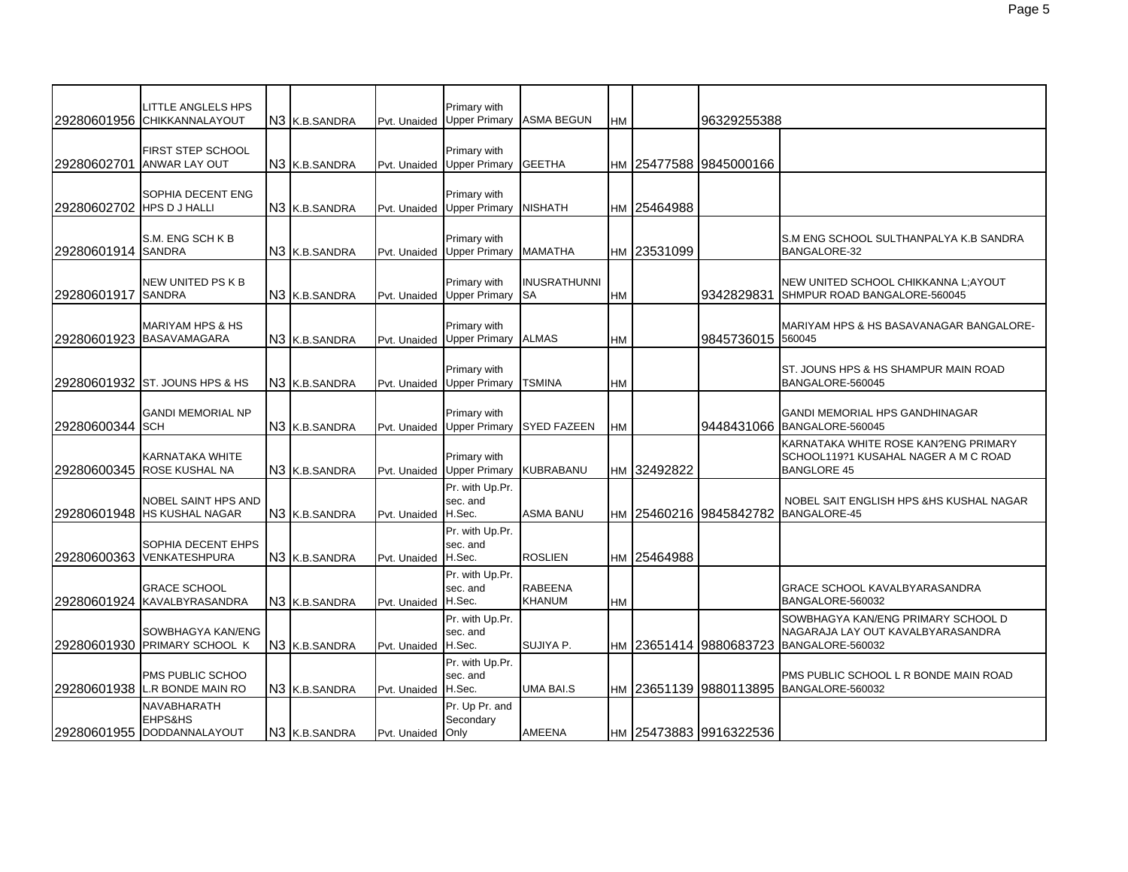|                           | <b>LITTLE ANGLELS HPS</b><br>29280601956 CHIKKANNALAYOUT   | N3 K.B.SANDRA             | Pvt. Unaided        | Primary with<br><b>Upper Primary</b>  | ASMA BEGUN                | HM        |             | 96329255388               |                                                                                                    |
|---------------------------|------------------------------------------------------------|---------------------------|---------------------|---------------------------------------|---------------------------|-----------|-------------|---------------------------|----------------------------------------------------------------------------------------------------|
| 29280602701               | FIRST STEP SCHOOL<br><b>ANWAR LAY OUT</b>                  | N3 K.B.SANDRA             | Pvt. Unaided        | Primary with<br><b>Upper Primary</b>  | <b>GEETHA</b>             |           |             | нм  25477588  9845000166  |                                                                                                    |
| 29280602702 HPS D J HALLI | SOPHIA DECENT ENG                                          | N3 K.B.SANDRA             | Pvt. Unaided        | Primary with<br><b>Upper Primary</b>  | NISHATH                   |           | HM 25464988 |                           |                                                                                                    |
| 29280601914 SANDRA        | S.M. ENG SCH K B                                           | N3 K.B.SANDRA             | Pvt. Unaided        | Primary with<br><b>Upper Primary</b>  | MAMATHA                   |           | HM 23531099 |                           | S.M ENG SCHOOL SULTHANPALYA K.B SANDRA<br><b>BANGALORE-32</b>                                      |
| 29280601917               | NEW UNITED PS K B<br><b>SANDRA</b>                         | N <sub>3</sub> K.B.SANDRA | Pvt. Unaided        | Primary with<br><b>Upper Primary</b>  | INUSRATHUNNI<br><b>SA</b> | <b>HM</b> |             | 9342829831                | NEW UNITED SCHOOL CHIKKANNA L; AYOUT<br>SHMPUR ROAD BANGALORE-560045                               |
|                           | <b>MARIYAM HPS &amp; HS</b><br>29280601923 BASAVAMAGARA    | N3 K.B.SANDRA             | Pvt. Unaided        | Primary with<br><b>Upper Primary</b>  | <b>ALMAS</b>              | HM        |             | 9845736015 560045         | MARIYAM HPS & HS BASAVANAGAR BANGALORE-                                                            |
|                           | 29280601932 ST. JOUNS HPS & HS                             | N3 K.B.SANDRA             | Pvt. Unaided        | Primary with<br><b>Upper Primary</b>  | TSMINA                    | HM        |             |                           | ST. JOUNS HPS & HS SHAMPUR MAIN ROAD<br>BANGALORE-560045                                           |
| 29280600344 SCH           | <b>GANDI MEMORIAL NP</b>                                   | N3 K.B.SANDRA             | Pvt. Unaided        | Primary with<br><b>Upper Primary</b>  | <b>SYED FAZEEN</b>        | HM        |             | 9448431066                | <b>GANDI MEMORIAL HPS GANDHINAGAR</b><br>BANGALORE-560045                                          |
|                           | KARNATAKA WHITE<br>29280600345 ROSE KUSHAL NA              | N <sub>3</sub> K.B.SANDRA | Pvt. Unaided        | Primary with<br><b>Upper Primary</b>  | KUBRABANU                 | НM        | 32492822    |                           | KARNATAKA WHITE ROSE KAN?ENG PRIMARY<br>SCHOOL119?1 KUSAHAL NAGER A M C ROAD<br><b>BANGLORE 45</b> |
|                           | <b>NOBEL SAINT HPS AND</b><br>29280601948 IHS KUSHAL NAGAR | N <sub>3</sub> K.B.SANDRA | Pvt. Unaided        | Pr. with Up.Pr.<br>sec. and<br>H.Sec. | <b>ASMA BANU</b>          | HM        |             | 25460216 9845842782       | NOBEL SAIT ENGLISH HPS & HS KUSHAL NAGAR<br>BANGALORE-45                                           |
|                           | SOPHIA DECENT EHPS<br>29280600363 VENKATESHPURA            | N <sub>3</sub> K.B.SANDRA | Pvt. Unaided        | Pr. with Up.Pr.<br>sec. and<br>H.Sec. | <b>ROSLIEN</b>            | <b>HM</b> | 25464988    |                           |                                                                                                    |
|                           | <b>GRACE SCHOOL</b><br>29280601924 KAVALBYRASANDRA         | N3 IK.B.SANDRA            | Pvt. Unaided        | Pr. with Up.Pr.<br>sec. and<br>H.Sec. | <b>RABEENA</b><br>KHANUM  | <b>HM</b> |             |                           | <b>GRACE SCHOOL KAVALBYARASANDRA</b><br>BANGALORE-560032                                           |
|                           | SOWBHAGYA KAN/ENG<br>29280601930 PRIMARY SCHOOL K          | N3 K.B.SANDRA             | Pvt. Unaided        | Pr. with Up.Pr.<br>sec. and<br>H.Sec. | SUJIYA P.                 | <b>HM</b> |             | 23651414 9880683723       | SOWBHAGYA KAN/ENG PRIMARY SCHOOL D<br>NAGARAJA LAY OUT KAVALBYARASANDRA<br>BANGALORE-560032        |
|                           | PMS PUBLIC SCHOO<br>29280601938 L.R BONDE MAIN RO          | N3 K.B.SANDRA             | Pvt. Unaided H.Sec. | Pr. with Up.Pr.<br>sec. and           | UMA BAI.S                 | <b>HM</b> |             |                           | PMS PUBLIC SCHOOL L R BONDE MAIN ROAD<br>23651139 9880113895 BANGALORE-560032                      |
|                           | NAVABHARATH<br>EHPS&HS<br>29280601955 DODDANNALAYOUT       | N3 K.B.SANDRA             | Pvt. Unaided Only   | Pr. Up Pr. and<br>Secondary           | AMEENA                    |           |             | Iнм I25473883 I9916322536 |                                                                                                    |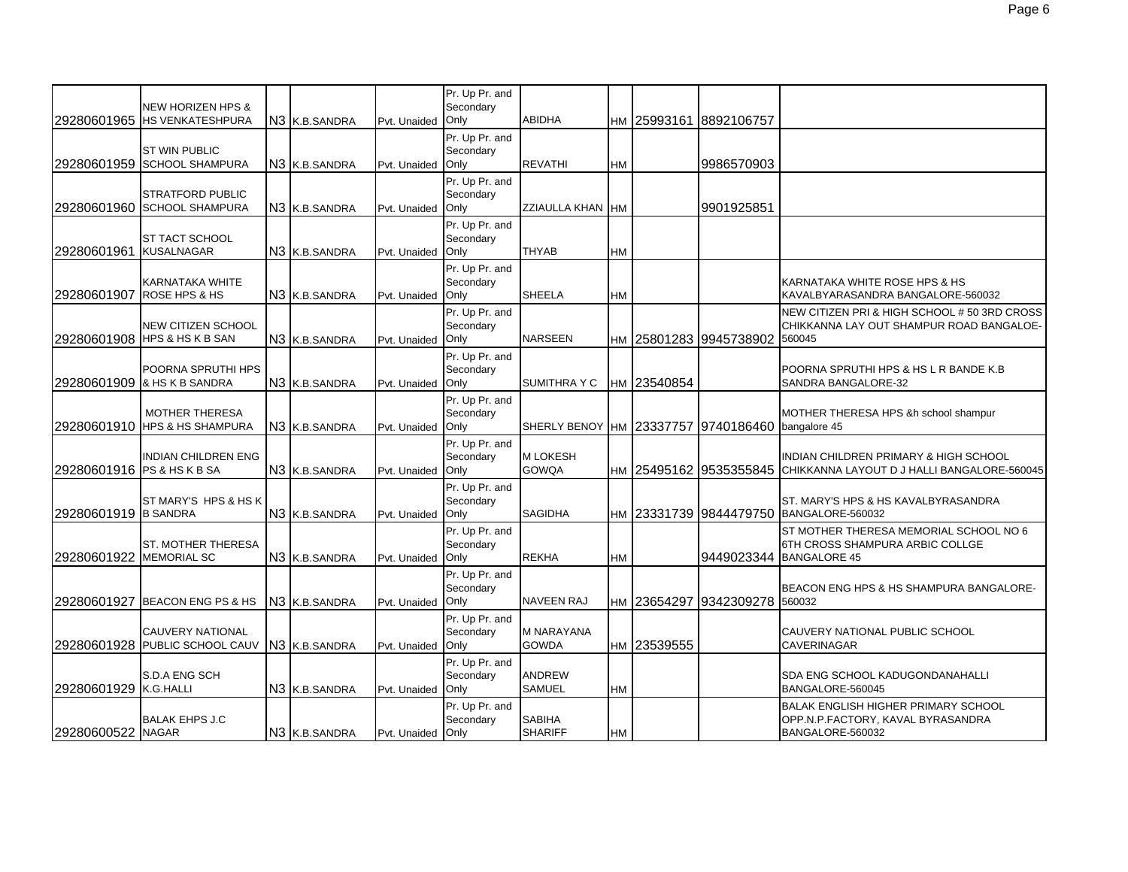|                            | <b>NEW HORIZEN HPS &amp;</b><br>29280601965 IHS VENKATESHPURA | N <sub>3</sub> K.B.SANDRA  | Pvt. Unaided      | Pr. Up Pr. and<br>Secondary<br>Only | <b>ABIDHA</b>                     |           | HM 25993161 | 8892106757              |                                                                                                    |
|----------------------------|---------------------------------------------------------------|----------------------------|-------------------|-------------------------------------|-----------------------------------|-----------|-------------|-------------------------|----------------------------------------------------------------------------------------------------|
|                            | <b>ST WIN PUBLIC</b><br>29280601959 SCHOOL SHAMPURA           | N3 K.B.SANDRA              | Pvt. Unaided      | Pr. Up Pr. and<br>Secondary<br>Only | <b>REVATHI</b>                    | HM        |             | 9986570903              |                                                                                                    |
|                            | <b>STRATFORD PUBLIC</b><br>29280601960 SCHOOL SHAMPURA        | N3 K.B.SANDRA              | Pvt. Unaided      | Pr. Up Pr. and<br>Secondary<br>Only | ZZIAULLA KHAN HM                  |           |             | 9901925851              |                                                                                                    |
| 29280601961 KUSALNAGAR     | ST TACT SCHOOL                                                | N <sub>3</sub> K.B. SANDRA | Pvt. Unaided Only | Pr. Up Pr. and<br>Secondary         | <b>THYAB</b>                      | <b>HM</b> |             |                         |                                                                                                    |
|                            | KARNATAKA WHITE<br>29280601907 ROSE HPS & HS                  | N3 K.B.SANDRA              | Pvt. Unaided Only | Pr. Up Pr. and<br>Secondary         | <b>SHEELA</b>                     | <b>HM</b> |             |                         | KARNATAKA WHITE ROSE HPS & HS<br>KAVALBYARASANDRA BANGALORE-560032                                 |
|                            | <b>NEW CITIZEN SCHOOL</b><br>29280601908 HPS & HS K B SAN     | N3 K.B.SANDRA              | Pvt. Unaided Only | Pr. Up Pr. and<br>Secondary         | <b>NARSEEN</b>                    |           |             | HM 25801283 9945738902  | NEW CITIZEN PRI & HIGH SCHOOL # 50 3RD CROSS<br>CHIKKANNA LAY OUT SHAMPUR ROAD BANGALOE-<br>560045 |
|                            | POORNA SPRUTHI HPS<br>29280601909 & HS K B SANDRA             | N3 K.B.SANDRA              | Pvt. Unaided Only | Pr. Up Pr. and<br>Secondary         | <b>SUMITHRA Y C</b>               |           | HM 23540854 |                         | POORNA SPRUTHI HPS & HS L R BANDE K.B<br>SANDRA BANGALORE-32                                       |
|                            | <b>MOTHER THERESA</b><br>29280601910 HPS & HS SHAMPURA        | N3 K.B.SANDRA              | Pvt. Unaided Only | Pr. Up Pr. and<br>Secondary         | SHERLY BENOY HM 23337757          |           |             | 9740186460 bangalore 45 | MOTHER THERESA HPS &h school shampur                                                               |
| 29280601916 PS & HS K B SA | <b>INDIAN CHILDREN ENG</b>                                    | N3 K.B.SANDRA              | Pvt. Unaided Only | Pr. Up Pr. and<br>Secondary         | <b>MLOKESH</b><br><b>GOWQA</b>    | HM        |             | 25495162 9535355845     | INDIAN CHILDREN PRIMARY & HIGH SCHOOL<br>CHIKKANNA LAYOUT D J HALLI BANGALORE-560045               |
| 29280601919 B SANDRA       | ST MARY'S HPS & HS K                                          | N <sub>3</sub> K.B. SANDRA | Pvt. Unaided Only | Pr. Up Pr. and<br>Secondary         | <b>SAGIDHA</b>                    | <b>HM</b> |             |                         | ST. MARY'S HPS & HS KAVALBYRASANDRA<br>23331739 9844479750 BANGALORE-560032                        |
| 29280601922                | <b>ST. MOTHER THERESA</b><br><b>MEMORIAL SC</b>               | N <sub>3</sub> K.B. SANDRA | Pvt. Unaided      | Pr. Up Pr. and<br>Secondary<br>Only | <b>REKHA</b>                      | <b>HM</b> |             | 9449023344              | ST MOTHER THERESA MEMORIAL SCHOOL NO 6<br>6TH CROSS SHAMPURA ARBIC COLLGE<br>BANGALORE 45          |
|                            | 29280601927 BEACON ENG PS & HS                                | N <sub>3</sub> K.B. SANDRA | Pvt. Unaided Only | Pr. Up Pr. and<br>Secondary         | <b>NAVEEN RAJ</b>                 |           | HM 23654297 | 9342309278 560032       | BEACON ENG HPS & HS SHAMPURA BANGALORE-                                                            |
|                            | <b>CAUVERY NATIONAL</b><br>29280601928 PUBLIC SCHOOL CAUV     | N3 K.B.SANDRA              | Pvt. Unaided      | Pr. Up Pr. and<br>Secondary<br>Only | <b>M NARAYANA</b><br><b>GOWDA</b> |           | HM 23539555 |                         | CAUVERY NATIONAL PUBLIC SCHOOL<br><b>CAVERINAGAR</b>                                               |
| 29280601929 K.G.HALLI      | S.D.A ENG SCH                                                 | N3 K.B.SANDRA              | Pvt. Unaided Only | Pr. Up Pr. and<br>Secondary         | <b>ANDREW</b><br>SAMUEL           | <b>HM</b> |             |                         | <b>SDA ENG SCHOOL KADUGONDANAHALLI</b><br>BANGALORE-560045                                         |
| 29280600522 NAGAR          | <b>BALAK EHPS J.C</b>                                         | N3 K.B.SANDRA              | Pvt. Unaided Only | Pr. Up Pr. and<br>Secondary         | <b>SABIHA</b><br><b>SHARIFF</b>   | <b>HM</b> |             |                         | BALAK ENGLISH HIGHER PRIMARY SCHOOL<br>OPP.N.P.FACTORY, KAVAL BYRASANDRA<br>BANGALORE-560032       |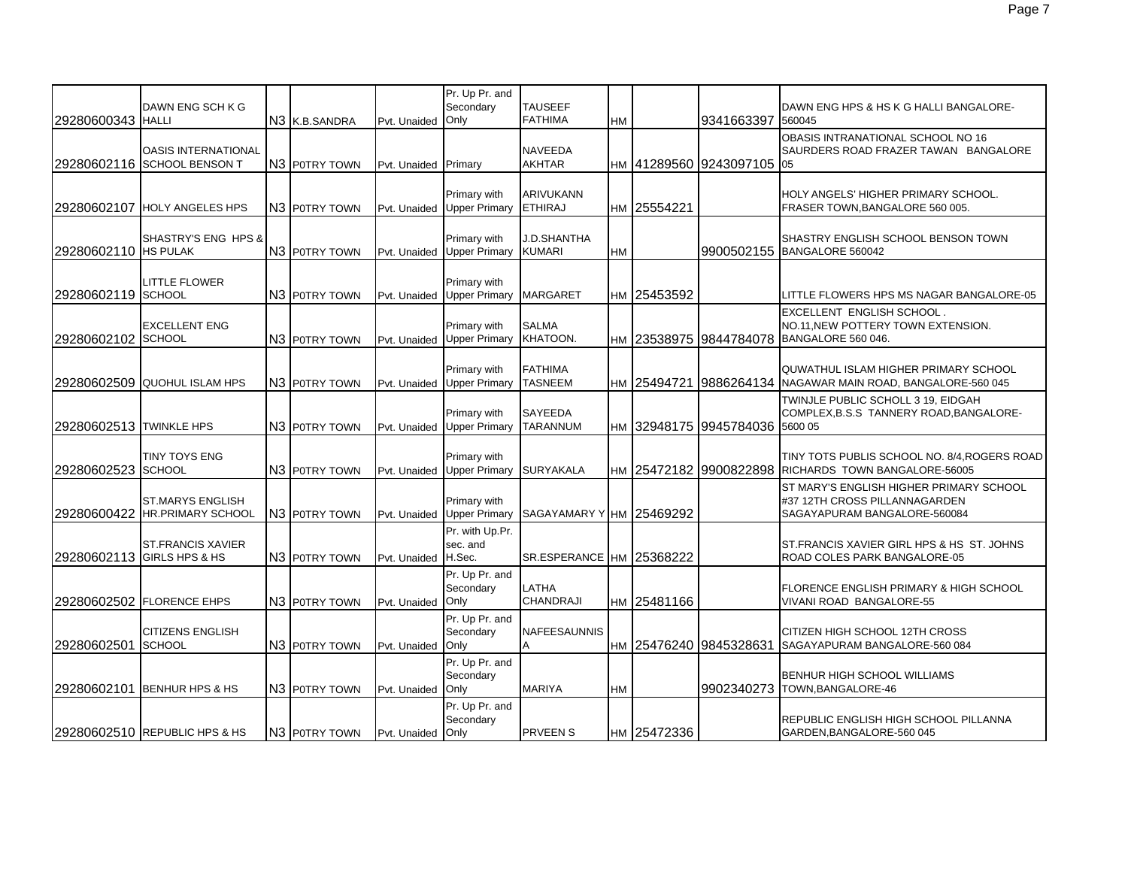| 29280600343 HALLI       | DAWN ENG SCH K G                                          | N3 K.B.SANDRA             | Pvt. Unaided      | Pr. Up Pr. and<br>Secondary<br>Only   | <b>TAUSEEF</b><br><b>FATHIMA</b>    | HM        |             | 9341663397                     | DAWN ENG HPS & HS K G HALLI BANGALORE-<br>560045                                                                    |
|-------------------------|-----------------------------------------------------------|---------------------------|-------------------|---------------------------------------|-------------------------------------|-----------|-------------|--------------------------------|---------------------------------------------------------------------------------------------------------------------|
|                         | <b>OASIS INTERNATIONAL</b><br>29280602116 SCHOOL BENSON T | N3 POTRY TOWN             | Pvt. Unaided      | Primary                               | NAVEEDA<br><b>AKHTAR</b>            |           |             | HM 41289560 9243097105 05      | OBASIS INTRANATIONAL SCHOOL NO 16<br>SAURDERS ROAD FRAZER TAWAN BANGALORE                                           |
|                         | 29280602107 HOLY ANGELES HPS                              | N3 P0TRY TOWN             | Pvt. Unaided      | Primary with<br><b>Upper Primary</b>  | ARIVUKANN<br><b>ETHIRAJ</b>         |           | HM 25554221 |                                | HOLY ANGELS' HIGHER PRIMARY SCHOOL.<br>FRASER TOWN, BANGALORE 560 005.                                              |
| 29280602110 HS PULAK    | SHASTRY'S ENG HPS &                                       | N3 P0TRY TOWN             | Pvt. Unaided      | Primary with<br><b>Upper Primary</b>  | <b>J.D.SHANTHA</b><br><b>KUMARI</b> | HM        |             |                                | SHASTRY ENGLISH SCHOOL BENSON TOWN<br>9900502155 BANGALORE 560042                                                   |
| 29280602119 SCHOOL      | <b>LITTLE FLOWER</b>                                      | N <sub>3</sub> POTRY TOWN | Pvt. Unaided      | Primary with<br><b>Upper Primary</b>  | <b>MARGARET</b>                     |           | HM 25453592 |                                | ITTLE FLOWERS HPS MS NAGAR BANGALORE-05                                                                             |
| 29280602102 SCHOOL      | <b>EXCELLENT ENG</b>                                      | N3 P0TRY TOWN             | Pvt. Unaided      | Primary with<br><b>Upper Primary</b>  | <b>SALMA</b><br>KHATOON.            |           |             |                                | <b>EXCELLENT ENGLISH SCHOOL.</b><br>NO.11, NEW POTTERY TOWN EXTENSION.<br>HM 23538975 9844784078 BANGALORE 560 046. |
|                         | 29280602509 QUOHUL ISLAM HPS                              | N <sub>3</sub> POTRY TOWN | Pvt. Unaided      | Primary with<br><b>Upper Primary</b>  | <b>FATHIMA</b><br><b>TASNEEM</b>    |           | HM 25494721 |                                | QUWATHUL ISLAM HIGHER PRIMARY SCHOOL<br>9886264134 NAGAWAR MAIN ROAD, BANGALORE-560 045                             |
| 29280602513 TWINKLE HPS |                                                           | N <sub>3</sub> POTRY TOWN | Pvt. Unaided      | Primary with<br><b>Upper Primary</b>  | SAYEEDA<br><b>TARANNUM</b>          |           |             | HM 32948175 9945784036 5600 05 | TWINJLE PUBLIC SCHOLL 3 19, EIDGAH<br>COMPLEX, B.S.S TANNERY ROAD, BANGALORE-                                       |
| 29280602523 SCHOOL      | TINY TOYS ENG                                             | N3 POTRY TOWN             | Pvt. Unaided      | Primary with<br><b>Upper Primary</b>  | <b>SURYAKALA</b>                    |           |             |                                | TINY TOTS PUBLIS SCHOOL NO. 8/4, ROGERS ROAD<br>HM 25472182 9900822898 RICHARDS TOWN BANGALORE-56005                |
| 29280600422             | ST.MARYS ENGLISH<br>HR.PRIMARY SCHOOL                     | N3 P0TRY TOWN             | Pvt. Unaided      | Primary with<br><b>Upper Primary</b>  | SAGAYAMARY YHM 25469292             |           |             |                                | ST MARY'S ENGLISH HIGHER PRIMARY SCHOOL<br>#37 12TH CROSS PILLANNAGARDEN<br>SAGAYAPURAM BANGALORE-560084            |
|                         | <b>ST.FRANCIS XAVIER</b><br>29280602113 GIRLS HPS & HS    | N3 P0TRY TOWN             | Pvt. Unaided      | Pr. with Up.Pr.<br>sec. and<br>H.Sec. | SR.ESPERANCE HM 25368222            |           |             |                                | ST.FRANCIS XAVIER GIRL HPS & HS ST. JOHNS<br>ROAD COLES PARK BANGALORE-05                                           |
|                         | 29280602502 FLORENCE EHPS                                 | N <sub>3</sub> POTRY TOWN | Pvt. Unaided Only | Pr. Up Pr. and<br>Secondary           | LATHA<br>CHANDRAJI                  |           | HM 25481166 |                                | FLORENCE ENGLISH PRIMARY & HIGH SCHOOL<br>VIVANI ROAD BANGALORE-55                                                  |
| 29280602501             | <b>CITIZENS ENGLISH</b><br><b>SCHOOL</b>                  | N3 P0TRY TOWN             | Pvt. Unaided      | Pr. Up Pr. and<br>Secondary<br>Only   | NAFEESAUNNIS<br>A                   |           |             | HM 25476240 9845328631         | CITIZEN HIGH SCHOOL 12TH CROSS<br>SAGAYAPURAM BANGALORE-560 084                                                     |
|                         | 29280602101 BENHUR HPS & HS                               | N3 POTRY TOWN             | Pvt. Unaided      | Pr. Up Pr. and<br>Secondary<br>Only   | <b>MARIYA</b>                       | <b>HM</b> |             |                                | BENHUR HIGH SCHOOL WILLIAMS<br>9902340273 TOWN, BANGALORE-46                                                        |
|                         | 29280602510 REPUBLIC HPS & HS                             | N3 POTRY TOWN             | Pvt. Unaided Only | Pr. Up Pr. and<br>Secondary           | <b>PRVEENS</b>                      |           | HM 25472336 |                                | REPUBLIC ENGLISH HIGH SCHOOL PILLANNA<br>GARDEN, BANGALORE-560 045                                                  |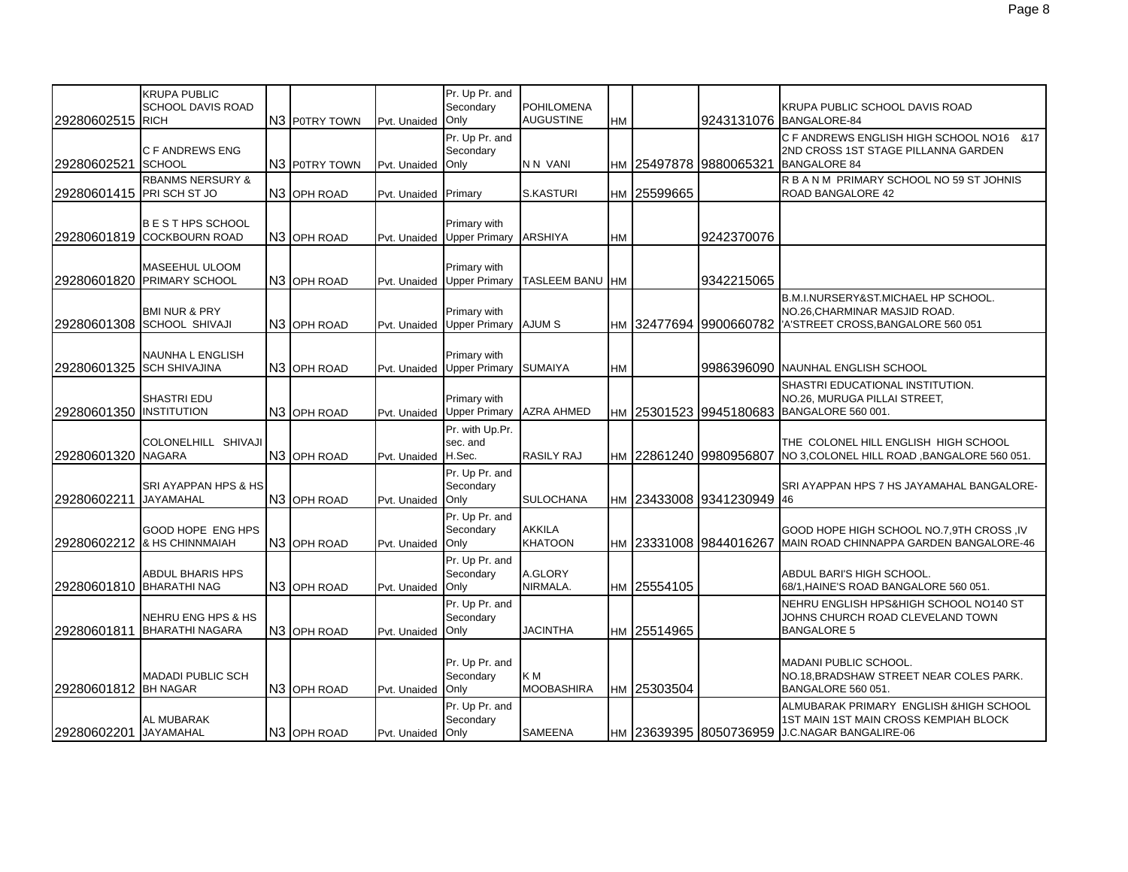| 29280602515 RICH          | <b>KRUPA PUBLIC</b><br>SCHOOL DAVIS ROAD                | N3 POTRY TOWN           | Pvt. Unaided      | Pr. Up Pr. and<br>Secondary<br>Only      | <b>POHILOMENA</b><br><b>AUGUSTINE</b> | <b>HM</b> |             |                           | KRUPA PUBLIC SCHOOL DAVIS ROAD<br>9243131076 BANGALORE-84                                                                                  |
|---------------------------|---------------------------------------------------------|-------------------------|-------------------|------------------------------------------|---------------------------------------|-----------|-------------|---------------------------|--------------------------------------------------------------------------------------------------------------------------------------------|
| 29280602521               | C F ANDREWS ENG<br><b>SCHOOL</b>                        | N3 P0TRY TOWN           | Pvt. Unaided      | Pr. Up Pr. and<br>Secondary<br>Only      | N N VANI                              |           |             | HM 25497878 9880065321    | C F ANDREWS ENGLISH HIGH SCHOOL NO16 & 17<br>2ND CROSS 1ST STAGE PILLANNA GARDEN<br><b>BANGALORE 84</b>                                    |
| 29280601415 PRI SCH ST JO | <b>RBANMS NERSURY &amp;</b>                             | N3 OPH ROAD             | Pvt. Unaided      | Primary                                  | <b>S.KASTURI</b>                      |           | HM 25599665 |                           | R B A N M PRIMARY SCHOOL NO 59 ST JOHNIS<br><b>ROAD BANGALORE 42</b>                                                                       |
|                           | <b>BESTHPS SCHOOL</b><br>29280601819 COCKBOURN ROAD     | N <sub>3</sub> OPH ROAD | Pvt. Unaided      | Primary with<br>Upper Primary ARSHIYA    |                                       | HM        |             | 9242370076                |                                                                                                                                            |
|                           | MASEEHUL ULOOM<br>29280601820 PRIMARY SCHOOL            | N3 OPH ROAD             | Pvt. Unaided      | Primary with<br><b>Upper Primary</b>     | <b>TASLEEM BANU</b>                   | <b>HM</b> |             | 9342215065                |                                                                                                                                            |
|                           | <b>BMI NUR &amp; PRY</b><br>29280601308 SCHOOL SHIVAJI  | N <sub>3</sub> OPH ROAD | Pvt. Unaided      | Primary with<br>Upper Primary AJUM S     |                                       |           |             |                           | <b>B.M.I.NURSERY&amp;ST.MICHAEL HP SCHOOL.</b><br>NO.26, CHARMINAR MASJID ROAD.<br>HM 32477694 9900660782 XSTREET CROSS, BANGALORE 560 051 |
|                           | <b>NAUNHA L ENGLISH</b><br>29280601325 SCH SHIVAJINA    | N <sub>3</sub> OPH ROAD | Pvt. Unaided      | Primary with<br><b>Upper Primary</b>     | <b>SUMAIYA</b>                        | HM        |             |                           | 9986396090 NAUNHAL ENGLISH SCHOOL                                                                                                          |
| 29280601350 INSTITUTION   | <b>SHASTRI EDU</b>                                      | N <sub>3</sub> OPH ROAD | Pvt. Unaided      | Primary with<br>Upper Primary AZRA AHMED |                                       |           |             |                           | SHASTRI EDUCATIONAL INSTITUTION.<br>NO.26, MURUGA PILLAI STREET,<br>HM 25301523 9945180683 BANGALORE 560 001.                              |
| 29280601320 NAGARA        | COLONELHILL SHIVAJI                                     | N <sub>3</sub> OPH ROAD | Pvt. Unaided      | Pr. with Up.Pr.<br>sec. and<br>H.Sec.    | <b>RASILY RAJ</b>                     |           |             | HM 22861240 9980956807    | THE COLONEL HILL ENGLISH HIGH SCHOOL<br>NO 3, COLONEL HILL ROAD, BANGALORE 560 051.                                                        |
| 29280602211               | SRI AYAPPAN HPS & HS<br><b>JAYAMAHAL</b>                | N <sub>3</sub> OPH ROAD | Pvt. Unaided      | Pr. Up Pr. and<br>Secondary<br>Only      | <b>SULOCHANA</b>                      |           |             | НМ 23433008 9341230949 46 | SRI AYAPPAN HPS 7 HS JAYAMAHAL BANGALORE-                                                                                                  |
|                           | GOOD HOPE ENG HPS<br>29280602212 & HS CHINNMAIAH        | N3 OPH ROAD             | Pvt. Unaided      | Pr. Up Pr. and<br>Secondary<br>Only      | <b>AKKILA</b><br><b>KHATOON</b>       |           |             | HM 23331008 9844016267    | GOOD HOPE HIGH SCHOOL NO.7,9TH CROSS, IV<br>MAIN ROAD CHINNAPPA GARDEN BANGALORE-46                                                        |
| 29280601810 BHARATHI NAG  | ABDUL BHARIS HPS                                        | N <sub>3</sub> OPH ROAD | Pvt. Unaided      | Pr. Up Pr. and<br>Secondary<br>Only      | A.GLORY<br>NIRMALA.                   |           | HM 25554105 |                           | ABDUL BARI'S HIGH SCHOOL.<br>68/1, HAINE'S ROAD BANGALORE 560 051.                                                                         |
| 29280601811               | <b>NEHRU ENG HPS &amp; HS</b><br><b>BHARATHI NAGARA</b> | N3 OPH ROAD             | Pvt. Unaided      | Pr. Up Pr. and<br>Secondary<br>Only      | <b>JACINTHA</b>                       |           | HM 25514965 |                           | NEHRU ENGLISH HPS&HIGH SCHOOL NO140 ST<br>JOHNS CHURCH ROAD CLEVELAND TOWN<br><b>BANGALORE 5</b>                                           |
| 29280601812 BH NAGAR      | <b>MADADI PUBLIC SCH</b>                                | N <sub>3</sub> OPH ROAD | Pvt. Unaided      | Pr. Up Pr. and<br>Secondary<br>Only      | K M<br><b>MOOBASHIRA</b>              |           | HM 25303504 |                           | <b>MADANI PUBLIC SCHOOL.</b><br>NO.18, BRADSHAW STREET NEAR COLES PARK.<br>BANGALORE 560 051.                                              |
| 29280602201 JAYAMAHAL     | AL MUBARAK                                              | N <sub>3</sub> OPH ROAD | Pvt. Unaided Only | Pr. Up Pr. and<br>Secondary              | <b>SAMEENA</b>                        |           |             |                           | ALMUBARAK PRIMARY ENGLISH & HIGH SCHOOL<br>1ST MAIN 1ST MAIN CROSS KEMPIAH BLOCK<br>HM 23639395 8050736959 J.C.NAGAR BANGALIRE-06          |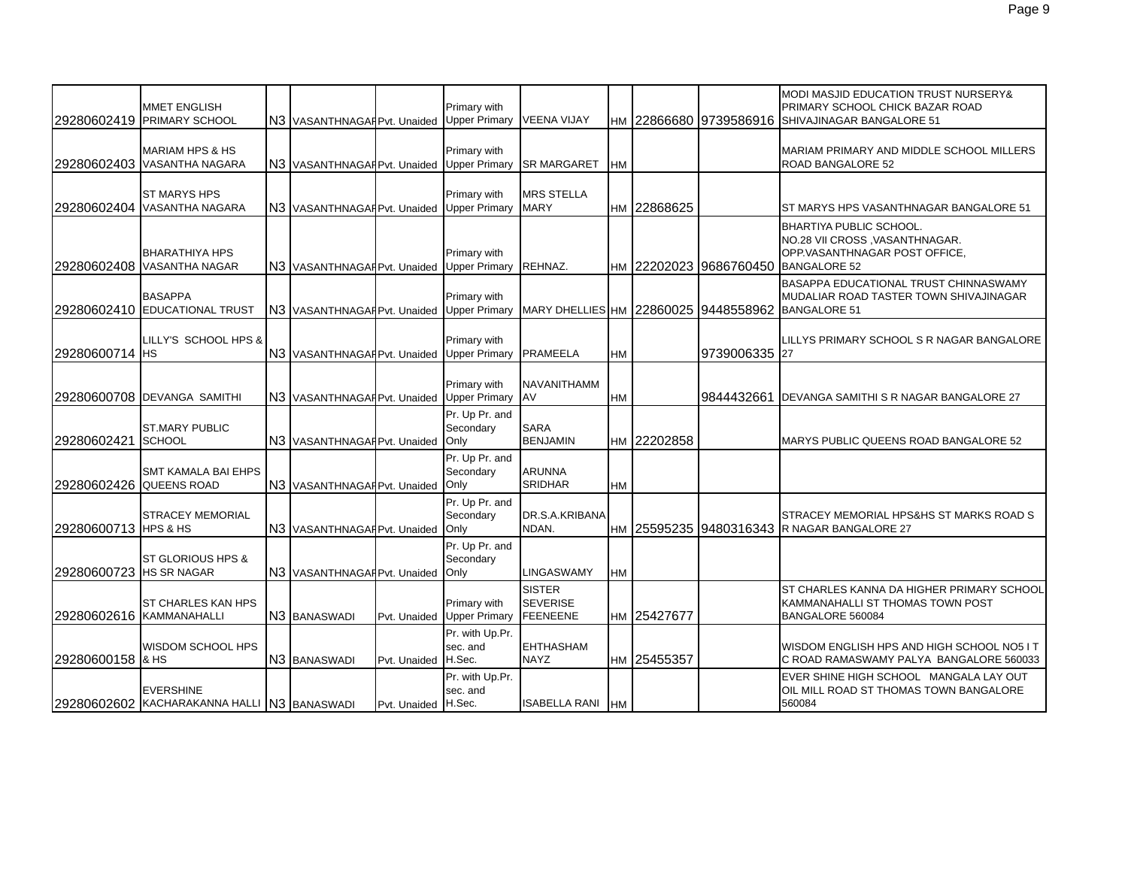| 29280602419             | <b>MMET ENGLISH</b><br><b>PRIMARY SCHOOL</b>                    | N3 VASANTHNAGARPvt. Unaided               |                     | Primary with<br><b>Upper Primary</b> | <b>VEENA VIJAY</b>                                  |           |             | Iнм I22866680 I9739586916 | <b>MODI MASJID EDUCATION TRUST NURSERY&amp;</b><br>PRIMARY SCHOOL CHICK BAZAR ROAD<br>SHIVAJINAGAR BANGALORE 51                          |
|-------------------------|-----------------------------------------------------------------|-------------------------------------------|---------------------|--------------------------------------|-----------------------------------------------------|-----------|-------------|---------------------------|------------------------------------------------------------------------------------------------------------------------------------------|
|                         | <b>MARIAM HPS &amp; HS</b><br>29280602403 VASANTHA NAGARA       | N3 VASANTHNAGARPvt. Unaided Upper Primary |                     | Primary with                         | <b>SR MARGARET</b>                                  | <b>HM</b> |             |                           | MARIAM PRIMARY AND MIDDLE SCHOOL MILLERS<br>ROAD BANGALORE 52                                                                            |
|                         | <b>ST MARYS HPS</b><br>29280602404 VASANTHA NAGARA              | N3 VASANTHNAGARPvt. Unaided               |                     | Primary with<br><b>Upper Primary</b> | MRS STELLA<br><b>MARY</b>                           | <b>HM</b> | 22868625    |                           | ST MARYS HPS VASANTHNAGAR BANGALORE 51                                                                                                   |
|                         | <b>BHARATHIYA HPS</b><br>29280602408 VASANTHA NAGAR             | N3 VASANTHNAGAF Pvt. Unaided              |                     | Primary with<br><b>Upper Primary</b> | REHNAZ.                                             |           |             |                           | <b>BHARTIYA PUBLIC SCHOOL.</b><br>NO.28 VII CROSS, VASANTHNAGAR.<br>OPP.VASANTHNAGAR POST OFFICE,<br>HM 22202023 9686760450 BANGALORE 52 |
|                         | <b>BASAPPA</b><br>29280602410 EDUCATIONAL TRUST                 | N3 VASANTHNAGAF Pvt. Unaided              |                     | Primary with<br><b>Upper Primary</b> | MARY DHELLIES HM 22860025 9448558962                |           |             |                           | BASAPPA EDUCATIONAL TRUST CHINNASWAMY<br>MUDALIAR ROAD TASTER TOWN SHIVAJINAGAR<br><b>BANGALORE 51</b>                                   |
| 29280600714 HS          | LILLY'S SCHOOL HPS &                                            | N3 VASANTHNAGARPvt. Unaided               |                     | Primary with<br><b>Upper Primary</b> | <b>PRAMEELA</b>                                     | <b>HM</b> |             | 9739006335 27             | LILLYS PRIMARY SCHOOL S R NAGAR BANGALORE                                                                                                |
|                         | 29280600708 DEVANGA SAMITHI                                     | N3 VASANTHNAGARPvt. Unaided               |                     | Primary with<br><b>Upper Primary</b> | NAVANITHAMM<br>AV                                   | <b>HM</b> |             | 9844432661                | DEVANGA SAMITHI S R NAGAR BANGALORE 27                                                                                                   |
| 29280602421             | <b>ST.MARY PUBLIC</b><br><b>SCHOOL</b>                          | N3 VASANTHNAGAF Pvt. Unaided              |                     | Pr. Up Pr. and<br>Secondary<br>Only  | <b>SARA</b><br><b>BENJAMIN</b>                      |           | HM 22202858 |                           | MARYS PUBLIC QUEENS ROAD BANGALORE 52                                                                                                    |
| 29280602426 QUEENS ROAD | <b>SMT KAMALA BAI EHPS</b>                                      | N3 VASANTHNAGAI Pvt. Unaided              |                     | Pr. Up Pr. and<br>Secondary<br>Only  | <b>ARUNNA</b><br><b>SRIDHAR</b>                     | <b>HM</b> |             |                           |                                                                                                                                          |
| 29280600713 HPS & HS    | <b>STRACEY MEMORIAL</b>                                         | N3 VASANTHNAGARPvt. Unaided               |                     | Pr. Up Pr. and<br>Secondary<br>Only  | DR.S.A.KRIBANA<br>NDAN.                             |           |             |                           | STRACEY MEMORIAL HPS&HS ST MARKS ROAD S<br>HM 25595235 9480316343 R NAGAR BANGALORE 27                                                   |
| 29280600723 HS SR NAGAR | ST GLORIOUS HPS &                                               | N3 VASANTHNAGARPvt. Unaided               |                     | Pr. Up Pr. and<br>Secondary<br>Only  | LINGASWAMY                                          | <b>HM</b> |             |                           |                                                                                                                                          |
|                         | ST CHARLES KAN HPS<br>29280602616 KAMMANAHALLI                  | N <sub>3</sub> BANASWADI                  | Pvt. Unaided        | Primary with<br><b>Upper Primary</b> | <b>SISTER</b><br><b>SEVERISE</b><br><b>FEENEENE</b> |           | HM 25427677 |                           | ST CHARLES KANNA DA HIGHER PRIMARY SCHOOL<br>KAMMANAHALLI ST THOMAS TOWN POST<br>BANGALORE 560084                                        |
| 29280600158 & HS        | WISDOM SCHOOL HPS                                               | N3 BANASWADI                              | Pvt. Unaided H.Sec. | Pr. with Up.Pr.<br>sec. and          | <b>EHTHASHAM</b><br><b>NAYZ</b>                     |           | HM 25455357 |                           | WISDOM ENGLISH HPS AND HIGH SCHOOL NO5 IT<br>C ROAD RAMASWAMY PALYA BANGALORE 560033                                                     |
|                         | <b>EVERSHINE</b><br>29280602602 KACHARAKANNA HALLI N3 BANASWADI |                                           | Pvt. Unaided H.Sec. | Pr. with Up.Pr.<br>sec. and          | ISABELLA RANI                                       | <b>HM</b> |             |                           | EVER SHINE HIGH SCHOOL MANGALA LAY OUT<br>OIL MILL ROAD ST THOMAS TOWN BANGALORE<br>560084                                               |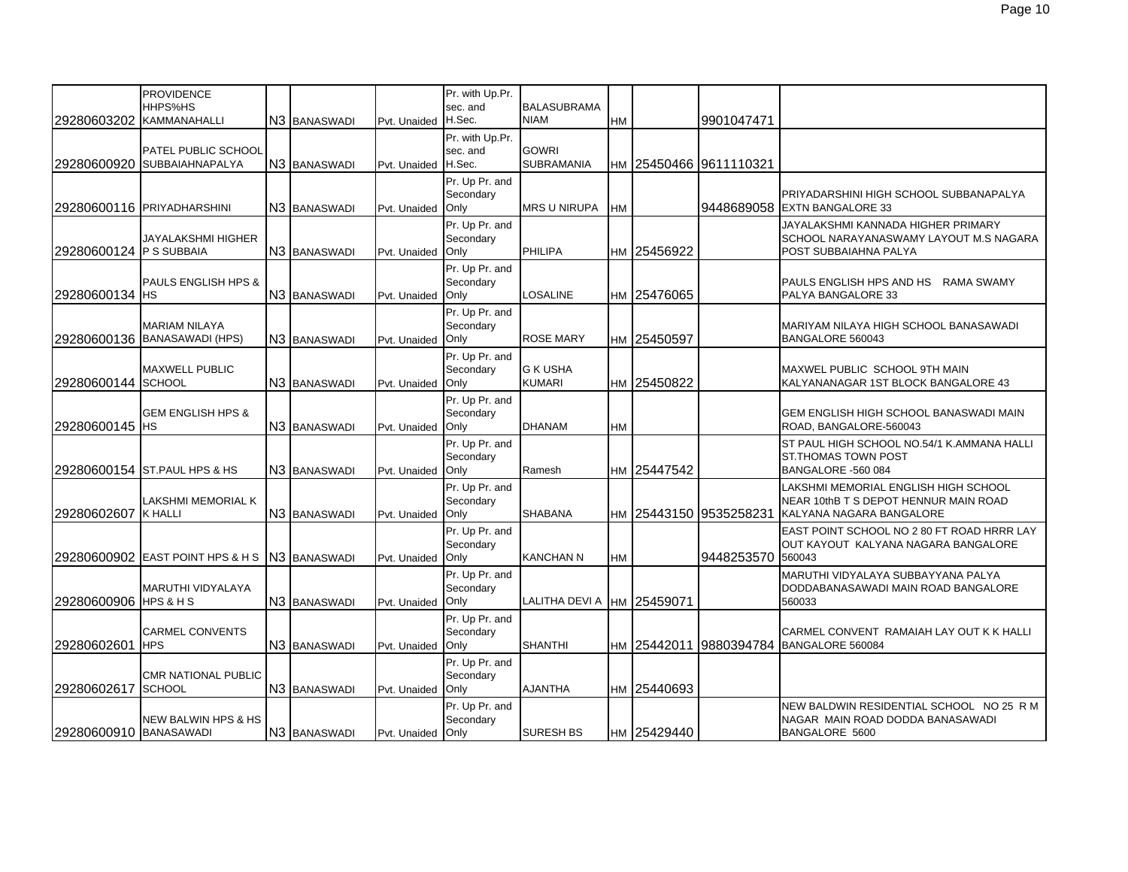| <b>PROVIDENCE</b><br>Pr. with Up.Pr.<br>HHPS%HS<br>sec. and<br><b>BALASUBRAMA</b><br>KAMMANAHALLI<br>H.Sec.<br>29280603202<br>N <sub>3</sub> BANASWADI<br><b>NIAM</b><br>9901047471<br>Pvt. Unaided<br><b>HM</b><br>Pr. with Up.Pr.<br><b>GOWRI</b><br>sec. and<br>PATEL PUBLIC SCHOOL<br>H.Sec.<br><b>SUBRAMANIA</b><br>29280600920 SUBBAIAHNAPALYA<br>N <sub>3</sub> BANASWADI<br>Iнм I25450466 I9611110321<br>Pvt. Unaided<br>Pr. Up Pr. and<br>Secondary<br>PRIYADARSHINI HIGH SCHOOL SUBBANAPALYA<br>29280600116 PRIYADHARSHINI<br><b>MRS U NIRUPA</b><br>9448689058 EXTN BANGALORE 33<br>N3 BANASWADI<br>Only<br><b>HM</b><br>Pvt. Unaided<br>Pr. Up Pr. and<br>JAYALAKSHMI KANNADA HIGHER PRIMARY<br>Secondary<br>JAYALAKSHMI HIGHER<br>SCHOOL NARAYANASWAMY LAYOUT M.S NAGARA<br>29280600124 P S SUBBAIA<br>N <sub>3</sub> BANASWADI<br>Only<br><b>PHILIPA</b><br>HM 25456922<br>POST SUBBAIAHNA PALYA<br>Pvt. Unaided<br>Pr. Up Pr. and<br><b>PAULS ENGLISH HPS &amp;</b><br>Secondary<br>PAULS ENGLISH HPS AND HS<br>RAMA SWAMY<br>29280600134 HS<br>LOSALINE<br>N3 BANASWADI<br>Only<br>HM 25476065<br>PALYA BANGALORE 33<br>Pvt. Unaided<br>Pr. Up Pr. and<br><b>MARIAM NILAYA</b><br>Secondary<br>MARIYAM NILAYA HIGH SCHOOL BANASAWADI<br>29280600136 BANASAWADI (HPS)<br>N <sub>3</sub> BANASWADI<br>Only<br><b>ROSE MARY</b><br>HM 25450597<br>BANGALORE 560043<br>Pvt. Unaided<br>Pr. Up Pr. and<br><b>G K USHA</b><br><b>MAXWELL PUBLIC</b><br>Secondary<br>MAXWEL PUBLIC SCHOOL 9TH MAIN<br>29280600144 SCHOOL<br>N3 BANASWADI<br>HM 25450822<br>Only<br><b>KUMARI</b><br>KALYANANAGAR 1ST BLOCK BANGALORE 43<br>Pvt. Unaided<br>Pr. Up Pr. and<br>Secondary<br><b>GEM ENGLISH HPS &amp;</b><br><b>GEM ENGLISH HIGH SCHOOL BANASWADI MAIN</b><br>N <sub>3</sub> BANASWADI<br>29280600145 IHS<br>Only<br><b>DHANAM</b><br><b>HM</b><br>ROAD, BANGALORE-560043<br>Pvt. Unaided<br>Pr. Up Pr. and<br>ST PAUL HIGH SCHOOL NO.54/1 K.AMMANA HALLI<br>Secondary<br><b>ST.THOMAS TOWN POST</b><br>29280600154 ST. PAUL HPS & HS<br>N3 BANASWADI<br>HM 25447542<br>Only<br>Pvt. Unaided<br>Ramesh<br>BANGALORE -560 084<br>Pr. Up Pr. and<br>LAKSHMI MEMORIAL ENGLISH HIGH SCHOOL<br>LAKSHMI MEMORIAL K<br>Secondary<br>NEAR 10thB T S DEPOT HENNUR MAIN ROAD<br>29280602607 K HALLI<br>N3 BANASWADI<br>HM 25443150 9535258231<br>Only<br><b>SHABANA</b><br>KALYANA NAGARA BANGALORE |
|-------------------------------------------------------------------------------------------------------------------------------------------------------------------------------------------------------------------------------------------------------------------------------------------------------------------------------------------------------------------------------------------------------------------------------------------------------------------------------------------------------------------------------------------------------------------------------------------------------------------------------------------------------------------------------------------------------------------------------------------------------------------------------------------------------------------------------------------------------------------------------------------------------------------------------------------------------------------------------------------------------------------------------------------------------------------------------------------------------------------------------------------------------------------------------------------------------------------------------------------------------------------------------------------------------------------------------------------------------------------------------------------------------------------------------------------------------------------------------------------------------------------------------------------------------------------------------------------------------------------------------------------------------------------------------------------------------------------------------------------------------------------------------------------------------------------------------------------------------------------------------------------------------------------------------------------------------------------------------------------------------------------------------------------------------------------------------------------------------------------------------------------------------------------------------------------------------------------------------------------------------------------------------------------------------------------------------------------------------------------------------------------------|
|                                                                                                                                                                                                                                                                                                                                                                                                                                                                                                                                                                                                                                                                                                                                                                                                                                                                                                                                                                                                                                                                                                                                                                                                                                                                                                                                                                                                                                                                                                                                                                                                                                                                                                                                                                                                                                                                                                                                                                                                                                                                                                                                                                                                                                                                                                                                                                                                 |
|                                                                                                                                                                                                                                                                                                                                                                                                                                                                                                                                                                                                                                                                                                                                                                                                                                                                                                                                                                                                                                                                                                                                                                                                                                                                                                                                                                                                                                                                                                                                                                                                                                                                                                                                                                                                                                                                                                                                                                                                                                                                                                                                                                                                                                                                                                                                                                                                 |
|                                                                                                                                                                                                                                                                                                                                                                                                                                                                                                                                                                                                                                                                                                                                                                                                                                                                                                                                                                                                                                                                                                                                                                                                                                                                                                                                                                                                                                                                                                                                                                                                                                                                                                                                                                                                                                                                                                                                                                                                                                                                                                                                                                                                                                                                                                                                                                                                 |
|                                                                                                                                                                                                                                                                                                                                                                                                                                                                                                                                                                                                                                                                                                                                                                                                                                                                                                                                                                                                                                                                                                                                                                                                                                                                                                                                                                                                                                                                                                                                                                                                                                                                                                                                                                                                                                                                                                                                                                                                                                                                                                                                                                                                                                                                                                                                                                                                 |
|                                                                                                                                                                                                                                                                                                                                                                                                                                                                                                                                                                                                                                                                                                                                                                                                                                                                                                                                                                                                                                                                                                                                                                                                                                                                                                                                                                                                                                                                                                                                                                                                                                                                                                                                                                                                                                                                                                                                                                                                                                                                                                                                                                                                                                                                                                                                                                                                 |
|                                                                                                                                                                                                                                                                                                                                                                                                                                                                                                                                                                                                                                                                                                                                                                                                                                                                                                                                                                                                                                                                                                                                                                                                                                                                                                                                                                                                                                                                                                                                                                                                                                                                                                                                                                                                                                                                                                                                                                                                                                                                                                                                                                                                                                                                                                                                                                                                 |
|                                                                                                                                                                                                                                                                                                                                                                                                                                                                                                                                                                                                                                                                                                                                                                                                                                                                                                                                                                                                                                                                                                                                                                                                                                                                                                                                                                                                                                                                                                                                                                                                                                                                                                                                                                                                                                                                                                                                                                                                                                                                                                                                                                                                                                                                                                                                                                                                 |
|                                                                                                                                                                                                                                                                                                                                                                                                                                                                                                                                                                                                                                                                                                                                                                                                                                                                                                                                                                                                                                                                                                                                                                                                                                                                                                                                                                                                                                                                                                                                                                                                                                                                                                                                                                                                                                                                                                                                                                                                                                                                                                                                                                                                                                                                                                                                                                                                 |
|                                                                                                                                                                                                                                                                                                                                                                                                                                                                                                                                                                                                                                                                                                                                                                                                                                                                                                                                                                                                                                                                                                                                                                                                                                                                                                                                                                                                                                                                                                                                                                                                                                                                                                                                                                                                                                                                                                                                                                                                                                                                                                                                                                                                                                                                                                                                                                                                 |
|                                                                                                                                                                                                                                                                                                                                                                                                                                                                                                                                                                                                                                                                                                                                                                                                                                                                                                                                                                                                                                                                                                                                                                                                                                                                                                                                                                                                                                                                                                                                                                                                                                                                                                                                                                                                                                                                                                                                                                                                                                                                                                                                                                                                                                                                                                                                                                                                 |
|                                                                                                                                                                                                                                                                                                                                                                                                                                                                                                                                                                                                                                                                                                                                                                                                                                                                                                                                                                                                                                                                                                                                                                                                                                                                                                                                                                                                                                                                                                                                                                                                                                                                                                                                                                                                                                                                                                                                                                                                                                                                                                                                                                                                                                                                                                                                                                                                 |
|                                                                                                                                                                                                                                                                                                                                                                                                                                                                                                                                                                                                                                                                                                                                                                                                                                                                                                                                                                                                                                                                                                                                                                                                                                                                                                                                                                                                                                                                                                                                                                                                                                                                                                                                                                                                                                                                                                                                                                                                                                                                                                                                                                                                                                                                                                                                                                                                 |
|                                                                                                                                                                                                                                                                                                                                                                                                                                                                                                                                                                                                                                                                                                                                                                                                                                                                                                                                                                                                                                                                                                                                                                                                                                                                                                                                                                                                                                                                                                                                                                                                                                                                                                                                                                                                                                                                                                                                                                                                                                                                                                                                                                                                                                                                                                                                                                                                 |
|                                                                                                                                                                                                                                                                                                                                                                                                                                                                                                                                                                                                                                                                                                                                                                                                                                                                                                                                                                                                                                                                                                                                                                                                                                                                                                                                                                                                                                                                                                                                                                                                                                                                                                                                                                                                                                                                                                                                                                                                                                                                                                                                                                                                                                                                                                                                                                                                 |
|                                                                                                                                                                                                                                                                                                                                                                                                                                                                                                                                                                                                                                                                                                                                                                                                                                                                                                                                                                                                                                                                                                                                                                                                                                                                                                                                                                                                                                                                                                                                                                                                                                                                                                                                                                                                                                                                                                                                                                                                                                                                                                                                                                                                                                                                                                                                                                                                 |
|                                                                                                                                                                                                                                                                                                                                                                                                                                                                                                                                                                                                                                                                                                                                                                                                                                                                                                                                                                                                                                                                                                                                                                                                                                                                                                                                                                                                                                                                                                                                                                                                                                                                                                                                                                                                                                                                                                                                                                                                                                                                                                                                                                                                                                                                                                                                                                                                 |
|                                                                                                                                                                                                                                                                                                                                                                                                                                                                                                                                                                                                                                                                                                                                                                                                                                                                                                                                                                                                                                                                                                                                                                                                                                                                                                                                                                                                                                                                                                                                                                                                                                                                                                                                                                                                                                                                                                                                                                                                                                                                                                                                                                                                                                                                                                                                                                                                 |
|                                                                                                                                                                                                                                                                                                                                                                                                                                                                                                                                                                                                                                                                                                                                                                                                                                                                                                                                                                                                                                                                                                                                                                                                                                                                                                                                                                                                                                                                                                                                                                                                                                                                                                                                                                                                                                                                                                                                                                                                                                                                                                                                                                                                                                                                                                                                                                                                 |
|                                                                                                                                                                                                                                                                                                                                                                                                                                                                                                                                                                                                                                                                                                                                                                                                                                                                                                                                                                                                                                                                                                                                                                                                                                                                                                                                                                                                                                                                                                                                                                                                                                                                                                                                                                                                                                                                                                                                                                                                                                                                                                                                                                                                                                                                                                                                                                                                 |
|                                                                                                                                                                                                                                                                                                                                                                                                                                                                                                                                                                                                                                                                                                                                                                                                                                                                                                                                                                                                                                                                                                                                                                                                                                                                                                                                                                                                                                                                                                                                                                                                                                                                                                                                                                                                                                                                                                                                                                                                                                                                                                                                                                                                                                                                                                                                                                                                 |
|                                                                                                                                                                                                                                                                                                                                                                                                                                                                                                                                                                                                                                                                                                                                                                                                                                                                                                                                                                                                                                                                                                                                                                                                                                                                                                                                                                                                                                                                                                                                                                                                                                                                                                                                                                                                                                                                                                                                                                                                                                                                                                                                                                                                                                                                                                                                                                                                 |
|                                                                                                                                                                                                                                                                                                                                                                                                                                                                                                                                                                                                                                                                                                                                                                                                                                                                                                                                                                                                                                                                                                                                                                                                                                                                                                                                                                                                                                                                                                                                                                                                                                                                                                                                                                                                                                                                                                                                                                                                                                                                                                                                                                                                                                                                                                                                                                                                 |
|                                                                                                                                                                                                                                                                                                                                                                                                                                                                                                                                                                                                                                                                                                                                                                                                                                                                                                                                                                                                                                                                                                                                                                                                                                                                                                                                                                                                                                                                                                                                                                                                                                                                                                                                                                                                                                                                                                                                                                                                                                                                                                                                                                                                                                                                                                                                                                                                 |
|                                                                                                                                                                                                                                                                                                                                                                                                                                                                                                                                                                                                                                                                                                                                                                                                                                                                                                                                                                                                                                                                                                                                                                                                                                                                                                                                                                                                                                                                                                                                                                                                                                                                                                                                                                                                                                                                                                                                                                                                                                                                                                                                                                                                                                                                                                                                                                                                 |
|                                                                                                                                                                                                                                                                                                                                                                                                                                                                                                                                                                                                                                                                                                                                                                                                                                                                                                                                                                                                                                                                                                                                                                                                                                                                                                                                                                                                                                                                                                                                                                                                                                                                                                                                                                                                                                                                                                                                                                                                                                                                                                                                                                                                                                                                                                                                                                                                 |
|                                                                                                                                                                                                                                                                                                                                                                                                                                                                                                                                                                                                                                                                                                                                                                                                                                                                                                                                                                                                                                                                                                                                                                                                                                                                                                                                                                                                                                                                                                                                                                                                                                                                                                                                                                                                                                                                                                                                                                                                                                                                                                                                                                                                                                                                                                                                                                                                 |
|                                                                                                                                                                                                                                                                                                                                                                                                                                                                                                                                                                                                                                                                                                                                                                                                                                                                                                                                                                                                                                                                                                                                                                                                                                                                                                                                                                                                                                                                                                                                                                                                                                                                                                                                                                                                                                                                                                                                                                                                                                                                                                                                                                                                                                                                                                                                                                                                 |
|                                                                                                                                                                                                                                                                                                                                                                                                                                                                                                                                                                                                                                                                                                                                                                                                                                                                                                                                                                                                                                                                                                                                                                                                                                                                                                                                                                                                                                                                                                                                                                                                                                                                                                                                                                                                                                                                                                                                                                                                                                                                                                                                                                                                                                                                                                                                                                                                 |
| Pvt. Unaided                                                                                                                                                                                                                                                                                                                                                                                                                                                                                                                                                                                                                                                                                                                                                                                                                                                                                                                                                                                                                                                                                                                                                                                                                                                                                                                                                                                                                                                                                                                                                                                                                                                                                                                                                                                                                                                                                                                                                                                                                                                                                                                                                                                                                                                                                                                                                                                    |
| Pr. Up Pr. and<br>EAST POINT SCHOOL NO 2 80 FT ROAD HRRR LAY                                                                                                                                                                                                                                                                                                                                                                                                                                                                                                                                                                                                                                                                                                                                                                                                                                                                                                                                                                                                                                                                                                                                                                                                                                                                                                                                                                                                                                                                                                                                                                                                                                                                                                                                                                                                                                                                                                                                                                                                                                                                                                                                                                                                                                                                                                                                    |
| Secondary<br>OUT KAYOUT KALYANA NAGARA BANGALORE                                                                                                                                                                                                                                                                                                                                                                                                                                                                                                                                                                                                                                                                                                                                                                                                                                                                                                                                                                                                                                                                                                                                                                                                                                                                                                                                                                                                                                                                                                                                                                                                                                                                                                                                                                                                                                                                                                                                                                                                                                                                                                                                                                                                                                                                                                                                                |
| 9448253570<br>29280600902 EAST POINT HPS & H S<br>N3 BANASWADI<br><b>KANCHAN N</b><br>560043<br>Pvt. Unaided<br>Only<br>HM                                                                                                                                                                                                                                                                                                                                                                                                                                                                                                                                                                                                                                                                                                                                                                                                                                                                                                                                                                                                                                                                                                                                                                                                                                                                                                                                                                                                                                                                                                                                                                                                                                                                                                                                                                                                                                                                                                                                                                                                                                                                                                                                                                                                                                                                      |
| Pr. Up Pr. and<br>MARUTHI VIDYALAYA SUBBAYYANA PALYA                                                                                                                                                                                                                                                                                                                                                                                                                                                                                                                                                                                                                                                                                                                                                                                                                                                                                                                                                                                                                                                                                                                                                                                                                                                                                                                                                                                                                                                                                                                                                                                                                                                                                                                                                                                                                                                                                                                                                                                                                                                                                                                                                                                                                                                                                                                                            |
| <b>MARUTHI VIDYALAYA</b><br>Secondary<br>DODDABANASAWADI MAIN ROAD BANGALORE<br>Only<br>560033                                                                                                                                                                                                                                                                                                                                                                                                                                                                                                                                                                                                                                                                                                                                                                                                                                                                                                                                                                                                                                                                                                                                                                                                                                                                                                                                                                                                                                                                                                                                                                                                                                                                                                                                                                                                                                                                                                                                                                                                                                                                                                                                                                                                                                                                                                  |
| N3 BANASWADI<br>29280600906 HPS & H S<br>LALITHA DEVI A  HM 25459071<br>Pvt. Unaided                                                                                                                                                                                                                                                                                                                                                                                                                                                                                                                                                                                                                                                                                                                                                                                                                                                                                                                                                                                                                                                                                                                                                                                                                                                                                                                                                                                                                                                                                                                                                                                                                                                                                                                                                                                                                                                                                                                                                                                                                                                                                                                                                                                                                                                                                                            |
| Pr. Up Pr. and                                                                                                                                                                                                                                                                                                                                                                                                                                                                                                                                                                                                                                                                                                                                                                                                                                                                                                                                                                                                                                                                                                                                                                                                                                                                                                                                                                                                                                                                                                                                                                                                                                                                                                                                                                                                                                                                                                                                                                                                                                                                                                                                                                                                                                                                                                                                                                                  |
| <b>CARMEL CONVENTS</b><br>Secondary<br>CARMEL CONVENT RAMAIAH LAY OUT K K HALLI<br>N3 BANASWADI<br><b>SHANTHI</b><br>HM 25442011<br>9880394784<br>29280602601<br><b>HPS</b><br>Only<br>BANGALORE 560084                                                                                                                                                                                                                                                                                                                                                                                                                                                                                                                                                                                                                                                                                                                                                                                                                                                                                                                                                                                                                                                                                                                                                                                                                                                                                                                                                                                                                                                                                                                                                                                                                                                                                                                                                                                                                                                                                                                                                                                                                                                                                                                                                                                         |
| Pvt. Unaided                                                                                                                                                                                                                                                                                                                                                                                                                                                                                                                                                                                                                                                                                                                                                                                                                                                                                                                                                                                                                                                                                                                                                                                                                                                                                                                                                                                                                                                                                                                                                                                                                                                                                                                                                                                                                                                                                                                                                                                                                                                                                                                                                                                                                                                                                                                                                                                    |
| Pr. Up Pr. and<br>Secondary                                                                                                                                                                                                                                                                                                                                                                                                                                                                                                                                                                                                                                                                                                                                                                                                                                                                                                                                                                                                                                                                                                                                                                                                                                                                                                                                                                                                                                                                                                                                                                                                                                                                                                                                                                                                                                                                                                                                                                                                                                                                                                                                                                                                                                                                                                                                                                     |
| <b>CMR NATIONAL PUBLIC</b><br><b>AJANTHA</b><br>29280602617<br><b>SCHOOL</b><br>N3 BANASWADI<br>Only<br>HM 25440693<br>Pvt. Unaided                                                                                                                                                                                                                                                                                                                                                                                                                                                                                                                                                                                                                                                                                                                                                                                                                                                                                                                                                                                                                                                                                                                                                                                                                                                                                                                                                                                                                                                                                                                                                                                                                                                                                                                                                                                                                                                                                                                                                                                                                                                                                                                                                                                                                                                             |
| Pr. Up Pr. and<br>NEW BALDWIN RESIDENTIAL SCHOOL NO 25 R M                                                                                                                                                                                                                                                                                                                                                                                                                                                                                                                                                                                                                                                                                                                                                                                                                                                                                                                                                                                                                                                                                                                                                                                                                                                                                                                                                                                                                                                                                                                                                                                                                                                                                                                                                                                                                                                                                                                                                                                                                                                                                                                                                                                                                                                                                                                                      |
| <b>NEW BALWIN HPS &amp; HS</b><br>NAGAR MAIN ROAD DODDA BANASAWADI<br>Secondary                                                                                                                                                                                                                                                                                                                                                                                                                                                                                                                                                                                                                                                                                                                                                                                                                                                                                                                                                                                                                                                                                                                                                                                                                                                                                                                                                                                                                                                                                                                                                                                                                                                                                                                                                                                                                                                                                                                                                                                                                                                                                                                                                                                                                                                                                                                 |
| 29280600910 BANASAWADI<br>HM 25429440<br>N3 BANASWADI<br>Pvt. Unaided Only<br><b>SURESH BS</b><br>BANGALORE 5600                                                                                                                                                                                                                                                                                                                                                                                                                                                                                                                                                                                                                                                                                                                                                                                                                                                                                                                                                                                                                                                                                                                                                                                                                                                                                                                                                                                                                                                                                                                                                                                                                                                                                                                                                                                                                                                                                                                                                                                                                                                                                                                                                                                                                                                                                |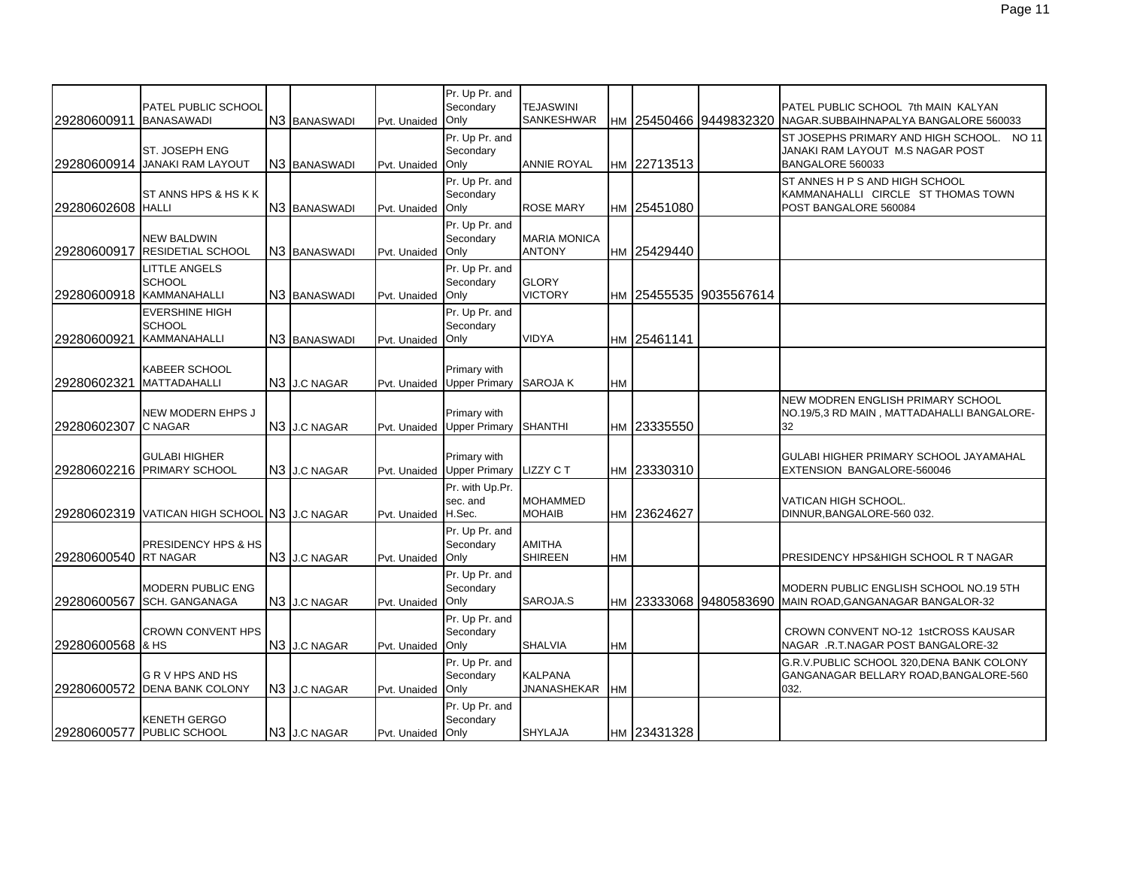|                      |                                                               |                          |                     | Pr. Up Pr. and                       |                                       |           |             |                        |                                                                                                   |
|----------------------|---------------------------------------------------------------|--------------------------|---------------------|--------------------------------------|---------------------------------------|-----------|-------------|------------------------|---------------------------------------------------------------------------------------------------|
| 29280600911          | PATEL PUBLIC SCHOOL<br><b>BANASAWADI</b>                      | N3 BANASWADI             | Pvt. Unaided        | Secondary<br>Only                    | <b>TEJASWINI</b><br><b>SANKESHWAR</b> |           |             | HM 25450466 9449832320 | PATEL PUBLIC SCHOOL 7th MAIN KALYAN<br>NAGAR.SUBBAIHNAPALYA BANGALORE 560033                      |
|                      | ST. JOSEPH ENG<br>29280600914 JANAKI RAM LAYOUT               | N <sub>3</sub> BANASWADI | Pvt. Unaided        | Pr. Up Pr. and<br>Secondary<br>Only  | ANNIE ROYAL                           |           | HM 22713513 |                        | ST JOSEPHS PRIMARY AND HIGH SCHOOL. NO 11<br>JANAKI RAM LAYOUT M.S NAGAR POST<br>BANGALORE 560033 |
| 29280602608 HALLI    | ST ANNS HPS & HS K K                                          | N3 BANASWADI             | Pvt. Unaided        | Pr. Up Pr. and<br>Secondary<br>Only  | <b>ROSE MARY</b>                      |           | HM 25451080 |                        | ST ANNES H P S AND HIGH SCHOOL<br>KAMMANAHALLI CIRCLE ST THOMAS TOWN<br>POST BANGALORE 560084     |
| 29280600917          | <b>NEW BALDWIN</b><br><b>RESIDETIAL SCHOOL</b>                | N <sub>3</sub> BANASWADI | Pvt. Unaided        | Pr. Up Pr. and<br>Secondary<br>Only  | <b>MARIA MONICA</b><br><b>ANTONY</b>  |           | HM 25429440 |                        |                                                                                                   |
|                      | LITTLE ANGELS<br><b>SCHOOL</b><br>29280600918 KAMMANAHALLI    | N3 BANASWADI             | Pvt. Unaided        | Pr. Up Pr. and<br>Secondary<br>Only  | <b>GLORY</b><br><b>VICTORY</b>        | HM        |             | 25455535 9035567614    |                                                                                                   |
| 29280600921          | <b>EVERSHINE HIGH</b><br><b>SCHOOL</b><br><b>KAMMANAHALLI</b> | N <sub>3</sub> BANASWADI | Pvt. Unaided        | Pr. Up Pr. and<br>Secondary<br>Only  | <b>VIDYA</b>                          |           | HM 25461141 |                        |                                                                                                   |
| 29280602321          | <b>KABEER SCHOOL</b><br><b>MATTADAHALLI</b>                   | N3 J.C NAGAR             | Pvt. Unaided        | Primary with<br><b>Upper Primary</b> | <b>SAROJA K</b>                       | HM        |             |                        |                                                                                                   |
| 29280602307          | NEW MODERN EHPS J<br><b>C NAGAR</b>                           | N <sub>3</sub> J.C NAGAR | Pvt. Unaided        | Primary with<br><b>Upper Primary</b> | <b>SHANTHI</b>                        | НM        | 23335550    |                        | NEW MODREN ENGLISH PRIMARY SCHOOL<br>NO.19/5,3 RD MAIN, MATTADAHALLI BANGALORE-<br>32             |
|                      | <b>GULABI HIGHER</b><br>29280602216 PRIMARY SCHOOL            | N <sub>3</sub> J.C NAGAR | Pvt. Unaided        | Primary with<br><b>Upper Primary</b> | <b>LIZZY CT</b>                       | HM        | 23330310    |                        | <b>GULABI HIGHER PRIMARY SCHOOL JAYAMAHAL</b><br>EXTENSION BANGALORE-560046                       |
|                      | 29280602319 VATICAN HIGH SCHOOL N3 J.C NAGAR                  |                          | Pvt. Unaided H.Sec. | Pr. with Up.Pr.<br>sec. and          | <b>MOHAMMED</b><br><b>MOHAIB</b>      | <b>HM</b> | 23624627    |                        | VATICAN HIGH SCHOOL.<br>DINNUR, BANGALORE-560 032.                                                |
| 29280600540 RT NAGAR | <b>PRESIDENCY HPS &amp; HS</b>                                | N3 J.C NAGAR             | Pvt. Unaided Only   | Pr. Up Pr. and<br>Secondary          | <b>AMITHA</b><br><b>SHIREEN</b>       | <b>HM</b> |             |                        | PRESIDENCY HPS&HIGH SCHOOL R T NAGAR                                                              |
| 29280600567          | <b>MODERN PUBLIC ENG</b><br><b>SCH. GANGANAGA</b>             | N <sub>3</sub> J.C NAGAR | Pvt. Unaided Only   | Pr. Up Pr. and<br>Secondary          | SAROJA.S                              | HM        |             | 23333068 9480583690    | MODERN PUBLIC ENGLISH SCHOOL NO.19 5TH<br>MAIN ROAD, GANGANAGAR BANGALOR-32                       |
| 29280600568 & HS     | <b>CROWN CONVENT HPS</b>                                      | N3 J.C NAGAR             | Pvt. Unaided        | Pr. Up Pr. and<br>Secondary<br>Only  | <b>SHALVIA</b>                        | <b>HM</b> |             |                        | CROWN CONVENT NO-12 1stCROSS KAUSAR<br>NAGAR .R.T.NAGAR POST BANGALORE-32                         |
|                      | G R V HPS AND HS<br>29280600572 DENA BANK COLONY              | N3 J.C NAGAR             | Pvt. Unaided Only   | Pr. Up Pr. and<br>Secondary          | <b>KALPANA</b><br><b>JNANASHEKAR</b>  | <b>HM</b> |             |                        | G.R.V. PUBLIC SCHOOL 320. DENA BANK COLONY<br>GANGANAGAR BELLARY ROAD, BANGALORE-560<br>032.      |
|                      | KENETH GERGO<br>29280600577 PUBLIC SCHOOL                     | N <sub>3</sub> J.C NAGAR | Pvt. Unaided Only   | Pr. Up Pr. and<br>Secondary          | <b>SHYLAJA</b>                        |           | HM 23431328 |                        |                                                                                                   |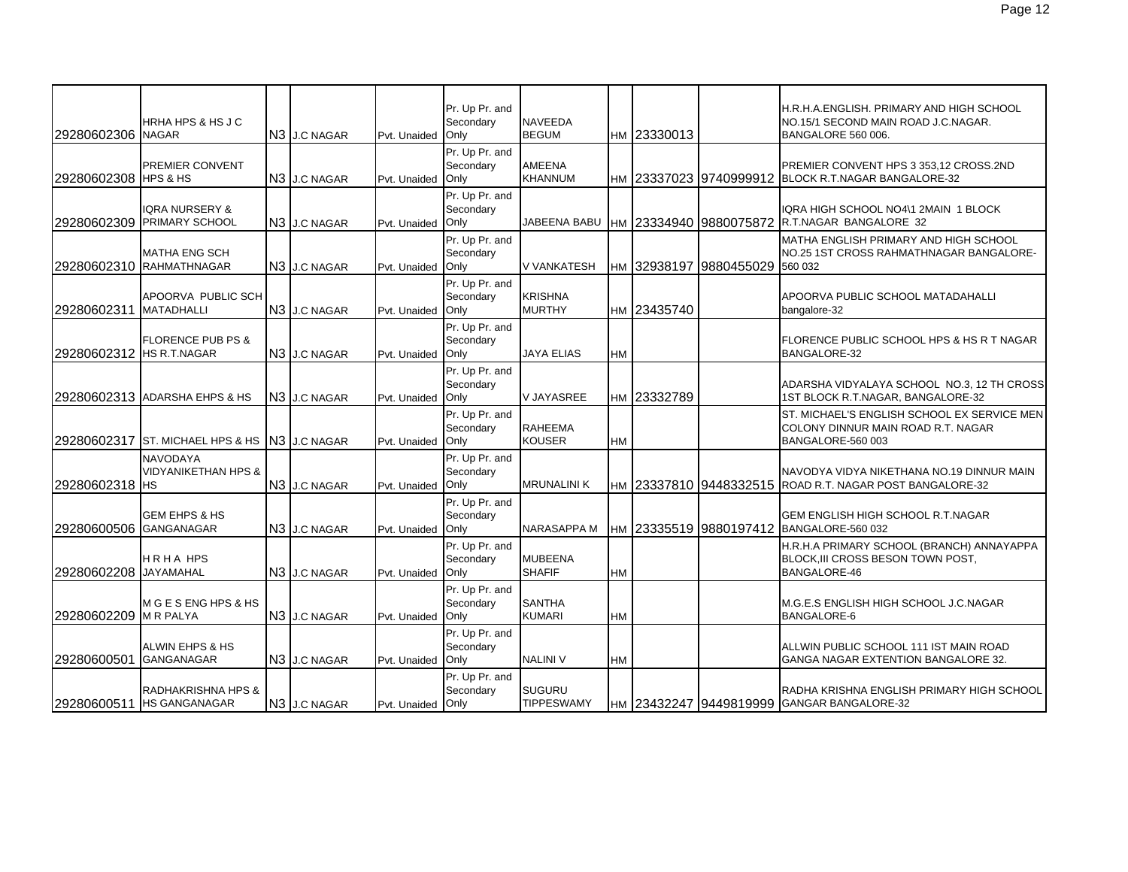| 29280602306 NAGAR        | HRHA HPS & HS J C                                 | N3 J.C NAGAR             | Pvt. Unaided      | Pr. Up Pr. and<br>Secondary<br>Only | <b>NAVEEDA</b><br><b>BEGUM</b>     |           | HM 23330013 |                        | H.R.H.A. ENGLISH. PRIMARY AND HIGH SCHOOL<br>NO.15/1 SECOND MAIN ROAD J.C.NAGAR.<br>BANGALORE 560 006. |
|--------------------------|---------------------------------------------------|--------------------------|-------------------|-------------------------------------|------------------------------------|-----------|-------------|------------------------|--------------------------------------------------------------------------------------------------------|
| 29280602308 HPS & HS     | PREMIER CONVENT                                   | N3 J.C NAGAR             | Pvt. Unaided      | Pr. Up Pr. and<br>Secondary<br>Only | <b>AMEENA</b><br><b>KHANNUM</b>    |           |             |                        | PREMIER CONVENT HPS 3 353,12 CROSS.2ND<br>HM 23337023 9740999912 BLOCK R.T.NAGAR BANGALORE-32          |
|                          | IQRA NURSERY &<br>29280602309 PRIMARY SCHOOL      | N <sub>3</sub> J.C NAGAR | Pvt. Unaided      | Pr. Up Pr. and<br>Secondary<br>Only | JABEENA BABU                       |           |             | HM 23334940 9880075872 | IQRA HIGH SCHOOL NO4\1 2MAIN 1 BLOCK<br>R.T.NAGAR BANGALORE 32                                         |
|                          | <b>MATHA ENG SCH</b><br>29280602310 RAHMATHNAGAR  | N3 J.C NAGAR             | Pvt. Unaided      | Pr. Up Pr. and<br>Secondary<br>Only | V VANKATESH                        |           | HM 32938197 | 9880455029             | MATHA ENGLISH PRIMARY AND HIGH SCHOOL<br>NO.25 1ST CROSS RAHMATHNAGAR BANGALORE-<br>560 032            |
| 29280602311              | APOORVA PUBLIC SCH<br><b>MATADHALLI</b>           | N3 J.C NAGAR             | Pvt. Unaided Only | Pr. Up Pr. and<br>Secondary         | <b>KRISHNA</b><br><b>MURTHY</b>    |           | HM 23435740 |                        | APOORVA PUBLIC SCHOOL MATADAHALLI<br>bangalore-32                                                      |
| 29280602312 HS R.T.NAGAR | <b>FLORENCE PUB PS &amp;</b>                      | N <sub>3</sub> J.C NAGAR | Pvt. Unaided      | Pr. Up Pr. and<br>Secondary<br>Only | <b>JAYA ELIAS</b>                  | HM        |             |                        | FLORENCE PUBLIC SCHOOL HPS & HS R T NAGAR<br>BANGALORE-32                                              |
|                          | 29280602313 ADARSHA EHPS & HS                     | N <sub>3</sub> J.C NAGAR | Pvt. Unaided      | Pr. Up Pr. and<br>Secondary<br>Only | V JAYASREE                         |           | HM 23332789 |                        | ADARSHA VIDYALAYA SCHOOL NO.3, 12 TH CROSS<br>1ST BLOCK R.T.NAGAR, BANGALORE-32                        |
| 29280602317              | ST. MICHAEL HPS & HS N3 J.C NAGAR                 |                          | Pvt. Unaided      | Pr. Up Pr. and<br>Secondary<br>Only | <b>RAHEEMA</b><br><b>KOUSER</b>    | HM        |             |                        | ST. MICHAEL'S ENGLISH SCHOOL EX SERVICE MEN<br>COLONY DINNUR MAIN ROAD R.T. NAGAR<br>BANGALORE-560 003 |
| 29280602318 HS           | <b>NAVODAYA</b><br><b>VIDYANIKETHAN HPS &amp;</b> | N <sub>3</sub> J.C NAGAR | Pvt. Unaided      | Pr. Up Pr. and<br>Secondary<br>Only | <b>MRUNALINI K</b>                 |           |             |                        | NAVODYA VIDYA NIKETHANA NO.19 DINNUR MAIN<br>HM 23337810 9448332515 ROAD R.T. NAGAR POST BANGALORE-32  |
| 29280600506 GANGANAGAR   | <b>GEM EHPS &amp; HS</b>                          | N3 J.C NAGAR             | Pvt. Unaided      | Pr. Up Pr. and<br>Secondary<br>Only | NARASAPPA M                        |           |             |                        | GEM ENGLISH HIGH SCHOOL R.T.NAGAR<br>HM 23335519 9880197412 BANGALORE-560 032                          |
| 29280602208              | <b>HRHAHPS</b><br><b>JAYAMAHAL</b>                | N <sub>3</sub> J.C NAGAR | Pvt. Unaided      | Pr. Up Pr. and<br>Secondary<br>Only | <b>MUBEENA</b><br><b>SHAFIF</b>    | <b>HM</b> |             |                        | H.R.H.A PRIMARY SCHOOL (BRANCH) ANNAYAPPA<br>BLOCK, III CROSS BESON TOWN POST,<br><b>BANGALORE-46</b>  |
| 29280602209 M R PALYA    | M G E S ENG HPS & HS                              | N3 J.C NAGAR             | Pvt. Unaided      | Pr. Up Pr. and<br>Secondary<br>Only | <b>SANTHA</b><br><b>KUMARI</b>     | HM        |             |                        | M.G.E.S ENGLISH HIGH SCHOOL J.C.NAGAR<br><b>BANGALORE-6</b>                                            |
| 29280600501              | ALWIN EHPS & HS<br><b>GANGANAGAR</b>              | N3 J.C NAGAR             | Pvt. Unaided      | Pr. Up Pr. and<br>Secondary<br>Only | <b>NALINI V</b>                    | <b>HM</b> |             |                        | ALLWIN PUBLIC SCHOOL 111 IST MAIN ROAD<br>GANGA NAGAR EXTENTION BANGALORE 32.                          |
|                          | RADHAKRISHNA HPS &<br>29280600511 HS GANGANAGAR   | N3 J.C NAGAR             | Pvt. Unaided Only | Pr. Up Pr. and<br>Secondary         | <b>SUGURU</b><br><b>TIPPESWAMY</b> |           |             |                        | RADHA KRISHNA ENGLISH PRIMARY HIGH SCHOOL<br>HM 23432247 9449819999 GANGAR BANGALORE-32                |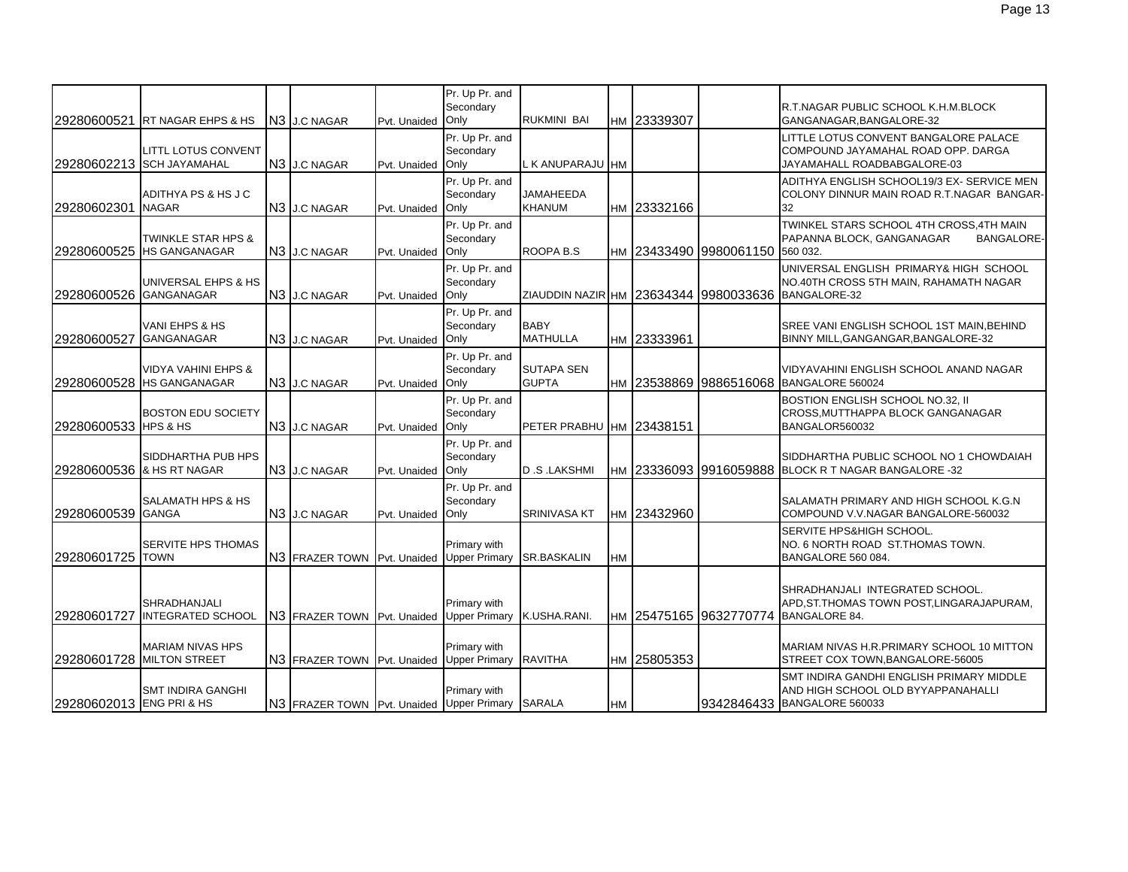| 29280600521              | RT NAGAR EHPS & HS                                          | N <sub>3</sub> J.C NAGAR                         | Pvt. Unaided | Pr. Up Pr. and<br>Secondary<br>Only  | RUKMINI BAI                       |           | HM 23339307 |                                 | R.T.NAGAR PUBLIC SCHOOL K.H.M.BLOCK<br>GANGANAGAR, BANGALORE-32                                                                        |
|--------------------------|-------------------------------------------------------------|--------------------------------------------------|--------------|--------------------------------------|-----------------------------------|-----------|-------------|---------------------------------|----------------------------------------------------------------------------------------------------------------------------------------|
|                          | LITTL LOTUS CONVENT<br>29280602213 SCH JAYAMAHAL            | N <sub>3</sub> J.C NAGAR                         | Pvt. Unaided | Pr. Up Pr. and<br>Secondary<br>Only  | L K ANUPARAJU HM                  |           |             |                                 | LITTLE LOTUS CONVENT BANGALORE PALACE<br>COMPOUND JAYAMAHAL ROAD OPP. DARGA<br>JAYAMAHALL ROADBABGALORE-03                             |
| 29280602301              | ADITHYA PS & HS J C<br><b>NAGAR</b>                         | N3 J.C NAGAR                                     | Pvt. Unaided | Pr. Up Pr. and<br>Secondary<br>Only  | JAMAHEEDA<br><b>KHANUM</b>        |           | HM 23332166 |                                 | ADITHYA ENGLISH SCHOOL19/3 EX- SERVICE MEN<br>COLONY DINNUR MAIN ROAD R.T.NAGAR BANGAR-<br>32                                          |
|                          | <b>TWINKLE STAR HPS &amp;</b><br>29280600525 HS GANGANAGAR  | N <sub>3</sub> J.C NAGAR                         | Pvt. Unaided | Pr. Up Pr. and<br>Secondary<br>Only  | ROOPA B.S                         |           |             | нм 23433490 9980061150 560 032. | TWINKEL STARS SCHOOL 4TH CROSS, 4TH MAIN<br>PAPANNA BLOCK, GANGANAGAR<br><b>BANGALORE-</b>                                             |
| 29280600526 GANGANAGAR   | UNIVERSAL EHPS & HS                                         | N3 J.C NAGAR                                     | Pvt. Unaided | Pr. Up Pr. and<br>Secondary<br>Only  |                                   |           |             |                                 | UNIVERSAL ENGLISH PRIMARY& HIGH SCHOOL<br>NO.40TH CROSS 5TH MAIN, RAHAMATH NAGAR<br>ZIAUDDIN NAZIR HM 23634344 9980033636 BANGALORE-32 |
| 29280600527              | VANI EHPS & HS<br><b>GANGANAGAR</b>                         | N <sub>3</sub> J.C NAGAR                         | Pvt. Unaided | Pr. Up Pr. and<br>Secondary<br>Only  | <b>BABY</b><br><b>MATHULLA</b>    |           | HM 23333961 |                                 | SREE VANI ENGLISH SCHOOL 1ST MAIN, BEHIND<br>BINNY MILL, GANGANGAR, BANGALORE-32                                                       |
|                          | <b>VIDYA VAHINI EHPS &amp;</b><br>29280600528 HS GANGANAGAR | N <sub>3</sub> J.C NAGAR                         | Pvt. Unaided | Pr. Up Pr. and<br>Secondary<br>Only  | <b>SUTAPA SEN</b><br><b>GUPTA</b> |           |             |                                 | VIDYAVAHINI ENGLISH SCHOOL ANAND NAGAR<br>HM 23538869 9886516068 BANGALORE 560024                                                      |
| 29280600533 HPS & HS     | <b>BOSTON EDU SOCIETY</b>                                   | N <sub>3</sub> J.C NAGAR                         | Pvt. Unaided | Pr. Up Pr. and<br>Secondary<br>Only  | PETER PRABHU HM 23438151          |           |             |                                 | BOSTION ENGLISH SCHOOL NO.32, II<br>CROSS, MUTTHAPPA BLOCK GANGANAGAR<br>BANGALOR560032                                                |
|                          | SIDDHARTHA PUB HPS<br>29280600536 & HS RT NAGAR             | N <sub>3</sub> J.C NAGAR                         | Pvt. Unaided | Pr. Up Pr. and<br>Secondary<br>Only  | <b>D.S.LAKSHMI</b>                |           |             | HM 23336093 9916059888          | SIDDHARTHA PUBLIC SCHOOL NO 1 CHOWDAIAH<br>BLOCK R T NAGAR BANGALORE -32                                                               |
| 29280600539 GANGA        | <b>SALAMATH HPS &amp; HS</b>                                | N <sub>3</sub> J.C NAGAR                         | Pvt. Unaided | Pr. Up Pr. and<br>Secondary<br>Only  | <b>SRINIVASA KT</b>               |           | HM 23432960 |                                 | SALAMATH PRIMARY AND HIGH SCHOOL K.G.N<br>COMPOUND V.V.NAGAR BANGALORE-560032                                                          |
| 29280601725 TOWN         | SERVITE HPS THOMAS                                          | N3 FRAZER TOWN Pvt. Unaided                      |              | Primary with<br><b>Upper Primary</b> | <b>SR.BASKALIN</b>                | <b>HM</b> |             |                                 | SERVITE HPS&HIGH SCHOOL.<br>NO. 6 NORTH ROAD ST.THOMAS TOWN.<br>BANGALORE 560 084.                                                     |
| 29280601727              | <b>SHRADHANJALI</b><br><b>INTEGRATED SCHOOL</b>             | N3 FRAZER TOWN Pvt. Unaided                      |              | Primary with<br><b>Upper Primary</b> | K.USHA.RANI.                      |           |             | HM 25475165 9632770774          | SHRADHANJALI INTEGRATED SCHOOL.<br>APD, ST. THOMAS TOWN POST, LINGARAJAPURAM,<br><b>BANGALORE 84.</b>                                  |
|                          | <b>MARIAM NIVAS HPS</b><br>29280601728 MILTON STREET        | N3 FRAZER TOWN Pvt. Unaided Upper Primary        |              | Primary with                         | <b>RAVITHA</b>                    |           | HM 25805353 |                                 | MARIAM NIVAS H.R. PRIMARY SCHOOL 10 MITTON<br>STREET COX TOWN, BANGALORE-56005                                                         |
| 29280602013 ENG PRI & HS | <b>SMT INDIRA GANGHI</b>                                    | N3 FRAZER TOWN Pvt. Unaided Upper Primary SARALA |              | Primary with                         |                                   | <b>HM</b> |             |                                 | SMT INDIRA GANDHI ENGLISH PRIMARY MIDDLE<br>AND HIGH SCHOOL OLD BYYAPPANAHALLI<br>9342846433 BANGALORE 560033                          |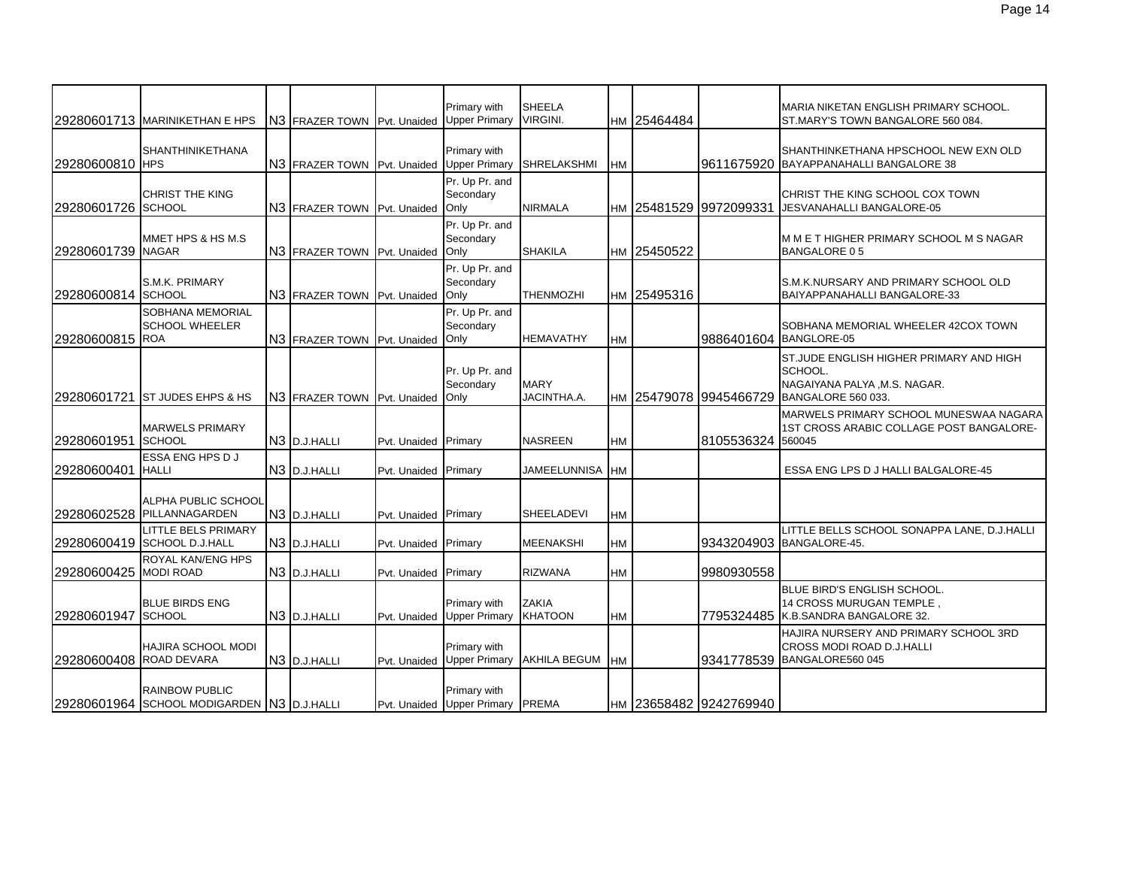|                         | 29280601713 MARINIKETHAN E HPS                                      | N3 FRAZER TOWN Pvt. Unaided               |                      | Primary with<br><b>Upper Primary</b>             | <b>SHEELA</b><br><b>VIRGINI.</b> |           | HM 25464484 |                        | MARIA NIKETAN ENGLISH PRIMARY SCHOOL.<br>ST.MARY'S TOWN BANGALORE 560 084.                                |
|-------------------------|---------------------------------------------------------------------|-------------------------------------------|----------------------|--------------------------------------------------|----------------------------------|-----------|-------------|------------------------|-----------------------------------------------------------------------------------------------------------|
| 29280600810 HPS         | <b>SHANTHINIKETHANA</b>                                             | N3 FRAZER TOWN Pvt. Unaided Upper Primary |                      | Primary with                                     | <b>SHRELAKSHMI</b>               | <b>HM</b> |             |                        | SHANTHINKETHANA HPSCHOOL NEW EXN OLD<br>9611675920 BAYAPPANAHALLI BANGALORE 38                            |
| 29280601726 SCHOOL      | <b>CHRIST THE KING</b>                                              | N3 FRAZER TOWN Pvt. Unaided Only          |                      | Pr. Up Pr. and<br>Secondary                      | <b>NIRMALA</b>                   | <b>HM</b> |             | 25481529 9972099331    | CHRIST THE KING SCHOOL COX TOWN<br>JESVANAHALLI BANGALORE-05                                              |
| 29280601739 NAGAR       | MMET HPS & HS M.S                                                   | N3 FRAZER TOWN Pvt. Unaided               |                      | Pr. Up Pr. and<br>Secondary<br>Only              | <b>SHAKILA</b>                   |           | HM 25450522 |                        | M M E T HIGHER PRIMARY SCHOOL M S NAGAR<br><b>BANGALORE 05</b>                                            |
| 29280600814 SCHOOL      | S.M.K. PRIMARY                                                      | N3 FRAZER TOWN Pvt. Unaided               |                      | Pr. Up Pr. and<br>Secondary<br>Only              | <b>THENMOZHI</b>                 |           | HM 25495316 |                        | S.M.K.NURSARY AND PRIMARY SCHOOL OLD<br>BAIYAPPANAHALLI BANGALORE-33                                      |
| 29280600815 ROA         | SOBHANA MEMORIAL<br><b>SCHOOL WHEELER</b>                           | N3 FRAZER TOWN Pvt. Unaided               |                      | Pr. Up Pr. and<br>Secondary<br>Only              | <b>HEMAVATHY</b>                 | HM        |             | 9886401604             | SOBHANA MEMORIAL WHEELER 42COX TOWN<br>BANGLORE-05                                                        |
|                         | 29280601721 ST JUDES EHPS & HS                                      | N3 FRAZER TOWN Pvt. Unaided               |                      | Pr. Up Pr. and<br>Secondary<br>Only              | <b>MARY</b><br>JACINTHA.A.       |           |             | HM 25479078 9945466729 | ST. JUDE ENGLISH HIGHER PRIMARY AND HIGH<br>SCHOOL.<br>NAGAIYANA PALYA, M.S. NAGAR.<br>BANGALORE 560 033. |
| 29280601951             | <b>MARWELS PRIMARY</b><br><b>SCHOOL</b>                             | N3 D.J.HALLI                              | Pvt. Unaided Primary |                                                  | <b>NASREEN</b>                   | <b>HM</b> |             | 8105536324             | MARWELS PRIMARY SCHOOL MUNESWAA NAGARA<br>1ST CROSS ARABIC COLLAGE POST BANGALORE-<br>560045              |
| 29280600401             | ESSA ENG HPS D J<br><b>HALLI</b>                                    | N3 D.J.HALLI                              | Pyt. Unaided Primary |                                                  | JAMEELUNNISA HM                  |           |             |                        | ESSA ENG LPS D J HALLI BALGALORE-45                                                                       |
|                         | ALPHA PUBLIC SCHOOL<br>29280602528 PILLANNAGARDEN                   | N3 D.J.HALLI                              | Pvt. Unaided Primary |                                                  | <b>SHEELADEVI</b>                | <b>HM</b> |             |                        |                                                                                                           |
|                         | <b>LITTLE BELS PRIMARY</b><br>29280600419 SCHOOL D.J.HALL           | N <sub>3</sub> D.J.HALLI                  | Pvt. Unaided Primary |                                                  | <b>MEENAKSHI</b>                 | <b>HM</b> |             | 9343204903             | LITTLE BELLS SCHOOL SONAPPA LANE, D.J.HALLI<br>BANGALORE-45.                                              |
| 29280600425             | <b>ROYAL KAN/ENG HPS</b><br><b>MODI ROAD</b>                        | N3 D.J.HALLI                              | Pvt. Unaided Primary |                                                  | <b>RIZWANA</b>                   | HM        |             | 9980930558             |                                                                                                           |
| 29280601947 SCHOOL      | <b>BLUE BIRDS ENG</b>                                               | N3 D.J.HALLI                              | Pvt. Unaided         | Primary with<br><b>Upper Primary</b>             | <b>ZAKIA</b><br><b>KHATOON</b>   | <b>HM</b> |             |                        | <b>BLUE BIRD'S ENGLISH SCHOOL.</b><br>14 CROSS MURUGAN TEMPLE,<br>7795324485 K.B.SANDRA BANGALORE 32.     |
| 29280600408 ROAD DEVARA | HAJIRA SCHOOL MODI                                                  | N3 D.J.HALLI                              |                      | Primary with<br>Pvt. Unaided Upper Primary       | AKHILA BEGUM HM                  |           |             |                        | HAJIRA NURSERY AND PRIMARY SCHOOL 3RD<br>CROSS MODI ROAD D.J.HALLI<br>9341778539 BANGALORE560 045         |
|                         | <b>RAINBOW PUBLIC</b><br>29280601964 SCHOOL MODIGARDEN N3 D.J.HALLI |                                           |                      | Primary with<br>Pvt. Unaided Upper Primary PREMA |                                  |           |             | HM 23658482 9242769940 |                                                                                                           |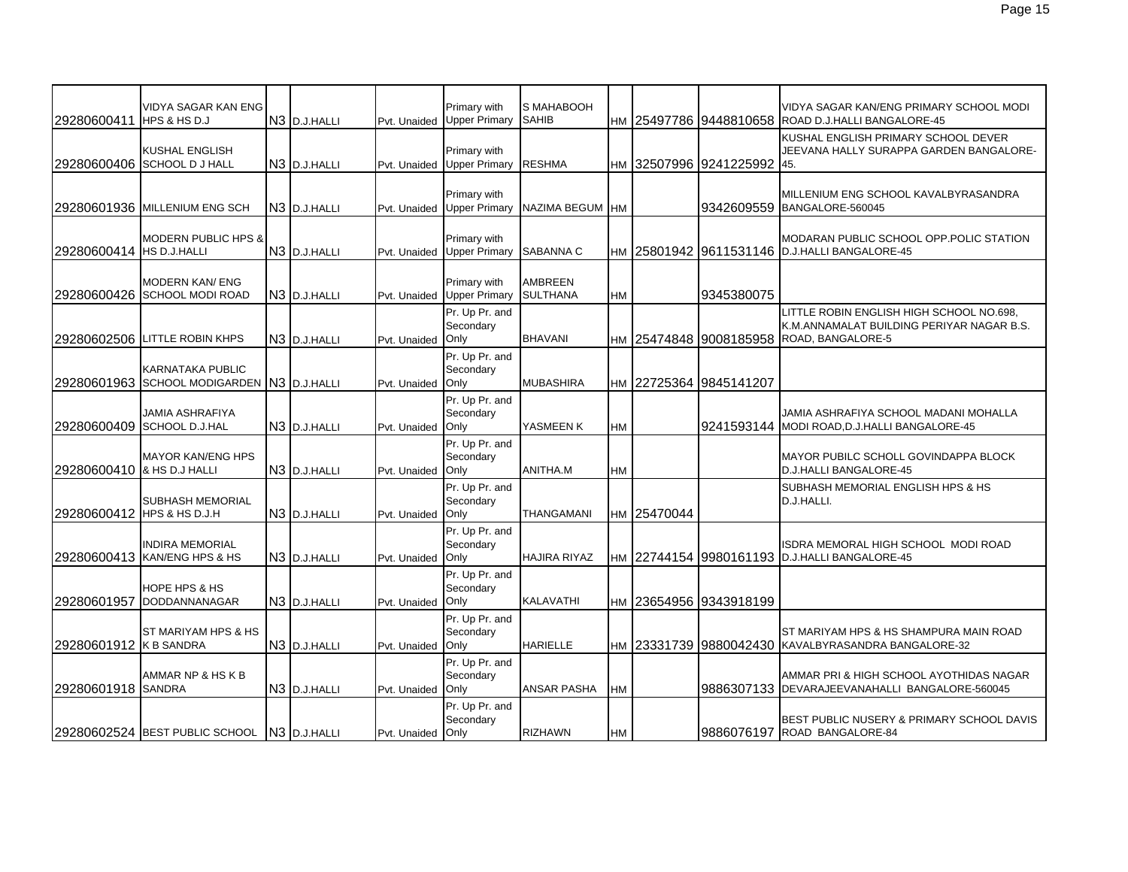| 29280600411                | <b>VIDYA SAGAR KAN ENG</b><br>HPS & HS D.J                            | N <sub>3</sub> D.J.HALLI | Pvt. Unaided      | Primary with<br><b>Upper Primary</b> | S MAHABOOH<br><b>SAHIB</b>        |           |             |                            | VIDYA SAGAR KAN/ENG PRIMARY SCHOOL MODI<br>HM 25497786 9448810658 ROAD D.J.HALLI BANGALORE-45              |
|----------------------------|-----------------------------------------------------------------------|--------------------------|-------------------|--------------------------------------|-----------------------------------|-----------|-------------|----------------------------|------------------------------------------------------------------------------------------------------------|
|                            | <b>KUSHAL ENGLISH</b><br>29280600406 SCHOOL DJ HALL                   | N <sub>3</sub> D.J.HALLI | Pvt. Unaided      | Primary with<br><b>Upper Primary</b> | <b>RESHMA</b>                     |           |             | HM 32507996 9241225992 45. | KUSHAL ENGLISH PRIMARY SCHOOL DEVER<br>JEEVANA HALLY SURAPPA GARDEN BANGALORE-                             |
|                            | 29280601936 MILLENIUM ENG SCH                                         | N <sub>3</sub> D.J.HALLI | Pvt. Unaided      | Primary with<br><b>Upper Primary</b> | NAZIMA BEGUM HM                   |           |             |                            | MILLENIUM ENG SCHOOL KAVALBYRASANDRA<br>9342609559 BANGALORE-560045                                        |
| 29280600414 HS D.J.HALLI   | <b>MODERN PUBLIC HPS &amp;</b>                                        | N3 D.J.HALLI             | Pvt. Unaided      | Primary with<br><b>Upper Primary</b> | SABANNA C                         |           |             |                            | MODARAN PUBLIC SCHOOL OPP.POLIC STATION<br>HM 25801942 9611531146 D.J.HALLI BANGALORE-45                   |
|                            | <b>MODERN KAN/ ENG</b><br>29280600426 SCHOOL MODI ROAD                | N <sub>3</sub> D.J.HALLI | Pvt. Unaided      | Primary with<br><b>Upper Primary</b> | <b>AMBREEN</b><br><b>SULTHANA</b> | HM        |             | 9345380075                 |                                                                                                            |
|                            | 29280602506 LITTLE ROBIN KHPS                                         | N3 D.J.HALLI             | Pvt. Unaided Only | Pr. Up Pr. and<br>Secondary          | <b>BHAVANI</b>                    |           |             | HM 25474848 9008185958     | LITTLE ROBIN ENGLISH HIGH SCHOOL NO.698,<br>K.M.ANNAMALAT BUILDING PERIYAR NAGAR B.S.<br>ROAD, BANGALORE-5 |
|                            | <b>KARNATAKA PUBLIC</b><br>29280601963 SCHOOL MODIGARDEN N3 D.J.HALLI |                          | Pvt. Unaided      | Pr. Up Pr. and<br>Secondary<br>Only  | <b>MUBASHIRA</b>                  |           | HM 22725364 | 9845141207                 |                                                                                                            |
|                            | JAMIA ASHRAFIYA<br>29280600409 SCHOOL D.J.HAL                         | N3 D.J.HALLI             | Pvt. Unaided      | Pr. Up Pr. and<br>Secondary<br>Only  | YASMEEN K                         | <b>HM</b> |             |                            | JAMIA ASHRAFIYA SCHOOL MADANI MOHALLA<br>9241593144 MODI ROAD.D.J.HALLI BANGALORE-45                       |
| 29280600410 & HS D.J HALLI | <b>MAYOR KAN/ENG HPS</b>                                              | N <sub>3</sub> D.J.HALLI | Pvt. Unaided      | Pr. Up Pr. and<br>Secondary<br>Only  | ANITHA.M                          | HM        |             |                            | <b>MAYOR PUBILC SCHOLL GOVINDAPPA BLOCK</b><br>D.J.HALLI BANGALORE-45                                      |
| 29280600412 HPS & HS D.J.H | <b>SUBHASH MEMORIAL</b>                                               | N <sub>3</sub> D.J.HALLI | Pvt. Unaided Only | Pr. Up Pr. and<br>Secondary          | THANGAMANI                        |           | HM 25470044 |                            | SUBHASH MEMORIAL ENGLISH HPS & HS<br>D.J.HALLI.                                                            |
|                            | <b>INDIRA MEMORIAL</b><br>29280600413 KAN/ENG HPS & HS                | N3 D.J.HALLI             | Pvt. Unaided      | Pr. Up Pr. and<br>Secondary<br>Only  | <b>HAJIRA RIYAZ</b>               |           |             |                            | ISDRA MEMORAL HIGH SCHOOL MODI ROAD<br>HM 22744154 9980161193 D.J.HALLI BANGALORE-45                       |
| 29280601957                | <b>HOPE HPS &amp; HS</b><br>DODDANNANAGAR                             | N <sub>3</sub> D.J.HALLI | Pvt. Unaided      | Pr. Up Pr. and<br>Secondary<br>Only  | <b>KALAVATHI</b>                  |           |             | HM 23654956 9343918199     |                                                                                                            |
| 29280601912 K B SANDRA     | ST MARIYAM HPS & HS                                                   | N3 D.J.HALLI             | Pvt. Unaided      | Pr. Up Pr. and<br>Secondary<br>Only  | <b>HARIELLE</b>                   |           |             |                            | ST MARIYAM HPS & HS SHAMPURA MAIN ROAD<br>HM 23331739 9880042430 KAVALBYRASANDRA BANGALORE-32              |
| 29280601918 SANDRA         | AMMAR NP & HS K B                                                     | N <sub>3</sub> D.J.HALLI | Pvt. Unaided      | Pr. Up Pr. and<br>Secondary<br>Only  | <b>ANSAR PASHA</b>                | <b>HM</b> |             |                            | AMMAR PRI & HIGH SCHOOL AYOTHIDAS NAGAR<br>9886307133 DEVARAJEEVANAHALLI BANGALORE-560045                  |
|                            | 29280602524 BEST PUBLIC SCHOOL N3 D.J.HALLI                           |                          | Pvt. Unaided Only | Pr. Up Pr. and<br>Secondary          | <b>RIZHAWN</b>                    | <b>HM</b> |             |                            | BEST PUBLIC NUSERY & PRIMARY SCHOOL DAVIS<br>19886076197 ROAD BANGALORE-84                                 |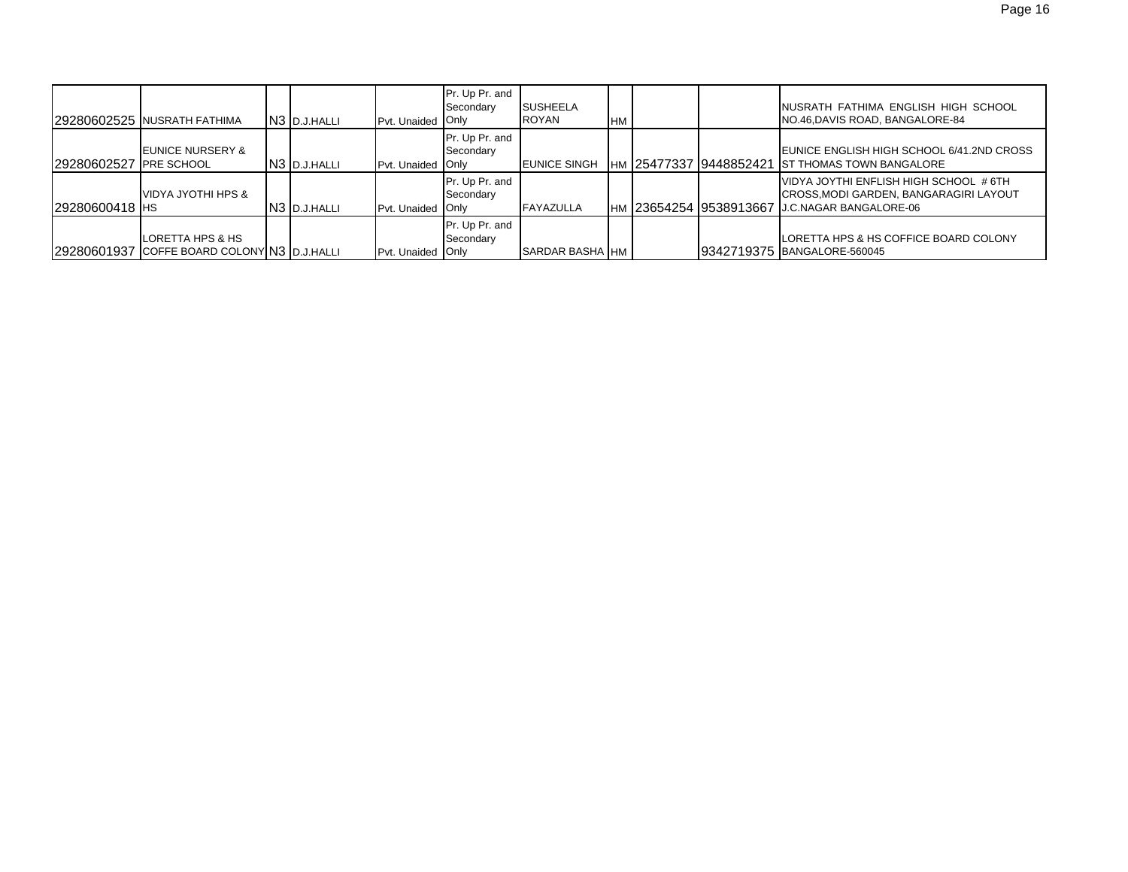|                | 29280602525 NUSRATH FATHIMA                                     | N <sub>3</sub> D.J.HALLI | Pvt. Unaided Only | Pr. Up Pr. and<br>Secondary | <b>SUSHEELA</b><br><b>ROYAN</b> | <b>HM</b> |                          | INUSRATH FATHIMA ENGLISH HIGH SCHOOL<br>NO.46, DAVIS ROAD, BANGALORE-84                                                           |
|----------------|-----------------------------------------------------------------|--------------------------|-------------------|-----------------------------|---------------------------------|-----------|--------------------------|-----------------------------------------------------------------------------------------------------------------------------------|
| 29280602527    | <b>LEUNICE NURSERY &amp;</b><br>' IPRE SCHOOL                   | N3 D.J.HALLI             | Pvt. Unaided Only | Pr. Up Pr. and<br>Secondary | <b>EUNICE SINGH</b>             |           | IHM 25477337 19448852421 | EUNICE ENGLISH HIGH SCHOOL 6/41.2ND CROSS<br><b>IST THOMAS TOWN BANGALORE</b>                                                     |
| 29280600418 HS | <b>VIDYA JYOTHI HPS &amp;</b>                                   | N <sub>3</sub> D.J.HALLI | Pvt. Unaided Only | Pr. Up Pr. and<br>Secondary | <b>FAYAZULLA</b>                |           |                          | VIDYA JOYTHI ENFLISH HIGH SCHOOL # 6TH<br>CROSS, MODI GARDEN, BANGARAGIRI LAYOUT<br>HM 23654254 9538913667 J.C.NAGAR BANGALORE-06 |
|                | LORETTA HPS & HS<br>29280601937 COFFE BOARD COLONY N3 D.J.HALLI |                          | Pvt. Unaided Only | Pr. Up Pr. and<br>Secondary | SARDAR BASHA IHM                |           |                          | LORETTA HPS & HS COFFICE BOARD COLONY<br>9342719375 BANGALORE-560045                                                              |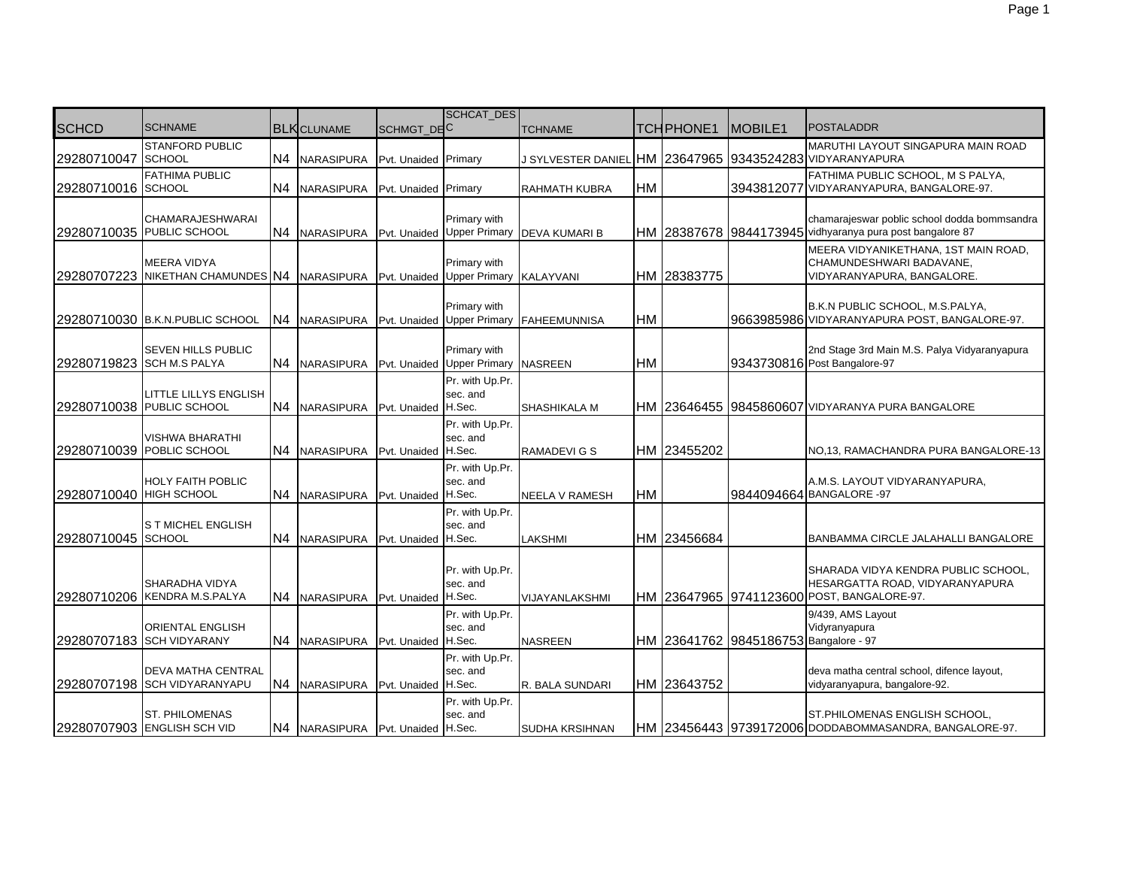|                         |                                                      |                |                                   |                      | <b>SCHCAT DES</b>                                 |                       |           |                  |                                       |                                                                                                                      |
|-------------------------|------------------------------------------------------|----------------|-----------------------------------|----------------------|---------------------------------------------------|-----------------------|-----------|------------------|---------------------------------------|----------------------------------------------------------------------------------------------------------------------|
| <b>SCHCD</b>            | <b>SCHNAME</b>                                       |                | <b>BLK</b> CLUNAME                | SCHMGT_DEC           |                                                   | <b>TCHNAME</b>        |           | <b>TCHPHONE1</b> | MOBILE <sub>1</sub>                   | <b>POSTALADDR</b>                                                                                                    |
| 29280710047             | <b>STANFORD PUBLIC</b><br><b>SCHOOL</b>              | N <sub>4</sub> | NARASIPURA                        | Pvt. Unaided Primary |                                                   | J SYLVESTER DANIEL    |           |                  |                                       | <b>MARUTHI LAYOUT SINGAPURA MAIN ROAD</b><br>HM 23647965 9343524283 VIDYARANYAPURA                                   |
| 29280710016 SCHOOL      | <b>FATHIMA PUBLIC</b>                                | N <sub>4</sub> | <b>NARASIPURA</b>                 | Pvt. Unaided Primary |                                                   | RAHMATH KUBRA         | <b>HM</b> |                  |                                       | FATHIMA PUBLIC SCHOOL, M S PALYA,<br>3943812077 VIDYARANYAPURA, BANGALORE-97.                                        |
|                         | <b>CHAMARAJESHWARAI</b><br>29280710035 PUBLIC SCHOOL | N <sub>4</sub> | <b>NARASIPURA</b>                 |                      | <b>Primary with</b><br>Pvt. Unaided Upper Primary | <b>DEVA KUMARI B</b>  |           |                  |                                       | chamarajeswar poblic school dodda bommsandra<br>HM 28387678 9844173945 vidhyaranya pura post bangalore 87            |
| 29280707223             | <b>MEERA VIDYA</b><br>NIKETHAN CHAMUNDES N4          |                | <b>NARASIPURA</b>                 |                      | Primary with<br>Pvt. Unaided Upper Primary        | <b>KALAYVANI</b>      |           | HM 28383775      |                                       | MEERA VIDYANIKETHANA, 1ST MAIN ROAD,<br>CHAMUNDESHWARI BADAVANE,<br>VIDYARANYAPURA, BANGALORE.                       |
|                         | 29280710030 B.K.N.PUBLIC SCHOOL                      | N4             | NARASIPURA                        |                      | Primary with<br>Pvt. Unaided Upper Primary        | <b>FAHEEMUNNISA</b>   | <b>HM</b> |                  |                                       | B.K.N PUBLIC SCHOOL, M.S.PALYA,<br>9663985986 VIDYARANYAPURA POST, BANGALORE-97.                                     |
|                         | SEVEN HILLS PUBLIC<br>29280719823 SCH M.S PALYA      | N4             | NARASIPURA                        |                      | Primary with<br>Pvt. Unaided Upper Primary        | <b>NASREEN</b>        | <b>HM</b> |                  |                                       | 2nd Stage 3rd Main M.S. Palya Vidyaranyapura<br>9343730816 Post Bangalore-97                                         |
|                         | LITTLE LILLYS ENGLISH<br>29280710038 PUBLIC SCHOOL   | N4             | <b>NARASIPURA</b>                 | Pvt. Unaided H.Sec.  | Pr. with Up.Pr.<br>sec. and                       | SHASHIKALA M          |           |                  |                                       | HM 23646455 9845860607 VIDYARANYA PURA BANGALORE                                                                     |
|                         | <b>VISHWA BHARATHI</b><br>29280710039 POBLIC SCHOOL  | N4             | <b>NARASIPURA</b>                 | Pvt. Unaided H.Sec.  | Pr. with Up.Pr.<br>sec. and                       | RAMADEVI G S          |           | HM 23455202      |                                       | NO,13, RAMACHANDRA PURA BANGALORE-13                                                                                 |
| 29280710040 HIGH SCHOOL | <b>HOLY FAITH POBLIC</b>                             | IN4.           | <b>NARASIPURA</b>                 | Pvt. Unaided H.Sec.  | Pr. with Up.Pr.<br>sec. and                       | NEELA V RAMESH        | <b>HM</b> |                  |                                       | A.M.S. LAYOUT VIDYARANYAPURA,<br>9844094664 BANGALORE -97                                                            |
| 29280710045 SCHOOL      | S T MICHEL ENGLISH                                   | N4             | <b>NARASIPURA</b>                 | Pvt. Unaided H.Sec.  | Pr. with Up.Pr.<br>sec. and                       | LAKSHMI               |           | HM 23456684      |                                       | BANBAMMA CIRCLE JALAHALLI BANGALORE                                                                                  |
| 29280710206             | SHARADHA VIDYA<br>KENDRA M.S.PALYA                   | N4             | <b>NARASIPURA</b>                 | Pvt. Unaided H.Sec.  | Pr. with Up.Pr.<br>sec. and                       | VIJAYANLAKSHMI        |           |                  |                                       | SHARADA VIDYA KENDRA PUBLIC SCHOOL,<br>HESARGATTA ROAD, VIDYARANYAPURA<br>HM 23647965 9741123600 POST, BANGALORE-97. |
|                         | <b>ORIENTAL ENGLISH</b><br>29280707183 SCH VIDYARANY |                | N4 NARASIPURA                     | Pvt. Unaided H.Sec.  | Pr. with Up.Pr.<br>sec. and                       | <b>NASREEN</b>        |           |                  | HM 23641762 9845186753 Bangalore - 97 | 9/439, AMS Layout<br>Vidyranyapura                                                                                   |
|                         | DEVA MATHA CENTRAL<br>29280707198 SCH VIDYARANYAPU   | N4             | <b>NARASIPURA</b>                 | Pvt. Unaided H.Sec.  | Pr. with Up.Pr.<br>sec. and                       | R. BALA SUNDARI       |           | HM 23643752      |                                       | deva matha central school, difence layout,<br>vidyaranyapura, bangalore-92.                                          |
|                         | <b>ST. PHILOMENAS</b><br>29280707903 ENGLISH SCH VID |                | N4 NARASIPURA Pvt. Unaided H.Sec. |                      | Pr. with Up.Pr.<br>sec. and                       | <b>SUDHA KRSIHNAN</b> |           |                  |                                       | ST.PHILOMENAS ENGLISH SCHOOL,<br>HM 23456443 9739172006 DODDABOMMASANDRA, BANGALORE-97.                              |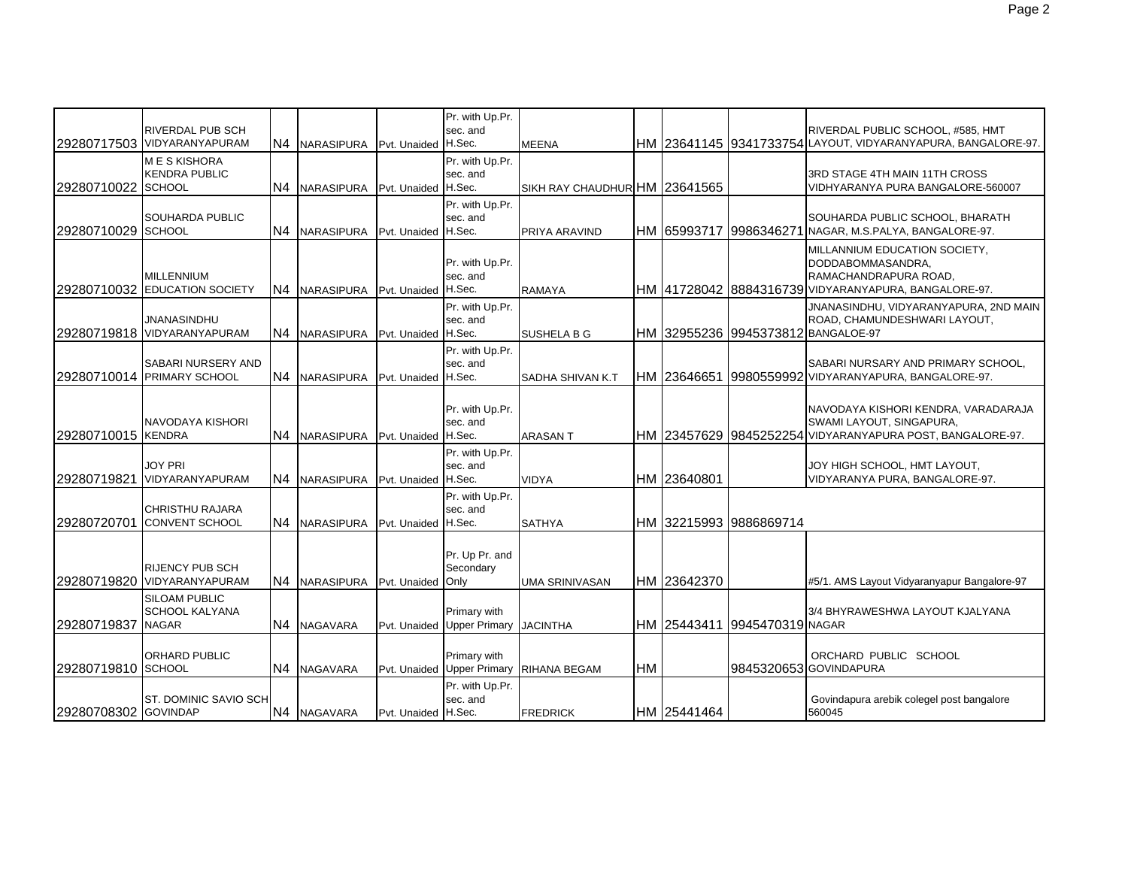|                      | <b>RIVERDAL PUB SCH</b>                               |                |                                |                     | Pr. with Up.Pr.<br>sec. and                |                               |           |             |                                 | RIVERDAL PUBLIC SCHOOL, #585, HMT                                                                                                   |
|----------------------|-------------------------------------------------------|----------------|--------------------------------|---------------------|--------------------------------------------|-------------------------------|-----------|-------------|---------------------------------|-------------------------------------------------------------------------------------------------------------------------------------|
|                      | 29280717503 VIDYARANYAPURAM                           | N <sub>4</sub> | NARASIPURA Pvt. Unaided H.Sec. |                     |                                            | <b>MEENA</b>                  |           |             |                                 | HM 23641145 9341733754 LAYOUT, VIDYARANYAPURA, BANGALORE-97.                                                                        |
| 29280710022 SCHOOL   | <b>MESKISHORA</b><br><b>KENDRA PUBLIC</b>             | N4             | NARASIPURA                     | Pvt. Unaided H.Sec. | Pr. with Up.Pr.<br>sec. and                | SIKH RAY CHAUDHUR HM 23641565 |           |             |                                 | 3RD STAGE 4TH MAIN 11TH CROSS<br>VIDHYARANYA PURA BANGALORE-560007                                                                  |
| 29280710029 SCHOOL   | SOUHARDA PUBLIC                                       | N4             | NARASIPURA                     | Pvt. Unaided        | Pr. with Up.Pr.<br>sec. and<br>H.Sec.      | <b>PRIYA ARAVIND</b>          |           |             | IHM I65993717 I998634627        | SOUHARDA PUBLIC SCHOOL, BHARATH<br>NAGAR, M.S.PALYA, BANGALORE-97.                                                                  |
|                      | <b>MILLENNIUM</b><br>29280710032 EDUCATION SOCIETY    | N4             | <b>NARASIPURA</b>              | Pvt. Unaided        | Pr. with Up.Pr.<br>sec. and<br>H.Sec.      | <b>RAMAYA</b>                 |           |             |                                 | MILLANNIUM EDUCATION SOCIETY,<br>DODDABOMMASANDRA,<br>RAMACHANDRAPURA ROAD.<br>HM 41728042 8884316739 VIDYARANYAPURA, BANGALORE-97. |
|                      | <b>JNANASINDHU</b><br>29280719818 VIDYARANYAPURAM     | N4             | NARASIPURA Pvt. Unaided H.Sec. |                     | Pr. with Up.Pr.<br>sec. and                | <b>SUSHELA B G</b>            |           |             |                                 | JNANASINDHU, VIDYARANYAPURA, 2ND MAIN<br>ROAD, CHAMUNDESHWARI LAYOUT,<br>HM 32955236 9945373812 BANGALOE-97                         |
|                      | SABARI NURSERY AND<br>29280710014 PRIMARY SCHOOL      | N4             | NARASIPURA                     | Pvt. Unaided        | Pr. with Up.Pr.<br>sec. and<br>H.Sec.      | SADHA SHIVAN K.T              |           |             |                                 | SABARI NURSARY AND PRIMARY SCHOOL,<br>HM 23646651 9980559992 VIDYARANYAPURA, BANGALORE-97.                                          |
| 29280710015 KENDRA   | NAVODAYA KISHORI                                      | N <sub>4</sub> | NARASIPURA                     | Pvt. Unaided        | Pr. with Up.Pr.<br>sec. and<br>H.Sec.      | <b>ARASANT</b>                |           |             |                                 | NAVODAYA KISHORI KENDRA, VARADARAJA<br>SWAMI LAYOUT, SINGAPURA,<br>HM 23457629 9845252254 VIDYARANYAPURA POST, BANGALORE-97.        |
| 29280719821          | <b>JOY PRI</b><br>VIDYARANYAPURAM                     | N <sub>4</sub> | NARASIPURA Pvt. Unaided        |                     | Pr. with Up.Pr.<br>sec. and<br>H.Sec.      | <b>VIDYA</b>                  |           | HM 23640801 |                                 | JOY HIGH SCHOOL, HMT LAYOUT,<br>VIDYARANYA PURA, BANGALORE-97.                                                                      |
| 29280720701          | <b>CHRISTHU RAJARA</b><br><b>CONVENT SCHOOL</b>       | N4             | NARASIPURA Pvt. Unaided        |                     | Pr. with Up.Pr.<br>sec. and<br>H.Sec.      | <b>SATHYA</b>                 |           |             | HM 32215993 9886869714          |                                                                                                                                     |
|                      | <b>RIJENCY PUB SCH</b><br>29280719820 VIDYARANYAPURAM | IN4            | <b>NARASIPURA</b>              | Pvt. Unaided        | Pr. Up Pr. and<br>Secondary<br>Only        | <b>UMA SRINIVASAN</b>         |           | HM 23642370 |                                 | #5/1. AMS Layout Vidyaranyapur Bangalore-97                                                                                         |
| 129280719837 INAGAR  | <b>SILOAM PUBLIC</b><br><b>SCHOOL KALYANA</b>         | N <sub>4</sub> | <b>NAGAVARA</b>                |                     | Primary with<br>Pvt. Unaided Upper Primary | <b>JACINTHA</b>               |           |             | IHM I25443411 I9945470319INAGAR | 3/4 BHYRAWESHWA LAYOUT KJALYANA                                                                                                     |
| 29280719810 SCHOOL   | <b>ORHARD PUBLIC</b>                                  | N <sub>4</sub> | <b>NAGAVARA</b>                | Pvt. Unaided        | Primary with<br><b>Upper Primary</b>       | <b>RIHANA BEGAM</b>           | <b>HM</b> |             |                                 | ORCHARD PUBLIC SCHOOL<br>9845320653 GOVINDAPURA                                                                                     |
| 29280708302 GOVINDAP | ST. DOMINIC SAVIO SCH                                 |                | N4 NAGAVARA                    | Pvt. Unaided H.Sec. | Pr. with Up.Pr.<br>sec. and                | <b>FREDRICK</b>               |           | HM 25441464 |                                 | Govindapura arebik colegel post bangalore<br>560045                                                                                 |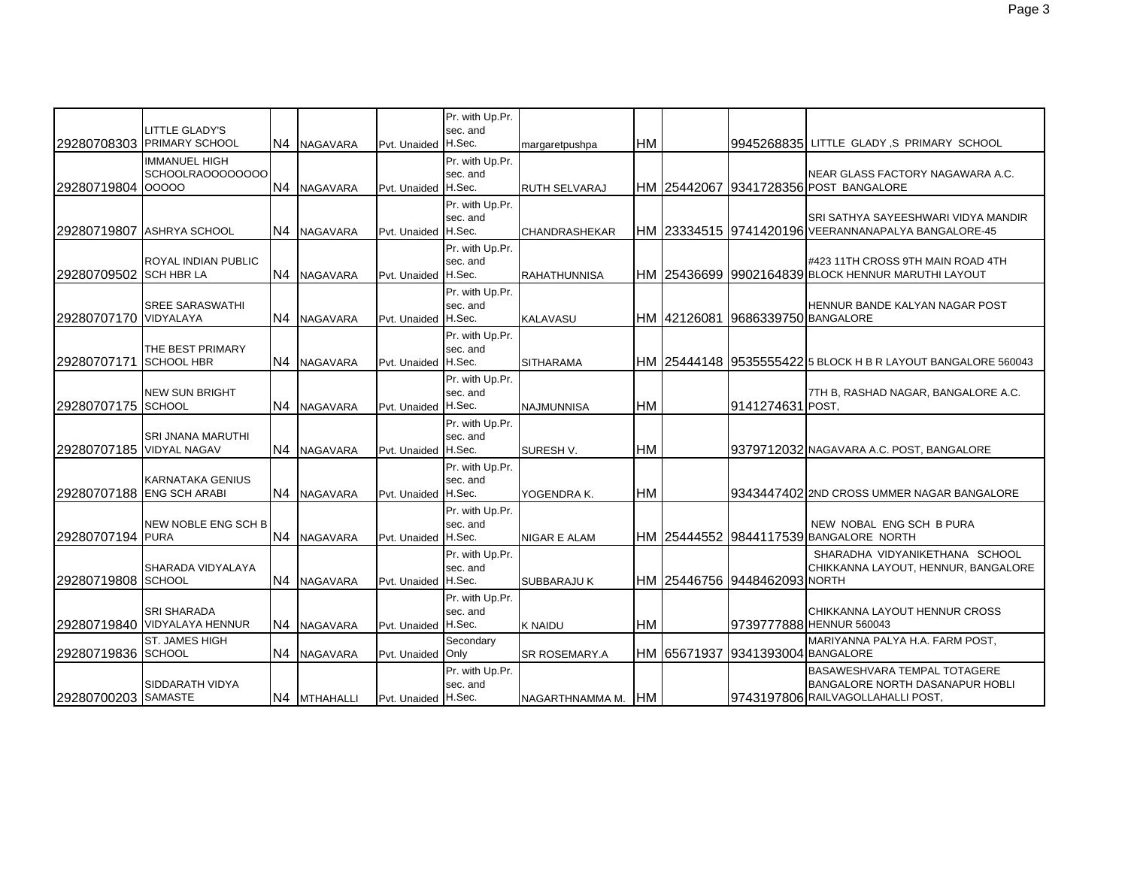|                          | <b>LITTLE GLADY'S</b><br>29280708303 PRIMARY SCHOOL  | N4.            | <b>NAGAVARA</b> | Pvt. Unaided H.Sec. | Pr. with Up.Pr.<br>sec. and | margaretpushpa       | <b>HM</b> |                                  | 9945268835 LITTLE GLADY, S PRIMARY SCHOOL                                                                          |
|--------------------------|------------------------------------------------------|----------------|-----------------|---------------------|-----------------------------|----------------------|-----------|----------------------------------|--------------------------------------------------------------------------------------------------------------------|
| 29280719804 00000        | <b>IMMANUEL HIGH</b><br>SCHOOLRAOOOOOOOO             |                | N4 NAGAVARA     | Pvt. Unaided H.Sec. | Pr. with Up.Pr.<br>sec. and | <b>RUTH SELVARAJ</b> |           |                                  | NEAR GLASS FACTORY NAGAWARA A.C.<br>HM 25442067 9341728356 POST BANGALORE                                          |
| 29280719807              | ASHRYA SCHOOL                                        | IN4.           | <b>NAGAVARA</b> | Pvt. Unaided H.Sec. | Pr. with Up.Pr.<br>sec. and | <b>CHANDRASHEKAR</b> |           |                                  | SRI SATHYA SAYEESHWARI VIDYA MANDIR<br>HM 23334515 9741420196 VEERANNANAPALYA BANGALORE-45                         |
| 29280709502 SCH HBR LA   | <b>ROYAL INDIAN PUBLIC</b>                           | N4             | <b>NAGAVARA</b> | Pvt. Unaided H.Sec. | Pr. with Up.Pr.<br>sec. and | <b>RAHATHUNNISA</b>  |           |                                  | #423 11TH CROSS 9TH MAIN ROAD 4TH<br>HM 25436699 9902164839 BLOCK HENNUR MARUTHI LAYOUT                            |
| 29280707170 VIDYALAYA    | <b>SREE SARASWATHI</b>                               |                | N4 NAGAVARA     | Pvt. Unaided H.Sec. | Pr. with Up.Pr.<br>sec. and | <b>KALAVASU</b>      |           | HM 42126081 9686339750 BANGALORE | HENNUR BANDE KALYAN NAGAR POST                                                                                     |
| 29280707171              | THE BEST PRIMARY<br><b>SCHOOL HBR</b>                |                | N4 NAGAVARA     | Pvt. Unaided H.Sec. | Pr. with Up.Pr.<br>sec. and | <b>SITHARAMA</b>     |           |                                  | НМ 125444148 1953555542215 BLOCK Н В R LAYOUT BANGALORE 560043                                                     |
| 29280707175 SCHOOL       | <b>NEW SUN BRIGHT</b>                                |                | N4 NAGAVARA     | Pvt. Unaided H.Sec. | Pr. with Up.Pr.<br>sec. and | <b>NAJMUNNISA</b>    | <b>HM</b> | 9141274631 POST,                 | 7TH B, RASHAD NAGAR, BANGALORE A.C.                                                                                |
| 29280707185 VIDYAL NAGAV | <b>SRI JNANA MARUTHI</b>                             | N4             | <b>NAGAVARA</b> | Pvt. Unaided H.Sec. | Pr. with Up.Pr.<br>sec. and | SURESH V.            | <b>HM</b> |                                  | 9379712032 NAGAVARA A.C. POST, BANGALORE                                                                           |
|                          | <b>KARNATAKA GENIUS</b><br>29280707188 ENG SCH ARABI | N4             | <b>NAGAVARA</b> | Pvt. Unaided H.Sec. | Pr. with Up.Pr.<br>sec. and | YOGENDRA K.          | <b>HM</b> |                                  | 9343447402 2ND CROSS UMMER NAGAR BANGALORE                                                                         |
| 29280707194 PURA         | <b>NEW NOBLE ENG SCH B</b>                           |                | N4 NAGAVARA     | Pvt. Unaided H.Sec. | Pr. with Up.Pr.<br>sec. and | <b>NIGAR E ALAM</b>  |           |                                  | NEW NOBAL ENG SCH B PURA<br>HM 25444552 9844117539 BANGALORE NORTH                                                 |
| 29280719808 SCHOOL       | SHARADA VIDYALAYA                                    | N4             | <b>NAGAVARA</b> | Pvt. Unaided H.Sec. | Pr. with Up.Pr.<br>sec. and | SUBBARAJU K          |           | HM 25446756 9448462093 NORTH     | SHARADHA VIDYANIKETHANA SCHOOL<br>CHIKKANNA LAYOUT, HENNUR, BANGALORE                                              |
|                          | <b>SRI SHARADA</b><br>29280719840 VIDYALAYA HENNUR   | N <sub>4</sub> | <b>NAGAVARA</b> | Pvt. Unaided H.Sec. | Pr. with Up.Pr.<br>sec. and | <b>K NAIDU</b>       | <b>HM</b> |                                  | CHIKKANNA LAYOUT HENNUR CROSS<br>9739777888 HENNUR 560043                                                          |
| 29280719836 SCHOOL       | ST. JAMES HIGH                                       | N <sub>4</sub> | <b>NAGAVARA</b> | Pvt. Unaided Only   | Secondary                   | <b>SR ROSEMARY.A</b> |           | HM 65671937 9341393004 BANGALORE | MARIYANNA PALYA H.A. FARM POST,                                                                                    |
| 29280700203 SAMASTE      | SIDDARATH VIDYA                                      |                | N4 MTHAHALLI    | Pvt. Unaided H.Sec. | Pr. with Up.Pr.<br>sec. and | NAGARTHNAMMA M. HM   |           |                                  | <b>BASAWESHVARA TEMPAL TOTAGERE</b><br><b>BANGALORE NORTH DASANAPUR HOBLI</b><br>9743197806 RAILVAGOLLAHALLI POST, |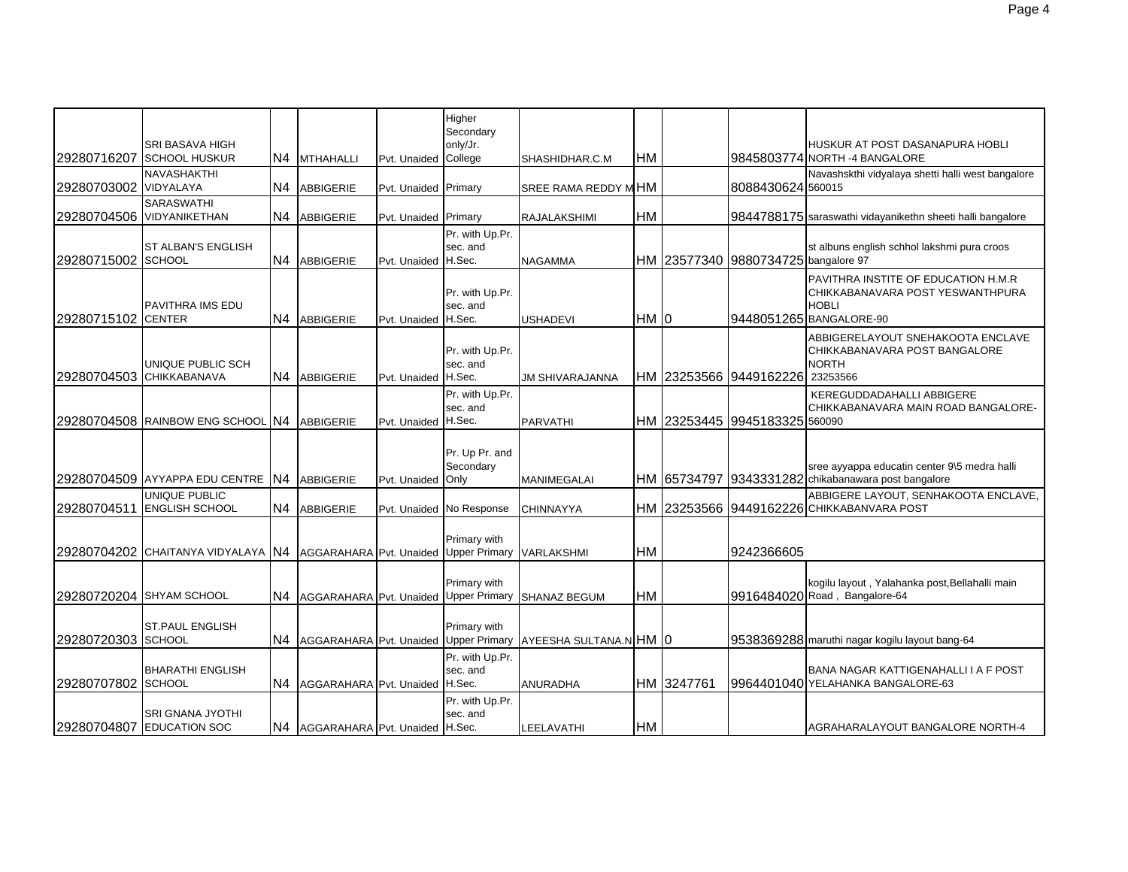| 29280716207           | <b>SRI BASAVA HIGH</b><br><b>SCHOOL HUSKUR</b>       |                | N4 MTHAHALLI                            | Pvt. Unaided         | Higher<br>Secondary<br>only/Jr.<br>College | SHASHIDHAR.C.M                                               | <b>HM</b> |            |                                     | HUSKUR AT POST DASANAPURA HOBLI<br>9845803774 NORTH -4 BANGALORE                                                    |
|-----------------------|------------------------------------------------------|----------------|-----------------------------------------|----------------------|--------------------------------------------|--------------------------------------------------------------|-----------|------------|-------------------------------------|---------------------------------------------------------------------------------------------------------------------|
| 29280703002 VIDYALAYA | <b>NAVASHAKTHI</b>                                   |                | N4 ABBIGERIE                            | Pvt. Unaided Primary |                                            | SREE RAMA REDDY MHM                                          |           |            | 8088430624 560015                   | Navashskthi vidyalaya shetti halli west bangalore                                                                   |
|                       | <b>SARASWATHI</b><br>29280704506 VIDYANIKETHAN       |                | N4 ABBIGERIE                            | Pvt. Unaided Primary |                                            | RAJALAKSHIMI                                                 | HM        |            |                                     | 9844788175 saraswathi vidayanikethn sheeti halli bangalore                                                          |
| 29280715002 SCHOOL    | <b>ST ALBAN'S ENGLISH</b>                            | N4             | <b>ABBIGERIE</b>                        | Pvt. Unaided         | Pr. with Up.Pr.<br>sec. and<br>H.Sec.      | <b>NAGAMMA</b>                                               |           |            | HM 23577340 9880734725 bangalore 97 | st albuns english schhol lakshmi pura croos                                                                         |
| 29280715102 CENTER    | <b>PAVITHRA IMS EDU</b>                              | N4             | ABBIGERIE                               | Pvt. Unaided         | Pr. with Up.Pr.<br>sec. and<br>H.Sec.      | <b>USHADEVI</b>                                              | HM 0      |            |                                     | PAVITHRA INSTITE OF EDUCATION H.M.R.<br>CHIKKABANAVARA POST YESWANTHPURA<br><b>HOBLI</b><br>9448051265 BANGALORE-90 |
|                       | UNIQUE PUBLIC SCH<br>29280704503 CHIKKABANAVA        | N4             | ABBIGERIE                               | Pvt. Unaided         | Pr. with Up.Pr.<br>sec. and<br>H.Sec.      | JM SHIVARAJANNA                                              |           |            | HM 23253566 9449162226 23253566     | ABBIGERELAYOUT SNEHAKOOTA ENCLAVE<br>CHIKKABANAVARA POST BANGALORE<br><b>NORTH</b>                                  |
|                       | 29280704508 RAINBOW ENG SCHOOL N4 ABBIGERIE          |                |                                         | Pvt. Unaided H.Sec.  | Pr. with Up.Pr.<br>sec. and                | <b>PARVATHI</b>                                              |           |            | HM I23253445 I9945183325 560090     | KEREGUDDADAHALLI ABBIGERE<br>CHIKKABANAVARA MAIN ROAD BANGALORE-                                                    |
|                       | 29280704509 AYYAPPA EDU CENTRE                       | IN4            | <b>ABBIGERIE</b>                        | Pvt. Unaided         | Pr. Up Pr. and<br>Secondary<br>Only        | <b>MANIMEGALAI</b>                                           |           |            |                                     | sree ayyappa educatin center 9\5 medra halli<br>HM 65734797 9343331282 chikabanawara post bangalore                 |
| 29280704511           | UNIQUE PUBLIC<br><b>ENGLISH SCHOOL</b>               | N <sub>4</sub> | ABBIGERIE                               |                      | Pvt. Unaided No Response                   | <b>CHINNAYYA</b>                                             |           |            |                                     | ABBIGERE LAYOUT, SENHAKOOTA ENCLAVE,<br>HM 23253566 9449162226 CHIKKABANVARA POST                                   |
|                       | 29280704202 CHAITANYA VIDYALAYA IN4                  |                | AGGARAHARA Pvt. Unaided                 |                      | Primary with<br>Upper Primary VARLAKSHMI   |                                                              | <b>HM</b> |            | 9242366605                          |                                                                                                                     |
|                       | 29280720204 SHYAM SCHOOL                             | N4.            | AGGARAHARA Pvt. Unaided Upper Primary   |                      | Primary with                               | <b>SHANAZ BEGUM</b>                                          | HM        |            |                                     | kogilu layout, Yalahanka post, Bellahalli main<br>9916484020 Road, Bangalore-64                                     |
| 29280720303 SCHOOL    | <b>ST.PAUL ENGLISH</b>                               | N4             |                                         |                      | Primary with                               | AGGARAHARA Pvt. Unaided Upper Primary AYEESHA SULTANA.N HM 0 |           |            |                                     | 9538369288 maruthi nagar kogilu layout bang-64                                                                      |
| 29280707802 SCHOOL    | <b>BHARATHI ENGLISH</b>                              | N4             | AGGARAHARA Pvt. Unaided H.Sec.          |                      | Pr. with Up.Pr.<br>sec. and                | ANURADHA                                                     |           | HM 3247761 |                                     | BANA NAGAR KATTIGENAHALLI I A F POST<br>9964401040 YELAHANKA BANGALORE-63                                           |
|                       | <b>SRI GNANA JYOTHI</b><br>29280704807 EDUCATION SOC |                | N4   AGGARAHARA   Pvt. Unaided   H.Sec. |                      | Pr. with Up.Pr.<br>sec. and                | LEELAVATHI                                                   | HM        |            |                                     | AGRAHARALAYOUT BANGALORE NORTH-4                                                                                    |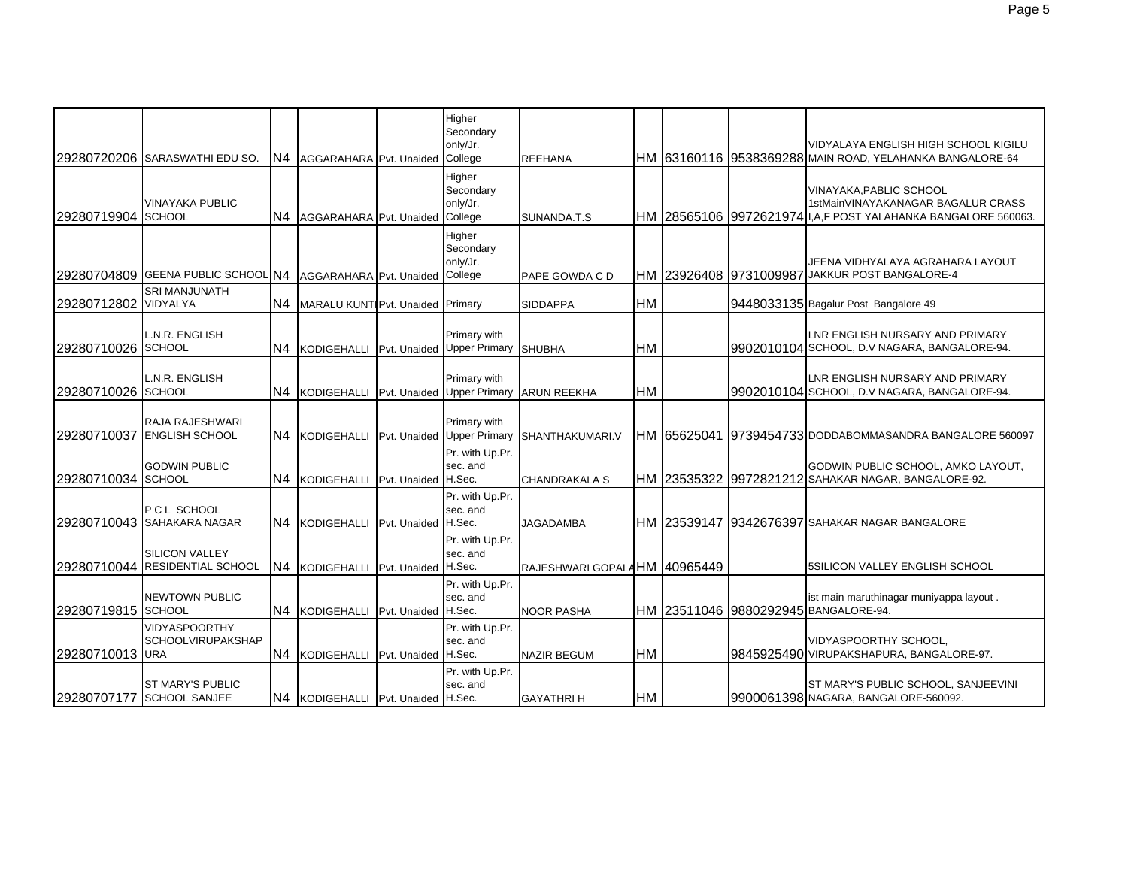|                    |                                                         |                |                                           | Higher<br>Secondary<br>only/Jr.            |                              |           |             | VIDYALAYA ENGLISH HIGH SCHOOL KIGILU                                               |
|--------------------|---------------------------------------------------------|----------------|-------------------------------------------|--------------------------------------------|------------------------------|-----------|-------------|------------------------------------------------------------------------------------|
|                    | 29280720206 SARASWATHI EDU SO.                          | N4             | AGGARAHARA Pvt. Unaided College           |                                            | <b>REEHANA</b>               |           |             | IHM I63160116 I9538369288 MAIN ROAD, YELAHANKA BANGALORE-64                        |
| 29280719904        | <b>VINAYAKA PUBLIC</b><br><b>SCHOOL</b>                 | N <sub>4</sub> | AGGARAHARA Pvt. Unaided College           | Higher<br>Secondary<br>only/Jr.            | SUNANDA.T.S                  |           |             | VINAYAKA, PABLIC SCHOOL<br>1stMainVINAYAKANAGAR BAGALUR CRASS                      |
| 29280704809        | <b>GEENA PUBLIC SCHOOL N4</b>                           |                | AGGARAHARA Pvt. Unaided                   | Higher<br>Secondary<br>only/Jr.<br>College | PAPE GOWDA C D               |           |             | JEENA VIDHYALAYA AGRAHARA LAYOUT<br>HM 23926408 9731009987 JAKKUR POST BANGALORE-4 |
| 29280712802        | <b>SRI MANJUNATH</b><br>VIDYALYA                        | N4             | MARALU KUNT Pvt. Unaided Primary          |                                            | <b>SIDDAPPA</b>              | <b>HM</b> |             | 9448033135 Bagalur Post Bangalore 49                                               |
| 29280710026        | L.N.R. ENGLISH<br><b>SCHOOL</b>                         | N <sub>4</sub> | KODIGEHALLI Pvt. Unaided Upper Primary    | Primary with                               | <b>SHUBHA</b>                | <b>HM</b> |             | LNR ENGLISH NURSARY AND PRIMARY<br>9902010104 SCHOOL, D.V NAGARA, BANGALORE-94.    |
| 29280710026 SCHOOL | L.N.R. ENGLISH                                          | N <sub>4</sub> | KODIGEHALLI Pvt. Unaided Upper Primary    | Primary with                               | <b>ARUN REEKHA</b>           | <b>HM</b> |             | LNR ENGLISH NURSARY AND PRIMARY<br>9902010104 SCHOOL, D.V NAGARA, BANGALORE-94.    |
| 29280710037        | RAJA RAJESHWARI<br><b>ENGLISH SCHOOL</b>                |                | N4 KODIGEHALLI Pvt. Unaided Upper Primary | Primary with                               | SHANTHAKUMARI.V              |           | HM 65625041 | 9739454733 DODDABOMMASANDRA BANGALORE 560097                                       |
| 29280710034 SCHOOL | <b>GODWIN PUBLIC</b>                                    | N <sub>4</sub> | KODIGEHALLI Pvt. Unaided H.Sec.           | Pr. with Up.Pr.<br>sec. and                | <b>CHANDRAKALA S</b>         |           |             | GODWIN PUBLIC SCHOOL, AMKO LAYOUT,                                                 |
|                    | P C L SCHOOL<br>29280710043 SAHAKARA NAGAR              | N4             | KODIGEHALLI Pvt. Unaided H.Sec.           | Pr. with Up.Pr.<br>sec. and                | <b>JAGADAMBA</b>             |           |             | HM 23539147 19342676397 SAHAKAR NAGAR BANGALORE                                    |
|                    | <b>SILICON VALLEY</b><br>29280710044 RESIDENTIAL SCHOOL | N4             | KODIGEHALLI Pvt. Unaided H.Sec.           | Pr. with Up.Pr.<br>sec. and                | RAJESHWARI GOPALAHM 40965449 |           |             | 5SILICON VALLEY ENGLISH SCHOOL                                                     |
| 29280719815 SCHOOL | <b>NEWTOWN PUBLIC</b>                                   | N <sub>4</sub> | KODIGEHALLI Pvt. Unaided H.Sec.           | Pr. with Up.Pr.<br>sec. and                | <b>NOOR PASHA</b>            |           |             | ist main maruthinagar muniyappa layout.<br>HM 23511046 9880292945 BANGALORE-94.    |
| 29280710013 URA    | <b>VIDYASPOORTHY</b><br><b>SCHOOLVIRUPAKSHAP</b>        | N4             | KODIGEHALLI Pvt. Unaided H.Sec.           | Pr. with Up.Pr.<br>sec. and                | <b>NAZIR BEGUM</b>           | <b>HM</b> |             | VIDYASPOORTHY SCHOOL,<br>9845925490 VIRUPAKSHAPURA, BANGALORE-97.                  |
|                    | <b>ST MARY'S PUBLIC</b><br>29280707177 SCHOOL SANJEE    |                | N4 KODIGEHALLI Pvt. Unaided H.Sec.        | Pr. with Up.Pr.<br>sec. and                | <b>GAYATHRIH</b>             | HM        |             | ST MARY'S PUBLIC SCHOOL, SANJEEVINI<br>9900061398 NAGARA, BANGALORE-560092.        |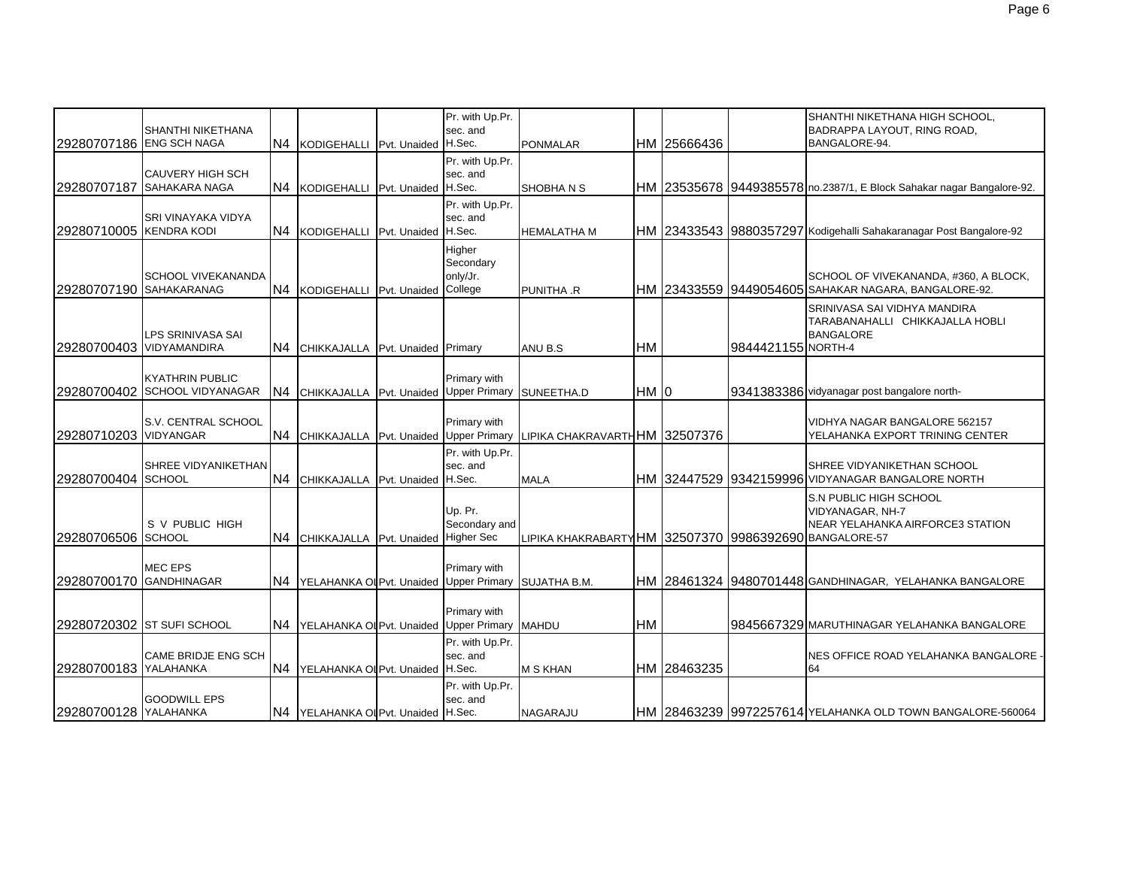| 29280707186 ENG SCH NAGA | <b>SHANTHI NIKETHANA</b>                                |                | N4 KODIGEHALLI                          | Pvt. Unaided H.Sec.  | Pr. with Up.Pr.<br>sec. and                | <b>PONMALAR</b>                                        |           | HM 25666436 |                    | SHANTHI NIKETHANA HIGH SCHOOL,<br>BADRAPPA LAYOUT, RING ROAD,<br>BANGALORE-94.                |
|--------------------------|---------------------------------------------------------|----------------|-----------------------------------------|----------------------|--------------------------------------------|--------------------------------------------------------|-----------|-------------|--------------------|-----------------------------------------------------------------------------------------------|
|                          | <b>CAUVERY HIGH SCH</b><br>29280707187 SAHAKARA NAGA    | N4             | KODIGEHALLI                             | Pvt. Unaided H.Sec.  | Pr. with Up.Pr.<br>sec. and                | SHOBHAN <sub>S</sub>                                   |           |             |                    | HM 23535678 9449385578 no.2387/1, E Block Sahakar nagar Bangalore-92.                         |
| 29280710005 KENDRA KODI  | SRI VINAYAKA VIDYA                                      | N4             | KODIGEHALLI                             | Pvt. Unaided H.Sec.  | Pr. with Up.Pr.<br>sec. and                | <b>HEMALATHA M</b>                                     |           |             |                    | HM   23433543   9880357297   Kodigehalli Sahakaranagar Post Bangalore-92                      |
| 29280707190 SAHAKARANAG  | <b>SCHOOL VIVEKANANDA</b>                               |                | N4 KODIGEHALLI                          | Pvt. Unaided College | Higher<br>Secondary<br>only/Jr.            | PUNITHA .R                                             |           |             |                    | SCHOOL OF VIVEKANANDA, #360, A BLOCK,<br>HM 23433559 9449054605 SAHAKAR NAGARA, BANGALORE-92. |
| 29280700403 VIDYAMANDIRA | <b>LPS SRINIVASA SAI</b>                                |                | N4 CHIKKAJALLA Pvt. Unaided Primary     |                      |                                            | ANU B.S                                                | <b>HM</b> |             | 9844421155 NORTH-4 | SRINIVASA SAI VIDHYA MANDIRA<br>TARABANAHALLI CHIKKAJALLA HOBLI<br><b>BANGALORE</b>           |
|                          | <b>KYATHRIN PUBLIC</b><br>29280700402 SCHOOL VIDYANAGAR | N <sub>4</sub> | <b>CHIKKAJALLA</b>                      |                      | Primary with<br>Pvt. Unaided Upper Primary | SUNEETHA.D                                             | HM IO     |             |                    | 9341383386 vidyanagar post bangalore north-                                                   |
| 29280710203 VIDYANGAR    | S.V. CENTRAL SCHOOL                                     |                | N4 CHIKKAJALLA                          |                      | Primary with<br>Pvt. Unaided Upper Primary | LIPIKA CHAKRAVARTHHM 32507376                          |           |             |                    | VIDHYA NAGAR BANGALORE 562157<br>YELAHANKA EXPORT TRINING CENTER                              |
| 29280700404 SCHOOL       | SHREE VIDYANIKETHAN                                     |                | N4 CHIKKAJALLA Pvt. Unaided H.Sec.      |                      | Pr. with Up.Pr.<br>sec. and                | <b>MALA</b>                                            |           |             |                    | SHREE VIDYANIKETHAN SCHOOL<br>HM 32447529 9342159996 VIDYANAGAR BANGALORE NORTH               |
| 29280706506 SCHOOL       | S V PUBLIC HIGH                                         |                | N4 CHIKKAJALLA Pvt. Unaided Higher Sec  |                      | Up. Pr.<br>Secondary and                   | LIPIKA KHAKRABARTY HM 32507370 9986392690 BANGALORE-57 |           |             |                    | S.N PUBLIC HIGH SCHOOL<br>VIDYANAGAR, NH-7<br>NEAR YELAHANKA AIRFORCE3 STATION                |
| 29280700170              | <b>MEC EPS</b><br><b>GANDHINAGAR</b>                    | IN4            | YELAHANKA OI Pvt. Unaided Upper Primary |                      | Primary with                               | SUJATHA B.M.                                           |           |             |                    | HM 28461324 9480701448 GANDHINAGAR, YELAHANKA BANGALORE                                       |
|                          | 29280720302 ST SUFI SCHOOL                              | N4             | YELAHANKA OI Pvt. Unaided Upper Primary |                      | Primary with                               | <b>MAHDU</b>                                           | <b>HM</b> |             |                    | 9845667329 MARUTHINAGAR YELAHANKA BANGALORE                                                   |
| 29280700183 YALAHANKA    | CAME BRIDJE ENG SCH                                     | N <sub>4</sub> | YELAHANKA OI Pvt. Unaided H.Sec.        |                      | Pr. with Up.Pr.<br>sec. and                | <b>M S KHAN</b>                                        |           | HM 28463235 |                    | NES OFFICE ROAD YELAHANKA BANGALORE -<br>64                                                   |
| 29280700128 YALAHANKA    | <b>GOODWILL EPS</b>                                     |                | N4 YELAHANKA OI Pvt. Unaided H.Sec.     |                      | Pr. with Up.Pr.<br>sec. and                | NAGARAJU                                               |           |             |                    | HM 28463239 9972257614 YELAHANKA OLD TOWN BANGALORE-560064                                    |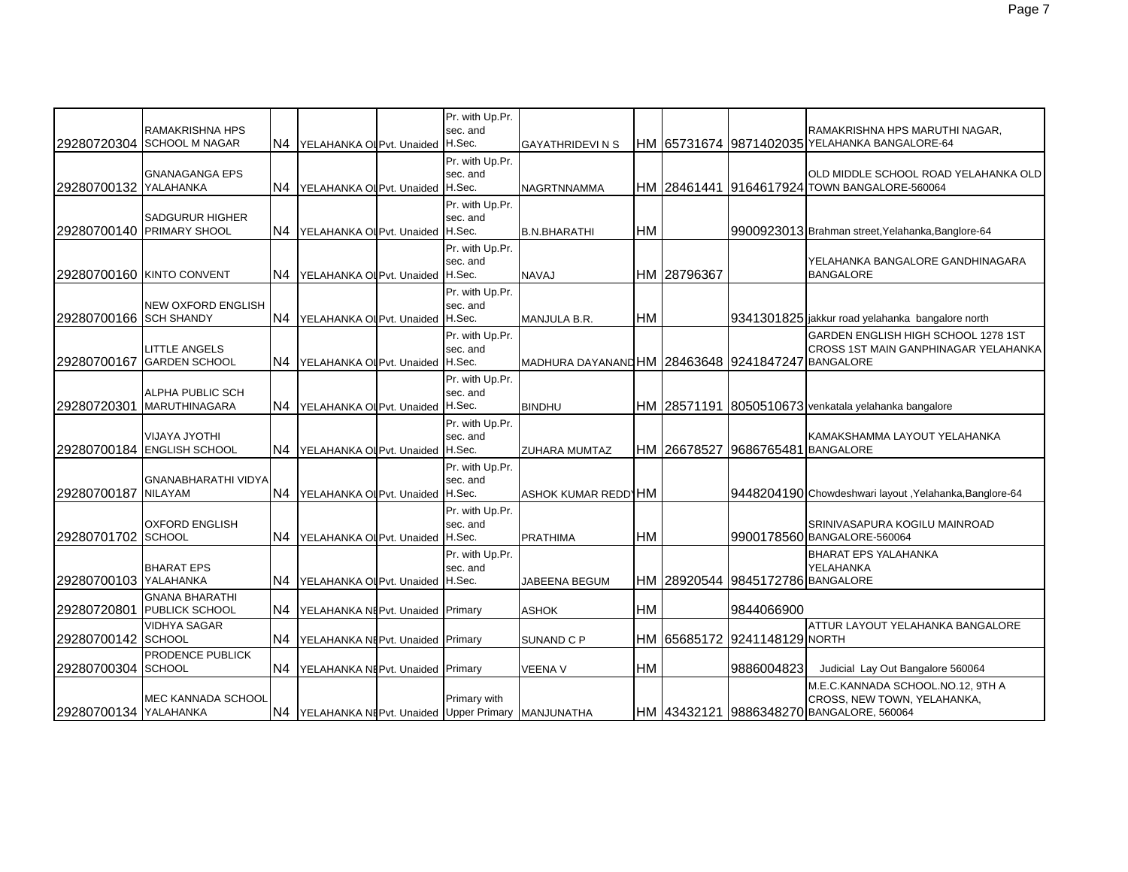|                        | RAMAKRISHNA HPS<br>29280720304 SCHOOL M NAGAR       | IN4.           | YELAHANKA OI Pvt. Unaided H.Sec.                     | Pr. with Up.Pr.<br>sec. and           | <b>GAYATHRIDEVI N S</b>                          |           |             |                                  | RAMAKRISHNA HPS MARUTHI NAGAR,<br>HM 65731674 9871402035 YELAHANKA BANGALORE-64                              |
|------------------------|-----------------------------------------------------|----------------|------------------------------------------------------|---------------------------------------|--------------------------------------------------|-----------|-------------|----------------------------------|--------------------------------------------------------------------------------------------------------------|
| 29280700132 YALAHANKA  | <b>GNANAGANGA EPS</b>                               | N4             | YELAHANKA OI Pvt. Unaided H.Sec.                     | Pr. with Up.Pr.<br>sec. and           | NAGRTNNAMMA                                      |           |             |                                  | OLD MIDDLE SCHOOL ROAD YELAHANKA OLD<br>HM 28461441 9164617924 TOWN BANGALORE-560064                         |
|                        | <b>SADGURUR HIGHER</b><br>29280700140 PRIMARY SHOOL | N4             | YELAHANKA OI Pvt. Unaided H.Sec.                     | Pr. with Up.Pr.<br>sec. and           | <b>B.N.BHARATHI</b>                              | <b>HM</b> |             |                                  | 9900923013 Brahman street, Yelahanka, Banglore-64                                                            |
|                        | 29280700160 KINTO CONVENT                           | N4             | YELAHANKA OI Pvt. Unaided H.Sec.                     | Pr. with Up.Pr.<br>sec. and           | <b>NAVAJ</b>                                     |           | HM 28796367 |                                  | YELAHANKA BANGALORE GANDHINAGARA<br><b>BANGALORE</b>                                                         |
| 29280700166 SCH SHANDY | NEW OXFORD ENGLISH                                  | N <sub>4</sub> | YELAHANKA OI Pvt. Unaided H.Sec.                     | Pr. with Up.Pr.<br>sec. and           | MANJULA B.R.                                     | <b>HM</b> |             |                                  | 9341301825 jakkur road yelahanka bangalore north                                                             |
| 29280700167            | <b>LITTLE ANGELS</b><br><b>GARDEN SCHOOL</b>        |                | N4 YELAHANKA OI Pvt. Unaided H.Sec.                  | Pr. with Up.Pr.<br>sec. and           | MADHURA DAYANANDHM 28463648 9241847247 BANGALORE |           |             |                                  | GARDEN ENGLISH HIGH SCHOOL 1278 1ST<br>CROSS 1ST MAIN GANPHINAGAR YELAHANKA                                  |
| 29280720301            | ALPHA PUBLIC SCH<br><b>MARUTHINAGARA</b>            |                | N4 YELAHANKA OI Pvt. Unaided H.Sec.                  | Pr. with Up.Pr.<br>sec. and           | <b>BINDHU</b>                                    |           |             |                                  | HM 28571191 8050510673 venkatala yelahanka bangalore                                                         |
|                        | <b>VIJAYA JYOTHI</b><br>29280700184 ENGLISH SCHOOL  | N4             | YELAHANKA OL Pvt. Unaided                            | Pr. with Up.Pr.<br>sec. and<br>H.Sec. | ZUHARA MUMTAZ                                    |           | HM 26678527 | 9686765481                       | KAMAKSHAMMA LAYOUT YELAHANKA<br><b>BANGALORE</b>                                                             |
| 29280700187 NILAYAM    | GNANABHARATHI VIDYA                                 |                | N4 YELAHANKA OLPvt. Unaided H.Sec.                   | Pr. with Up.Pr.<br>sec. and           | ASHOK KUMAR REDDIHM                              |           |             |                                  | 19448204190 Chowdeshwari layout, Yelahanka, Banglore-64                                                      |
| 29280701702 SCHOOL     | <b>OXFORD ENGLISH</b>                               | N <sub>4</sub> | YELAHANKA OI Pvt. Unaided H.Sec.                     | Pr. with Up.Pr.<br>sec. and           | <b>PRATHIMA</b>                                  | <b>HM</b> |             |                                  | SRINIVASAPURA KOGILU MAINROAD<br>9900178560 BANGALORE-560064                                                 |
| 29280700103 YALAHANKA  | <b>BHARAT EPS</b>                                   | N <sub>4</sub> | YELAHANKA OL Pvt. Unaided                            | Pr. with Up.Pr.<br>sec. and<br>H.Sec. | <b>JABEENA BEGUM</b>                             |           |             | HM 28920544 9845172786 BANGALORE | <b>BHARAT EPS YALAHANKA</b><br>YELAHANKA                                                                     |
| 29280720801            | <b>GNANA BHARATHI</b><br><b>PUBLICK SCHOOL</b>      | N4             | YELAHANKA NEPvt. Unaided Primary                     |                                       | <b>ASHOK</b>                                     | <b>HM</b> |             | 9844066900                       |                                                                                                              |
| 29280700142 SCHOOL     | <b>VIDHYA SAGAR</b>                                 | N4             | YELAHANKA NEPvt. Unaided Primary                     |                                       | SUNAND C P                                       |           | HM 65685172 | 9241148129 NORTH                 | ATTUR LAYOUT YELAHANKA BANGALORE                                                                             |
| 29280700304 SCHOOL     | PRODENCE PUBLICK                                    | N4             | YELAHANKA NEPvt. Unaided Primary                     |                                       | <b>VEENA V</b>                                   | <b>HM</b> |             | 9886004823                       | Judicial Lay Out Bangalore 560064                                                                            |
| 29280700134 YALAHANKA  | MEC KANNADA SCHOOL                                  |                | N4 YELAHANKA NEPvt. Unaided Upper Primary MANJUNATHA | Primary with                          |                                                  |           |             |                                  | M.E.C.KANNADA SCHOOL.NO.12, 9TH A<br>CROSS, NEW TOWN, YELAHANKA,<br>HM 43432121 9886348270 BANGALORE, 560064 |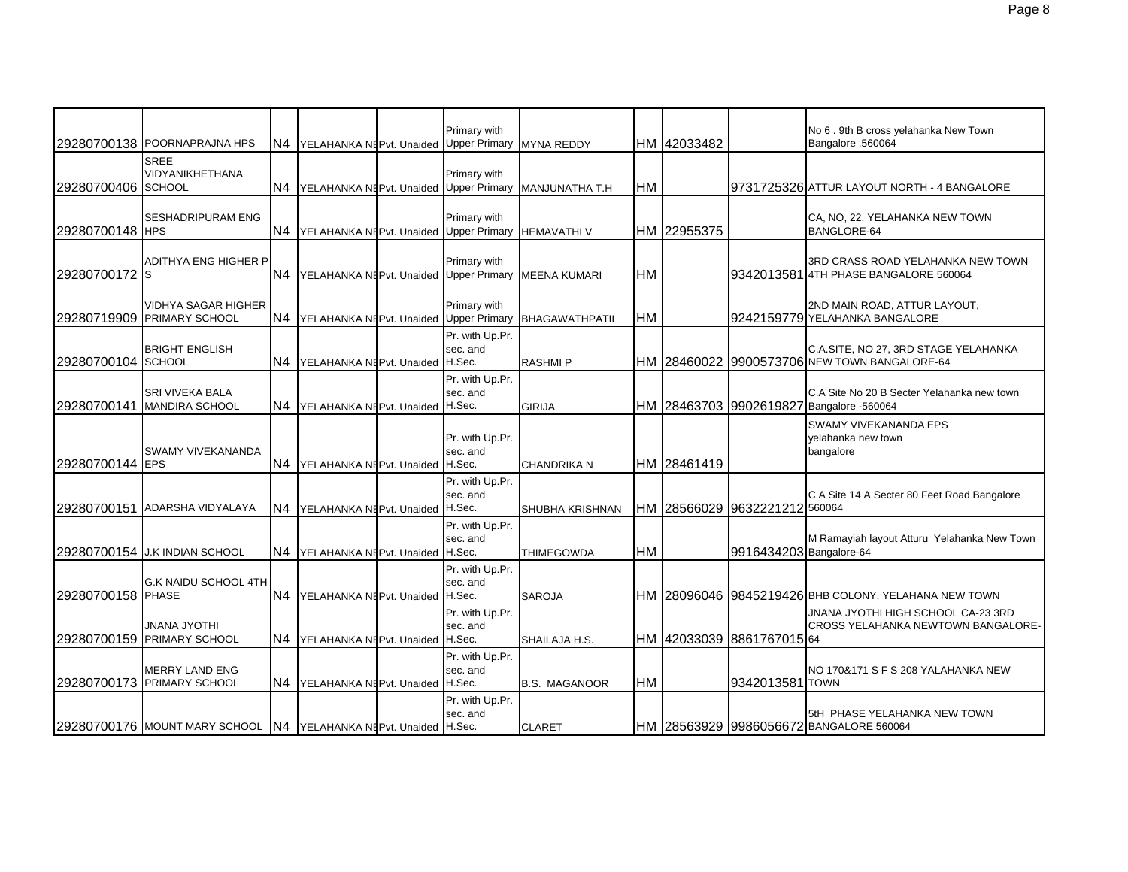|                    | 29280700138 POORNAPRAJNA HPS                                     | IN4            | YELAHANKA NEPvt. Unaided Upper Primary  | Primary with                | <b>MYNA REDDY</b>      |           | HM 42033482 |                               | No 6 . 9th B cross yelahanka New Town<br>Bangalore .560064                             |
|--------------------|------------------------------------------------------------------|----------------|-----------------------------------------|-----------------------------|------------------------|-----------|-------------|-------------------------------|----------------------------------------------------------------------------------------|
| 29280700406 SCHOOL | <b>SREE</b><br>VIDYANIKHETHANA                                   | N <sub>4</sub> | YELAHANKA NEPvt. Unaided Upper Primary  | Primary with                | MANJUNATHA T.H         | <b>HM</b> |             |                               | 9731725326 ATTUR LAYOUT NORTH - 4 BANGALORE                                            |
| 29280700148 HPS    | <b>SESHADRIPURAM ENG</b>                                         | N <sub>4</sub> | YELAHANKA NI Pvt. Unaided Upper Primary | Primary with                | <b>HEMAVATHIV</b>      |           | HM 22955375 |                               | CA, NO, 22, YELAHANKA NEW TOWN<br>BANGLORE-64                                          |
| 29280700172 S      | ADITHYA ENG HIGHER P                                             | N4             | YELAHANKA NEPvt. Unaided Upper Primary  | Primary with                | <b>MEENA KUMARI</b>    | <b>HM</b> |             |                               | 3RD CRASS ROAD YELAHANKA NEW TOWN<br>9342013581 4TH PHASE BANGALORE 560064             |
|                    | <b>VIDHYA SAGAR HIGHER</b><br><b>29280719909 PRIMARY SCHOOL</b>  | N4             | YELAHANKA NEPvt. Unaided Upper Primary  | Primary with                | BHAGAWATHPATIL         | <b>HM</b> |             |                               | 2ND MAIN ROAD, ATTUR LAYOUT,<br>9242159779 YELAHANKA BANGALORE                         |
| 29280700104 SCHOOL | <b>BRIGHT ENGLISH</b>                                            | N <sub>4</sub> | YELAHANKA NEPvt. Unaided H.Sec.         | Pr. with Up.Pr.<br>sec. and | <b>RASHMIP</b>         |           |             |                               | C.A.SITE, NO 27, 3RD STAGE YELAHANKA<br>HM 28460022 9900573706 NEW TOWN BANGALORE-64   |
|                    | SRI VIVEKA BALA<br>29280700141 MANDIRA SCHOOL                    | IN4            | YELAHANKA NEPvt. Unaided H.Sec.         | Pr. with Up.Pr.<br>sec. and | <b>GIRIJA</b>          |           |             |                               | C.A Site No 20 B Secter Yelahanka new town<br>HM 28463703 9902619827 Bangalore -560064 |
| 29280700144 EPS    | <b>SWAMY VIVEKANANDA</b>                                         | N <sub>4</sub> | YELAHANKA NEPvt. Unaided H.Sec.         | Pr. with Up.Pr.<br>sec. and | <b>CHANDRIKA N</b>     |           | HM 28461419 |                               | <b>SWAMY VIVEKANANDA EPS</b><br>yelahanka new town<br>bangalore                        |
|                    | 29280700151 ADARSHA VIDYALAYA                                    | N <sub>4</sub> | YELAHANKA NEPvt. Unaided H.Sec.         | Pr. with Up.Pr.<br>sec. and | <b>SHUBHA KRISHNAN</b> |           |             | HM 28566029 9632221212 560064 | C A Site 14 A Secter 80 Feet Road Bangalore                                            |
|                    | 29280700154 J.K INDIAN SCHOOL                                    | IN4            | YELAHANKA NEPvt. Unaided H.Sec.         | Pr. with Up.Pr.<br>sec. and | <b>THIMEGOWDA</b>      | <b>HM</b> |             | 9916434203 Bangalore-64       | M Ramayiah layout Atturu Yelahanka New Town                                            |
| 29280700158 PHASE  | <b>G.K NAIDU SCHOOL 4TH</b>                                      | N <sub>4</sub> | YELAHANKA NEPvt. Unaided H.Sec.         | Pr. with Up.Pr.<br>sec. and | <b>SAROJA</b>          |           |             |                               | HM 28096046 9845219426 BHB COLONY, YELAHANA NEW TOWN                                   |
|                    | <b>JNANA JYOTHI</b><br>29280700159 PRIMARY SCHOOL                | N <sub>4</sub> | YELAHANKA NEPvt. Unaided H.Sec.         | Pr. with Up.Pr.<br>sec. and | SHAILAJA H.S.          |           |             | HM 42033039 8861767015 64     | JNANA JYOTHI HIGH SCHOOL CA-23 3RD<br>CROSS YELAHANKA NEWTOWN BANGALORE-               |
|                    | <b>MERRY LAND ENG</b><br>29280700173 PRIMARY SCHOOL              | IN4.           | YELAHANKA NEPvt. Unaided H.Sec.         | Pr. with Up.Pr.<br>sec. and | <b>B.S. MAGANOOR</b>   | <b>HM</b> |             | 9342013581 TOWN               | NO 170&171 S F S 208 YALAHANKA NEW                                                     |
|                    | 29280700176 MOUNT MARY SCHOOL N4 YELAHANKA NEPvt. Unaided H.Sec. |                |                                         | Pr. with Up.Pr.<br>sec. and | <b>CLARET</b>          |           |             |                               | 5tH PHASE YELAHANKA NEW TOWN<br>HM 28563929 9986056672 BANGALORE 560064                |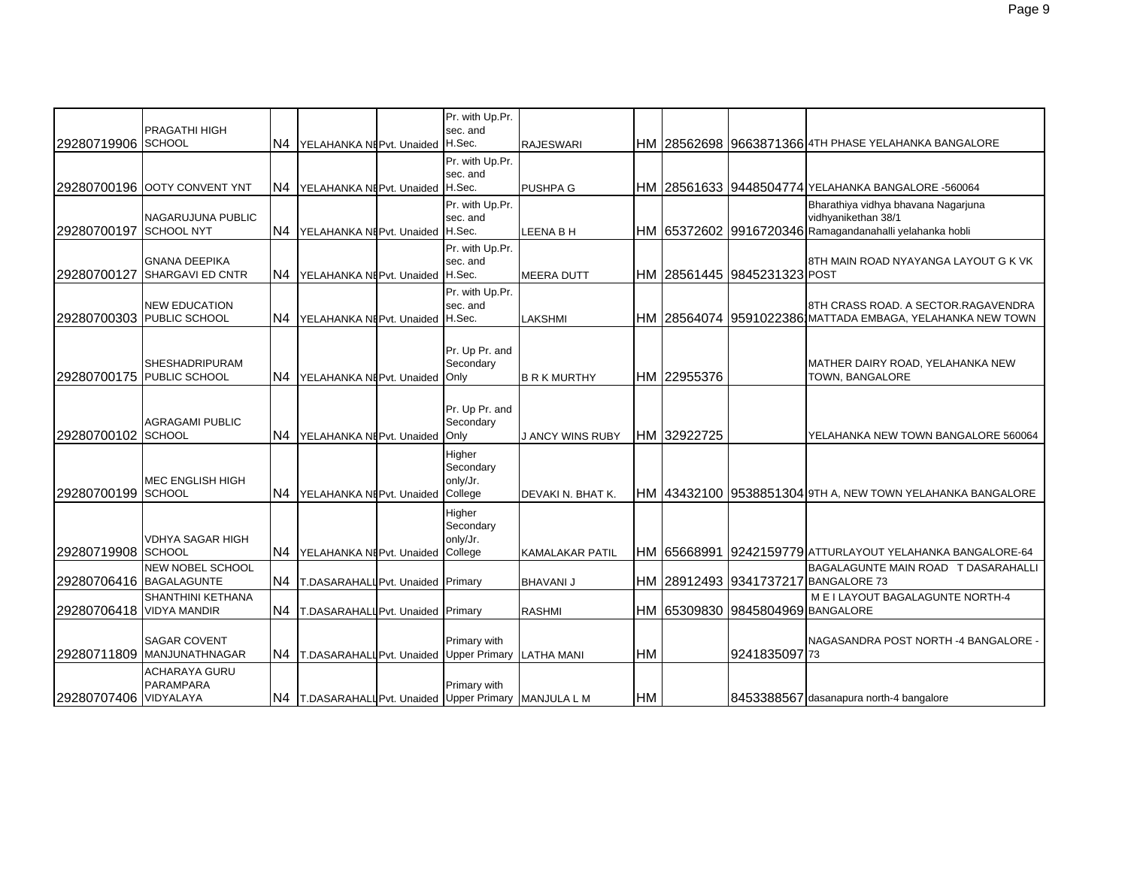| 29280719906 SCHOOL       | <b>PRAGATHI HIGH</b>                               | N <sub>4</sub> | YELAHANKA NEPvt. Unaided H.Sec.                       | Pr. with Up.Pr.<br>sec. and                | <b>RAJESWARI</b>        |           |             |                                  |                                                                                                                       |
|--------------------------|----------------------------------------------------|----------------|-------------------------------------------------------|--------------------------------------------|-------------------------|-----------|-------------|----------------------------------|-----------------------------------------------------------------------------------------------------------------------|
|                          | 129280700196 OOTY CONVENT YNT                      | N4             | YELAHANKA NI Pvt. Unaided H.Sec.                      | Pr. with Up.Pr.<br>sec. and                | <b>PUSHPA G</b>         |           |             |                                  | HM 28561633 9448504774 YELAHANKA BANGALORE -560064                                                                    |
| 29280700197 SCHOOL NYT   | NAGARUJUNA PUBLIC                                  | N <sub>4</sub> | YELAHANKA NEPvt. Unaided H.Sec.                       | Pr. with Up.Pr.<br>sec. and                | LEENA B H               |           |             |                                  | Bharathiya vidhya bhavana Nagarjuna<br>vidhyanikethan 38/1<br>HM 65372602 9916720346 Ramagandanahalli yelahanka hobli |
| 29280700127              | <b>GNANA DEEPIKA</b><br><b>SHARGAVI ED CNTR</b>    | N <sub>4</sub> | YELAHANKA NI Pvt. Unaided H.Sec.                      | Pr. with Up.Pr.<br>sec. and                | <b>MEERA DUTT</b>       |           |             | НМ  28561445  9845231323 РОSТ    | 8TH MAIN ROAD NYAYANGA LAYOUT G K VK                                                                                  |
|                          | <b>NEW EDUCATION</b><br>29280700303 PUBLIC SCHOOL  | N4             | YELAHANKA NI Pvt. Unaided H.Sec.                      | Pr. with Up.Pr.<br>sec. and                | LAKSHMI                 |           |             |                                  | 8TH CRASS ROAD. A SECTOR RAGAVENDRA<br>HM 28564074 9591022386 MATTADA EMBAGA, YELAHANKA NEW TOWN                      |
|                          | <b>SHESHADRIPURAM</b><br>29280700175 PUBLIC SCHOOL | N <sub>4</sub> | YELAHANKA NEPvt. Unaided                              | Pr. Up Pr. and<br>Secondary<br>Only        | <b>B R K MURTHY</b>     |           | HM 22955376 |                                  | MATHER DAIRY ROAD, YELAHANKA NEW<br>TOWN, BANGALORE                                                                   |
| 29280700102 SCHOOL       | <b>AGRAGAMI PUBLIC</b>                             | N4             | YELAHANKA NEPvt. Unaided                              | Pr. Up Pr. and<br>Secondary<br>Only        | <b>J ANCY WINS RUBY</b> |           | HM 32922725 |                                  | YELAHANKA NEW TOWN BANGALORE 560064                                                                                   |
| 29280700199 SCHOOL       | MEC ENGLISH HIGH                                   | N4             | YELAHANKA NEPvt. Unaided College                      | Higher<br>Secondary<br>only/Jr.            | DEVAKI N. BHAT K.       |           |             |                                  | HM 43432100 9538851304 9TH A, NEW TOWN YELAHANKA BANGALORE                                                            |
| 29280719908 SCHOOL       | <b>VDHYA SAGAR HIGH</b>                            | N <sub>4</sub> | YELAHANKA NEPvt. Unaided                              | Higher<br>Secondary<br>only/Jr.<br>College | <b>KAMALAKAR PATIL</b>  |           |             |                                  | IHM 165668991 192421597791ATTURLAYOUT YELAHANKA BANGALORE-64                                                          |
| 29280706416 BAGALAGUNTE  | NEW NOBEL SCHOOL                                   | N4             | T.DASARAHALLPvt. Unaided Primary                      |                                            | <b>BHAVANI J</b>        |           |             |                                  | BAGALAGUNTE MAIN ROAD T DASARAHALLI<br>HM 28912493 9341737217 BANGALORE 73                                            |
| 29280706418 VIDYA MANDIR | <b>SHANTHINI KETHANA</b>                           | N <sub>4</sub> | T.DASARAHALL Pvt. Unaided Primary                     |                                            | <b>RASHMI</b>           |           |             | HM 65309830 9845804969 BANGALORE | M E I LAYOUT BAGALAGUNTE NORTH-4                                                                                      |
|                          | <b>SAGAR COVENT</b><br>29280711809 MANJUNATHNAGAR  | N <sub>4</sub> | T.DASARAHALL Pvt. Unaided Upper Primary               | Primary with                               | <b>LATHA MANI</b>       | <b>HM</b> |             | 9241835097 73                    | NAGASANDRA POST NORTH -4 BANGALORE -                                                                                  |
| 29280707406 VIDYALAYA    | <b>ACHARAYA GURU</b><br><b>PARAMPARA</b>           |                | N4 T.DASARAHALLPvt. Unaided Upper Primary MANJULA L M | Primary with                               |                         | <b>HM</b> |             |                                  | 8453388567 dasanapura north-4 bangalore                                                                               |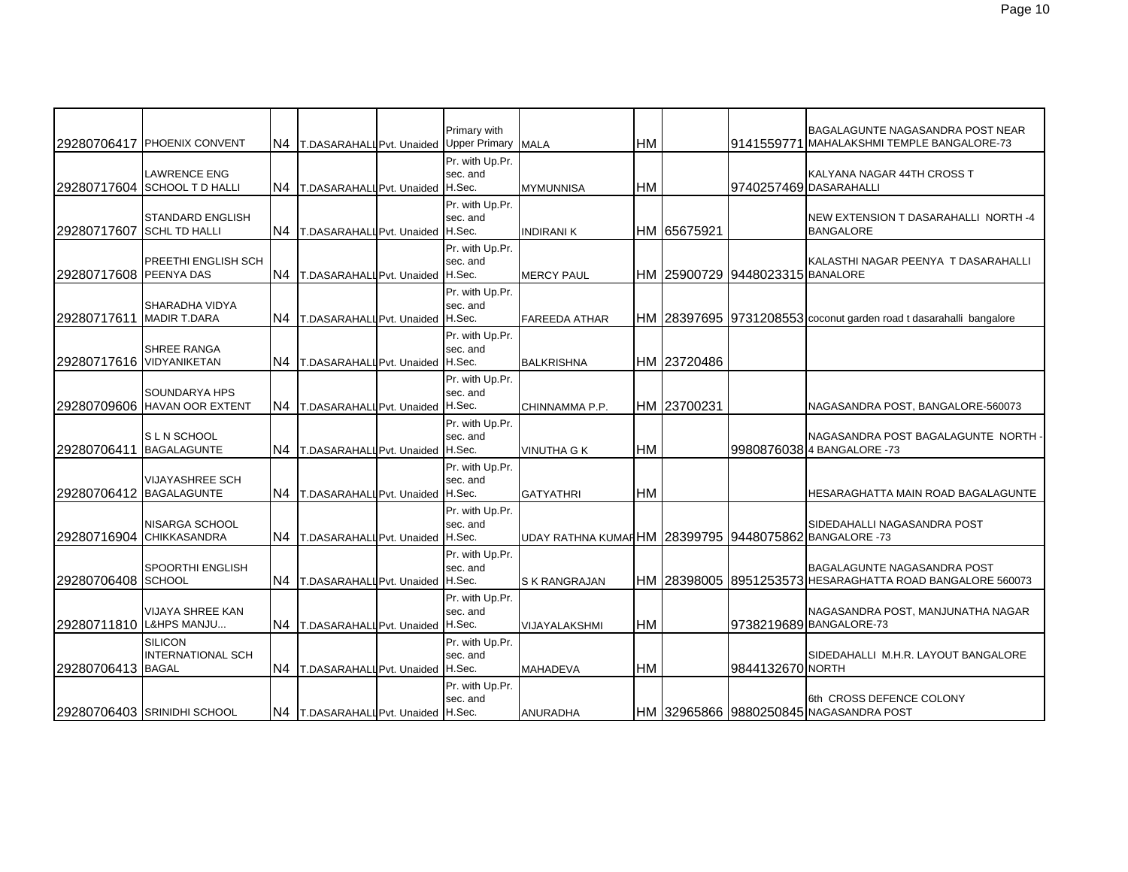|                          | 29280706417 PHOENIX CONVENT                        | N <sub>4</sub> | T.DASARAHALL Pvt. Unaided Upper Primary MALA | Primary with                          |                                                        | <b>HM</b> |             | 9141559771                      | BAGALAGUNTE NAGASANDRA POST NEAR<br><b>IMAHALAKSHMI TEMPLE BANGALORE-73</b>                     |
|--------------------------|----------------------------------------------------|----------------|----------------------------------------------|---------------------------------------|--------------------------------------------------------|-----------|-------------|---------------------------------|-------------------------------------------------------------------------------------------------|
|                          | <b>LAWRENCE ENG</b><br>29280717604 SCHOOL TD HALLI | N4             | T.DASARAHALL Pvt. Unaided H.Sec.             | Pr. with Up.Pr.<br>sec. and           | <b>MYMUNNISA</b>                                       | <b>HM</b> |             | 9740257469 DASARAHALLI          | KALYANA NAGAR 44TH CROSS T                                                                      |
| 29280717607              | <b>STANDARD ENGLISH</b><br><b>SCHL TD HALLI</b>    | N4             | T.DASARAHALL Pvt. Unaided H.Sec.             | Pr. with Up.Pr.<br>sec. and           | <b>INDIRANIK</b>                                       |           | HM 65675921 |                                 | NEW EXTENSION T DASARAHALLI NORTH -4<br><b>BANGALORE</b>                                        |
| 29280717608 PEENYA DAS   | PREETHI ENGLISH SCH                                | N <sub>4</sub> | T.DASARAHALL Pvt. Unaided H.Sec.             | Pr. with Up.Pr.<br>sec. and           | <b>MERCY PAUL</b>                                      |           |             | HM 25900729 9448023315 BANALORE | KALASTHI NAGAR PEENYA T DASARAHALLI                                                             |
| 29280717611              | <b>SHARADHA VIDYA</b><br><b>MADIR T.DARA</b>       | N <sub>4</sub> | T.DASARAHALL Pvt. Unaided H.Sec.             | Pr. with Up.Pr.<br>sec. and           | <b>FAREEDA ATHAR</b>                                   |           |             |                                 | HM 28397695 9731208553 coconut garden road t dasarahalli bangalore                              |
| 29280717616 VIDYANIKETAN | <b>SHREE RANGA</b>                                 | N4             | T.DASARAHALL Pvt. Unaided                    | Pr. with Up.Pr.<br>sec. and<br>H.Sec. | <b>BALKRISHNA</b>                                      |           | HM 23720486 |                                 |                                                                                                 |
|                          | SOUNDARYA HPS<br>29280709606 HAVAN OOR EXTENT      | N <sub>4</sub> | T.DASARAHALL Pvt. Unaided H.Sec.             | Pr. with Up.Pr.<br>sec. and           | CHINNAMMA P.P.                                         |           | HM 23700231 |                                 | NAGASANDRA POST, BANGALORE-560073                                                               |
| 29280706411              | <b>SLN SCHOOL</b><br><b>BAGALAGUNTE</b>            | N <sub>4</sub> | T.DASARAHALL Pvt. Unaided H.Sec.             | Pr. with Up.Pr.<br>sec. and           | <b>VINUTHA G K</b>                                     | <b>HM</b> |             |                                 | NAGASANDRA POST BAGALAGUNTE NORTH -<br>99808760384 BANGALORE -73                                |
| 29280706412 BAGALAGUNTE  | <b>VIJAYASHREE SCH</b>                             | N4             | T.DASARAHALL Pvt. Unaided                    | Pr. with Up.Pr.<br>sec. and<br>H.Sec. | <b>GATYATHRI</b>                                       | HM        |             |                                 | HESARAGHATTA MAIN ROAD BAGALAGUNTE                                                              |
|                          | <b>NISARGA SCHOOL</b><br>29280716904 CHIKKASANDRA  | N <sub>4</sub> | T.DASARAHALL Pvt. Unaided H.Sec.             | Pr. with Up.Pr.<br>sec. and           | UDAY RATHNA KUMAI HM 28399795 9448075862 BANGALORE -73 |           |             |                                 | SIDEDAHALLI NAGASANDRA POST                                                                     |
| 29280706408 SCHOOL       | <b>SPOORTHI ENGLISH</b>                            | N4             | T.DASARAHALL Pvt. Unaided H.Sec.             | Pr. with Up.Pr.<br>sec. and           | <b>S K RANGRAJAN</b>                                   |           |             |                                 | <b>BAGALAGUNTE NAGASANDRA POST</b><br>HM 28398005 8951253573 HESARAGHATTA ROAD BANGALORE 560073 |
| 29280711810 L&HPS MANJU  | <b>VIJAYA SHREE KAN</b>                            | N <sub>4</sub> | T.DASARAHALL Pvt. Unaided                    | Pr. with Up.Pr.<br>sec. and<br>H.Sec. | VIJAYALAKSHMI                                          | <b>HM</b> |             |                                 | NAGASANDRA POST, MANJUNATHA NAGAR<br>9738219689 BANGALORE-73                                    |
| 29280706413 BAGAL        | <b>SILICON</b><br><b>INTERNATIONAL SCH</b>         | N4             | T.DASARAHALL Pvt. Unaided H.Sec.             | Pr. with Up.Pr.<br>sec. and           | <b>MAHADEVA</b>                                        | HM        |             | 9844132670 NORTH                | SIDEDAHALLI M.H.R. LAYOUT BANGALORE                                                             |
|                          | 29280706403 SRINIDHI SCHOOL                        |                | N4 T.DASARAHALLPvt. Unaided H.Sec.           | Pr. with Up.Pr.<br>sec. and           | <b>ANURADHA</b>                                        |           |             |                                 | 6th CROSS DEFENCE COLONY<br>HM 32965866 9880250845 NAGASANDRA POST                              |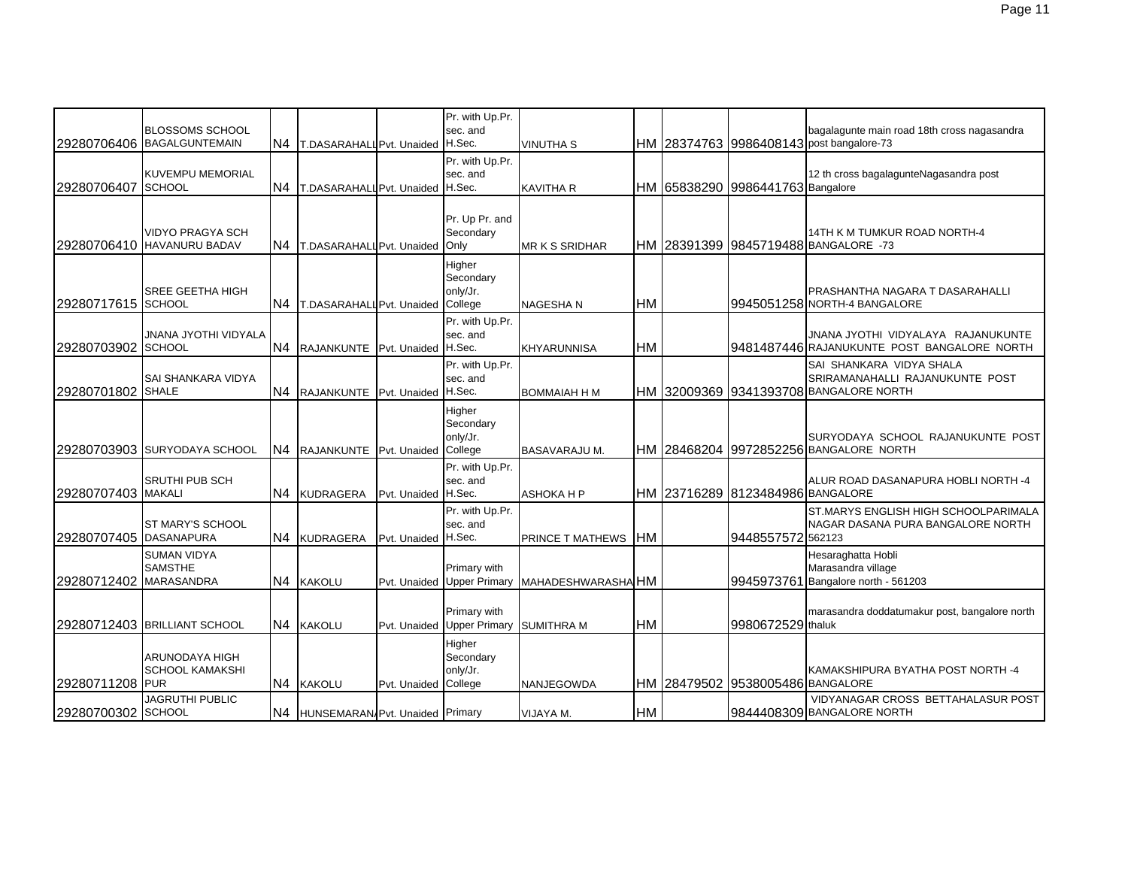|                        | <b>BLOSSOMS SCHOOL</b><br>29280706406 BAGALGUNTEMAIN      | N4             | T.DASARAHALL Pvt. Unaided H.Sec.   |                      | Pr. with Up.Pr.<br>sec. and                | <b>VINUTHA S</b>     |           |                                  | bagalagunte main road 18th cross nagasandra<br>HM 28374763 9986408143 post bangalore-73               |
|------------------------|-----------------------------------------------------------|----------------|------------------------------------|----------------------|--------------------------------------------|----------------------|-----------|----------------------------------|-------------------------------------------------------------------------------------------------------|
| 29280706407            | <b>KUVEMPU MEMORIAL</b><br><b>SCHOOL</b>                  | N <sub>4</sub> | T.DASARAHALL Pvt. Unaided H.Sec.   |                      | Pr. with Up.Pr.<br>sec. and                | KAVITHA R            |           | HM 65838290 9986441763 Bangalore | 12 th cross bagalagunteNagasandra post                                                                |
|                        | <b>VIDYO PRAGYA SCH</b><br>29280706410 HAVANURU BADAV     |                | N4 T.DASARAHALL Pvt. Unaided       |                      | Pr. Up Pr. and<br>Secondary<br>Only        | MR K S SRIDHAR       |           |                                  | 14TH K M TUMKUR ROAD NORTH-4<br>HM 28391399 9845719488 BANGALORE -73                                  |
| 29280717615 SCHOOL     | <b>SREE GEETHA HIGH</b>                                   | IN4            | T.DASARAHALL Pvt. Unaided College  |                      | Higher<br>Secondary<br>only/Jr.            | NAGESHA N            | <b>HM</b> |                                  | PRASHANTHA NAGARA T DASARAHALLI<br>9945051258 NORTH-4 BANGALORE                                       |
| 29280703902 SCHOOL     | JNANA JYOTHI VIDYALA                                      |                | N4 RAJANKUNTE Pvt. Unaided H.Sec.  |                      | Pr. with Up.Pr.<br>sec. and                | KHYARUNNISA          | <b>HM</b> |                                  | JNANA JYOTHI VIDYALAYA RAJANUKUNTE<br>9481487446 RAJANUKUNTE POST BANGALORE NORTH                     |
| 29280701802 SHALE      | SAI SHANKARA VIDYA                                        |                | N4 RAJANKUNTE Pvt. Unaided H.Sec.  |                      | Pr. with Up.Pr.<br>sec. and                | <b>BOMMAIAH H M</b>  |           |                                  | SAI SHANKARA VIDYA SHALA<br>SRIRAMANAHALLI RAJANUKUNTE POST<br>HM 32009369 9341393708 BANGALORE NORTH |
|                        | 29280703903 SURYODAYA SCHOOL                              |                | N4 RAJANKUNTE                      | Pvt. Unaided College | Higher<br>Secondary<br>only/Jr.            | <b>BASAVARAJU M.</b> |           |                                  | SURYODAYA SCHOOL RAJANUKUNTE POST<br>HM 28468204 9972852256 BANGALORE NORTH                           |
| 29280707403 MAKALI     | <b>SRUTHI PUB SCH</b>                                     | N4             | <b>KUDRAGERA</b>                   | Pvt. Unaided H.Sec.  | Pr. with Up.Pr.<br>sec. and                | <b>ASHOKA H P</b>    |           | HM 23716289 8123484986 BANGALORE | ALUR ROAD DASANAPURA HOBLI NORTH -4                                                                   |
| 29280707405 DASANAPURA | ST MARY'S SCHOOL                                          |                | N4 KUDRAGERA                       | Pvt. Unaided H.Sec.  | Pr. with Up.Pr.<br>sec. and                | PRINCE T MATHEWS     | <b>HM</b> | 9448557572 562123                | ST.MARYS ENGLISH HIGH SCHOOLPARIMALA<br>NAGAR DASANA PURA BANGALORE NORTH                             |
| 29280712402            | <b>SUMAN VIDYA</b><br><b>SAMSTHE</b><br><b>MARASANDRA</b> |                | N4 KAKOLU                          |                      | Primary with<br>Pyt. Unaided Upper Primary | MAHADESHWARASHA HM   |           | 9945973761                       | Hesaraghatta Hobli<br>Marasandra village<br>Bangalore north - 561203                                  |
|                        | 29280712403 BRILLIANT SCHOOL                              |                | N4 KAKOLU                          |                      | Primary with<br>Pvt. Unaided Upper Primary | <b>SUMITHRA M</b>    | <b>HM</b> | 9980672529 thaluk                | marasandra doddatumakur post, bangalore north                                                         |
| 29280711208 PUR        | ARUNODAYA HIGH<br><b>SCHOOL KAMAKSHI</b>                  | N <sub>4</sub> | <b>KAKOLU</b>                      | Pvt. Unaided College | Higher<br>Secondary<br>only/Jr.            | NANJEGOWDA           |           | HM 28479502 9538005486 BANGALORE | KAMAKSHIPURA BYATHA POST NORTH -4                                                                     |
| 29280700302 SCHOOL     | <b>JAGRUTHI PUBLIC</b>                                    |                | N4 HUNSEMARAN Pvt. Unaided Primary |                      |                                            | VIJAYA M.            | <b>HM</b> |                                  | VIDYANAGAR CROSS BETTAHALASUR POST<br>9844408309 BANGALORE NORTH                                      |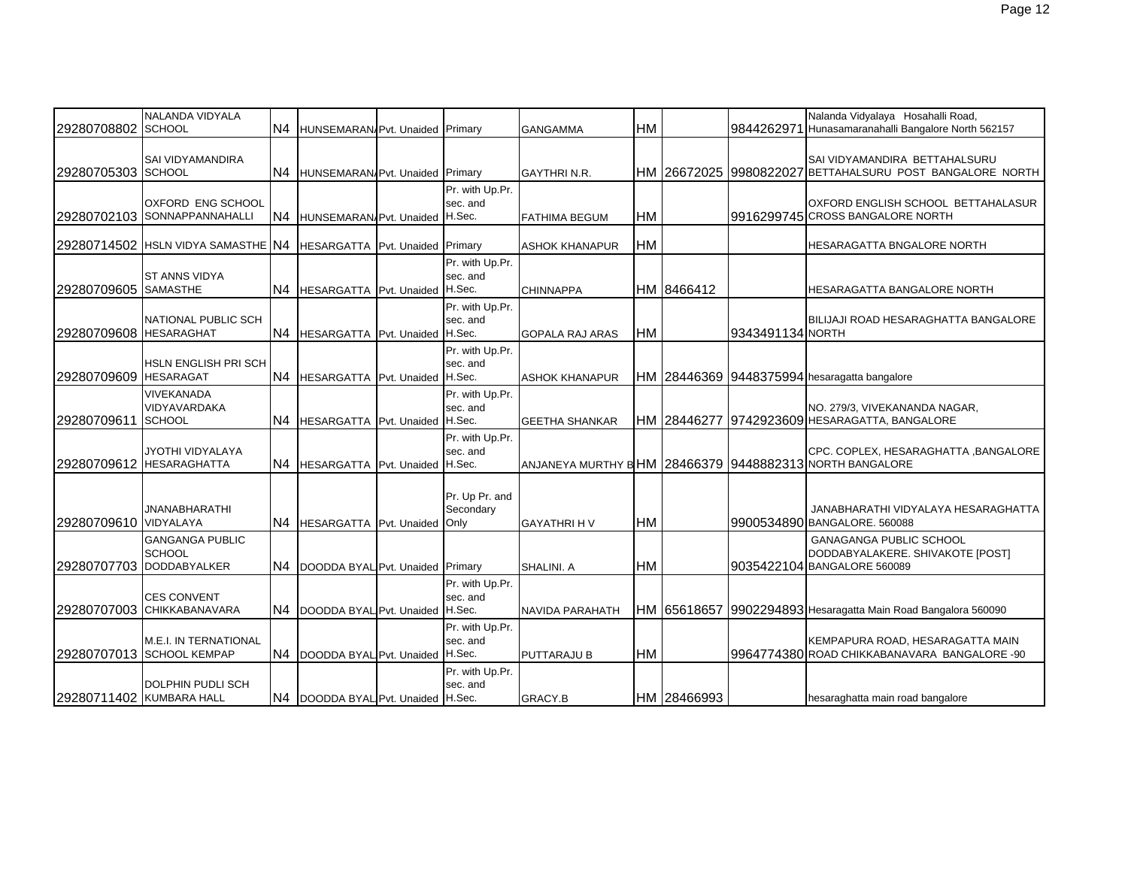| 29280708802 SCHOOL       | NALANDA VIDYALA                                                | N4             | HUNSEMARAN/Pvt. Unaided Primary     |                                     | <b>GANGAMMA</b>                                         | <b>HM</b> |             | 9844262971       | Nalanda Vidyalaya Hosahalli Road,<br>Hunasamaranahalli Bangalore North 562157                     |
|--------------------------|----------------------------------------------------------------|----------------|-------------------------------------|-------------------------------------|---------------------------------------------------------|-----------|-------------|------------------|---------------------------------------------------------------------------------------------------|
| 29280705303 SCHOOL       | <b>SAI VIDYAMANDIRA</b>                                        | N <sub>4</sub> | HUNSEMARAN/Pvt. Unaided Primary     |                                     | <b>GAYTHRI N.R.</b>                                     |           |             |                  | SAI VIDYAMANDIRA BETTAHALSURU<br>HM 126672025 19980822027 BETTAHALSURU POST BANGALORE NORTH       |
|                          | <b>OXFORD ENG SCHOOL</b><br>29280702103 SONNAPPANNAHALLI       | N <sub>4</sub> | HUNSEMARAN/Pvt. Unaided H.Sec.      | Pr. with Up.Pr.<br>sec. and         | <b>FATHIMA BEGUM</b>                                    | <b>HM</b> |             |                  | OXFORD ENGLISH SCHOOL BETTAHALASUR<br>9916299745 CROSS BANGALORE NORTH                            |
|                          | 29280714502   HSLN VIDYA SAMASTHE N4                           |                | HESARGATTA Pvt. Unaided Primary     |                                     | <b>ASHOK KHANAPUR</b>                                   | HM        |             |                  | HESARAGATTA BNGALORE NORTH                                                                        |
| 29280709605 SAMASTHE     | <b>ST ANNS VIDYA</b>                                           | N4             | HESARGATTA Pvt. Unaided H.Sec.      | Pr. with Up.Pr.<br>sec. and         | <b>CHINNAPPA</b>                                        |           | HM 8466412  |                  | HESARAGATTA BANGALORE NORTH                                                                       |
| 29280709608 HESARAGHAT   | <b>NATIONAL PUBLIC SCH</b>                                     |                | N4 HESARGATTA Pvt. Unaided H.Sec.   | Pr. with Up.Pr.<br>sec. and         | <b>GOPALA RAJ ARAS</b>                                  | <b>HM</b> |             | 9343491134 NORTH | BILIJAJI ROAD HESARAGHATTA BANGALORE                                                              |
| 29280709609 HESARAGAT    | <b>HSLN ENGLISH PRI SCH</b>                                    |                | N4 HESARGATTA Pvt. Unaided H.Sec.   | Pr. with Up.Pr.<br>sec. and         | <b>ASHOK KHANAPUR</b>                                   |           |             |                  | HM 28446369 9448375994 hesaragatta bangalore                                                      |
| 29280709611              | VIVEKANADA<br>VIDYAVARDAKA<br><b>SCHOOL</b>                    | N4             | HESARGATTA Pvt. Unaided H.Sec.      | Pr. with Up.Pr.<br>sec. and         | <b>GEETHA SHANKAR</b>                                   |           |             |                  | NO. 279/3, VIVEKANANDA NAGAR,<br>HM 28446277 9742923609 HESARAGATTA, BANGALORE                    |
|                          | JYOTHI VIDYALAYA<br>29280709612 HESARAGHATTA                   | N4             | HESARGATTA Pvt. Unaided H.Sec.      | Pr. with Up.Pr.<br>sec. and         | ANJANEYA MURTHY BHM 28466379 9448882313 NORTH BANGALORE |           |             |                  | CPC. COPLEX, HESARAGHATTA, BANGALORE                                                              |
| 29280709610 VIDYALAYA    | <b>JNANABHARATHI</b>                                           | N4             | HESARGATTA Pvt. Unaided             | Pr. Up Pr. and<br>Secondary<br>Only | <b>GAYATHRI H V</b>                                     | HM        |             |                  | JANABHARATHI VIDYALAYA HESARAGHATTA<br>9900534890 BANGALORE. 560088                               |
| 29280707703              | <b>GANGANGA PUBLIC</b><br><b>SCHOOL</b><br><b>DODDABYALKER</b> |                | N4 DOODDA BYAL Pvt. Unaided Primary |                                     | SHALINI, A                                              | <b>HM</b> |             |                  | <b>GANAGANGA PUBLIC SCHOOL</b><br>DODDABYALAKERE. SHIVAKOTE [POST]<br>9035422104 BANGALORE 560089 |
|                          | <b>CES CONVENT</b><br>29280707003 CHIKKABANAVARA               |                | N4  DOODDA BYAL Pvt. Unaided H.Sec. | Pr. with Up.Pr.<br>sec. and         | NAVIDA PARAHATH                                         |           |             |                  | HM 65618657 9902294893 Hesaragatta Main Road Bangalora 560090                                     |
|                          | <b>M.E.I. IN TERNATIONAL</b><br>29280707013 SCHOOL KEMPAP      |                | N4 DOODDA BYAL Pvt. Unaided H.Sec.  | Pr. with Up.Pr.<br>sec. and         | <b>PUTTARAJU B</b>                                      | HM        |             |                  | KEMPAPURA ROAD, HESARAGATTA MAIN<br>9964774380 ROAD CHIKKABANAVARA BANGALORE -90                  |
| 29280711402 KUMBARA HALL | <b>DOLPHIN PUDLI SCH</b>                                       |                | N4  DOODDA BYAL Pvt. Unaided H.Sec. | Pr. with Up.Pr.<br>sec. and         | GRACY.B                                                 |           | HM 28466993 |                  | hesaraghatta main road bangalore                                                                  |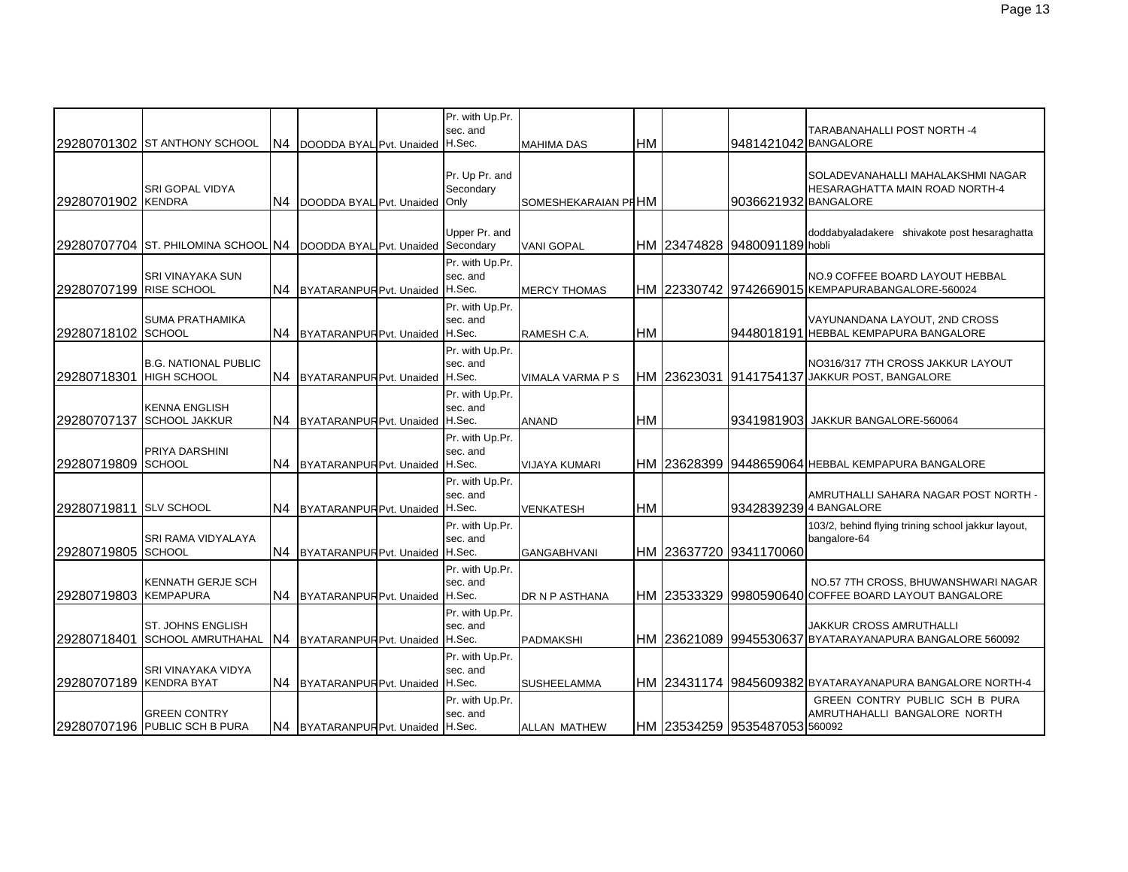|                         | 29280701302 ST ANTHONY SCHOOL                                           | N <sub>4</sub> | DOODDA BYAL Pvt. Unaided           | Pr. with Up.Pr.<br>sec. and<br>H.Sec. | <b>MAHIMA DAS</b>       | <b>HM</b> | 9481421042 BANGALORE          | TARABANAHALLI POST NORTH -4                                                                 |
|-------------------------|-------------------------------------------------------------------------|----------------|------------------------------------|---------------------------------------|-------------------------|-----------|-------------------------------|---------------------------------------------------------------------------------------------|
| 29280701902 KENDRA      | SRI GOPAL VIDYA                                                         | IN4            | DOODDA BYAL Pvt. Unaided           | Pr. Up Pr. and<br>Secondary<br>Only   | SOMESHEKARAIAN PI HM    |           | 9036621932 BANGALORE          | SOLADEVANAHALLI MAHALAKSHMI NAGAR<br><b>HESARAGHATTA MAIN ROAD NORTH-4</b>                  |
|                         | 29280707704 ST. PHILOMINA SCHOOL N4  DOODDA BYAL Pvt. Unaided Secondary |                |                                    | Upper Pr. and                         | <b>VANI GOPAL</b>       |           | HM 23474828 9480091189 hobli  | doddabyaladakere shivakote post hesaraghatta                                                |
| 29280707199 RISE SCHOOL | <b>SRI VINAYAKA SUN</b>                                                 | N <sub>4</sub> | BYATARANPUR Pvt. Unaided           | Pr. with Up.Pr.<br>sec. and<br>H.Sec. | <b>MERCY THOMAS</b>     |           |                               | <b>NO.9 COFFEE BOARD LAYOUT HEBBAL</b><br>HM 22330742 9742669015 KEMPAPURABANGALORE-560024  |
| 29280718102 SCHOOL      | <b>SUMA PRATHAMIKA</b>                                                  | N4             | BYATARANPUR Pvt. Unaided           | Pr. with Up.Pr.<br>sec. and<br>H.Sec. | RAMESH C.A.             | <b>HM</b> |                               | VAYUNANDANA LAYOUT, 2ND CROSS<br>19448018191 HEBBAL KEMPAPURA BANGALORE                     |
| 29280718301 HIGH SCHOOL | <b>B.G. NATIONAL PUBLIC</b>                                             | N4             | BYATARANPUR Pvt. Unaided           | Pr. with Up.Pr.<br>sec. and<br>H.Sec. | <b>VIMALA VARMA P S</b> |           |                               | NO316/317 7TH CROSS JAKKUR LAYOUT<br>HM 23623031 9141754137 JAKKUR POST, BANGALORE          |
| 29280707137             | <b>KENNA ENGLISH</b><br><b>SCHOOL JAKKUR</b>                            | N <sub>4</sub> | BYATARANPUR Pvt. Unaided H.Sec.    | Pr. with Up.Pr.<br>sec. and           | <b>ANAND</b>            | HM        |                               | 193419819031 JAKKUR BANGALORE-560064                                                        |
| 29280719809 SCHOOL      | PRIYA DARSHINI                                                          | N4             | BYATARANPUR Pvt. Unaided H.Sec.    | Pr. with Up.Pr.<br>sec. and           | <b>VIJAYA KUMARI</b>    |           |                               | HM 23628399 9448659064 HEBBAL KEMPAPURA BANGALORE                                           |
| 29280719811 SLV SCHOOL  |                                                                         | N4             | BYATARANPUR Pvt. Unaided           | Pr. with Up.Pr.<br>sec. and<br>H.Sec. | <b>VENKATESH</b>        | <b>HM</b> |                               | AMRUTHALLI SAHARA NAGAR POST NORTH -<br>93428392394 BANGALORE                               |
| 29280719805 SCHOOL      | SRI RAMA VIDYALAYA                                                      | N <sub>4</sub> | BYATARANPUR Pvt. Unaided           | Pr. with Up.Pr.<br>sec. and<br>H.Sec. | <b>GANGABHVANI</b>      |           | HM 23637720 9341170060        | 103/2, behind flying trining school jakkur layout,<br>bangalore-64                          |
| 29280719803 KEMPAPURA   | <b>KENNATH GERJE SCH</b>                                                | N4             | BYATARANPUR Pvt. Unaided           | Pr. with Up.Pr.<br>sec. and<br>H.Sec. | DR N P ASTHANA          |           |                               | NO.57 7TH CROSS, BHUWANSHWARI NAGAR<br>HM 23533329 9980590640 COFFEE BOARD LAYOUT BANGALORE |
| 29280718401             | ST. JOHNS ENGLISH<br><b>SCHOOL AMRUTHAHAL</b>                           | N4             | BYATARANPUR Pvt. Unaided           | Pr. with Up.Pr.<br>sec. and<br>H.Sec. | <b>PADMAKSHI</b>        |           |                               | JAKKUR CROSS AMRUTHALLI                                                                     |
| 29280707189 KENDRA BYAT | SRI VINAYAKA VIDYA                                                      | N <sub>4</sub> | BYATARANPUR Pvt. Unaided           | Pr. with Up.Pr.<br>sec. and<br>H.Sec. | <b>SUSHEELAMMA</b>      |           |                               | HM 23431174 9845609382 BYATARAYANAPURA BANGALORE NORTH-4                                    |
|                         | <b>GREEN CONTRY</b><br>29280707196 PUBLIC SCH B PURA                    |                | N4 BYATARANPUR Pvt. Unaided H.Sec. | Pr. with Up.Pr.<br>sec. and           | <b>ALLAN MATHEW</b>     |           | HM 23534259 9535487053 560092 | GREEN CONTRY PUBLIC SCH B PURA<br>AMRUTHAHALLI BANGALORE NORTH                              |